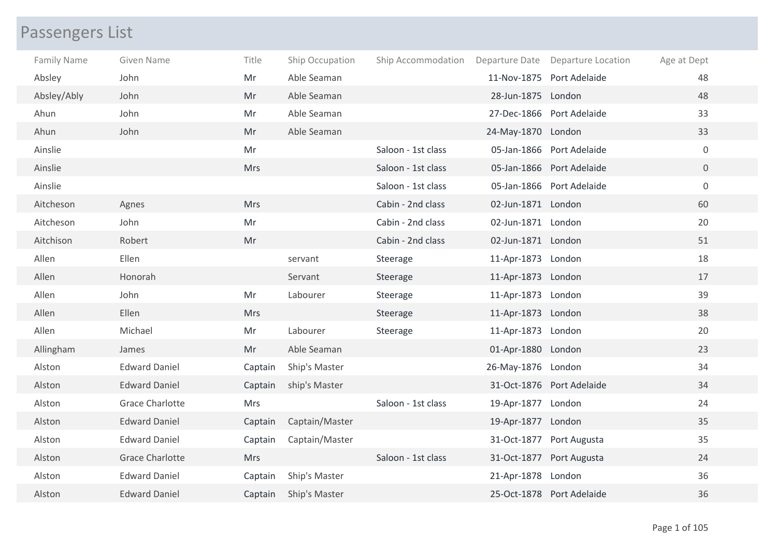## Passengers List

| <b>Family Name</b> | Given Name             | Title      | Ship Occupation | Ship Accommodation |                    | Departure Date Departure Location | Age at Dept    |
|--------------------|------------------------|------------|-----------------|--------------------|--------------------|-----------------------------------|----------------|
| Absley             | John                   | Mr         | Able Seaman     |                    |                    | 11-Nov-1875 Port Adelaide         | 48             |
| Absley/Ably        | John                   | Mr         | Able Seaman     |                    | 28-Jun-1875 London |                                   | 48             |
| Ahun               | John                   | Mr         | Able Seaman     |                    |                    | 27-Dec-1866 Port Adelaide         | 33             |
| Ahun               | John                   | Mr         | Able Seaman     |                    | 24-May-1870 London |                                   | 33             |
| Ainslie            |                        | Mr         |                 | Saloon - 1st class |                    | 05-Jan-1866 Port Adelaide         | $\mathbf 0$    |
| Ainslie            |                        | <b>Mrs</b> |                 | Saloon - 1st class |                    | 05-Jan-1866 Port Adelaide         | $\overline{0}$ |
| Ainslie            |                        |            |                 | Saloon - 1st class |                    | 05-Jan-1866 Port Adelaide         | $\mathbf 0$    |
| Aitcheson          | Agnes                  | <b>Mrs</b> |                 | Cabin - 2nd class  | 02-Jun-1871 London |                                   | 60             |
| Aitcheson          | John                   | Mr         |                 | Cabin - 2nd class  | 02-Jun-1871 London |                                   | 20             |
| Aitchison          | Robert                 | Mr         |                 | Cabin - 2nd class  | 02-Jun-1871 London |                                   | 51             |
| Allen              | Ellen                  |            | servant         | Steerage           | 11-Apr-1873 London |                                   | 18             |
| Allen              | Honorah                |            | Servant         | Steerage           | 11-Apr-1873 London |                                   | 17             |
| Allen              | John                   | Mr         | Labourer        | Steerage           | 11-Apr-1873 London |                                   | 39             |
| Allen              | Ellen                  | <b>Mrs</b> |                 | Steerage           | 11-Apr-1873 London |                                   | 38             |
| Allen              | Michael                | Mr         | Labourer        | Steerage           | 11-Apr-1873 London |                                   | 20             |
| Allingham          | James                  | Mr         | Able Seaman     |                    | 01-Apr-1880 London |                                   | 23             |
| Alston             | <b>Edward Daniel</b>   | Captain    | Ship's Master   |                    | 26-May-1876 London |                                   | 34             |
| Alston             | <b>Edward Daniel</b>   | Captain    | ship's Master   |                    |                    | 31-Oct-1876 Port Adelaide         | 34             |
| Alston             | <b>Grace Charlotte</b> | <b>Mrs</b> |                 | Saloon - 1st class | 19-Apr-1877 London |                                   | 24             |
| Alston             | <b>Edward Daniel</b>   | Captain    | Captain/Master  |                    | 19-Apr-1877 London |                                   | 35             |
| Alston             | <b>Edward Daniel</b>   | Captain    | Captain/Master  |                    |                    | 31-Oct-1877 Port Augusta          | 35             |
| Alston             | <b>Grace Charlotte</b> | <b>Mrs</b> |                 | Saloon - 1st class |                    | 31-Oct-1877 Port Augusta          | 24             |
| Alston             | <b>Edward Daniel</b>   | Captain    | Ship's Master   |                    | 21-Apr-1878 London |                                   | 36             |
| Alston             | <b>Edward Daniel</b>   | Captain    | Ship's Master   |                    |                    | 25-Oct-1878 Port Adelaide         | 36             |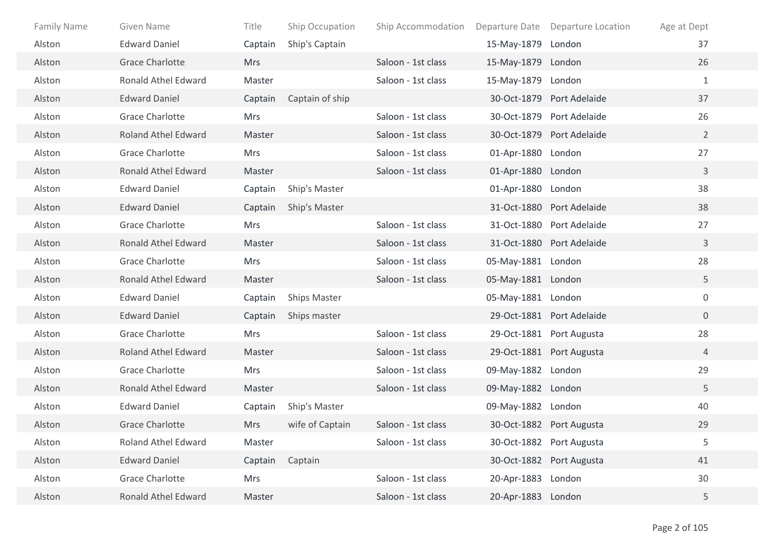| <b>Family Name</b> | Given Name                 | Title      | Ship Occupation     | Ship Accommodation |                    | Departure Date Departure Location | Age at Dept    |
|--------------------|----------------------------|------------|---------------------|--------------------|--------------------|-----------------------------------|----------------|
| Alston             | <b>Edward Daniel</b>       | Captain    | Ship's Captain      |                    | 15-May-1879        | London                            | 37             |
| Alston             | <b>Grace Charlotte</b>     | <b>Mrs</b> |                     | Saloon - 1st class | 15-May-1879 London |                                   | 26             |
| Alston             | <b>Ronald Athel Edward</b> | Master     |                     | Saloon - 1st class | 15-May-1879 London |                                   | $\mathbf{1}$   |
| Alston             | <b>Edward Daniel</b>       | Captain    | Captain of ship     |                    |                    | 30-Oct-1879 Port Adelaide         | 37             |
| Alston             | <b>Grace Charlotte</b>     | Mrs        |                     | Saloon - 1st class |                    | 30-Oct-1879 Port Adelaide         | 26             |
| Alston             | <b>Roland Athel Edward</b> | Master     |                     | Saloon - 1st class |                    | 30-Oct-1879 Port Adelaide         | $\overline{2}$ |
| Alston             | <b>Grace Charlotte</b>     | <b>Mrs</b> |                     | Saloon - 1st class | 01-Apr-1880 London |                                   | 27             |
| Alston             | <b>Ronald Athel Edward</b> | Master     |                     | Saloon - 1st class | 01-Apr-1880 London |                                   | 3              |
| Alston             | <b>Edward Daniel</b>       | Captain    | Ship's Master       |                    | 01-Apr-1880 London |                                   | 38             |
| Alston             | <b>Edward Daniel</b>       | Captain    | Ship's Master       |                    |                    | 31-Oct-1880 Port Adelaide         | 38             |
| Alston             | <b>Grace Charlotte</b>     | Mrs        |                     | Saloon - 1st class |                    | 31-Oct-1880 Port Adelaide         | 27             |
| Alston             | <b>Ronald Athel Edward</b> | Master     |                     | Saloon - 1st class |                    | 31-Oct-1880 Port Adelaide         | 3              |
| Alston             | <b>Grace Charlotte</b>     | Mrs        |                     | Saloon - 1st class | 05-May-1881 London |                                   | 28             |
| Alston             | <b>Ronald Athel Edward</b> | Master     |                     | Saloon - 1st class | 05-May-1881 London |                                   | 5              |
| Alston             | <b>Edward Daniel</b>       | Captain    | <b>Ships Master</b> |                    | 05-May-1881 London |                                   | $\mathbf 0$    |
| Alston             | <b>Edward Daniel</b>       | Captain    | Ships master        |                    |                    | 29-Oct-1881 Port Adelaide         | $\overline{0}$ |
| Alston             | <b>Grace Charlotte</b>     | <b>Mrs</b> |                     | Saloon - 1st class |                    | 29-Oct-1881 Port Augusta          | 28             |
| Alston             | <b>Roland Athel Edward</b> | Master     |                     | Saloon - 1st class |                    | 29-Oct-1881 Port Augusta          | 4              |
| Alston             | <b>Grace Charlotte</b>     | Mrs        |                     | Saloon - 1st class | 09-May-1882 London |                                   | 29             |
| Alston             | <b>Ronald Athel Edward</b> | Master     |                     | Saloon - 1st class | 09-May-1882 London |                                   | 5              |
| Alston             | <b>Edward Daniel</b>       | Captain    | Ship's Master       |                    | 09-May-1882 London |                                   | 40             |
| Alston             | <b>Grace Charlotte</b>     | <b>Mrs</b> | wife of Captain     | Saloon - 1st class |                    | 30-Oct-1882 Port Augusta          | 29             |
| Alston             | Roland Athel Edward        | Master     |                     | Saloon - 1st class |                    | 30-Oct-1882 Port Augusta          | 5              |
| Alston             | <b>Edward Daniel</b>       | Captain    | Captain             |                    |                    | 30-Oct-1882 Port Augusta          | 41             |
| Alston             | <b>Grace Charlotte</b>     | Mrs        |                     | Saloon - 1st class | 20-Apr-1883 London |                                   | 30             |
| Alston             | Ronald Athel Edward        | Master     |                     | Saloon - 1st class | 20-Apr-1883 London |                                   | 5              |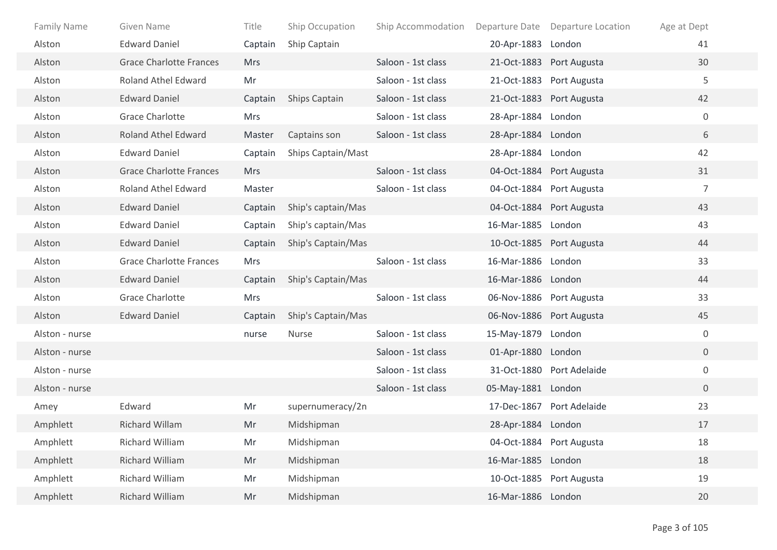| <b>Family Name</b> | Given Name                     | Title      | Ship Occupation      | Ship Accommodation |                    | Departure Date Departure Location | Age at Dept    |
|--------------------|--------------------------------|------------|----------------------|--------------------|--------------------|-----------------------------------|----------------|
| Alston             | <b>Edward Daniel</b>           | Captain    | Ship Captain         |                    | 20-Apr-1883 London |                                   | 41             |
| Alston             | <b>Grace Charlotte Frances</b> | <b>Mrs</b> |                      | Saloon - 1st class |                    | 21-Oct-1883 Port Augusta          | 30             |
| Alston             | Roland Athel Edward            | Mr         |                      | Saloon - 1st class |                    | 21-Oct-1883 Port Augusta          | 5              |
| Alston             | <b>Edward Daniel</b>           | Captain    | <b>Ships Captain</b> | Saloon - 1st class |                    | 21-Oct-1883 Port Augusta          | 42             |
| Alston             | <b>Grace Charlotte</b>         | Mrs        |                      | Saloon - 1st class | 28-Apr-1884 London |                                   | $\overline{0}$ |
| Alston             | <b>Roland Athel Edward</b>     | Master     | Captains son         | Saloon - 1st class | 28-Apr-1884 London |                                   | 6              |
| Alston             | <b>Edward Daniel</b>           | Captain    | Ships Captain/Mast   |                    | 28-Apr-1884 London |                                   | 42             |
| Alston             | <b>Grace Charlotte Frances</b> | <b>Mrs</b> |                      | Saloon - 1st class |                    | 04-Oct-1884 Port Augusta          | 31             |
| Alston             | Roland Athel Edward            | Master     |                      | Saloon - 1st class |                    | 04-Oct-1884 Port Augusta          | $\overline{7}$ |
| Alston             | <b>Edward Daniel</b>           | Captain    | Ship's captain/Mas   |                    |                    | 04-Oct-1884 Port Augusta          | 43             |
| Alston             | <b>Edward Daniel</b>           | Captain    | Ship's captain/Mas   |                    | 16-Mar-1885 London |                                   | 43             |
| Alston             | <b>Edward Daniel</b>           | Captain    | Ship's Captain/Mas   |                    |                    | 10-Oct-1885 Port Augusta          | 44             |
| Alston             | <b>Grace Charlotte Frances</b> | Mrs        |                      | Saloon - 1st class | 16-Mar-1886 London |                                   | 33             |
| Alston             | <b>Edward Daniel</b>           | Captain    | Ship's Captain/Mas   |                    | 16-Mar-1886 London |                                   | 44             |
| Alston             | <b>Grace Charlotte</b>         | <b>Mrs</b> |                      | Saloon - 1st class |                    | 06-Nov-1886 Port Augusta          | 33             |
| Alston             | <b>Edward Daniel</b>           | Captain    | Ship's Captain/Mas   |                    |                    | 06-Nov-1886 Port Augusta          | 45             |
| Alston - nurse     |                                | nurse      | Nurse                | Saloon - 1st class | 15-May-1879 London |                                   | $\overline{0}$ |
| Alston - nurse     |                                |            |                      | Saloon - 1st class | 01-Apr-1880 London |                                   | $\overline{0}$ |
| Alston - nurse     |                                |            |                      | Saloon - 1st class |                    | 31-Oct-1880 Port Adelaide         | 0              |
| Alston - nurse     |                                |            |                      | Saloon - 1st class | 05-May-1881 London |                                   | $\overline{0}$ |
| Amey               | Edward                         | Mr         | supernumeracy/2n     |                    |                    | 17-Dec-1867 Port Adelaide         | 23             |
| Amphlett           | <b>Richard Willam</b>          | Mr         | Midshipman           |                    | 28-Apr-1884 London |                                   | 17             |
| Amphlett           | Richard William                | Mr         | Midshipman           |                    |                    | 04-Oct-1884 Port Augusta          | 18             |
| Amphlett           | Richard William                | Mr         | Midshipman           |                    | 16-Mar-1885 London |                                   | 18             |
| Amphlett           | Richard William                | Mr         | Midshipman           |                    |                    | 10-Oct-1885 Port Augusta          | 19             |
| Amphlett           | Richard William                | Mr         | Midshipman           |                    | 16-Mar-1886 London |                                   | 20             |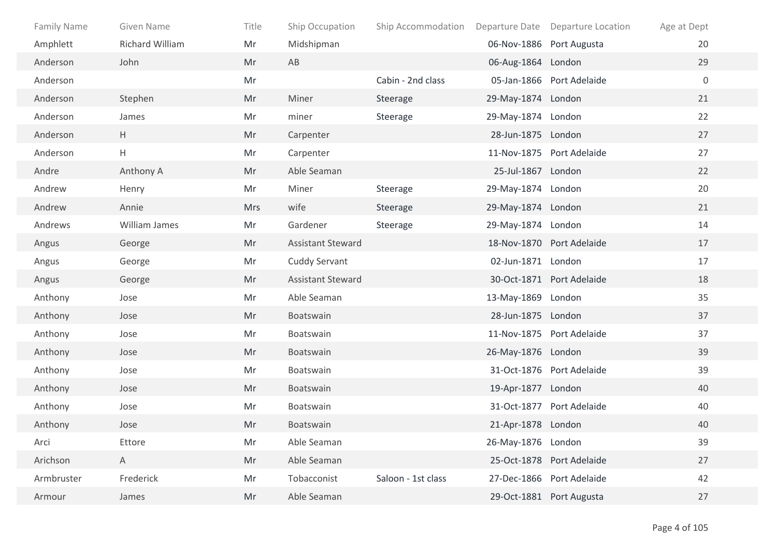| <b>Family Name</b> | Given Name      | Title | Ship Occupation          | Ship Accommodation |                    | Departure Date Departure Location | Age at Dept |
|--------------------|-----------------|-------|--------------------------|--------------------|--------------------|-----------------------------------|-------------|
| Amphlett           | Richard William | Mr    | Midshipman               |                    |                    | 06-Nov-1886 Port Augusta          | 20          |
| Anderson           | John            | Mr    | AB                       |                    | 06-Aug-1864 London |                                   | 29          |
| Anderson           |                 | Mr    |                          | Cabin - 2nd class  |                    | 05-Jan-1866 Port Adelaide         | $\mathbf 0$ |
| Anderson           | Stephen         | Mr    | Miner                    | Steerage           | 29-May-1874 London |                                   | 21          |
| Anderson           | James           | Mr    | miner                    | Steerage           | 29-May-1874 London |                                   | 22          |
| Anderson           | H               | Mr    | Carpenter                |                    | 28-Jun-1875 London |                                   | 27          |
| Anderson           | H               | Mr    | Carpenter                |                    |                    | 11-Nov-1875 Port Adelaide         | 27          |
| Andre              | Anthony A       | Mr    | Able Seaman              |                    | 25-Jul-1867 London |                                   | 22          |
| Andrew             | Henry           | Mr    | Miner                    | Steerage           | 29-May-1874 London |                                   | 20          |
| Andrew             | Annie           | Mrs   | wife                     | Steerage           | 29-May-1874 London |                                   | 21          |
| Andrews            | William James   | Mr    | Gardener                 | Steerage           | 29-May-1874 London |                                   | 14          |
| Angus              | George          | Mr    | <b>Assistant Steward</b> |                    |                    | 18-Nov-1870 Port Adelaide         | 17          |
| Angus              | George          | Mr    | <b>Cuddy Servant</b>     |                    | 02-Jun-1871 London |                                   | 17          |
| Angus              | George          | Mr    | <b>Assistant Steward</b> |                    |                    | 30-Oct-1871 Port Adelaide         | 18          |
| Anthony            | Jose            | Mr    | Able Seaman              |                    | 13-May-1869 London |                                   | 35          |
| Anthony            | Jose            | Mr    | Boatswain                |                    | 28-Jun-1875 London |                                   | 37          |
| Anthony            | Jose            | Mr    | Boatswain                |                    |                    | 11-Nov-1875 Port Adelaide         | 37          |
| Anthony            | Jose            | Mr    | Boatswain                |                    | 26-May-1876 London |                                   | 39          |
| Anthony            | Jose            | Mr    | Boatswain                |                    |                    | 31-Oct-1876 Port Adelaide         | 39          |
| Anthony            | Jose            | Mr    | Boatswain                |                    | 19-Apr-1877 London |                                   | 40          |
| Anthony            | Jose            | Mr    | Boatswain                |                    |                    | 31-Oct-1877 Port Adelaide         | 40          |
| Anthony            | Jose            | Mr    | Boatswain                |                    | 21-Apr-1878 London |                                   | 40          |
| Arci               | Ettore          | Mr    | Able Seaman              |                    | 26-May-1876 London |                                   | 39          |
| Arichson           | $\mathsf{A}$    | Mr    | Able Seaman              |                    |                    | 25-Oct-1878 Port Adelaide         | 27          |
| Armbruster         | Frederick       | Mr    | Tobacconist              | Saloon - 1st class |                    | 27-Dec-1866 Port Adelaide         | 42          |
| Armour             | James           | Mr    | Able Seaman              |                    |                    | 29-Oct-1881 Port Augusta          | 27          |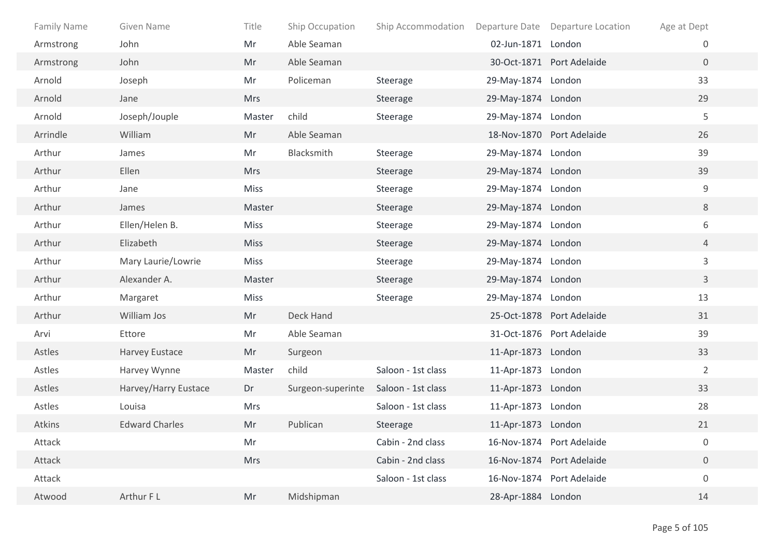| <b>Family Name</b> | Given Name            | Title       | Ship Occupation   | Ship Accommodation |                    | Departure Date Departure Location | Age at Dept      |  |
|--------------------|-----------------------|-------------|-------------------|--------------------|--------------------|-----------------------------------|------------------|--|
| Armstrong          | John                  | Mr          | Able Seaman       |                    | 02-Jun-1871 London |                                   | 0                |  |
| Armstrong          | John                  | Mr          | Able Seaman       |                    |                    | 30-Oct-1871 Port Adelaide         | $\overline{0}$   |  |
| Arnold             | Joseph                | Mr          | Policeman         | Steerage           | 29-May-1874 London |                                   | 33               |  |
| Arnold             | Jane                  | <b>Mrs</b>  |                   | Steerage           | 29-May-1874 London |                                   | 29               |  |
| Arnold             | Joseph/Jouple         | Master      | child             | Steerage           | 29-May-1874 London |                                   | 5                |  |
| Arrindle           | William               | Mr          | Able Seaman       |                    |                    | 18-Nov-1870 Port Adelaide         | 26               |  |
| Arthur             | James                 | Mr          | Blacksmith        | Steerage           | 29-May-1874 London |                                   | 39               |  |
| Arthur             | Ellen                 | Mrs         |                   | Steerage           | 29-May-1874 London |                                   | 39               |  |
| Arthur             | Jane                  | <b>Miss</b> |                   | Steerage           | 29-May-1874 London |                                   | 9                |  |
| Arthur             | James                 | Master      |                   | Steerage           | 29-May-1874 London |                                   | 8                |  |
| Arthur             | Ellen/Helen B.        | <b>Miss</b> |                   | Steerage           | 29-May-1874 London |                                   | 6                |  |
| Arthur             | Elizabeth             | <b>Miss</b> |                   | Steerage           | 29-May-1874 London |                                   | $\overline{4}$   |  |
| Arthur             | Mary Laurie/Lowrie    | Miss        |                   | Steerage           | 29-May-1874 London |                                   | 3                |  |
| Arthur             | Alexander A.          | Master      |                   | Steerage           | 29-May-1874 London |                                   | $\mathbf{3}$     |  |
| Arthur             | Margaret              | <b>Miss</b> |                   | Steerage           | 29-May-1874 London |                                   | 13               |  |
| Arthur             | William Jos           | Mr          | Deck Hand         |                    |                    | 25-Oct-1878 Port Adelaide         | 31               |  |
| Arvi               | Ettore                | Mr          | Able Seaman       |                    |                    | 31-Oct-1876 Port Adelaide         | 39               |  |
| Astles             | Harvey Eustace        | Mr          | Surgeon           |                    | 11-Apr-1873 London |                                   | 33               |  |
| Astles             | Harvey Wynne          | Master      | child             | Saloon - 1st class | 11-Apr-1873 London |                                   | $\overline{2}$   |  |
| Astles             | Harvey/Harry Eustace  | Dr          | Surgeon-superinte | Saloon - 1st class | 11-Apr-1873 London |                                   | 33               |  |
| Astles             | Louisa                | <b>Mrs</b>  |                   | Saloon - 1st class | 11-Apr-1873 London |                                   | 28               |  |
| Atkins             | <b>Edward Charles</b> | Mr          | Publican          | Steerage           | 11-Apr-1873 London |                                   | 21               |  |
| Attack             |                       | Mr          |                   | Cabin - 2nd class  |                    | 16-Nov-1874 Port Adelaide         | 0                |  |
| Attack             |                       | Mrs         |                   | Cabin - 2nd class  |                    | 16-Nov-1874 Port Adelaide         | $\boldsymbol{0}$ |  |
| Attack             |                       |             |                   | Saloon - 1st class |                    | 16-Nov-1874 Port Adelaide         | $\boldsymbol{0}$ |  |
| Atwood             | Arthur F L            | Mr          | Midshipman        |                    | 28-Apr-1884 London |                                   | 14               |  |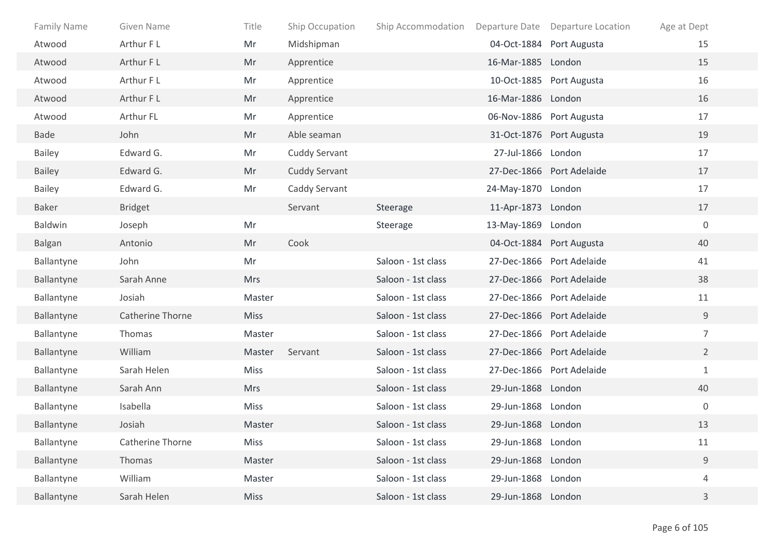| Family Name   | Given Name       | Title       | Ship Occupation      | Ship Accommodation |                    | Departure Date Departure Location | Age at Dept      |
|---------------|------------------|-------------|----------------------|--------------------|--------------------|-----------------------------------|------------------|
| Atwood        | Arthur F L       | Mr          | Midshipman           |                    |                    | 04-Oct-1884 Port Augusta          | 15               |
| Atwood        | Arthur F L       | Mr          | Apprentice           |                    | 16-Mar-1885 London |                                   | 15               |
| Atwood        | Arthur FL        | Mr          | Apprentice           |                    |                    | 10-Oct-1885 Port Augusta          | 16               |
| Atwood        | Arthur F L       | Mr          | Apprentice           |                    | 16-Mar-1886 London |                                   | 16               |
| Atwood        | Arthur FL        | Mr          | Apprentice           |                    |                    | 06-Nov-1886 Port Augusta          | 17               |
| <b>Bade</b>   | John             | Mr          | Able seaman          |                    |                    | 31-Oct-1876 Port Augusta          | 19               |
| <b>Bailey</b> | Edward G.        | Mr          | <b>Cuddy Servant</b> |                    | 27-Jul-1866 London |                                   | 17               |
| <b>Bailey</b> | Edward G.        | Mr          | <b>Cuddy Servant</b> |                    |                    | 27-Dec-1866 Port Adelaide         | 17               |
| <b>Bailey</b> | Edward G.        | Mr          | Caddy Servant        |                    | 24-May-1870 London |                                   | 17               |
| Baker         | <b>Bridget</b>   |             | Servant              | Steerage           | 11-Apr-1873 London |                                   | 17               |
| Baldwin       | Joseph           | Mr          |                      | Steerage           | 13-May-1869 London |                                   | $\mathbf 0$      |
| <b>Balgan</b> | Antonio          | Mr          | Cook                 |                    |                    | 04-Oct-1884 Port Augusta          | 40               |
| Ballantyne    | John             | Mr          |                      | Saloon - 1st class |                    | 27-Dec-1866 Port Adelaide         | 41               |
| Ballantyne    | Sarah Anne       | <b>Mrs</b>  |                      | Saloon - 1st class |                    | 27-Dec-1866 Port Adelaide         | 38               |
| Ballantyne    | Josiah           | Master      |                      | Saloon - 1st class |                    | 27-Dec-1866 Port Adelaide         | 11               |
| Ballantyne    | Catherine Thorne | <b>Miss</b> |                      | Saloon - 1st class |                    | 27-Dec-1866 Port Adelaide         | 9                |
| Ballantyne    | Thomas           | Master      |                      | Saloon - 1st class |                    | 27-Dec-1866 Port Adelaide         | $\overline{7}$   |
| Ballantyne    | William          | Master      | Servant              | Saloon - 1st class |                    | 27-Dec-1866 Port Adelaide         | $\overline{2}$   |
| Ballantyne    | Sarah Helen      | Miss        |                      | Saloon - 1st class |                    | 27-Dec-1866 Port Adelaide         | $\mathbf{1}$     |
| Ballantyne    | Sarah Ann        | <b>Mrs</b>  |                      | Saloon - 1st class | 29-Jun-1868 London |                                   | 40               |
| Ballantyne    | Isabella         | <b>Miss</b> |                      | Saloon - 1st class | 29-Jun-1868 London |                                   | $\boldsymbol{0}$ |
| Ballantyne    | Josiah           | Master      |                      | Saloon - 1st class | 29-Jun-1868 London |                                   | 13               |
| Ballantyne    | Catherine Thorne | Miss        |                      | Saloon - 1st class | 29-Jun-1868 London |                                   | 11               |
| Ballantyne    | Thomas           | Master      |                      | Saloon - 1st class | 29-Jun-1868 London |                                   | $\mathsf 9$      |
| Ballantyne    | William          | Master      |                      | Saloon - 1st class | 29-Jun-1868 London |                                   | 4                |
| Ballantyne    | Sarah Helen      | <b>Miss</b> |                      | Saloon - 1st class | 29-Jun-1868 London |                                   | 3                |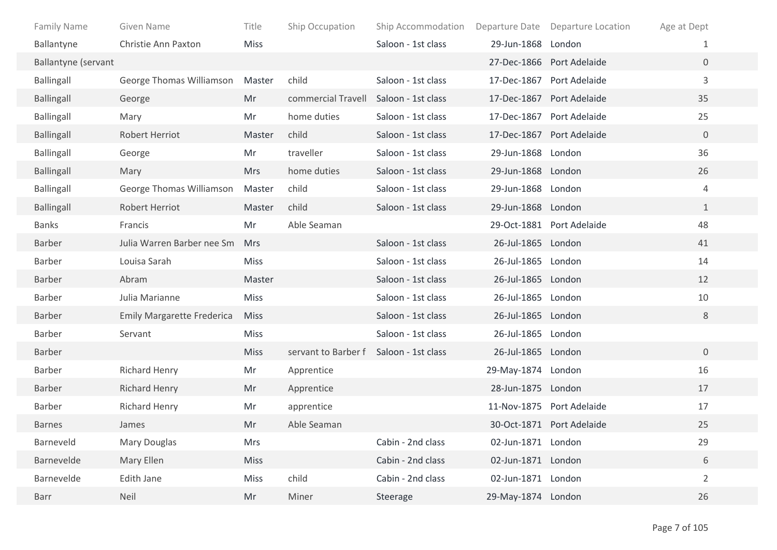| <b>Family Name</b>         | Given Name                        | Title       | Ship Occupation     | Ship Accommodation | Departure Date     | <b>Departure Location</b> | Age at Dept    |  |
|----------------------------|-----------------------------------|-------------|---------------------|--------------------|--------------------|---------------------------|----------------|--|
| Ballantyne                 | Christie Ann Paxton               | <b>Miss</b> |                     | Saloon - 1st class | 29-Jun-1868 London |                           | 1              |  |
| <b>Ballantyne (servant</b> |                                   |             |                     |                    |                    | 27-Dec-1866 Port Adelaide | $\overline{0}$ |  |
| <b>Ballingall</b>          | George Thomas Williamson          | Master      | child               | Saloon - 1st class |                    | 17-Dec-1867 Port Adelaide | $\overline{3}$ |  |
| <b>Ballingall</b>          | George                            | Mr          | commercial Travell  | Saloon - 1st class |                    | 17-Dec-1867 Port Adelaide | 35             |  |
| <b>Ballingall</b>          | Mary                              | Mr          | home duties         | Saloon - 1st class |                    | 17-Dec-1867 Port Adelaide | 25             |  |
| <b>Ballingall</b>          | <b>Robert Herriot</b>             | Master      | child               | Saloon - 1st class |                    | 17-Dec-1867 Port Adelaide | $\overline{0}$ |  |
| <b>Ballingall</b>          | George                            | Mr          | traveller           | Saloon - 1st class | 29-Jun-1868 London |                           | 36             |  |
| <b>Ballingall</b>          | Mary                              | <b>Mrs</b>  | home duties         | Saloon - 1st class | 29-Jun-1868 London |                           | 26             |  |
| <b>Ballingall</b>          | George Thomas Williamson          | Master      | child               | Saloon - 1st class | 29-Jun-1868 London |                           | 4              |  |
| <b>Ballingall</b>          | <b>Robert Herriot</b>             | Master      | child               | Saloon - 1st class | 29-Jun-1868 London |                           | $\mathbf{1}$   |  |
| <b>Banks</b>               | Francis                           | Mr          | Able Seaman         |                    |                    | 29-Oct-1881 Port Adelaide | 48             |  |
| Barber                     | Julia Warren Barber nee Sm        | Mrs         |                     | Saloon - 1st class | 26-Jul-1865 London |                           | 41             |  |
| Barber                     | Louisa Sarah                      | <b>Miss</b> |                     | Saloon - 1st class | 26-Jul-1865 London |                           | 14             |  |
| Barber                     | Abram                             | Master      |                     | Saloon - 1st class | 26-Jul-1865 London |                           | 12             |  |
| Barber                     | Julia Marianne                    | <b>Miss</b> |                     | Saloon - 1st class | 26-Jul-1865 London |                           | 10             |  |
| Barber                     | <b>Emily Margarette Frederica</b> | <b>Miss</b> |                     | Saloon - 1st class | 26-Jul-1865 London |                           | 8              |  |
| Barber                     | Servant                           | <b>Miss</b> |                     | Saloon - 1st class | 26-Jul-1865 London |                           |                |  |
| Barber                     |                                   | <b>Miss</b> | servant to Barber f | Saloon - 1st class | 26-Jul-1865 London |                           | $\overline{0}$ |  |
| Barber                     | Richard Henry                     | Mr          | Apprentice          |                    | 29-May-1874 London |                           | 16             |  |
| Barber                     | <b>Richard Henry</b>              | Mr          | Apprentice          |                    | 28-Jun-1875 London |                           | 17             |  |
| Barber                     | <b>Richard Henry</b>              | Mr          | apprentice          |                    |                    | 11-Nov-1875 Port Adelaide | 17             |  |
| <b>Barnes</b>              | James                             | Mr          | Able Seaman         |                    |                    | 30-Oct-1871 Port Adelaide | 25             |  |
| Barneveld                  | <b>Mary Douglas</b>               | Mrs         |                     | Cabin - 2nd class  | 02-Jun-1871 London |                           | 29             |  |
| Barnevelde                 | Mary Ellen                        | <b>Miss</b> |                     | Cabin - 2nd class  | 02-Jun-1871 London |                           | 6              |  |
| Barnevelde                 | Edith Jane                        | Miss        | child               | Cabin - 2nd class  | 02-Jun-1871 London |                           | $\overline{2}$ |  |
| Barr                       | Neil                              | Mr          | Miner               | Steerage           | 29-May-1874 London |                           | 26             |  |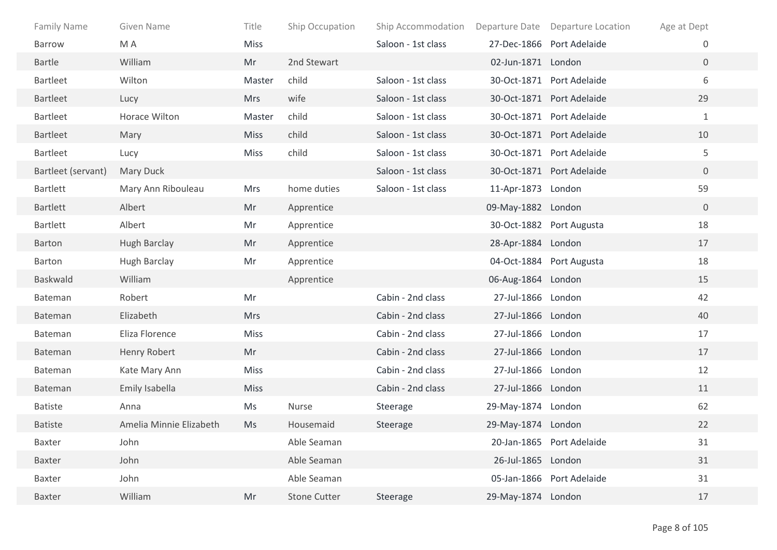| <b>Family Name</b> | Given Name              | Title       | Ship Occupation     | Ship Accommodation Departure Date |                    | Departure Location        | Age at Dept    |
|--------------------|-------------------------|-------------|---------------------|-----------------------------------|--------------------|---------------------------|----------------|
| <b>Barrow</b>      | M A                     | Miss        |                     | Saloon - 1st class                |                    | 27-Dec-1866 Port Adelaide | 0              |
| <b>Bartle</b>      | William                 | Mr          | 2nd Stewart         |                                   | 02-Jun-1871 London |                           | $\overline{0}$ |
| <b>Bartleet</b>    | Wilton                  | Master      | child               | Saloon - 1st class                |                    | 30-Oct-1871 Port Adelaide | 6              |
| <b>Bartleet</b>    | Lucy                    | <b>Mrs</b>  | wife                | Saloon - 1st class                |                    | 30-Oct-1871 Port Adelaide | 29             |
| <b>Bartleet</b>    | Horace Wilton           | Master      | child               | Saloon - 1st class                |                    | 30-Oct-1871 Port Adelaide | $\mathbf{1}$   |
| <b>Bartleet</b>    | Mary                    | <b>Miss</b> | child               | Saloon - 1st class                |                    | 30-Oct-1871 Port Adelaide | 10             |
| <b>Bartleet</b>    | Lucy                    | <b>Miss</b> | child               | Saloon - 1st class                |                    | 30-Oct-1871 Port Adelaide | 5              |
| Bartleet (servant) | Mary Duck               |             |                     | Saloon - 1st class                |                    | 30-Oct-1871 Port Adelaide | $\overline{0}$ |
| <b>Bartlett</b>    | Mary Ann Ribouleau      | <b>Mrs</b>  | home duties         | Saloon - 1st class                | 11-Apr-1873 London |                           | 59             |
| <b>Bartlett</b>    | Albert                  | Mr          | Apprentice          |                                   | 09-May-1882 London |                           | $\mathbf{0}$   |
| <b>Bartlett</b>    | Albert                  | Mr          | Apprentice          |                                   |                    | 30-Oct-1882 Port Augusta  | 18             |
| Barton             | <b>Hugh Barclay</b>     | Mr          | Apprentice          |                                   | 28-Apr-1884 London |                           | 17             |
| Barton             | <b>Hugh Barclay</b>     | Mr          | Apprentice          |                                   |                    | 04-Oct-1884 Port Augusta  | 18             |
| <b>Baskwald</b>    | William                 |             | Apprentice          |                                   | 06-Aug-1864 London |                           | 15             |
| Bateman            | Robert                  | Mr          |                     | Cabin - 2nd class                 | 27-Jul-1866 London |                           | 42             |
| Bateman            | Elizabeth               | <b>Mrs</b>  |                     | Cabin - 2nd class                 | 27-Jul-1866 London |                           | 40             |
| Bateman            | Eliza Florence          | <b>Miss</b> |                     | Cabin - 2nd class                 | 27-Jul-1866 London |                           | 17             |
| Bateman            | Henry Robert            | Mr          |                     | Cabin - 2nd class                 | 27-Jul-1866 London |                           | 17             |
| Bateman            | Kate Mary Ann           | Miss        |                     | Cabin - 2nd class                 | 27-Jul-1866 London |                           | 12             |
| <b>Bateman</b>     | Emily Isabella          | <b>Miss</b> |                     | Cabin - 2nd class                 | 27-Jul-1866 London |                           | 11             |
| <b>Batiste</b>     | Anna                    | Ms          | Nurse               | Steerage                          | 29-May-1874 London |                           | 62             |
| <b>Batiste</b>     | Amelia Minnie Elizabeth | Ms          | Housemaid           | Steerage                          | 29-May-1874 London |                           | 22             |
| <b>Baxter</b>      | John                    |             | Able Seaman         |                                   |                    | 20-Jan-1865 Port Adelaide | 31             |
| Baxter             | John                    |             | Able Seaman         |                                   | 26-Jul-1865 London |                           | 31             |
| Baxter             | John                    |             | Able Seaman         |                                   |                    | 05-Jan-1866 Port Adelaide | 31             |
| Baxter             | William                 | Mr          | <b>Stone Cutter</b> | Steerage                          | 29-May-1874 London |                           | 17             |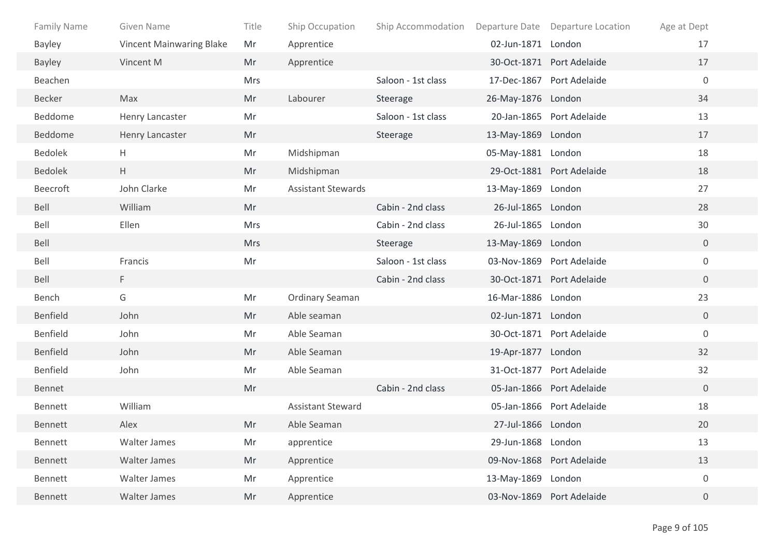| <b>Family Name</b> | Given Name                      | Title      | Ship Occupation           | Ship Accommodation |                    | Departure Date Departure Location | Age at Dept      |
|--------------------|---------------------------------|------------|---------------------------|--------------------|--------------------|-----------------------------------|------------------|
| <b>Bayley</b>      | <b>Vincent Mainwaring Blake</b> | Mr         | Apprentice                |                    | 02-Jun-1871 London |                                   | 17               |
| <b>Bayley</b>      | Vincent M                       | Mr         | Apprentice                |                    |                    | 30-Oct-1871 Port Adelaide         | 17               |
| Beachen            |                                 | <b>Mrs</b> |                           | Saloon - 1st class |                    | 17-Dec-1867 Port Adelaide         | $\mathbf 0$      |
| Becker             | Max                             | Mr         | Labourer                  | Steerage           | 26-May-1876 London |                                   | 34               |
| Beddome            | Henry Lancaster                 | Mr         |                           | Saloon - 1st class |                    | 20-Jan-1865 Port Adelaide         | 13               |
| Beddome            | Henry Lancaster                 | Mr         |                           | Steerage           | 13-May-1869 London |                                   | 17               |
| <b>Bedolek</b>     | Н.                              | Mr         | Midshipman                |                    | 05-May-1881 London |                                   | 18               |
| <b>Bedolek</b>     | H                               | Mr         | Midshipman                |                    |                    | 29-Oct-1881 Port Adelaide         | 18               |
| Beecroft           | John Clarke                     | Mr         | <b>Assistant Stewards</b> |                    | 13-May-1869 London |                                   | 27               |
| Bell               | William                         | Mr         |                           | Cabin - 2nd class  | 26-Jul-1865 London |                                   | 28               |
| Bell               | Ellen                           | Mrs        |                           | Cabin - 2nd class  | 26-Jul-1865 London |                                   | 30               |
| Bell               |                                 | <b>Mrs</b> |                           | Steerage           | 13-May-1869 London |                                   | $\overline{0}$   |
| Bell               | Francis                         | Mr         |                           | Saloon - 1st class |                    | 03-Nov-1869 Port Adelaide         | $\mathbf 0$      |
| Bell               | F.                              |            |                           | Cabin - 2nd class  |                    | 30-Oct-1871 Port Adelaide         | $\overline{0}$   |
| Bench              | G                               | Mr         | <b>Ordinary Seaman</b>    |                    | 16-Mar-1886 London |                                   | 23               |
| Benfield           | John                            | Mr         | Able seaman               |                    | 02-Jun-1871 London |                                   | $\overline{0}$   |
| Benfield           | John                            | Mr         | Able Seaman               |                    |                    | 30-Oct-1871 Port Adelaide         | $\overline{0}$   |
| Benfield           | John                            | Mr         | Able Seaman               |                    | 19-Apr-1877 London |                                   | 32               |
| Benfield           | John                            | Mr         | Able Seaman               |                    |                    | 31-Oct-1877 Port Adelaide         | 32               |
| Bennet             |                                 | Mr         |                           | Cabin - 2nd class  |                    | 05-Jan-1866 Port Adelaide         | $\overline{0}$   |
| Bennett            | William                         |            | <b>Assistant Steward</b>  |                    |                    | 05-Jan-1866 Port Adelaide         | 18               |
| Bennett            | Alex                            | Mr         | Able Seaman               |                    | 27-Jul-1866 London |                                   | 20               |
| Bennett            | <b>Walter James</b>             | Mr         | apprentice                |                    | 29-Jun-1868 London |                                   | 13               |
| Bennett            | Walter James                    | Mr         | Apprentice                |                    |                    | 09-Nov-1868 Port Adelaide         | 13               |
| Bennett            | Walter James                    | Mr         | Apprentice                |                    | 13-May-1869 London |                                   | $\boldsymbol{0}$ |
| Bennett            | Walter James                    | Mr         | Apprentice                |                    |                    | 03-Nov-1869 Port Adelaide         | $\overline{0}$   |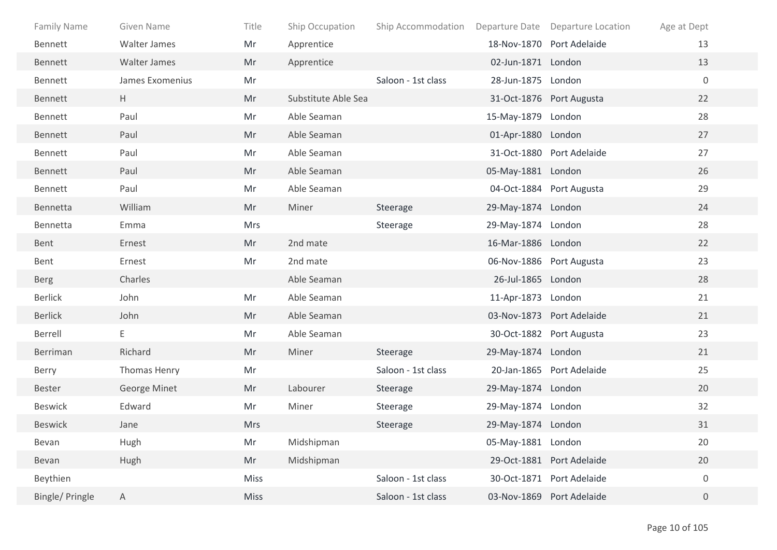| <b>Family Name</b> | Given Name          | Title      | Ship Occupation     | Ship Accommodation |                    | Departure Date Departure Location | Age at Dept      |
|--------------------|---------------------|------------|---------------------|--------------------|--------------------|-----------------------------------|------------------|
| Bennett            | <b>Walter James</b> | Mr         | Apprentice          |                    |                    | 18-Nov-1870 Port Adelaide         | 13               |
| Bennett            | Walter James        | Mr         | Apprentice          |                    | 02-Jun-1871 London |                                   | 13               |
| Bennett            | James Exomenius     | Mr         |                     | Saloon - 1st class | 28-Jun-1875 London |                                   | $\mathbf 0$      |
| Bennett            | H                   | Mr         | Substitute Able Sea |                    |                    | 31-Oct-1876 Port Augusta          | 22               |
| Bennett            | Paul                | Mr         | Able Seaman         |                    | 15-May-1879 London |                                   | 28               |
| Bennett            | Paul                | Mr         | Able Seaman         |                    | 01-Apr-1880 London |                                   | 27               |
| Bennett            | Paul                | Mr         | Able Seaman         |                    |                    | 31-Oct-1880 Port Adelaide         | 27               |
| Bennett            | Paul                | Mr         | Able Seaman         |                    | 05-May-1881 London |                                   | 26               |
| Bennett            | Paul                | Mr         | Able Seaman         |                    |                    | 04-Oct-1884 Port Augusta          | 29               |
| Bennetta           | William             | Mr         | Miner               | Steerage           | 29-May-1874 London |                                   | 24               |
| Bennetta           | Emma                | Mrs        |                     | Steerage           | 29-May-1874 London |                                   | 28               |
| Bent               | Ernest              | Mr         | 2nd mate            |                    | 16-Mar-1886 London |                                   | 22               |
| Bent               | Ernest              | Mr         | 2nd mate            |                    |                    | 06-Nov-1886 Port Augusta          | 23               |
| <b>Berg</b>        | Charles             |            | Able Seaman         |                    | 26-Jul-1865 London |                                   | 28               |
| <b>Berlick</b>     | John                | Mr         | Able Seaman         |                    | 11-Apr-1873 London |                                   | 21               |
| <b>Berlick</b>     | John                | Mr         | Able Seaman         |                    |                    | 03-Nov-1873 Port Adelaide         | 21               |
| Berrell            | E                   | Mr         | Able Seaman         |                    |                    | 30-Oct-1882 Port Augusta          | 23               |
| Berriman           | Richard             | Mr         | Miner               | Steerage           | 29-May-1874 London |                                   | 21               |
| Berry              | Thomas Henry        | Mr         |                     | Saloon - 1st class |                    | 20-Jan-1865 Port Adelaide         | 25               |
| Bester             | <b>George Minet</b> | Mr         | Labourer            | Steerage           | 29-May-1874 London |                                   | 20               |
| Beswick            | Edward              | Mr         | Miner               | Steerage           | 29-May-1874 London |                                   | 32               |
| <b>Beswick</b>     | Jane                | <b>Mrs</b> |                     | Steerage           | 29-May-1874 London |                                   | 31               |
| Bevan              | Hugh                | Mr         | Midshipman          |                    | 05-May-1881 London |                                   | 20               |
| Bevan              | Hugh                | Mr         | Midshipman          |                    |                    | 29-Oct-1881 Port Adelaide         | 20               |
| Beythien           |                     | Miss       |                     | Saloon - 1st class |                    | 30-Oct-1871 Port Adelaide         | $\boldsymbol{0}$ |
| Bingle/ Pringle    | $\mathsf{A}$        | Miss       |                     | Saloon - 1st class |                    | 03-Nov-1869 Port Adelaide         | $\overline{0}$   |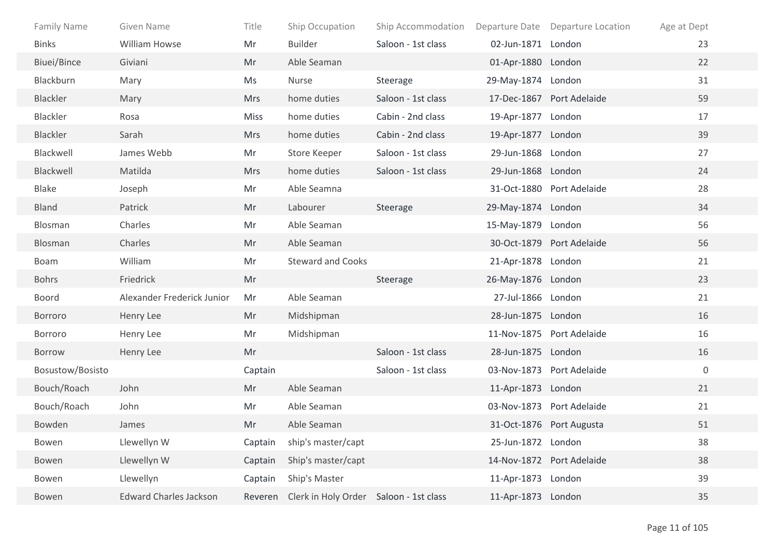| <b>Family Name</b> | Given Name                    | Title      | Ship Occupation                                | Ship Accommodation  Departure Date  Departure Location |                    |                           | Age at Dept |
|--------------------|-------------------------------|------------|------------------------------------------------|--------------------------------------------------------|--------------------|---------------------------|-------------|
| <b>Binks</b>       | <b>William Howse</b>          | Mr         | <b>Builder</b>                                 | Saloon - 1st class                                     | 02-Jun-1871 London |                           | 23          |
| Biuei/Bince        | Giviani                       | Mr         | Able Seaman                                    |                                                        | 01-Apr-1880 London |                           | 22          |
| Blackburn          | Mary                          | Ms         | Nurse                                          | Steerage                                               | 29-May-1874 London |                           | 31          |
| Blackler           | Mary                          | <b>Mrs</b> | home duties                                    | Saloon - 1st class                                     |                    | 17-Dec-1867 Port Adelaide | 59          |
| Blackler           | Rosa                          | Miss       | home duties                                    | Cabin - 2nd class                                      | 19-Apr-1877 London |                           | 17          |
| Blackler           | Sarah                         | <b>Mrs</b> | home duties                                    | Cabin - 2nd class                                      | 19-Apr-1877 London |                           | 39          |
| Blackwell          | James Webb                    | Mr         | Store Keeper                                   | Saloon - 1st class                                     | 29-Jun-1868 London |                           | 27          |
| Blackwell          | Matilda                       | <b>Mrs</b> | home duties                                    | Saloon - 1st class                                     | 29-Jun-1868 London |                           | 24          |
| <b>Blake</b>       | Joseph                        | Mr         | Able Seamna                                    |                                                        |                    | 31-Oct-1880 Port Adelaide | 28          |
| <b>Bland</b>       | Patrick                       | Mr         | Labourer                                       | Steerage                                               | 29-May-1874 London |                           | 34          |
| Blosman            | Charles                       | Mr         | Able Seaman                                    |                                                        | 15-May-1879 London |                           | 56          |
| Blosman            | Charles                       | Mr         | Able Seaman                                    |                                                        |                    | 30-Oct-1879 Port Adelaide | 56          |
| Boam               | William                       | Mr         | <b>Steward and Cooks</b>                       |                                                        | 21-Apr-1878 London |                           | 21          |
| <b>Bohrs</b>       | Friedrick                     | Mr         |                                                | Steerage                                               | 26-May-1876 London |                           | 23          |
| <b>Boord</b>       | Alexander Frederick Junior    | Mr         | Able Seaman                                    |                                                        | 27-Jul-1866 London |                           | 21          |
| Borroro            | Henry Lee                     | Mr         | Midshipman                                     |                                                        | 28-Jun-1875 London |                           | 16          |
| Borroro            | Henry Lee                     | Mr         | Midshipman                                     |                                                        |                    | 11-Nov-1875 Port Adelaide | 16          |
| Borrow             | Henry Lee                     | Mr         |                                                | Saloon - 1st class                                     | 28-Jun-1875 London |                           | 16          |
| Bosustow/Bosisto   |                               | Captain    |                                                | Saloon - 1st class                                     |                    | 03-Nov-1873 Port Adelaide | $\mathbf 0$ |
| Bouch/Roach        | John                          | Mr         | Able Seaman                                    |                                                        | 11-Apr-1873 London |                           | 21          |
| Bouch/Roach        | John                          | Mr         | Able Seaman                                    |                                                        |                    | 03-Nov-1873 Port Adelaide | 21          |
| Bowden             | James                         | Mr         | Able Seaman                                    |                                                        |                    | 31-Oct-1876 Port Augusta  | 51          |
| Bowen              | Llewellyn W                   | Captain    | ship's master/capt                             |                                                        | 25-Jun-1872 London |                           | 38          |
| Bowen              | Llewellyn W                   | Captain    | Ship's master/capt                             |                                                        |                    | 14-Nov-1872 Port Adelaide | 38          |
| Bowen              | Llewellyn                     | Captain    | Ship's Master                                  |                                                        | 11-Apr-1873 London |                           | 39          |
| Bowen              | <b>Edward Charles Jackson</b> |            | Reveren Clerk in Holy Order Saloon - 1st class |                                                        | 11-Apr-1873 London |                           | 35          |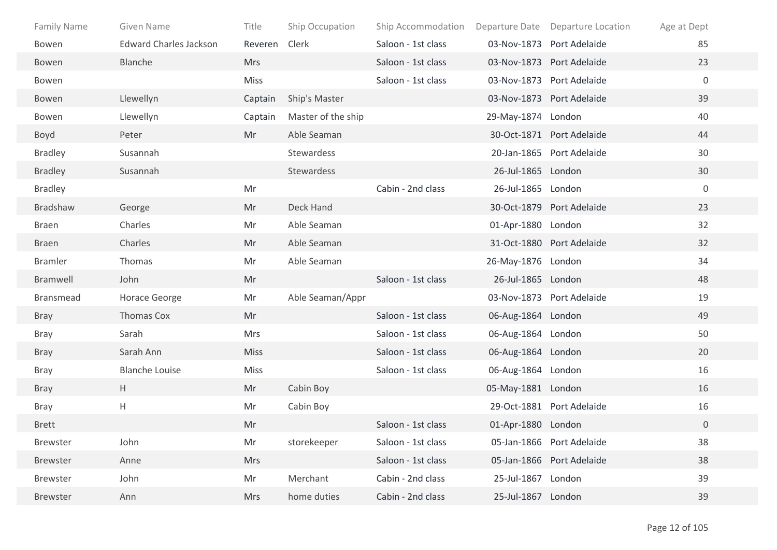| <b>Family Name</b> | Given Name                    | Title       | Ship Occupation    | Ship Accommodation |                    | Departure Date Departure Location | Age at Dept    |
|--------------------|-------------------------------|-------------|--------------------|--------------------|--------------------|-----------------------------------|----------------|
| Bowen              | <b>Edward Charles Jackson</b> | Reveren     | Clerk              | Saloon - 1st class |                    | 03-Nov-1873 Port Adelaide         | 85             |
| Bowen              | Blanche                       | <b>Mrs</b>  |                    | Saloon - 1st class |                    | 03-Nov-1873 Port Adelaide         | 23             |
| Bowen              |                               | <b>Miss</b> |                    | Saloon - 1st class |                    | 03-Nov-1873 Port Adelaide         | $\mathbf 0$    |
| Bowen              | Llewellyn                     | Captain     | Ship's Master      |                    |                    | 03-Nov-1873 Port Adelaide         | 39             |
| Bowen              | Llewellyn                     | Captain     | Master of the ship |                    | 29-May-1874 London |                                   | 40             |
| Boyd               | Peter                         | Mr          | Able Seaman        |                    |                    | 30-Oct-1871 Port Adelaide         | 44             |
| <b>Bradley</b>     | Susannah                      |             | Stewardess         |                    |                    | 20-Jan-1865 Port Adelaide         | 30             |
| <b>Bradley</b>     | Susannah                      |             | Stewardess         |                    | 26-Jul-1865 London |                                   | 30             |
| <b>Bradley</b>     |                               | Mr          |                    | Cabin - 2nd class  | 26-Jul-1865 London |                                   | $\mathbf 0$    |
| Bradshaw           | George                        | Mr          | Deck Hand          |                    |                    | 30-Oct-1879 Port Adelaide         | 23             |
| Braen              | Charles                       | Mr          | Able Seaman        |                    | 01-Apr-1880 London |                                   | 32             |
| <b>Braen</b>       | Charles                       | Mr          | Able Seaman        |                    |                    | 31-Oct-1880 Port Adelaide         | 32             |
| <b>Bramler</b>     | Thomas                        | Mr          | Able Seaman        |                    | 26-May-1876 London |                                   | 34             |
| Bramwell           | John                          | Mr          |                    | Saloon - 1st class | 26-Jul-1865 London |                                   | 48             |
| <b>Bransmead</b>   | <b>Horace George</b>          | Mr          | Able Seaman/Appr   |                    |                    | 03-Nov-1873 Port Adelaide         | 19             |
| <b>Bray</b>        | Thomas Cox                    | Mr          |                    | Saloon - 1st class | 06-Aug-1864 London |                                   | 49             |
| <b>Bray</b>        | Sarah                         | <b>Mrs</b>  |                    | Saloon - 1st class | 06-Aug-1864 London |                                   | 50             |
| <b>Bray</b>        | Sarah Ann                     | <b>Miss</b> |                    | Saloon - 1st class | 06-Aug-1864 London |                                   | 20             |
| <b>Bray</b>        | <b>Blanche Louise</b>         | <b>Miss</b> |                    | Saloon - 1st class | 06-Aug-1864 London |                                   | 16             |
| <b>Bray</b>        | H                             | Mr          | Cabin Boy          |                    | 05-May-1881 London |                                   | 16             |
| <b>Bray</b>        | H                             | Mr          | Cabin Boy          |                    |                    | 29-Oct-1881 Port Adelaide         | 16             |
| <b>Brett</b>       |                               | Mr          |                    | Saloon - 1st class | 01-Apr-1880 London |                                   | $\overline{0}$ |
| Brewster           | John                          | Mr          | storekeeper        | Saloon - 1st class |                    | 05-Jan-1866 Port Adelaide         | 38             |
| <b>Brewster</b>    | Anne                          | <b>Mrs</b>  |                    | Saloon - 1st class |                    | 05-Jan-1866 Port Adelaide         | 38             |
| Brewster           | John                          | Mr          | Merchant           | Cabin - 2nd class  | 25-Jul-1867 London |                                   | 39             |
| Brewster           | Ann                           | <b>Mrs</b>  | home duties        | Cabin - 2nd class  | 25-Jul-1867 London |                                   | 39             |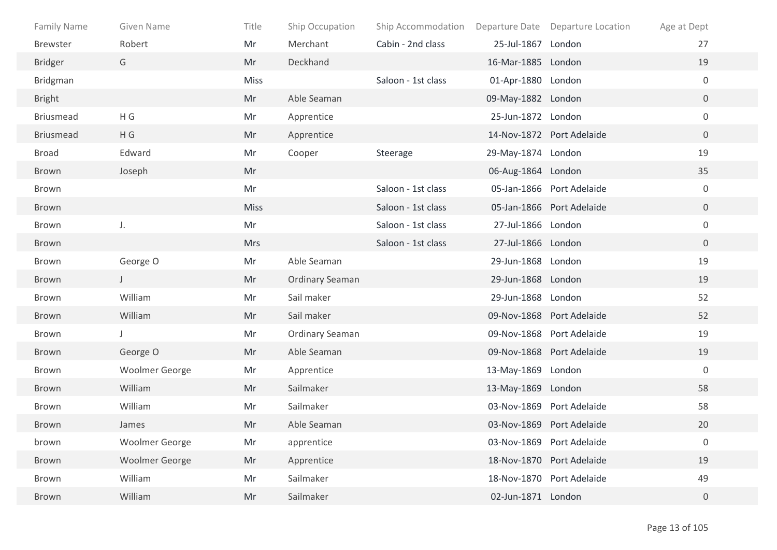| <b>Family Name</b> | Given Name            | Title       | Ship Occupation        | Ship Accommodation |                    | Departure Date Departure Location | Age at Dept      |
|--------------------|-----------------------|-------------|------------------------|--------------------|--------------------|-----------------------------------|------------------|
| <b>Brewster</b>    | Robert                | Mr          | Merchant               | Cabin - 2nd class  | 25-Jul-1867 London |                                   | 27               |
| <b>Bridger</b>     | G                     | Mr          | Deckhand               |                    | 16-Mar-1885 London |                                   | 19               |
| <b>Bridgman</b>    |                       | <b>Miss</b> |                        | Saloon - 1st class | 01-Apr-1880 London |                                   | $\boldsymbol{0}$ |
| <b>Bright</b>      |                       | Mr          | Able Seaman            |                    | 09-May-1882 London |                                   | $\overline{0}$   |
| <b>Briusmead</b>   | H G                   | Mr          | Apprentice             |                    | 25-Jun-1872 London |                                   | $\mathbf 0$      |
| <b>Briusmead</b>   | H G                   | Mr          | Apprentice             |                    |                    | 14-Nov-1872 Port Adelaide         | $\overline{0}$   |
| <b>Broad</b>       | Edward                | Mr          | Cooper                 | Steerage           | 29-May-1874 London |                                   | 19               |
| Brown              | Joseph                | Mr          |                        |                    | 06-Aug-1864 London |                                   | 35               |
| Brown              |                       | Mr          |                        | Saloon - 1st class |                    | 05-Jan-1866 Port Adelaide         | $\boldsymbol{0}$ |
| Brown              |                       | <b>Miss</b> |                        | Saloon - 1st class |                    | 05-Jan-1866 Port Adelaide         | $\overline{0}$   |
| Brown              | J.                    | Mr          |                        | Saloon - 1st class | 27-Jul-1866 London |                                   | $\mathbf 0$      |
| Brown              |                       | <b>Mrs</b>  |                        | Saloon - 1st class | 27-Jul-1866 London |                                   | $\overline{0}$   |
| Brown              | George O              | Mr          | Able Seaman            |                    | 29-Jun-1868 London |                                   | 19               |
| Brown              | $\mathsf{J}^-$        | Mr          | <b>Ordinary Seaman</b> |                    | 29-Jun-1868 London |                                   | 19               |
| Brown              | William               | Mr          | Sail maker             |                    | 29-Jun-1868 London |                                   | 52               |
| Brown              | William               | Mr          | Sail maker             |                    |                    | 09-Nov-1868 Port Adelaide         | 52               |
| Brown              | J                     | Mr          | Ordinary Seaman        |                    |                    | 09-Nov-1868 Port Adelaide         | 19               |
| Brown              | George O              | Mr          | Able Seaman            |                    |                    | 09-Nov-1868 Port Adelaide         | 19               |
| Brown              | <b>Woolmer George</b> | Mr          | Apprentice             |                    | 13-May-1869 London |                                   | $\mathbf 0$      |
| Brown              | William               | Mr          | Sailmaker              |                    | 13-May-1869 London |                                   | 58               |
| Brown              | William               | Mr          | Sailmaker              |                    |                    | 03-Nov-1869 Port Adelaide         | 58               |
| Brown              | James                 | Mr          | Able Seaman            |                    |                    | 03-Nov-1869 Port Adelaide         | 20               |
| brown              | <b>Woolmer George</b> | Mr          | apprentice             |                    |                    | 03-Nov-1869 Port Adelaide         | $\boldsymbol{0}$ |
| Brown              | <b>Woolmer George</b> | Mr          | Apprentice             |                    |                    | 18-Nov-1870 Port Adelaide         | 19               |
| Brown              | William               | Mr          | Sailmaker              |                    |                    | 18-Nov-1870 Port Adelaide         | 49               |
| Brown              | William               | Mr          | Sailmaker              |                    | 02-Jun-1871 London |                                   | $\boldsymbol{0}$ |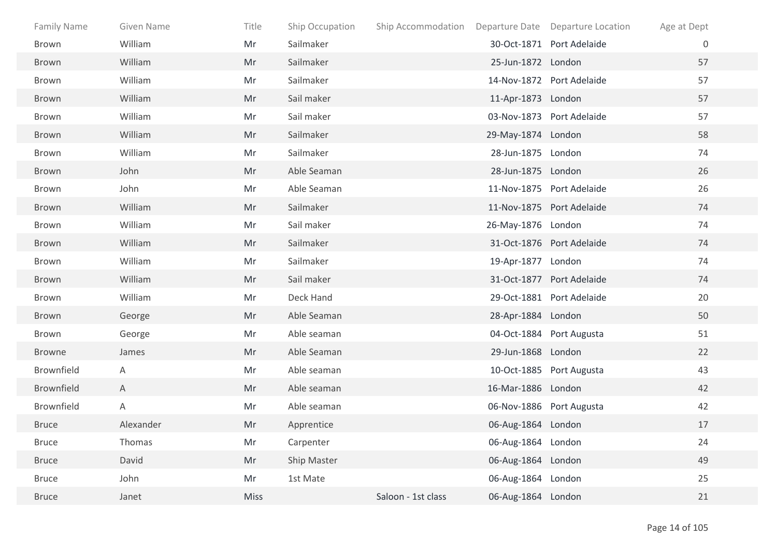| Family Name       | Given Name | Title       | Ship Occupation | Ship Accommodation Departure Date Departure Location |                    |                           | Age at Dept |
|-------------------|------------|-------------|-----------------|------------------------------------------------------|--------------------|---------------------------|-------------|
| Brown             | William    | Mr          | Sailmaker       |                                                      |                    | 30-Oct-1871 Port Adelaide | 0           |
| Brown             | William    | Mr          | Sailmaker       |                                                      | 25-Jun-1872 London |                           | 57          |
| Brown             | William    | Mr          | Sailmaker       |                                                      |                    | 14-Nov-1872 Port Adelaide | 57          |
| Brown             | William    | Mr          | Sail maker      |                                                      | 11-Apr-1873 London |                           | 57          |
| Brown             | William    | Mr          | Sail maker      |                                                      |                    | 03-Nov-1873 Port Adelaide | 57          |
| Brown             | William    | Mr          | Sailmaker       |                                                      | 29-May-1874 London |                           | 58          |
| Brown             | William    | Mr          | Sailmaker       |                                                      | 28-Jun-1875 London |                           | 74          |
| Brown             | John       | Mr          | Able Seaman     |                                                      | 28-Jun-1875 London |                           | 26          |
| Brown             | John       | Mr          | Able Seaman     |                                                      |                    | 11-Nov-1875 Port Adelaide | 26          |
| Brown             | William    | Mr          | Sailmaker       |                                                      |                    | 11-Nov-1875 Port Adelaide | 74          |
| Brown             | William    | Mr          | Sail maker      |                                                      | 26-May-1876 London |                           | 74          |
| <b>Brown</b>      | William    | Mr          | Sailmaker       |                                                      |                    | 31-Oct-1876 Port Adelaide | 74          |
| Brown             | William    | Mr          | Sailmaker       |                                                      | 19-Apr-1877 London |                           | 74          |
| Brown             | William    | Mr          | Sail maker      |                                                      |                    | 31-Oct-1877 Port Adelaide | 74          |
| Brown             | William    | Mr          | Deck Hand       |                                                      |                    | 29-Oct-1881 Port Adelaide | 20          |
| Brown             | George     | Mr          | Able Seaman     |                                                      | 28-Apr-1884 London |                           | 50          |
| Brown             | George     | Mr          | Able seaman     |                                                      |                    | 04-Oct-1884 Port Augusta  | 51          |
| Browne            | James      | Mr          | Able Seaman     |                                                      | 29-Jun-1868 London |                           | 22          |
| <b>Brownfield</b> | Α          | Mr          | Able seaman     |                                                      |                    | 10-Oct-1885 Port Augusta  | 43          |
| Brownfield        | A          | Mr          | Able seaman     |                                                      | 16-Mar-1886 London |                           | 42          |
| Brownfield        | Α          | Mr          | Able seaman     |                                                      |                    | 06-Nov-1886 Port Augusta  | 42          |
| <b>Bruce</b>      | Alexander  | Mr          | Apprentice      |                                                      | 06-Aug-1864 London |                           | 17          |
| <b>Bruce</b>      | Thomas     | Mr          | Carpenter       |                                                      | 06-Aug-1864 London |                           | 24          |
| <b>Bruce</b>      | David      | Mr          | Ship Master     |                                                      | 06-Aug-1864 London |                           | 49          |
| <b>Bruce</b>      | John       | Mr          | 1st Mate        |                                                      | 06-Aug-1864 London |                           | 25          |
| <b>Bruce</b>      | Janet      | <b>Miss</b> |                 | Saloon - 1st class                                   | 06-Aug-1864 London |                           | 21          |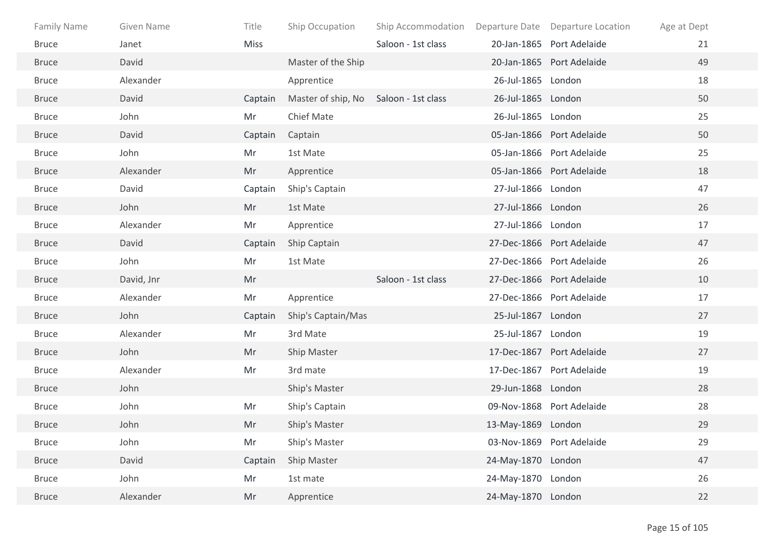| Family Name  | Given Name | Title       | Ship Occupation                       | Ship Accommodation Departure Date Departure Location |                    |                           | Age at Dept |
|--------------|------------|-------------|---------------------------------------|------------------------------------------------------|--------------------|---------------------------|-------------|
| <b>Bruce</b> | Janet      | <b>Miss</b> |                                       | Saloon - 1st class                                   |                    | 20-Jan-1865 Port Adelaide | 21          |
| <b>Bruce</b> | David      |             | Master of the Ship                    |                                                      |                    | 20-Jan-1865 Port Adelaide | 49          |
| <b>Bruce</b> | Alexander  |             | Apprentice                            |                                                      | 26-Jul-1865 London |                           | 18          |
| <b>Bruce</b> | David      | Captain     | Master of ship, No Saloon - 1st class |                                                      | 26-Jul-1865 London |                           | 50          |
| <b>Bruce</b> | John       | Mr          | Chief Mate                            |                                                      | 26-Jul-1865 London |                           | 25          |
| <b>Bruce</b> | David      | Captain     | Captain                               |                                                      |                    | 05-Jan-1866 Port Adelaide | 50          |
| <b>Bruce</b> | John       | Mr          | 1st Mate                              |                                                      |                    | 05-Jan-1866 Port Adelaide | 25          |
| <b>Bruce</b> | Alexander  | Mr          | Apprentice                            |                                                      |                    | 05-Jan-1866 Port Adelaide | 18          |
| <b>Bruce</b> | David      | Captain     | Ship's Captain                        |                                                      | 27-Jul-1866 London |                           | 47          |
| <b>Bruce</b> | John       | Mr          | 1st Mate                              |                                                      | 27-Jul-1866 London |                           | 26          |
| <b>Bruce</b> | Alexander  | Mr          | Apprentice                            |                                                      | 27-Jul-1866 London |                           | 17          |
| <b>Bruce</b> | David      | Captain     | Ship Captain                          |                                                      |                    | 27-Dec-1866 Port Adelaide | 47          |
| <b>Bruce</b> | John       | Mr          | 1st Mate                              |                                                      |                    | 27-Dec-1866 Port Adelaide | 26          |
| <b>Bruce</b> | David, Jnr | Mr          |                                       | Saloon - 1st class                                   |                    | 27-Dec-1866 Port Adelaide | 10          |
| <b>Bruce</b> | Alexander  | Mr          | Apprentice                            |                                                      |                    | 27-Dec-1866 Port Adelaide | 17          |
| <b>Bruce</b> | John       | Captain     | Ship's Captain/Mas                    |                                                      | 25-Jul-1867 London |                           | 27          |
| <b>Bruce</b> | Alexander  | Mr          | 3rd Mate                              |                                                      | 25-Jul-1867 London |                           | 19          |
| <b>Bruce</b> | John       | Mr          | Ship Master                           |                                                      |                    | 17-Dec-1867 Port Adelaide | 27          |
| <b>Bruce</b> | Alexander  | Mr          | 3rd mate                              |                                                      |                    | 17-Dec-1867 Port Adelaide | 19          |
| <b>Bruce</b> | John       |             | Ship's Master                         |                                                      | 29-Jun-1868 London |                           | 28          |
| <b>Bruce</b> | John       | Mr          | Ship's Captain                        |                                                      |                    | 09-Nov-1868 Port Adelaide | 28          |
| <b>Bruce</b> | John       | Mr          | Ship's Master                         |                                                      | 13-May-1869 London |                           | 29          |
| <b>Bruce</b> | John       | Mr          | Ship's Master                         |                                                      |                    | 03-Nov-1869 Port Adelaide | 29          |
| <b>Bruce</b> | David      | Captain     | Ship Master                           |                                                      | 24-May-1870 London |                           | 47          |
| <b>Bruce</b> | John       | Mr          | 1st mate                              |                                                      | 24-May-1870 London |                           | 26          |
| <b>Bruce</b> | Alexander  | Mr          | Apprentice                            |                                                      | 24-May-1870 London |                           | 22          |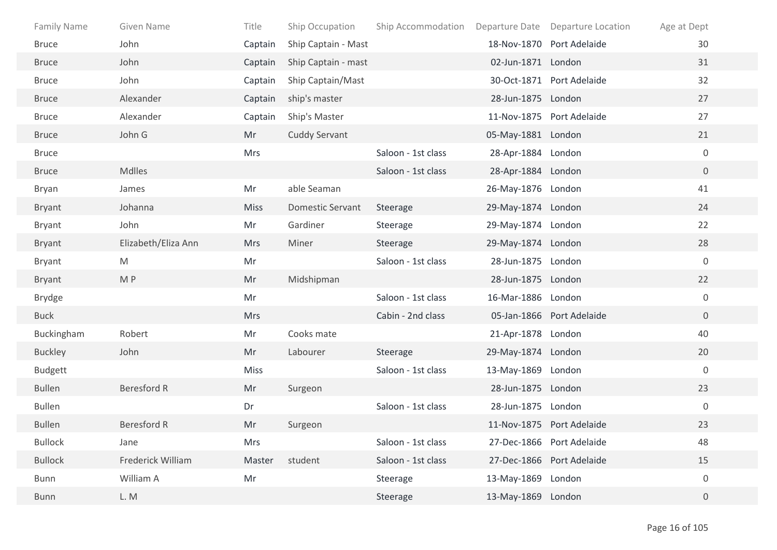| <b>Family Name</b> | Given Name          | Title       | Ship Occupation         | Ship Accommodation |                    | Departure Date Departure Location | Age at Dept      |
|--------------------|---------------------|-------------|-------------------------|--------------------|--------------------|-----------------------------------|------------------|
| <b>Bruce</b>       | John                | Captain     | Ship Captain - Mast     |                    |                    | 18-Nov-1870 Port Adelaide         | 30               |
| <b>Bruce</b>       | John                | Captain     | Ship Captain - mast     |                    | 02-Jun-1871 London |                                   | 31               |
| <b>Bruce</b>       | John                | Captain     | Ship Captain/Mast       |                    |                    | 30-Oct-1871 Port Adelaide         | 32               |
| <b>Bruce</b>       | Alexander           | Captain     | ship's master           |                    | 28-Jun-1875 London |                                   | 27               |
| <b>Bruce</b>       | Alexander           | Captain     | Ship's Master           |                    |                    | 11-Nov-1875 Port Adelaide         | 27               |
| <b>Bruce</b>       | John G              | Mr          | <b>Cuddy Servant</b>    |                    | 05-May-1881 London |                                   | 21               |
| <b>Bruce</b>       |                     | <b>Mrs</b>  |                         | Saloon - 1st class | 28-Apr-1884 London |                                   | $\mathbf 0$      |
| <b>Bruce</b>       | Mdlles              |             |                         | Saloon - 1st class | 28-Apr-1884 London |                                   | $\overline{0}$   |
| Bryan              | James               | Mr          | able Seaman             |                    | 26-May-1876 London |                                   | 41               |
| <b>Bryant</b>      | Johanna             | <b>Miss</b> | <b>Domestic Servant</b> | Steerage           | 29-May-1874 London |                                   | 24               |
| Bryant             | John                | Mr          | Gardiner                | Steerage           | 29-May-1874 London |                                   | 22               |
| Bryant             | Elizabeth/Eliza Ann | <b>Mrs</b>  | Miner                   | Steerage           | 29-May-1874 London |                                   | 28               |
| <b>Bryant</b>      | M                   | Mr          |                         | Saloon - 1st class | 28-Jun-1875 London |                                   | $\mathbf 0$      |
| Bryant             | M P                 | Mr          | Midshipman              |                    | 28-Jun-1875 London |                                   | 22               |
| <b>Brydge</b>      |                     | Mr          |                         | Saloon - 1st class | 16-Mar-1886 London |                                   | $\mathbf 0$      |
| <b>Buck</b>        |                     | <b>Mrs</b>  |                         | Cabin - 2nd class  |                    | 05-Jan-1866 Port Adelaide         | $\overline{0}$   |
| Buckingham         | Robert              | Mr          | Cooks mate              |                    | 21-Apr-1878 London |                                   | 40               |
| <b>Buckley</b>     | John                | Mr          | Labourer                | Steerage           | 29-May-1874 London |                                   | 20               |
| <b>Budgett</b>     |                     | <b>Miss</b> |                         | Saloon - 1st class | 13-May-1869 London |                                   | $\mathbf 0$      |
| <b>Bullen</b>      | <b>Beresford R</b>  | Mr          | Surgeon                 |                    | 28-Jun-1875 London |                                   | 23               |
| <b>Bullen</b>      |                     | Dr          |                         | Saloon - 1st class | 28-Jun-1875 London |                                   | $\boldsymbol{0}$ |
| <b>Bullen</b>      | <b>Beresford R</b>  | Mr          | Surgeon                 |                    |                    | 11-Nov-1875 Port Adelaide         | 23               |
| <b>Bullock</b>     | Jane                | Mrs         |                         | Saloon - 1st class |                    | 27-Dec-1866 Port Adelaide         | 48               |
| <b>Bullock</b>     | Frederick William   | Master      | student                 | Saloon - 1st class |                    | 27-Dec-1866 Port Adelaide         | 15               |
| <b>Bunn</b>        | William A           | Mr          |                         | Steerage           | 13-May-1869 London |                                   | $\boldsymbol{0}$ |
| <b>Bunn</b>        | L. M                |             |                         | Steerage           | 13-May-1869 London |                                   | $\overline{0}$   |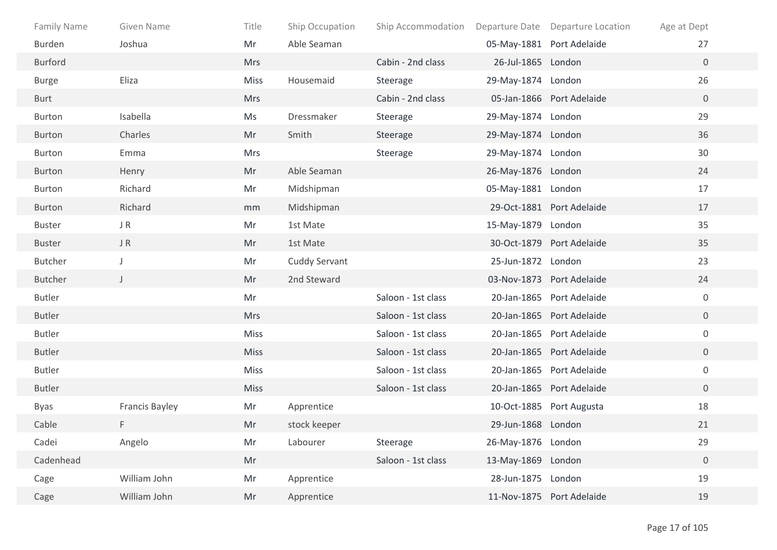| Family Name   | <b>Given Name</b> | Title       | Ship Occupation | Ship Accommodation |                    | Departure Date Departure Location | Age at Dept      |
|---------------|-------------------|-------------|-----------------|--------------------|--------------------|-----------------------------------|------------------|
| Burden        | Joshua            | Mr          | Able Seaman     |                    |                    | 05-May-1881 Port Adelaide         | 27               |
| Burford       |                   | <b>Mrs</b>  |                 | Cabin - 2nd class  | 26-Jul-1865 London |                                   | $\overline{0}$   |
| <b>Burge</b>  | Eliza             | Miss        | Housemaid       | Steerage           | 29-May-1874 London |                                   | 26               |
| <b>Burt</b>   |                   | <b>Mrs</b>  |                 | Cabin - 2nd class  |                    | 05-Jan-1866 Port Adelaide         | $\overline{0}$   |
| <b>Burton</b> | Isabella          | Ms          | Dressmaker      | Steerage           | 29-May-1874 London |                                   | 29               |
| <b>Burton</b> | Charles           | Mr          | Smith           | Steerage           | 29-May-1874 London |                                   | 36               |
| <b>Burton</b> | Emma              | <b>Mrs</b>  |                 | Steerage           | 29-May-1874 London |                                   | 30               |
| Burton        | Henry             | Mr          | Able Seaman     |                    | 26-May-1876 London |                                   | 24               |
| <b>Burton</b> | Richard           | Mr          | Midshipman      |                    | 05-May-1881 London |                                   | 17               |
| Burton        | Richard           | mm          | Midshipman      |                    |                    | 29-Oct-1881 Port Adelaide         | 17               |
| <b>Buster</b> | J R               | Mr          | 1st Mate        |                    | 15-May-1879 London |                                   | 35               |
| <b>Buster</b> | JR                | Mr          | 1st Mate        |                    |                    | 30-Oct-1879 Port Adelaide         | 35               |
| Butcher       | J                 | Mr          | Cuddy Servant   |                    | 25-Jun-1872 London |                                   | 23               |
| Butcher       | $\mathsf{J}$      | Mr          | 2nd Steward     |                    |                    | 03-Nov-1873 Port Adelaide         | 24               |
| <b>Butler</b> |                   | Mr          |                 | Saloon - 1st class |                    | 20-Jan-1865 Port Adelaide         | $\mathbf 0$      |
| <b>Butler</b> |                   | <b>Mrs</b>  |                 | Saloon - 1st class |                    | 20-Jan-1865 Port Adelaide         | $\overline{0}$   |
| <b>Butler</b> |                   | Miss        |                 | Saloon - 1st class |                    | 20-Jan-1865 Port Adelaide         | $\boldsymbol{0}$ |
| <b>Butler</b> |                   | <b>Miss</b> |                 | Saloon - 1st class |                    | 20-Jan-1865 Port Adelaide         | $\overline{0}$   |
| Butler        |                   | Miss        |                 | Saloon - 1st class |                    | 20-Jan-1865 Port Adelaide         | $\boldsymbol{0}$ |
| <b>Butler</b> |                   | <b>Miss</b> |                 | Saloon - 1st class |                    | 20-Jan-1865 Port Adelaide         | $\overline{0}$   |
| Byas          | Francis Bayley    | Mr          | Apprentice      |                    |                    | 10-Oct-1885 Port Augusta          | 18               |
| Cable         | F                 | Mr          | stock keeper    |                    | 29-Jun-1868 London |                                   | 21               |
| Cadei         | Angelo            | Mr          | Labourer        | Steerage           | 26-May-1876 London |                                   | 29               |
| Cadenhead     |                   | Mr          |                 | Saloon - 1st class | 13-May-1869 London |                                   | $\boldsymbol{0}$ |
| Cage          | William John      | Mr          | Apprentice      |                    | 28-Jun-1875 London |                                   | 19               |
| Cage          | William John      | Mr          | Apprentice      |                    |                    | 11-Nov-1875 Port Adelaide         | 19               |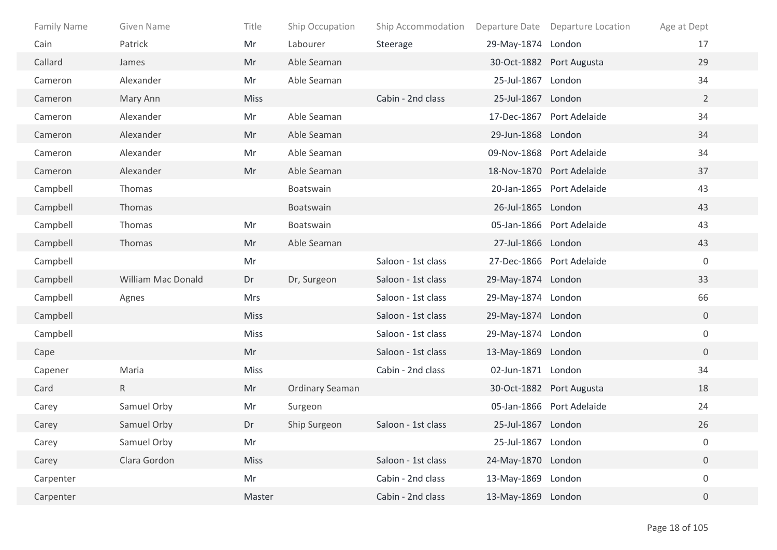| Family Name | Given Name                | Title       | Ship Occupation | Ship Accommodation |                    | Departure Date Departure Location | Age at Dept      |
|-------------|---------------------------|-------------|-----------------|--------------------|--------------------|-----------------------------------|------------------|
| Cain        | Patrick                   | Mr          | Labourer        | Steerage           | 29-May-1874 London |                                   | 17               |
| Callard     | James                     | Mr          | Able Seaman     |                    |                    | 30-Oct-1882 Port Augusta          | 29               |
| Cameron     | Alexander                 | Mr          | Able Seaman     |                    | 25-Jul-1867 London |                                   | 34               |
| Cameron     | Mary Ann                  | <b>Miss</b> |                 | Cabin - 2nd class  | 25-Jul-1867 London |                                   | $\overline{2}$   |
| Cameron     | Alexander                 | Mr          | Able Seaman     |                    |                    | 17-Dec-1867 Port Adelaide         | 34               |
| Cameron     | Alexander                 | Mr          | Able Seaman     |                    | 29-Jun-1868 London |                                   | 34               |
| Cameron     | Alexander                 | Mr          | Able Seaman     |                    |                    | 09-Nov-1868 Port Adelaide         | 34               |
| Cameron     | Alexander                 | Mr          | Able Seaman     |                    |                    | 18-Nov-1870 Port Adelaide         | 37               |
| Campbell    | Thomas                    |             | Boatswain       |                    |                    | 20-Jan-1865 Port Adelaide         | 43               |
| Campbell    | Thomas                    |             | Boatswain       |                    | 26-Jul-1865 London |                                   | 43               |
| Campbell    | Thomas                    | Mr          | Boatswain       |                    |                    | 05-Jan-1866 Port Adelaide         | 43               |
| Campbell    | Thomas                    | Mr          | Able Seaman     |                    | 27-Jul-1866 London |                                   | 43               |
| Campbell    |                           | Mr          |                 | Saloon - 1st class |                    | 27-Dec-1866 Port Adelaide         | $\mathbf 0$      |
| Campbell    | <b>William Mac Donald</b> | Dr          | Dr, Surgeon     | Saloon - 1st class | 29-May-1874 London |                                   | 33               |
| Campbell    | Agnes                     | Mrs         |                 | Saloon - 1st class | 29-May-1874 London |                                   | 66               |
| Campbell    |                           | <b>Miss</b> |                 | Saloon - 1st class | 29-May-1874 London |                                   | $\overline{0}$   |
| Campbell    |                           | Miss        |                 | Saloon - 1st class | 29-May-1874 London |                                   | $\boldsymbol{0}$ |
| Cape        |                           | Mr          |                 | Saloon - 1st class | 13-May-1869 London |                                   | $\overline{0}$   |
| Capener     | Maria                     | <b>Miss</b> |                 | Cabin - 2nd class  | 02-Jun-1871 London |                                   | 34               |
| Card        | R                         | Mr          | Ordinary Seaman |                    |                    | 30-Oct-1882 Port Augusta          | 18               |
| Carey       | Samuel Orby               | Mr          | Surgeon         |                    |                    | 05-Jan-1866 Port Adelaide         | 24               |
| Carey       | Samuel Orby               | Dr          | Ship Surgeon    | Saloon - 1st class | 25-Jul-1867 London |                                   | 26               |
| Carey       | Samuel Orby               | Mr          |                 |                    | 25-Jul-1867 London |                                   | 0                |
| Carey       | Clara Gordon              | Miss        |                 | Saloon - 1st class | 24-May-1870 London |                                   | $\overline{0}$   |
| Carpenter   |                           | Mr          |                 | Cabin - 2nd class  | 13-May-1869 London |                                   | $\boldsymbol{0}$ |
| Carpenter   |                           | Master      |                 | Cabin - 2nd class  | 13-May-1869 London |                                   | $\overline{0}$   |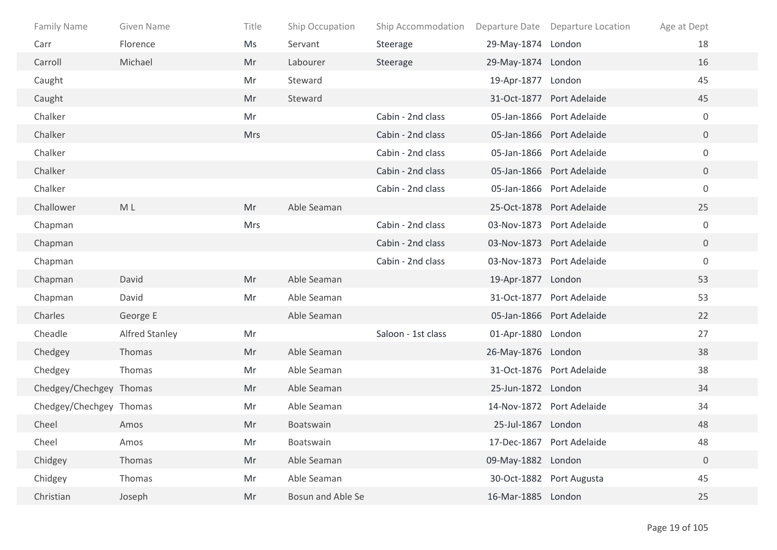| <b>Family Name</b>      | Given Name            | Title      | Ship Occupation   | Ship Accommodation |                    | Departure Date Departure Location | Age at Dept      |
|-------------------------|-----------------------|------------|-------------------|--------------------|--------------------|-----------------------------------|------------------|
| Carr                    | Florence              | Ms         | Servant           | Steerage           | 29-May-1874 London |                                   | 18               |
| Carroll                 | Michael               | Mr         | Labourer          | Steerage           | 29-May-1874 London |                                   | 16               |
| Caught                  |                       | Mr         | Steward           |                    | 19-Apr-1877 London |                                   | 45               |
| Caught                  |                       | Mr         | Steward           |                    |                    | 31-Oct-1877 Port Adelaide         | 45               |
| Chalker                 |                       | Mr         |                   | Cabin - 2nd class  |                    | 05-Jan-1866 Port Adelaide         | $\mathbf 0$      |
| Chalker                 |                       | <b>Mrs</b> |                   | Cabin - 2nd class  |                    | 05-Jan-1866 Port Adelaide         | $\overline{0}$   |
| Chalker                 |                       |            |                   | Cabin - 2nd class  |                    | 05-Jan-1866 Port Adelaide         | $\overline{0}$   |
| Chalker                 |                       |            |                   | Cabin - 2nd class  |                    | 05-Jan-1866 Port Adelaide         | $\overline{0}$   |
| Chalker                 |                       |            |                   | Cabin - 2nd class  |                    | 05-Jan-1866 Port Adelaide         | $\mathbf 0$      |
| Challower               | M L                   | Mr         | Able Seaman       |                    |                    | 25-Oct-1878 Port Adelaide         | 25               |
| Chapman                 |                       | <b>Mrs</b> |                   | Cabin - 2nd class  |                    | 03-Nov-1873 Port Adelaide         | $\mathbf 0$      |
| Chapman                 |                       |            |                   | Cabin - 2nd class  |                    | 03-Nov-1873 Port Adelaide         | $\overline{0}$   |
| Chapman                 |                       |            |                   | Cabin - 2nd class  |                    | 03-Nov-1873 Port Adelaide         | $\boldsymbol{0}$ |
| Chapman                 | David                 | Mr         | Able Seaman       |                    | 19-Apr-1877 London |                                   | 53               |
| Chapman                 | David                 | Mr         | Able Seaman       |                    |                    | 31-Oct-1877 Port Adelaide         | 53               |
| Charles                 | George E              |            | Able Seaman       |                    |                    | 05-Jan-1866 Port Adelaide         | 22               |
| Cheadle                 | <b>Alfred Stanley</b> | Mr         |                   | Saloon - 1st class | 01-Apr-1880 London |                                   | 27               |
| Chedgey                 | Thomas                | Mr         | Able Seaman       |                    | 26-May-1876 London |                                   | 38               |
| Chedgey                 | Thomas                | Mr         | Able Seaman       |                    |                    | 31-Oct-1876 Port Adelaide         | 38               |
| Chedgey/Chechgey Thomas |                       | Mr         | Able Seaman       |                    | 25-Jun-1872 London |                                   | 34               |
| Chedgey/Chechgey Thomas |                       | Mr         | Able Seaman       |                    |                    | 14-Nov-1872 Port Adelaide         | 34               |
| Cheel                   | Amos                  | Mr         | Boatswain         |                    | 25-Jul-1867 London |                                   | 48               |
| Cheel                   | Amos                  | Mr         | Boatswain         |                    |                    | 17-Dec-1867 Port Adelaide         | 48               |
| Chidgey                 | Thomas                | Mr         | Able Seaman       |                    | 09-May-1882 London |                                   | $\overline{0}$   |
| Chidgey                 | Thomas                | Mr         | Able Seaman       |                    |                    | 30-Oct-1882 Port Augusta          | 45               |
| Christian               | Joseph                | Mr         | Bosun and Able Se |                    | 16-Mar-1885 London |                                   | 25               |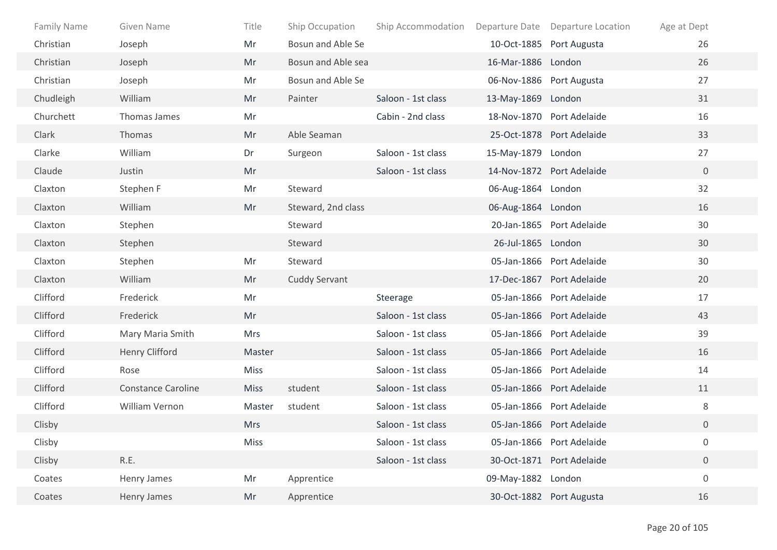| <b>Family Name</b> | Given Name                | Title       | Ship Occupation      | Ship Accommodation |                    | Departure Date Departure Location | Age at Dept      |
|--------------------|---------------------------|-------------|----------------------|--------------------|--------------------|-----------------------------------|------------------|
| Christian          | Joseph                    | Mr          | Bosun and Able Se    |                    |                    | 10-Oct-1885 Port Augusta          | 26               |
| Christian          | Joseph                    | Mr          | Bosun and Able sea   |                    | 16-Mar-1886 London |                                   | 26               |
| Christian          | Joseph                    | Mr          | Bosun and Able Se    |                    |                    | 06-Nov-1886 Port Augusta          | 27               |
| Chudleigh          | William                   | Mr          | Painter              | Saloon - 1st class | 13-May-1869 London |                                   | 31               |
| Churchett          | Thomas James              | Mr          |                      | Cabin - 2nd class  |                    | 18-Nov-1870 Port Adelaide         | 16               |
| Clark              | Thomas                    | Mr          | Able Seaman          |                    |                    | 25-Oct-1878 Port Adelaide         | 33               |
| Clarke             | William                   | Dr          | Surgeon              | Saloon - 1st class | 15-May-1879 London |                                   | 27               |
| Claude             | Justin                    | Mr          |                      | Saloon - 1st class |                    | 14-Nov-1872 Port Adelaide         | $\overline{0}$   |
| Claxton            | Stephen F                 | Mr          | Steward              |                    | 06-Aug-1864 London |                                   | 32               |
| Claxton            | William                   | Mr          | Steward, 2nd class   |                    | 06-Aug-1864 London |                                   | 16               |
| Claxton            | Stephen                   |             | Steward              |                    |                    | 20-Jan-1865 Port Adelaide         | 30               |
| Claxton            | Stephen                   |             | Steward              |                    | 26-Jul-1865 London |                                   | 30               |
| Claxton            | Stephen                   | Mr          | Steward              |                    |                    | 05-Jan-1866 Port Adelaide         | 30               |
| Claxton            | William                   | Mr          | <b>Cuddy Servant</b> |                    |                    | 17-Dec-1867 Port Adelaide         | 20               |
| Clifford           | Frederick                 | Mr          |                      | Steerage           |                    | 05-Jan-1866 Port Adelaide         | 17               |
| Clifford           | Frederick                 | Mr          |                      | Saloon - 1st class |                    | 05-Jan-1866 Port Adelaide         | 43               |
| Clifford           | Mary Maria Smith          | <b>Mrs</b>  |                      | Saloon - 1st class |                    | 05-Jan-1866 Port Adelaide         | 39               |
| Clifford           | Henry Clifford            | Master      |                      | Saloon - 1st class |                    | 05-Jan-1866 Port Adelaide         | 16               |
| Clifford           | Rose                      | Miss        |                      | Saloon - 1st class |                    | 05-Jan-1866 Port Adelaide         | 14               |
| Clifford           | <b>Constance Caroline</b> | <b>Miss</b> | student              | Saloon - 1st class |                    | 05-Jan-1866 Port Adelaide         | 11               |
| Clifford           | William Vernon            | Master      | student              | Saloon - 1st class |                    | 05-Jan-1866 Port Adelaide         | 8                |
| Clisby             |                           | <b>Mrs</b>  |                      | Saloon - 1st class |                    | 05-Jan-1866 Port Adelaide         | $\boldsymbol{0}$ |
| Clisby             |                           | Miss        |                      | Saloon - 1st class |                    | 05-Jan-1866 Port Adelaide         | $\boldsymbol{0}$ |
| Clisby             | R.E.                      |             |                      | Saloon - 1st class |                    | 30-Oct-1871 Port Adelaide         | $\overline{0}$   |
| Coates             | Henry James               | Mr          | Apprentice           |                    | 09-May-1882 London |                                   | $\boldsymbol{0}$ |
| Coates             | Henry James               | Mr          | Apprentice           |                    |                    | 30-Oct-1882 Port Augusta          | 16               |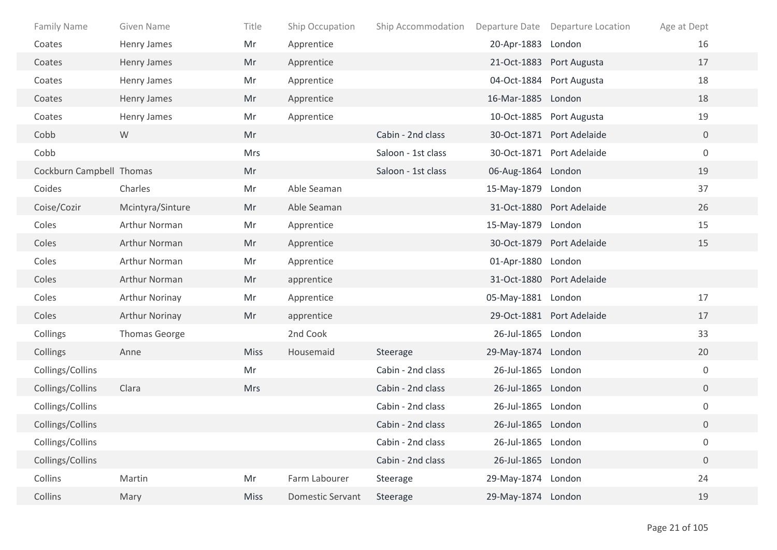| Family Name              | Given Name           | Title       | Ship Occupation         | Ship Accommodation |                    | Departure Date Departure Location | Age at Dept      |
|--------------------------|----------------------|-------------|-------------------------|--------------------|--------------------|-----------------------------------|------------------|
| Coates                   | Henry James          | Mr          | Apprentice              |                    | 20-Apr-1883        | London                            | 16               |
| Coates                   | Henry James          | Mr          | Apprentice              |                    |                    | 21-Oct-1883 Port Augusta          | 17               |
| Coates                   | Henry James          | Mr          | Apprentice              |                    |                    | 04-Oct-1884 Port Augusta          | 18               |
| Coates                   | Henry James          | Mr          | Apprentice              |                    | 16-Mar-1885 London |                                   | 18               |
| Coates                   | Henry James          | Mr          | Apprentice              |                    |                    | 10-Oct-1885 Port Augusta          | 19               |
| Cobb                     | W                    | Mr          |                         | Cabin - 2nd class  |                    | 30-Oct-1871 Port Adelaide         | $\overline{0}$   |
| Cobb                     |                      | <b>Mrs</b>  |                         | Saloon - 1st class |                    | 30-Oct-1871 Port Adelaide         | $\boldsymbol{0}$ |
| Cockburn Campbell Thomas |                      | Mr          |                         | Saloon - 1st class | 06-Aug-1864 London |                                   | 19               |
| Coides                   | Charles              | Mr          | Able Seaman             |                    | 15-May-1879 London |                                   | 37               |
| Coise/Cozir              | Mcintyra/Sinture     | Mr          | Able Seaman             |                    |                    | 31-Oct-1880 Port Adelaide         | 26               |
| Coles                    | Arthur Norman        | Mr          | Apprentice              |                    | 15-May-1879 London |                                   | 15               |
| Coles                    | Arthur Norman        | Mr          | Apprentice              |                    |                    | 30-Oct-1879 Port Adelaide         | 15               |
| Coles                    | Arthur Norman        | Mr          | Apprentice              |                    | 01-Apr-1880 London |                                   |                  |
| Coles                    | Arthur Norman        | Mr          | apprentice              |                    |                    | 31-Oct-1880 Port Adelaide         |                  |
| Coles                    | Arthur Norinay       | Mr          | Apprentice              |                    | 05-May-1881 London |                                   | 17               |
| Coles                    | Arthur Norinay       | Mr          | apprentice              |                    |                    | 29-Oct-1881 Port Adelaide         | 17               |
| Collings                 | <b>Thomas George</b> |             | 2nd Cook                |                    | 26-Jul-1865 London |                                   | 33               |
| Collings                 | Anne                 | <b>Miss</b> | Housemaid               | Steerage           | 29-May-1874 London |                                   | 20               |
| Collings/Collins         |                      | Mr          |                         | Cabin - 2nd class  | 26-Jul-1865 London |                                   | $\overline{0}$   |
| Collings/Collins         | Clara                | <b>Mrs</b>  |                         | Cabin - 2nd class  | 26-Jul-1865 London |                                   | $\overline{0}$   |
| Collings/Collins         |                      |             |                         | Cabin - 2nd class  | 26-Jul-1865 London |                                   | $\mathbf 0$      |
| Collings/Collins         |                      |             |                         | Cabin - 2nd class  | 26-Jul-1865 London |                                   | $\overline{0}$   |
| Collings/Collins         |                      |             |                         | Cabin - 2nd class  | 26-Jul-1865 London |                                   | $\boldsymbol{0}$ |
| Collings/Collins         |                      |             |                         | Cabin - 2nd class  | 26-Jul-1865 London |                                   | $\boldsymbol{0}$ |
| Collins                  | Martin               | Mr          | Farm Labourer           | Steerage           | 29-May-1874 London |                                   | 24               |
| Collins                  | Mary                 | Miss        | <b>Domestic Servant</b> | Steerage           | 29-May-1874 London |                                   | 19               |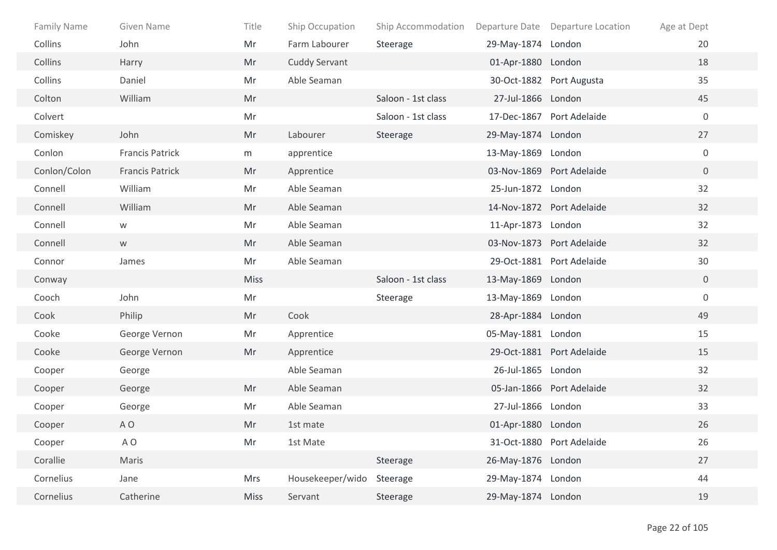| <b>Family Name</b> | Given Name             | Title       | Ship Occupation      | Ship Accommodation |                    | Departure Date Departure Location | Age at Dept      |
|--------------------|------------------------|-------------|----------------------|--------------------|--------------------|-----------------------------------|------------------|
| Collins            | John                   | Mr          | Farm Labourer        | Steerage           | 29-May-1874 London |                                   | 20               |
| Collins            | Harry                  | Mr          | <b>Cuddy Servant</b> |                    | 01-Apr-1880 London |                                   | 18               |
| Collins            | Daniel                 | Mr          | Able Seaman          |                    |                    | 30-Oct-1882 Port Augusta          | 35               |
| Colton             | William                | Mr          |                      | Saloon - 1st class | 27-Jul-1866 London |                                   | 45               |
| Colvert            |                        | Mr          |                      | Saloon - 1st class |                    | 17-Dec-1867 Port Adelaide         | $\boldsymbol{0}$ |
| Comiskey           | John                   | Mr          | Labourer             | Steerage           | 29-May-1874 London |                                   | 27               |
| Conlon             | <b>Francis Patrick</b> | m           | apprentice           |                    | 13-May-1869 London |                                   | $\boldsymbol{0}$ |
| Conlon/Colon       | Francis Patrick        | Mr          | Apprentice           |                    |                    | 03-Nov-1869 Port Adelaide         | $\mathbf{0}$     |
| Connell            | William                | Mr          | Able Seaman          |                    | 25-Jun-1872 London |                                   | 32               |
| Connell            | William                | Mr          | Able Seaman          |                    |                    | 14-Nov-1872 Port Adelaide         | 32               |
| Connell            | W                      | Mr          | Able Seaman          |                    | 11-Apr-1873 London |                                   | 32               |
| Connell            | W                      | Mr          | Able Seaman          |                    |                    | 03-Nov-1873 Port Adelaide         | 32               |
| Connor             | James                  | Mr          | Able Seaman          |                    |                    | 29-Oct-1881 Port Adelaide         | 30               |
| Conway             |                        | <b>Miss</b> |                      | Saloon - 1st class | 13-May-1869 London |                                   | $\overline{0}$   |
| Cooch              | John                   | Mr          |                      | Steerage           | 13-May-1869 London |                                   | $\boldsymbol{0}$ |
| Cook               | Philip                 | Mr          | Cook                 |                    | 28-Apr-1884 London |                                   | 49               |
| Cooke              | George Vernon          | Mr          | Apprentice           |                    | 05-May-1881 London |                                   | 15               |
| Cooke              | George Vernon          | Mr          | Apprentice           |                    |                    | 29-Oct-1881 Port Adelaide         | 15               |
| Cooper             | George                 |             | Able Seaman          |                    | 26-Jul-1865 London |                                   | 32               |
| Cooper             | George                 | Mr          | Able Seaman          |                    |                    | 05-Jan-1866 Port Adelaide         | 32               |
| Cooper             | George                 | Mr          | Able Seaman          |                    | 27-Jul-1866 London |                                   | 33               |
| Cooper             | A <sub>O</sub>         | Mr          | 1st mate             |                    | 01-Apr-1880 London |                                   | 26               |
| Cooper             | A O                    | Mr          | 1st Mate             |                    |                    | 31-Oct-1880 Port Adelaide         | 26               |
| Corallie           | Maris                  |             |                      | Steerage           | 26-May-1876 London |                                   | 27               |
| Cornelius          | Jane                   | Mrs         | Housekeeper/wido     | Steerage           | 29-May-1874 London |                                   | 44               |
| Cornelius          | Catherine              | <b>Miss</b> | Servant              | Steerage           | 29-May-1874 London |                                   | 19               |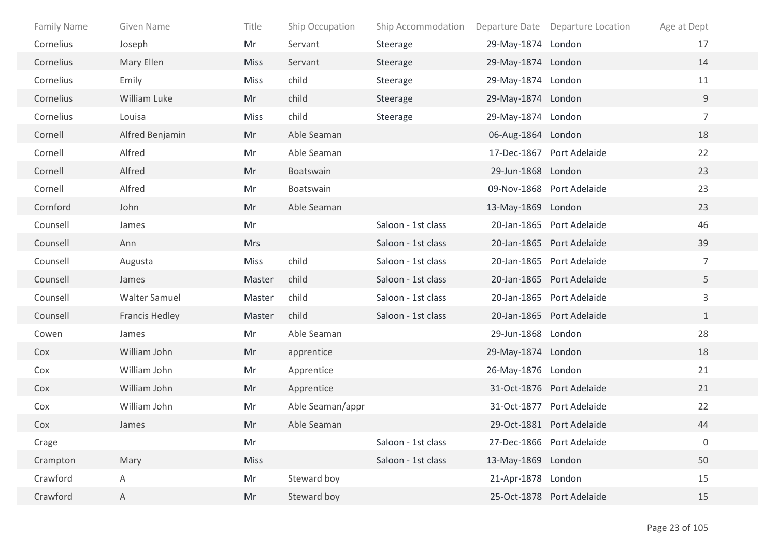| <b>Family Name</b> | Given Name            | Title       | Ship Occupation  | Ship Accommodation |                    | Departure Date Departure Location | Age at Dept      |
|--------------------|-----------------------|-------------|------------------|--------------------|--------------------|-----------------------------------|------------------|
| Cornelius          | Joseph                | Mr          | Servant          | Steerage           | 29-May-1874 London |                                   | 17               |
| Cornelius          | Mary Ellen            | <b>Miss</b> | Servant          | Steerage           | 29-May-1874 London |                                   | 14               |
| Cornelius          | Emily                 | <b>Miss</b> | child            | Steerage           | 29-May-1874 London |                                   | 11               |
| Cornelius          | William Luke          | Mr          | child            | Steerage           | 29-May-1874 London |                                   | 9                |
| Cornelius          | Louisa                | <b>Miss</b> | child            | Steerage           | 29-May-1874 London |                                   | $\overline{7}$   |
| Cornell            | Alfred Benjamin       | Mr          | Able Seaman      |                    | 06-Aug-1864 London |                                   | 18               |
| Cornell            | Alfred                | Mr          | Able Seaman      |                    |                    | 17-Dec-1867 Port Adelaide         | 22               |
| Cornell            | Alfred                | Mr          | Boatswain        |                    | 29-Jun-1868 London |                                   | 23               |
| Cornell            | Alfred                | Mr          | Boatswain        |                    |                    | 09-Nov-1868 Port Adelaide         | 23               |
| Cornford           | John                  | Mr          | Able Seaman      |                    | 13-May-1869 London |                                   | 23               |
| Counsell           | James                 | Mr          |                  | Saloon - 1st class |                    | 20-Jan-1865 Port Adelaide         | 46               |
| Counsell           | Ann                   | <b>Mrs</b>  |                  | Saloon - 1st class |                    | 20-Jan-1865 Port Adelaide         | 39               |
| Counsell           | Augusta               | Miss        | child            | Saloon - 1st class |                    | 20-Jan-1865 Port Adelaide         | $\overline{7}$   |
| Counsell           | James                 | Master      | child            | Saloon - 1st class |                    | 20-Jan-1865 Port Adelaide         | 5                |
| Counsell           | <b>Walter Samuel</b>  | Master      | child            | Saloon - 1st class |                    | 20-Jan-1865 Port Adelaide         | 3                |
| Counsell           | <b>Francis Hedley</b> | Master      | child            | Saloon - 1st class |                    | 20-Jan-1865 Port Adelaide         | $\mathbf{1}$     |
| Cowen              | James                 | Mr          | Able Seaman      |                    | 29-Jun-1868 London |                                   | 28               |
| Cox                | William John          | Mr          | apprentice       |                    | 29-May-1874 London |                                   | 18               |
| Cox                | William John          | Mr          | Apprentice       |                    | 26-May-1876 London |                                   | 21               |
| Cox                | William John          | Mr          | Apprentice       |                    |                    | 31-Oct-1876 Port Adelaide         | 21               |
| Cox                | William John          | Mr          | Able Seaman/appr |                    |                    | 31-Oct-1877 Port Adelaide         | 22               |
| Cox                | James                 | Mr          | Able Seaman      |                    |                    | 29-Oct-1881 Port Adelaide         | 44               |
| Crage              |                       | Mr          |                  | Saloon - 1st class |                    | 27-Dec-1866 Port Adelaide         | $\boldsymbol{0}$ |
| Crampton           | Mary                  | Miss        |                  | Saloon - 1st class | 13-May-1869 London |                                   | 50               |
| Crawford           | Α                     | Mr          | Steward boy      |                    | 21-Apr-1878 London |                                   | 15               |
| Crawford           | Α                     | Mr          | Steward boy      |                    |                    | 25-Oct-1878 Port Adelaide         | 15               |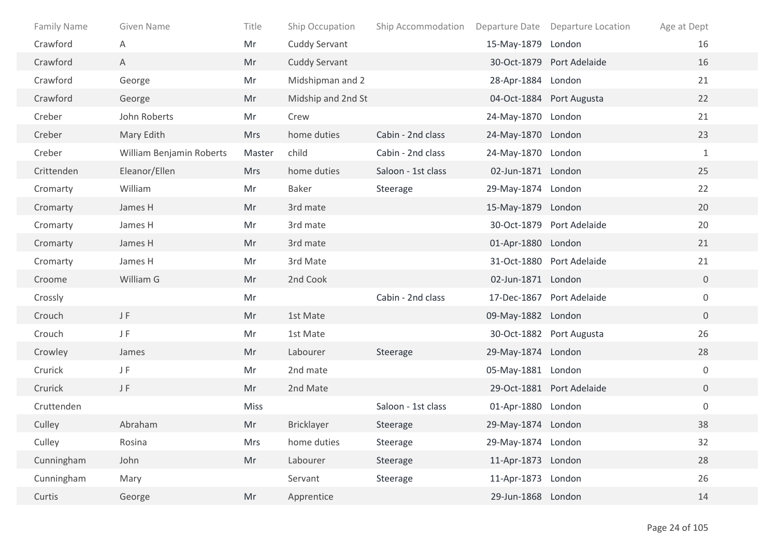| <b>Family Name</b> | Given Name               | Title      | Ship Occupation      | Ship Accommodation |                    | Departure Date Departure Location | Age at Dept      |
|--------------------|--------------------------|------------|----------------------|--------------------|--------------------|-----------------------------------|------------------|
| Crawford           | Α                        | Mr         | Cuddy Servant        |                    | 15-May-1879 London |                                   | 16               |
| Crawford           | A                        | Mr         | <b>Cuddy Servant</b> |                    |                    | 30-Oct-1879 Port Adelaide         | 16               |
| Crawford           | George                   | Mr         | Midshipman and 2     |                    | 28-Apr-1884 London |                                   | 21               |
| Crawford           | George                   | Mr         | Midship and 2nd St   |                    |                    | 04-Oct-1884 Port Augusta          | 22               |
| Creber             | John Roberts             | Mr         | Crew                 |                    | 24-May-1870 London |                                   | 21               |
| Creber             | Mary Edith               | <b>Mrs</b> | home duties          | Cabin - 2nd class  | 24-May-1870 London |                                   | 23               |
| Creber             | William Benjamin Roberts | Master     | child                | Cabin - 2nd class  | 24-May-1870 London |                                   | $\mathbf{1}$     |
| Crittenden         | Eleanor/Ellen            | <b>Mrs</b> | home duties          | Saloon - 1st class | 02-Jun-1871 London |                                   | 25               |
| Cromarty           | William                  | Mr         | Baker                | Steerage           | 29-May-1874 London |                                   | 22               |
| Cromarty           | James H                  | Mr         | 3rd mate             |                    | 15-May-1879 London |                                   | 20               |
| Cromarty           | James H                  | Mr         | 3rd mate             |                    |                    | 30-Oct-1879 Port Adelaide         | 20               |
| Cromarty           | James H                  | Mr         | 3rd mate             |                    | 01-Apr-1880 London |                                   | 21               |
| Cromarty           | James H                  | Mr         | 3rd Mate             |                    |                    | 31-Oct-1880 Port Adelaide         | 21               |
| Croome             | William G                | Mr         | 2nd Cook             |                    | 02-Jun-1871 London |                                   | $\overline{0}$   |
| Crossly            |                          | Mr         |                      | Cabin - 2nd class  |                    | 17-Dec-1867 Port Adelaide         | $\mathbf 0$      |
| Crouch             | JF.                      | Mr         | 1st Mate             |                    | 09-May-1882 London |                                   | $\overline{0}$   |
| Crouch             | JF                       | Mr         | 1st Mate             |                    |                    | 30-Oct-1882 Port Augusta          | 26               |
| Crowley            | James                    | Mr         | Labourer             | Steerage           | 29-May-1874 London |                                   | 28               |
| Crurick            | JF.                      | Mr         | 2nd mate             |                    | 05-May-1881 London |                                   | $\mathbf 0$      |
| Crurick            | JF.                      | Mr         | 2nd Mate             |                    |                    | 29-Oct-1881 Port Adelaide         | $\overline{0}$   |
| Cruttenden         |                          | Miss       |                      | Saloon - 1st class | 01-Apr-1880 London |                                   | $\boldsymbol{0}$ |
| Culley             | Abraham                  | Mr         | Bricklayer           | Steerage           | 29-May-1874 London |                                   | 38               |
| Culley             | Rosina                   | Mrs        | home duties          | Steerage           | 29-May-1874 London |                                   | 32               |
| Cunningham         | John                     | Mr         | Labourer             | Steerage           | 11-Apr-1873 London |                                   | 28               |
| Cunningham         | Mary                     |            | Servant              | Steerage           | 11-Apr-1873 London |                                   | 26               |
| Curtis             | George                   | Mr         | Apprentice           |                    | 29-Jun-1868 London |                                   | 14               |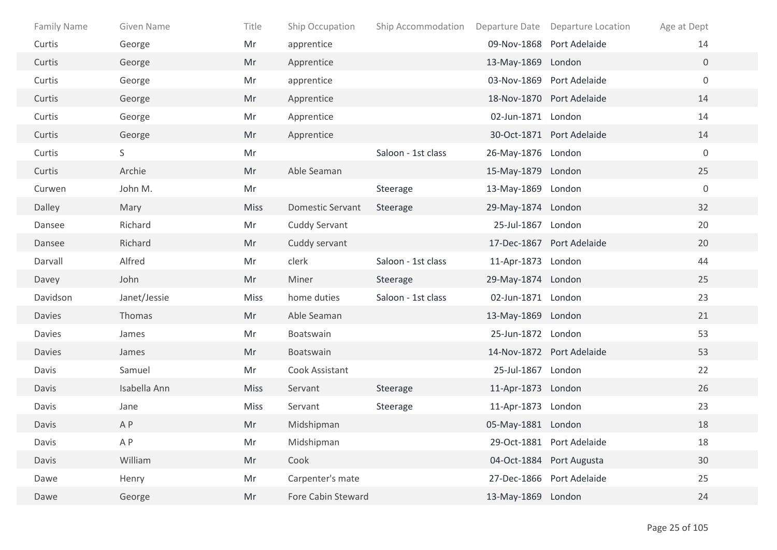| Family Name   | Given Name   | Title       | Ship Occupation         | Ship Accommodation |                    | Departure Date Departure Location | Age at Dept      |
|---------------|--------------|-------------|-------------------------|--------------------|--------------------|-----------------------------------|------------------|
| Curtis        | George       | Mr          | apprentice              |                    |                    | 09-Nov-1868 Port Adelaide         | 14               |
| Curtis        | George       | Mr          | Apprentice              |                    | 13-May-1869 London |                                   | $\overline{0}$   |
| Curtis        | George       | Mr          | apprentice              |                    |                    | 03-Nov-1869 Port Adelaide         | $\boldsymbol{0}$ |
| Curtis        | George       | Mr          | Apprentice              |                    |                    | 18-Nov-1870 Port Adelaide         | 14               |
| Curtis        | George       | Mr          | Apprentice              |                    | 02-Jun-1871 London |                                   | 14               |
| Curtis        | George       | Mr          | Apprentice              |                    |                    | 30-Oct-1871 Port Adelaide         | 14               |
| Curtis        | S.           | Mr          |                         | Saloon - 1st class | 26-May-1876 London |                                   | $\mathbf 0$      |
| Curtis        | Archie       | Mr          | Able Seaman             |                    | 15-May-1879 London |                                   | 25               |
| Curwen        | John M.      | Mr          |                         | Steerage           | 13-May-1869 London |                                   | $\mathbf 0$      |
| Dalley        | Mary         | <b>Miss</b> | <b>Domestic Servant</b> | Steerage           | 29-May-1874 London |                                   | 32               |
| Dansee        | Richard      | Mr          | <b>Cuddy Servant</b>    |                    | 25-Jul-1867 London |                                   | 20               |
| Dansee        | Richard      | Mr          | Cuddy servant           |                    |                    | 17-Dec-1867 Port Adelaide         | 20               |
| Darvall       | Alfred       | Mr          | clerk                   | Saloon - 1st class | 11-Apr-1873 London |                                   | 44               |
| Davey         | John         | Mr          | Miner                   | Steerage           | 29-May-1874 London |                                   | 25               |
| Davidson      | Janet/Jessie | <b>Miss</b> | home duties             | Saloon - 1st class | 02-Jun-1871 London |                                   | 23               |
| <b>Davies</b> | Thomas       | Mr          | Able Seaman             |                    | 13-May-1869 London |                                   | 21               |
| <b>Davies</b> | James        | Mr          | Boatswain               |                    | 25-Jun-1872 London |                                   | 53               |
| <b>Davies</b> | James        | Mr          | Boatswain               |                    |                    | 14-Nov-1872 Port Adelaide         | 53               |
| Davis         | Samuel       | Mr          | Cook Assistant          |                    | 25-Jul-1867 London |                                   | 22               |
| Davis         | Isabella Ann | <b>Miss</b> | Servant                 | Steerage           | 11-Apr-1873 London |                                   | 26               |
| Davis         | Jane         | Miss        | Servant                 | Steerage           | 11-Apr-1873 London |                                   | 23               |
| Davis         | A P          | Mr          | Midshipman              |                    | 05-May-1881 London |                                   | 18               |
| Davis         | A P          | Mr          | Midshipman              |                    |                    | 29-Oct-1881 Port Adelaide         | 18               |
| Davis         | William      | Mr          | Cook                    |                    |                    | 04-Oct-1884 Port Augusta          | 30               |
| Dawe          | Henry        | Mr          | Carpenter's mate        |                    |                    | 27-Dec-1866 Port Adelaide         | 25               |
| Dawe          | George       | Mr          | Fore Cabin Steward      |                    | 13-May-1869 London |                                   | 24               |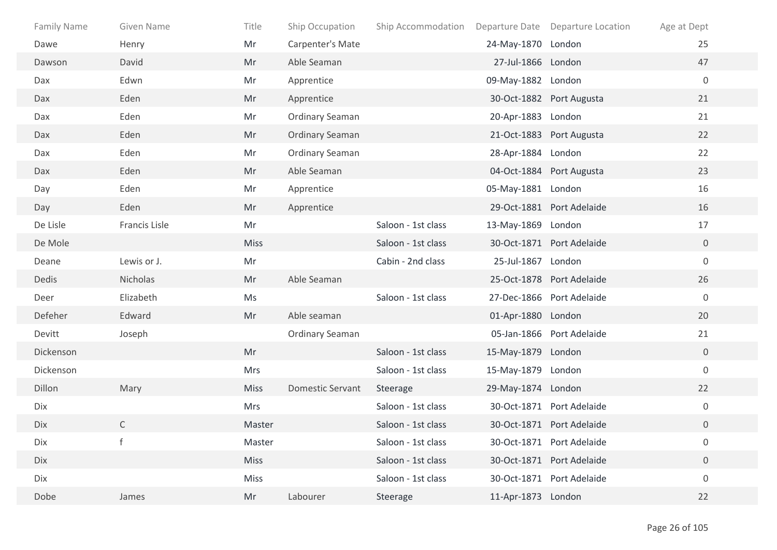| Family Name | Given Name    | Title       | Ship Occupation         | Ship Accommodation |                    | Departure Date Departure Location | Age at Dept      |
|-------------|---------------|-------------|-------------------------|--------------------|--------------------|-----------------------------------|------------------|
| Dawe        | Henry         | Mr          | Carpenter's Mate        |                    | 24-May-1870 London |                                   | 25               |
| Dawson      | David         | Mr          | Able Seaman             |                    | 27-Jul-1866 London |                                   | 47               |
| Dax         | Edwn          | Mr          | Apprentice              |                    | 09-May-1882 London |                                   | $\mathbf 0$      |
| Dax         | Eden          | Mr          | Apprentice              |                    |                    | 30-Oct-1882 Port Augusta          | 21               |
| Dax         | Eden          | Mr          | Ordinary Seaman         |                    | 20-Apr-1883 London |                                   | 21               |
| Dax         | Eden          | Mr          | <b>Ordinary Seaman</b>  |                    |                    | 21-Oct-1883 Port Augusta          | 22               |
| Dax         | Eden          | Mr          | <b>Ordinary Seaman</b>  |                    | 28-Apr-1884 London |                                   | 22               |
| Dax         | Eden          | Mr          | Able Seaman             |                    |                    | 04-Oct-1884 Port Augusta          | 23               |
| Day         | Eden          | Mr          | Apprentice              |                    | 05-May-1881 London |                                   | 16               |
| Day         | Eden          | Mr          | Apprentice              |                    |                    | 29-Oct-1881 Port Adelaide         | 16               |
| De Lisle    | Francis Lisle | Mr          |                         | Saloon - 1st class | 13-May-1869 London |                                   | 17               |
| De Mole     |               | <b>Miss</b> |                         | Saloon - 1st class |                    | 30-Oct-1871 Port Adelaide         | $\overline{0}$   |
| Deane       | Lewis or J.   | Mr          |                         | Cabin - 2nd class  | 25-Jul-1867 London |                                   | $\mathbf 0$      |
| Dedis       | Nicholas      | Mr          | Able Seaman             |                    |                    | 25-Oct-1878 Port Adelaide         | 26               |
| Deer        | Elizabeth     | Ms          |                         | Saloon - 1st class |                    | 27-Dec-1866 Port Adelaide         | $\mathbf 0$      |
| Defeher     | Edward        | Mr          | Able seaman             |                    | 01-Apr-1880 London |                                   | 20               |
| Devitt      | Joseph        |             | <b>Ordinary Seaman</b>  |                    |                    | 05-Jan-1866 Port Adelaide         | 21               |
| Dickenson   |               | Mr          |                         | Saloon - 1st class | 15-May-1879 London |                                   | $\overline{0}$   |
| Dickenson   |               | <b>Mrs</b>  |                         | Saloon - 1st class | 15-May-1879 London |                                   | $\mathbf 0$      |
| Dillon      | Mary          | <b>Miss</b> | <b>Domestic Servant</b> | Steerage           | 29-May-1874 London |                                   | 22               |
| Dix         |               | Mrs         |                         | Saloon - 1st class |                    | 30-Oct-1871 Port Adelaide         | $\boldsymbol{0}$ |
| Dix         | $\mathsf C$   | Master      |                         | Saloon - 1st class |                    | 30-Oct-1871 Port Adelaide         | $\overline{0}$   |
| Dix         |               | Master      |                         | Saloon - 1st class |                    | 30-Oct-1871 Port Adelaide         | $\boldsymbol{0}$ |
| Dix         |               | <b>Miss</b> |                         | Saloon - 1st class |                    | 30-Oct-1871 Port Adelaide         | $\overline{0}$   |
| Dix         |               | Miss        |                         | Saloon - 1st class |                    | 30-Oct-1871 Port Adelaide         | $\mathbf 0$      |
| Dobe        | James         | Mr          | Labourer                | Steerage           | 11-Apr-1873 London |                                   | 22               |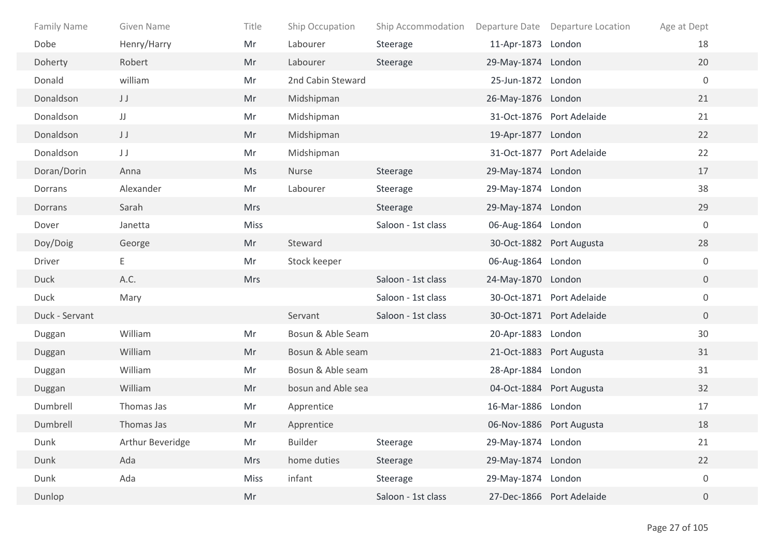| <b>Family Name</b> | Given Name       | Title       | Ship Occupation    | Ship Accommodation |                    | Departure Date Departure Location | Age at Dept      |
|--------------------|------------------|-------------|--------------------|--------------------|--------------------|-----------------------------------|------------------|
| Dobe               | Henry/Harry      | Mr          | Labourer           | Steerage           | 11-Apr-1873 London |                                   | 18               |
| Doherty            | Robert           | Mr          | Labourer           | Steerage           | 29-May-1874 London |                                   | 20               |
| Donald             | william          | Mr          | 2nd Cabin Steward  |                    | 25-Jun-1872 London |                                   | $\boldsymbol{0}$ |
| Donaldson          | JJ               | Mr          | Midshipman         |                    | 26-May-1876 London |                                   | 21               |
| Donaldson          | $\mathsf{JJ}$    | Mr          | Midshipman         |                    |                    | 31-Oct-1876 Port Adelaide         | 21               |
| Donaldson          | JJ               | Mr          | Midshipman         |                    | 19-Apr-1877 London |                                   | 22               |
| Donaldson          | JJ               | Mr          | Midshipman         |                    |                    | 31-Oct-1877 Port Adelaide         | 22               |
| Doran/Dorin        | Anna             | Ms          | Nurse              | Steerage           | 29-May-1874 London |                                   | 17               |
| Dorrans            | Alexander        | Mr          | Labourer           | Steerage           | 29-May-1874 London |                                   | 38               |
| Dorrans            | Sarah            | <b>Mrs</b>  |                    | Steerage           | 29-May-1874 London |                                   | 29               |
| Dover              | Janetta          | <b>Miss</b> |                    | Saloon - 1st class | 06-Aug-1864 London |                                   | $\mathbf 0$      |
| Doy/Doig           | George           | Mr          | Steward            |                    |                    | 30-Oct-1882 Port Augusta          | 28               |
| Driver             | Е                | Mr          | Stock keeper       |                    | 06-Aug-1864 London |                                   | $\boldsymbol{0}$ |
| <b>Duck</b>        | A.C.             | Mrs         |                    | Saloon - 1st class | 24-May-1870 London |                                   | $\overline{0}$   |
| <b>Duck</b>        | Mary             |             |                    | Saloon - 1st class |                    | 30-Oct-1871 Port Adelaide         | $\boldsymbol{0}$ |
| Duck - Servant     |                  |             | Servant            | Saloon - 1st class |                    | 30-Oct-1871 Port Adelaide         | $\overline{0}$   |
| Duggan             | William          | Mr          | Bosun & Able Seam  |                    | 20-Apr-1883 London |                                   | 30               |
| Duggan             | William          | Mr          | Bosun & Able seam  |                    |                    | 21-Oct-1883 Port Augusta          | 31               |
| Duggan             | William          | Mr          | Bosun & Able seam  |                    | 28-Apr-1884 London |                                   | 31               |
| Duggan             | William          | Mr          | bosun and Able sea |                    |                    | 04-Oct-1884 Port Augusta          | 32               |
| Dumbrell           | Thomas Jas       | Mr          | Apprentice         |                    | 16-Mar-1886 London |                                   | 17               |
| Dumbrell           | Thomas Jas       | Mr          | Apprentice         |                    |                    | 06-Nov-1886 Port Augusta          | 18               |
| Dunk               | Arthur Beveridge | Mr          | <b>Builder</b>     | Steerage           | 29-May-1874 London |                                   | 21               |
| Dunk               | Ada              | <b>Mrs</b>  | home duties        | Steerage           | 29-May-1874 London |                                   | 22               |
| Dunk               | Ada              | <b>Miss</b> | infant             | Steerage           | 29-May-1874 London |                                   | $\boldsymbol{0}$ |
| Dunlop             |                  | Mr          |                    | Saloon - 1st class |                    | 27-Dec-1866 Port Adelaide         | $\overline{0}$   |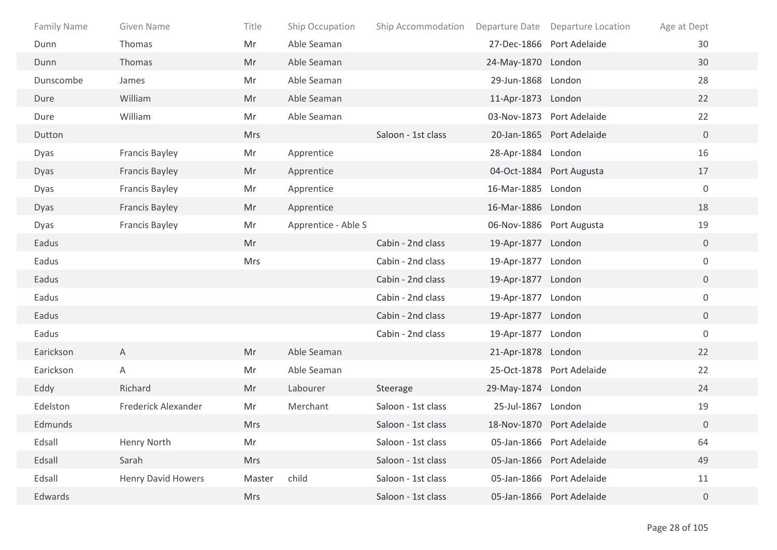| <b>Family Name</b> | Given Name                | Title      | Ship Occupation     | Ship Accommodation |                    | Departure Date Departure Location | Age at Dept    |
|--------------------|---------------------------|------------|---------------------|--------------------|--------------------|-----------------------------------|----------------|
| Dunn               | Thomas                    | Mr         | Able Seaman         |                    |                    | 27-Dec-1866 Port Adelaide         | 30             |
| Dunn               | Thomas                    | Mr         | Able Seaman         |                    | 24-May-1870 London |                                   | 30             |
| Dunscombe          | James                     | Mr         | Able Seaman         |                    | 29-Jun-1868 London |                                   | 28             |
| Dure               | William                   | Mr         | Able Seaman         |                    | 11-Apr-1873 London |                                   | 22             |
| Dure               | William                   | Mr         | Able Seaman         |                    |                    | 03-Nov-1873 Port Adelaide         | 22             |
| Dutton             |                           | Mrs        |                     | Saloon - 1st class |                    | 20-Jan-1865 Port Adelaide         | $\overline{0}$ |
| Dyas               | Francis Bayley            | Mr         | Apprentice          |                    | 28-Apr-1884 London |                                   | 16             |
| Dyas               | <b>Francis Bayley</b>     | Mr         | Apprentice          |                    |                    | 04-Oct-1884 Port Augusta          | 17             |
| Dyas               | Francis Bayley            | Mr         | Apprentice          |                    | 16-Mar-1885 London |                                   | $\overline{0}$ |
| Dyas               | <b>Francis Bayley</b>     | Mr         | Apprentice          |                    | 16-Mar-1886 London |                                   | 18             |
| Dyas               | <b>Francis Bayley</b>     | Mr         | Apprentice - Able S |                    |                    | 06-Nov-1886 Port Augusta          | 19             |
| Eadus              |                           | Mr         |                     | Cabin - 2nd class  | 19-Apr-1877 London |                                   | $\overline{0}$ |
| Eadus              |                           | <b>Mrs</b> |                     | Cabin - 2nd class  | 19-Apr-1877 London |                                   | $\overline{0}$ |
| Eadus              |                           |            |                     | Cabin - 2nd class  | 19-Apr-1877 London |                                   | $\overline{0}$ |
| Eadus              |                           |            |                     | Cabin - 2nd class  | 19-Apr-1877 London |                                   | $\overline{0}$ |
| Eadus              |                           |            |                     | Cabin - 2nd class  | 19-Apr-1877 London |                                   | $\overline{0}$ |
| Eadus              |                           |            |                     | Cabin - 2nd class  | 19-Apr-1877 London |                                   | $\overline{0}$ |
| Earickson          | A                         | Mr         | Able Seaman         |                    | 21-Apr-1878 London |                                   | 22             |
| Earickson          | A                         | Mr         | Able Seaman         |                    |                    | 25-Oct-1878 Port Adelaide         | 22             |
| Eddy               | Richard                   | Mr         | Labourer            | Steerage           | 29-May-1874 London |                                   | 24             |
| Edelston           | Frederick Alexander       | Mr         | Merchant            | Saloon - 1st class | 25-Jul-1867 London |                                   | 19             |
| Edmunds            |                           | <b>Mrs</b> |                     | Saloon - 1st class |                    | 18-Nov-1870 Port Adelaide         | $\overline{0}$ |
| Edsall             | Henry North               | Mr         |                     | Saloon - 1st class |                    | 05-Jan-1866 Port Adelaide         | 64             |
| Edsall             | Sarah                     | <b>Mrs</b> |                     | Saloon - 1st class |                    | 05-Jan-1866 Port Adelaide         | 49             |
| Edsall             | <b>Henry David Howers</b> | Master     | child               | Saloon - 1st class |                    | 05-Jan-1866 Port Adelaide         | 11             |
| Edwards            |                           | Mrs        |                     | Saloon - 1st class |                    | 05-Jan-1866 Port Adelaide         | $\overline{0}$ |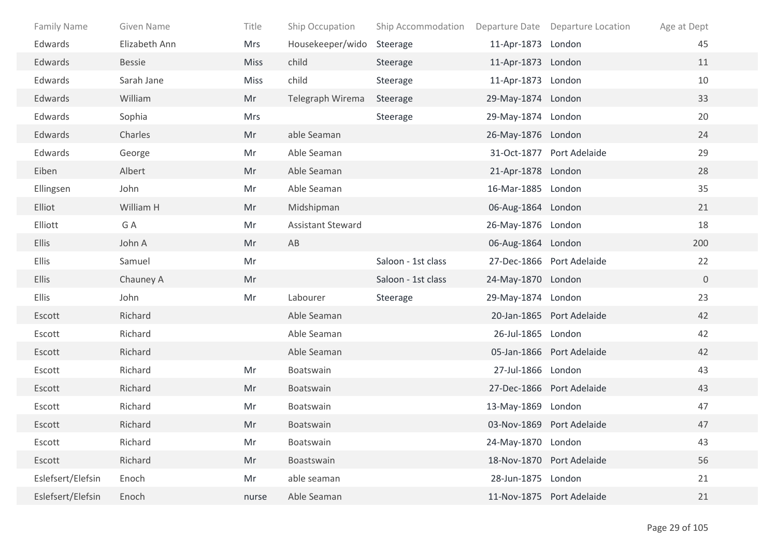| <b>Family Name</b> | Given Name    | Title       | Ship Occupation          | Ship Accommodation |                    | Departure Date Departure Location | Age at Dept    |
|--------------------|---------------|-------------|--------------------------|--------------------|--------------------|-----------------------------------|----------------|
| Edwards            | Elizabeth Ann | Mrs         | Housekeeper/wido         | Steerage           | 11-Apr-1873 London |                                   | 45             |
| Edwards            | Bessie        | <b>Miss</b> | child                    | Steerage           | 11-Apr-1873 London |                                   | 11             |
| Edwards            | Sarah Jane    | <b>Miss</b> | child                    | Steerage           | 11-Apr-1873 London |                                   | $10\,$         |
| Edwards            | William       | Mr          | Telegraph Wirema         | Steerage           | 29-May-1874 London |                                   | 33             |
| Edwards            | Sophia        | Mrs         |                          | Steerage           | 29-May-1874 London |                                   | 20             |
| Edwards            | Charles       | Mr          | able Seaman              |                    | 26-May-1876 London |                                   | 24             |
| Edwards            | George        | Mr          | Able Seaman              |                    |                    | 31-Oct-1877 Port Adelaide         | 29             |
| Eiben              | Albert        | Mr          | Able Seaman              |                    | 21-Apr-1878 London |                                   | 28             |
| Ellingsen          | John          | Mr          | Able Seaman              |                    | 16-Mar-1885 London |                                   | 35             |
| Elliot             | William H     | Mr          | Midshipman               |                    | 06-Aug-1864 London |                                   | 21             |
| Elliott            | G A           | Mr          | <b>Assistant Steward</b> |                    | 26-May-1876 London |                                   | 18             |
| <b>Ellis</b>       | John A        | Mr          | AB                       |                    | 06-Aug-1864 London |                                   | 200            |
| Ellis              | Samuel        | Mr          |                          | Saloon - 1st class |                    | 27-Dec-1866 Port Adelaide         | 22             |
| <b>Ellis</b>       | Chauney A     | Mr          |                          | Saloon - 1st class | 24-May-1870 London |                                   | $\overline{0}$ |
| <b>Ellis</b>       | John          | Mr          | Labourer                 | Steerage           | 29-May-1874 London |                                   | 23             |
| Escott             | Richard       |             | Able Seaman              |                    |                    | 20-Jan-1865 Port Adelaide         | 42             |
| Escott             | Richard       |             | Able Seaman              |                    | 26-Jul-1865 London |                                   | 42             |
| Escott             | Richard       |             | Able Seaman              |                    |                    | 05-Jan-1866 Port Adelaide         | 42             |
| Escott             | Richard       | Mr          | Boatswain                |                    | 27-Jul-1866 London |                                   | 43             |
| Escott             | Richard       | Mr          | Boatswain                |                    |                    | 27-Dec-1866 Port Adelaide         | 43             |
| Escott             | Richard       | Mr          | Boatswain                |                    | 13-May-1869 London |                                   | 47             |
| Escott             | Richard       | Mr          | Boatswain                |                    |                    | 03-Nov-1869 Port Adelaide         | 47             |
| Escott             | Richard       | Mr          | Boatswain                |                    | 24-May-1870 London |                                   | 43             |
| Escott             | Richard       | Mr          | Boastswain               |                    |                    | 18-Nov-1870 Port Adelaide         | 56             |
| Eslefsert/Elefsin  | Enoch         | Mr          | able seaman              |                    | 28-Jun-1875 London |                                   | 21             |
| Eslefsert/Elefsin  | Enoch         | nurse       | Able Seaman              |                    |                    | 11-Nov-1875 Port Adelaide         | 21             |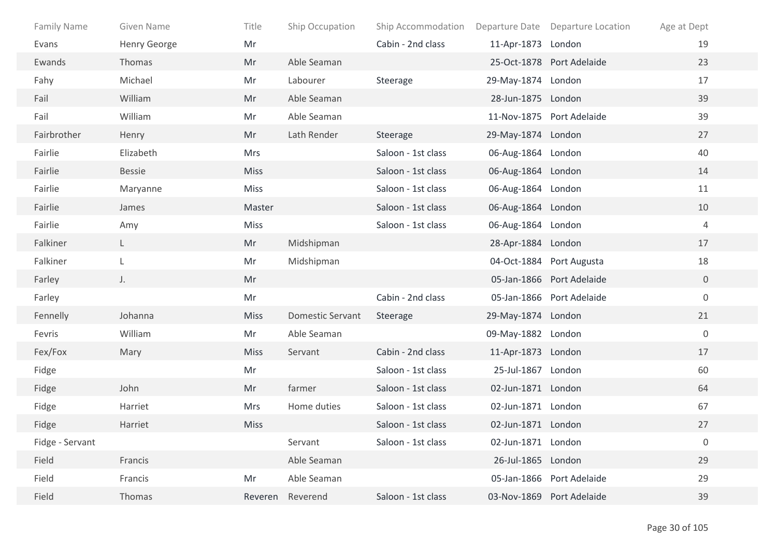| Family Name     | Given Name          | Title       | Ship Occupation         | Ship Accommodation |                    | Departure Date Departure Location | Age at Dept    |
|-----------------|---------------------|-------------|-------------------------|--------------------|--------------------|-----------------------------------|----------------|
| Evans           | <b>Henry George</b> | Mr          |                         | Cabin - 2nd class  | 11-Apr-1873 London |                                   | 19             |
| Ewands          | Thomas              | Mr          | Able Seaman             |                    |                    | 25-Oct-1878 Port Adelaide         | 23             |
| Fahy            | Michael             | Mr          | Labourer                | Steerage           | 29-May-1874 London |                                   | 17             |
| Fail            | William             | Mr          | Able Seaman             |                    | 28-Jun-1875 London |                                   | 39             |
| Fail            | William             | Mr          | Able Seaman             |                    |                    | 11-Nov-1875 Port Adelaide         | 39             |
| Fairbrother     | Henry               | Mr          | Lath Render             | Steerage           | 29-May-1874 London |                                   | 27             |
| Fairlie         | Elizabeth           | <b>Mrs</b>  |                         | Saloon - 1st class | 06-Aug-1864 London |                                   | 40             |
| Fairlie         | <b>Bessie</b>       | <b>Miss</b> |                         | Saloon - 1st class | 06-Aug-1864 London |                                   | 14             |
| Fairlie         | Maryanne            | Miss        |                         | Saloon - 1st class | 06-Aug-1864 London |                                   | 11             |
| Fairlie         | James               | Master      |                         | Saloon - 1st class | 06-Aug-1864 London |                                   | 10             |
| Fairlie         | Amy                 | <b>Miss</b> |                         | Saloon - 1st class | 06-Aug-1864 London |                                   | $\overline{4}$ |
| Falkiner        | $\mathsf{L}$        | Mr          | Midshipman              |                    | 28-Apr-1884 London |                                   | 17             |
| Falkiner        | L                   | Mr          | Midshipman              |                    |                    | 04-Oct-1884 Port Augusta          | 18             |
| Farley          | J.                  | Mr          |                         |                    |                    | 05-Jan-1866 Port Adelaide         | $\overline{0}$ |
| Farley          |                     | Mr          |                         | Cabin - 2nd class  |                    | 05-Jan-1866 Port Adelaide         | $\overline{0}$ |
| Fennelly        | Johanna             | <b>Miss</b> | <b>Domestic Servant</b> | Steerage           | 29-May-1874 London |                                   | 21             |
| Fevris          | William             | Mr          | Able Seaman             |                    | 09-May-1882 London |                                   | $\mathbf 0$    |
| Fex/Fox         | Mary                | <b>Miss</b> | Servant                 | Cabin - 2nd class  | 11-Apr-1873 London |                                   | 17             |
| Fidge           |                     | Mr          |                         | Saloon - 1st class | 25-Jul-1867 London |                                   | 60             |
| Fidge           | John                | Mr          | farmer                  | Saloon - 1st class | 02-Jun-1871 London |                                   | 64             |
| Fidge           | Harriet             | Mrs         | Home duties             | Saloon - 1st class | 02-Jun-1871 London |                                   | 67             |
| Fidge           | Harriet             | <b>Miss</b> |                         | Saloon - 1st class | 02-Jun-1871 London |                                   | 27             |
| Fidge - Servant |                     |             | Servant                 | Saloon - 1st class | 02-Jun-1871 London |                                   | $\mathbf 0$    |
| Field           | Francis             |             | Able Seaman             |                    | 26-Jul-1865 London |                                   | 29             |
| Field           | Francis             | Mr          | Able Seaman             |                    |                    | 05-Jan-1866 Port Adelaide         | 29             |
| Field           | Thomas              | Reveren     | Reverend                | Saloon - 1st class |                    | 03-Nov-1869 Port Adelaide         | 39             |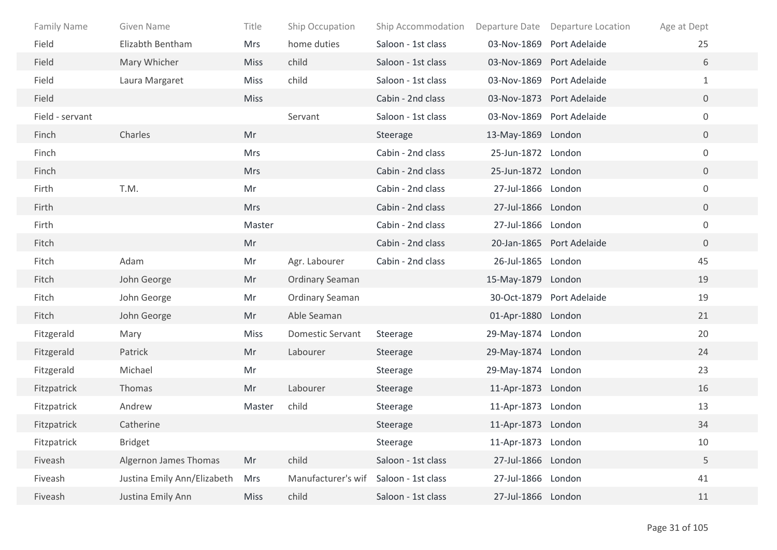| <b>Family Name</b> | Given Name                  | Title       | Ship Occupation         | Ship Accommodation | Departure Date     | Departure Location        | Age at Dept      |
|--------------------|-----------------------------|-------------|-------------------------|--------------------|--------------------|---------------------------|------------------|
| Field              | Elizabth Bentham            | Mrs         | home duties             | Saloon - 1st class |                    | 03-Nov-1869 Port Adelaide | 25               |
| Field              | Mary Whicher                | <b>Miss</b> | child                   | Saloon - 1st class |                    | 03-Nov-1869 Port Adelaide | 6                |
| Field              | Laura Margaret              | <b>Miss</b> | child                   | Saloon - 1st class |                    | 03-Nov-1869 Port Adelaide | $\mathbf{1}$     |
| Field              |                             | <b>Miss</b> |                         | Cabin - 2nd class  |                    | 03-Nov-1873 Port Adelaide | $\mathbf 0$      |
| Field - servant    |                             |             | Servant                 | Saloon - 1st class |                    | 03-Nov-1869 Port Adelaide | $\boldsymbol{0}$ |
| Finch              | Charles                     | Mr          |                         | Steerage           | 13-May-1869 London |                           | $\overline{0}$   |
| Finch              |                             | <b>Mrs</b>  |                         | Cabin - 2nd class  | 25-Jun-1872 London |                           | $\boldsymbol{0}$ |
| Finch              |                             | <b>Mrs</b>  |                         | Cabin - 2nd class  | 25-Jun-1872 London |                           | $\overline{0}$   |
| Firth              | T.M.                        | Mr          |                         | Cabin - 2nd class  | 27-Jul-1866 London |                           | $\boldsymbol{0}$ |
| Firth              |                             | <b>Mrs</b>  |                         | Cabin - 2nd class  | 27-Jul-1866 London |                           | $\overline{0}$   |
| Firth              |                             | Master      |                         | Cabin - 2nd class  | 27-Jul-1866 London |                           | $\mathbf 0$      |
| Fitch              |                             | Mr          |                         | Cabin - 2nd class  |                    | 20-Jan-1865 Port Adelaide | $\overline{0}$   |
| Fitch              | Adam                        | Mr          | Agr. Labourer           | Cabin - 2nd class  | 26-Jul-1865 London |                           | 45               |
| Fitch              | John George                 | Mr          | <b>Ordinary Seaman</b>  |                    | 15-May-1879 London |                           | 19               |
| Fitch              | John George                 | Mr          | <b>Ordinary Seaman</b>  |                    |                    | 30-Oct-1879 Port Adelaide | 19               |
| Fitch              | John George                 | Mr          | Able Seaman             |                    | 01-Apr-1880 London |                           | 21               |
| Fitzgerald         | Mary                        | <b>Miss</b> | <b>Domestic Servant</b> | Steerage           | 29-May-1874 London |                           | 20               |
| Fitzgerald         | Patrick                     | Mr          | Labourer                | Steerage           | 29-May-1874 London |                           | 24               |
| Fitzgerald         | Michael                     | Mr          |                         | Steerage           | 29-May-1874 London |                           | 23               |
| Fitzpatrick        | Thomas                      | Mr          | Labourer                | Steerage           | 11-Apr-1873 London |                           | 16               |
| Fitzpatrick        | Andrew                      | Master      | child                   | Steerage           | 11-Apr-1873 London |                           | 13               |
| Fitzpatrick        | Catherine                   |             |                         | Steerage           | 11-Apr-1873 London |                           | 34               |
| Fitzpatrick        | <b>Bridget</b>              |             |                         | Steerage           | 11-Apr-1873 London |                           | 10               |
| Fiveash            | Algernon James Thomas       | Mr          | child                   | Saloon - 1st class | 27-Jul-1866 London |                           | 5                |
| Fiveash            | Justina Emily Ann/Elizabeth | <b>Mrs</b>  | Manufacturer's wif      | Saloon - 1st class | 27-Jul-1866 London |                           | 41               |
| Fiveash            | Justina Emily Ann           | <b>Miss</b> | child                   | Saloon - 1st class | 27-Jul-1866 London |                           | 11               |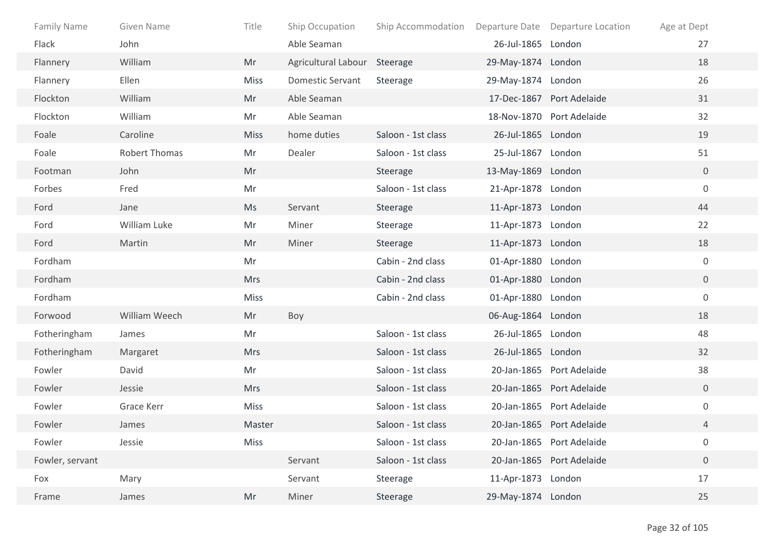| <b>Family Name</b> | Given Name           | Title       | Ship Occupation              | Ship Accommodation |                    | Departure Date Departure Location | Age at Dept      |
|--------------------|----------------------|-------------|------------------------------|--------------------|--------------------|-----------------------------------|------------------|
| Flack              | John                 |             | Able Seaman                  |                    | 26-Jul-1865 London |                                   | 27               |
| Flannery           | William              | Mr          | Agricultural Labour Steerage |                    | 29-May-1874 London |                                   | 18               |
| Flannery           | Ellen                | <b>Miss</b> | <b>Domestic Servant</b>      | Steerage           | 29-May-1874 London |                                   | 26               |
| Flockton           | William              | Mr          | Able Seaman                  |                    |                    | 17-Dec-1867 Port Adelaide         | 31               |
| Flockton           | William              | Mr          | Able Seaman                  |                    |                    | 18-Nov-1870 Port Adelaide         | 32               |
| Foale              | Caroline             | <b>Miss</b> | home duties                  | Saloon - 1st class | 26-Jul-1865 London |                                   | 19               |
| Foale              | <b>Robert Thomas</b> | Mr          | Dealer                       | Saloon - 1st class | 25-Jul-1867 London |                                   | 51               |
| Footman            | John                 | Mr          |                              | Steerage           | 13-May-1869 London |                                   | $\overline{0}$   |
| Forbes             | Fred                 | Mr          |                              | Saloon - 1st class | 21-Apr-1878 London |                                   | $\mathbf 0$      |
| Ford               | Jane                 | Ms          | Servant                      | Steerage           | 11-Apr-1873 London |                                   | 44               |
| Ford               | William Luke         | Mr          | Miner                        | Steerage           | 11-Apr-1873 London |                                   | 22               |
| Ford               | Martin               | Mr          | Miner                        | Steerage           | 11-Apr-1873 London |                                   | 18               |
| Fordham            |                      | Mr          |                              | Cabin - 2nd class  | 01-Apr-1880 London |                                   | $\mathbf 0$      |
| Fordham            |                      | <b>Mrs</b>  |                              | Cabin - 2nd class  | 01-Apr-1880 London |                                   | $\overline{0}$   |
| Fordham            |                      | <b>Miss</b> |                              | Cabin - 2nd class  | 01-Apr-1880 London |                                   | $\boldsymbol{0}$ |
| Forwood            | William Weech        | Mr          | Boy                          |                    | 06-Aug-1864 London |                                   | 18               |
| Fotheringham       | James                | Mr          |                              | Saloon - 1st class | 26-Jul-1865 London |                                   | 48               |
| Fotheringham       | Margaret             | <b>Mrs</b>  |                              | Saloon - 1st class | 26-Jul-1865 London |                                   | 32               |
| Fowler             | David                | Mr          |                              | Saloon - 1st class |                    | 20-Jan-1865 Port Adelaide         | 38               |
| Fowler             | Jessie               | <b>Mrs</b>  |                              | Saloon - 1st class |                    | 20-Jan-1865 Port Adelaide         | $\mathbf 0$      |
| Fowler             | Grace Kerr           | <b>Miss</b> |                              | Saloon - 1st class |                    | 20-Jan-1865 Port Adelaide         | $\boldsymbol{0}$ |
| Fowler             | James                | Master      |                              | Saloon - 1st class |                    | 20-Jan-1865 Port Adelaide         | 4                |
| Fowler             | Jessie               | Miss        |                              | Saloon - 1st class |                    | 20-Jan-1865 Port Adelaide         | $\boldsymbol{0}$ |
| Fowler, servant    |                      |             | Servant                      | Saloon - 1st class |                    | 20-Jan-1865 Port Adelaide         | $\boldsymbol{0}$ |
| Fox                | Mary                 |             | Servant                      | Steerage           | 11-Apr-1873 London |                                   | 17               |
| Frame              | James                | Mr          | Miner                        | Steerage           | 29-May-1874 London |                                   | 25               |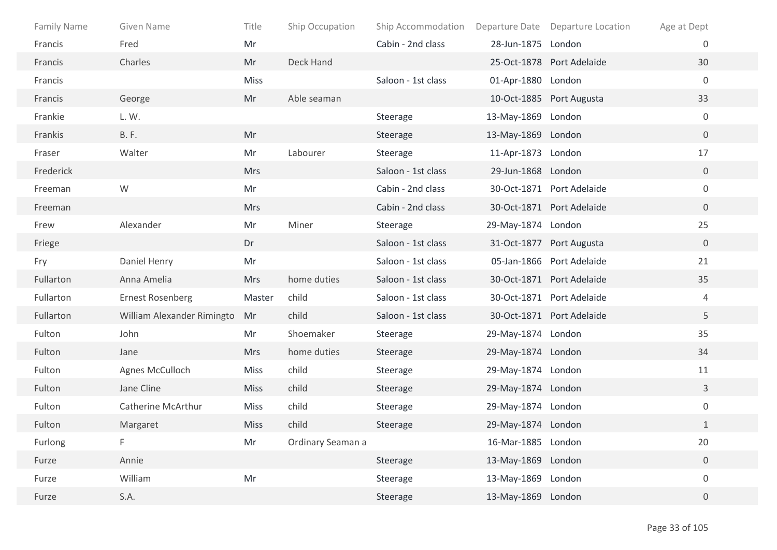| <b>Family Name</b> | Given Name                 | Title       | Ship Occupation   | Ship Accommodation |                    | Departure Date Departure Location | Age at Dept      |  |
|--------------------|----------------------------|-------------|-------------------|--------------------|--------------------|-----------------------------------|------------------|--|
| Francis            | Fred                       | Mr          |                   | Cabin - 2nd class  | 28-Jun-1875 London |                                   | $\overline{0}$   |  |
| Francis            | Charles                    | Mr          | Deck Hand         |                    |                    | 25-Oct-1878 Port Adelaide         | 30               |  |
| Francis            |                            | <b>Miss</b> |                   | Saloon - 1st class | 01-Apr-1880 London |                                   | $\mathbf 0$      |  |
| Francis            | George                     | Mr          | Able seaman       |                    |                    | 10-Oct-1885 Port Augusta          | 33               |  |
| Frankie            | L.W.                       |             |                   | Steerage           | 13-May-1869 London |                                   | $\mathbf 0$      |  |
| Frankis            | <b>B.F.</b>                | Mr          |                   | Steerage           | 13-May-1869 London |                                   | $\overline{0}$   |  |
| Fraser             | Walter                     | Mr          | Labourer          | Steerage           | 11-Apr-1873 London |                                   | 17               |  |
| Frederick          |                            | <b>Mrs</b>  |                   | Saloon - 1st class | 29-Jun-1868 London |                                   | $\overline{0}$   |  |
| Freeman            | W                          | Mr          |                   | Cabin - 2nd class  |                    | 30-Oct-1871 Port Adelaide         | $\mathbf 0$      |  |
| Freeman            |                            | <b>Mrs</b>  |                   | Cabin - 2nd class  |                    | 30-Oct-1871 Port Adelaide         | $\overline{0}$   |  |
| Frew               | Alexander                  | Mr          | Miner             | Steerage           | 29-May-1874 London |                                   | 25               |  |
| Friege             |                            | Dr          |                   | Saloon - 1st class |                    | 31-Oct-1877 Port Augusta          | $\overline{0}$   |  |
| Fry                | Daniel Henry               | Mr          |                   | Saloon - 1st class |                    | 05-Jan-1866 Port Adelaide         | 21               |  |
| Fullarton          | Anna Amelia                | <b>Mrs</b>  | home duties       | Saloon - 1st class |                    | 30-Oct-1871 Port Adelaide         | 35               |  |
| Fullarton          | <b>Ernest Rosenberg</b>    | Master      | child             | Saloon - 1st class |                    | 30-Oct-1871 Port Adelaide         | 4                |  |
| Fullarton          | William Alexander Rimingto | Mr          | child             | Saloon - 1st class |                    | 30-Oct-1871 Port Adelaide         | 5                |  |
| Fulton             | John                       | Mr          | Shoemaker         | Steerage           | 29-May-1874 London |                                   | 35               |  |
| Fulton             | Jane                       | <b>Mrs</b>  | home duties       | Steerage           | 29-May-1874 London |                                   | 34               |  |
| Fulton             | Agnes McCulloch            | <b>Miss</b> | child             | Steerage           | 29-May-1874 London |                                   | 11               |  |
| Fulton             | Jane Cline                 | <b>Miss</b> | child             | Steerage           | 29-May-1874 London |                                   | $\mathbf{3}$     |  |
| Fulton             | <b>Catherine McArthur</b>  | <b>Miss</b> | child             | Steerage           | 29-May-1874 London |                                   | $\boldsymbol{0}$ |  |
| Fulton             | Margaret                   | <b>Miss</b> | child             | Steerage           | 29-May-1874 London |                                   | $\mathbf{1}$     |  |
| Furlong            | F.                         | Mr          | Ordinary Seaman a |                    | 16-Mar-1885 London |                                   | 20               |  |
| Furze              | Annie                      |             |                   | Steerage           | 13-May-1869 London |                                   | $\boldsymbol{0}$ |  |
| Furze              | William                    | Mr          |                   | Steerage           | 13-May-1869 London |                                   | $\boldsymbol{0}$ |  |
| Furze              | S.A.                       |             |                   | Steerage           | 13-May-1869 London |                                   | $\overline{0}$   |  |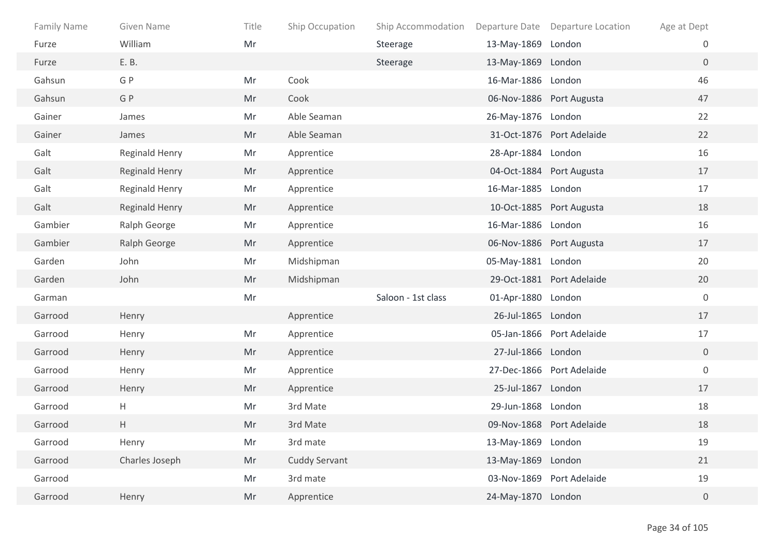| <b>Family Name</b> | Given Name            | Title | Ship Occupation | Ship Accommodation |                    | Departure Date Departure Location | Age at Dept      |
|--------------------|-----------------------|-------|-----------------|--------------------|--------------------|-----------------------------------|------------------|
| Furze              | William               | Mr    |                 | Steerage           | 13-May-1869 London |                                   | 0                |
| Furze              | E. B.                 |       |                 | Steerage           | 13-May-1869 London |                                   | $\overline{0}$   |
| Gahsun             | G P                   | Mr    | Cook            |                    | 16-Mar-1886 London |                                   | 46               |
| Gahsun             | G P                   | Mr    | Cook            |                    |                    | 06-Nov-1886 Port Augusta          | 47               |
| Gainer             | James                 | Mr    | Able Seaman     |                    | 26-May-1876 London |                                   | 22               |
| Gainer             | James                 | Mr    | Able Seaman     |                    |                    | 31-Oct-1876 Port Adelaide         | 22               |
| Galt               | Reginald Henry        | Mr    | Apprentice      |                    | 28-Apr-1884 London |                                   | 16               |
| Galt               | <b>Reginald Henry</b> | Mr    | Apprentice      |                    |                    | 04-Oct-1884 Port Augusta          | 17               |
| Galt               | <b>Reginald Henry</b> | Mr    | Apprentice      |                    | 16-Mar-1885 London |                                   | 17               |
| Galt               | Reginald Henry        | Mr    | Apprentice      |                    |                    | 10-Oct-1885 Port Augusta          | 18               |
| Gambier            | Ralph George          | Mr    | Apprentice      |                    | 16-Mar-1886 London |                                   | 16               |
| Gambier            | Ralph George          | Mr    | Apprentice      |                    |                    | 06-Nov-1886 Port Augusta          | 17               |
| Garden             | John                  | Mr    | Midshipman      |                    | 05-May-1881 London |                                   | 20               |
| Garden             | John                  | Mr    | Midshipman      |                    |                    | 29-Oct-1881 Port Adelaide         | 20               |
| Garman             |                       | Mr    |                 | Saloon - 1st class | 01-Apr-1880 London |                                   | $\boldsymbol{0}$ |
| Garrood            | Henry                 |       | Apprentice      |                    | 26-Jul-1865 London |                                   | 17               |
| Garrood            | Henry                 | Mr    | Apprentice      |                    |                    | 05-Jan-1866 Port Adelaide         | 17               |
| Garrood            | Henry                 | Mr    | Apprentice      |                    | 27-Jul-1866 London |                                   | $\overline{0}$   |
| Garrood            | Henry                 | Mr    | Apprentice      |                    |                    | 27-Dec-1866 Port Adelaide         | $\mathbf 0$      |
| Garrood            | Henry                 | Mr    | Apprentice      |                    | 25-Jul-1867 London |                                   | 17               |
| Garrood            | H                     | Mr    | 3rd Mate        |                    | 29-Jun-1868 London |                                   | 18               |
| Garrood            | Η                     | Mr    | 3rd Mate        |                    |                    | 09-Nov-1868 Port Adelaide         | 18               |
| Garrood            | Henry                 | Mr    | 3rd mate        |                    | 13-May-1869 London |                                   | 19               |
| Garrood            | Charles Joseph        | Mr    | Cuddy Servant   |                    | 13-May-1869 London |                                   | 21               |
| Garrood            |                       | Mr    | 3rd mate        |                    |                    | 03-Nov-1869 Port Adelaide         | 19               |
| Garrood            | Henry                 | Mr    | Apprentice      |                    | 24-May-1870 London |                                   | $\overline{0}$   |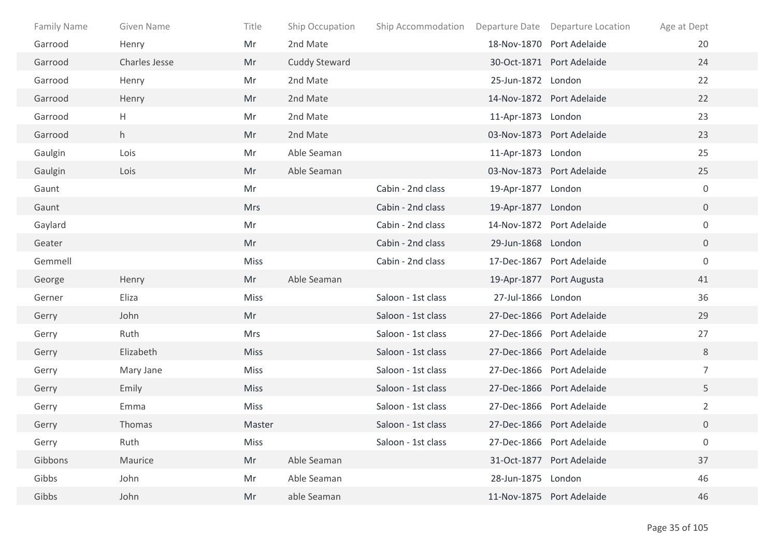| <b>Family Name</b> | Given Name    | Title       | Ship Occupation      | Ship Accommodation Departure Date Departure Location |                    |                           | Age at Dept      |
|--------------------|---------------|-------------|----------------------|------------------------------------------------------|--------------------|---------------------------|------------------|
| Garrood            | Henry         | Mr          | 2nd Mate             |                                                      |                    | 18-Nov-1870 Port Adelaide | 20               |
| Garrood            | Charles Jesse | Mr          | <b>Cuddy Steward</b> |                                                      |                    | 30-Oct-1871 Port Adelaide | 24               |
| Garrood            | Henry         | Mr          | 2nd Mate             |                                                      | 25-Jun-1872 London |                           | 22               |
| Garrood            | Henry         | Mr          | 2nd Mate             |                                                      |                    | 14-Nov-1872 Port Adelaide | 22               |
| Garrood            | H             | Mr          | 2nd Mate             |                                                      | 11-Apr-1873 London |                           | 23               |
| Garrood            | h             | Mr          | 2nd Mate             |                                                      |                    | 03-Nov-1873 Port Adelaide | 23               |
| Gaulgin            | Lois          | Mr          | Able Seaman          |                                                      | 11-Apr-1873 London |                           | 25               |
| Gaulgin            | Lois          | Mr          | Able Seaman          |                                                      |                    | 03-Nov-1873 Port Adelaide | 25               |
| Gaunt              |               | Mr          |                      | Cabin - 2nd class                                    | 19-Apr-1877 London |                           | $\mathbf 0$      |
| Gaunt              |               | <b>Mrs</b>  |                      | Cabin - 2nd class                                    | 19-Apr-1877 London |                           | $\overline{0}$   |
| Gaylard            |               | Mr          |                      | Cabin - 2nd class                                    |                    | 14-Nov-1872 Port Adelaide | $\overline{0}$   |
| Geater             |               | Mr          |                      | Cabin - 2nd class                                    | 29-Jun-1868 London |                           | $\overline{0}$   |
| Gemmell            |               | Miss        |                      | Cabin - 2nd class                                    |                    | 17-Dec-1867 Port Adelaide | $\overline{0}$   |
| George             | Henry         | Mr          | Able Seaman          |                                                      |                    | 19-Apr-1877 Port Augusta  | 41               |
| Gerner             | Eliza         | <b>Miss</b> |                      | Saloon - 1st class                                   | 27-Jul-1866 London |                           | 36               |
| Gerry              | John          | Mr          |                      | Saloon - 1st class                                   |                    | 27-Dec-1866 Port Adelaide | 29               |
| Gerry              | Ruth          | <b>Mrs</b>  |                      | Saloon - 1st class                                   |                    | 27-Dec-1866 Port Adelaide | 27               |
| Gerry              | Elizabeth     | <b>Miss</b> |                      | Saloon - 1st class                                   |                    | 27-Dec-1866 Port Adelaide | 8                |
| Gerry              | Mary Jane     | Miss        |                      | Saloon - 1st class                                   |                    | 27-Dec-1866 Port Adelaide | $\overline{7}$   |
| Gerry              | Emily         | <b>Miss</b> |                      | Saloon - 1st class                                   |                    | 27-Dec-1866 Port Adelaide | 5                |
| Gerry              | Emma          | <b>Miss</b> |                      | Saloon - 1st class                                   |                    | 27-Dec-1866 Port Adelaide | $\overline{2}$   |
| Gerry              | Thomas        | Master      |                      | Saloon - 1st class                                   |                    | 27-Dec-1866 Port Adelaide | 0                |
| Gerry              | Ruth          | <b>Miss</b> |                      | Saloon - 1st class                                   |                    | 27-Dec-1866 Port Adelaide | $\boldsymbol{0}$ |
| Gibbons            | Maurice       | Mr          | Able Seaman          |                                                      |                    | 31-Oct-1877 Port Adelaide | 37               |
| Gibbs              | John          | Mr          | Able Seaman          |                                                      | 28-Jun-1875 London |                           | 46               |
| Gibbs              | John          | Mr          | able Seaman          |                                                      |                    | 11-Nov-1875 Port Adelaide | 46               |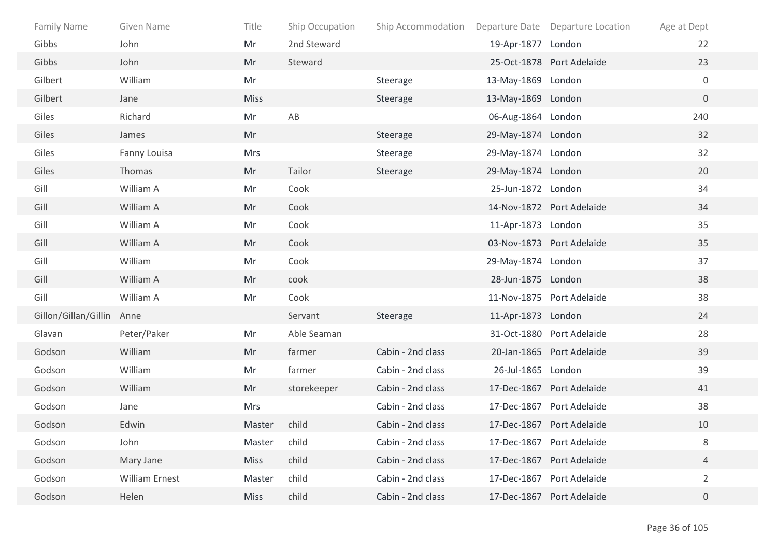| <b>Family Name</b>   | Given Name            | Title       | Ship Occupation | Ship Accommodation |                    | Departure Date Departure Location | Age at Dept    |
|----------------------|-----------------------|-------------|-----------------|--------------------|--------------------|-----------------------------------|----------------|
| Gibbs                | John                  | Mr          | 2nd Steward     |                    | 19-Apr-1877 London |                                   | 22             |
| Gibbs                | John                  | Mr          | Steward         |                    |                    | 25-Oct-1878 Port Adelaide         | 23             |
| Gilbert              | William               | Mr          |                 | Steerage           | 13-May-1869 London |                                   | $\mathbf 0$    |
| Gilbert              | Jane                  | <b>Miss</b> |                 | Steerage           | 13-May-1869 London |                                   | $\overline{0}$ |
| Giles                | Richard               | Mr          | AB              |                    | 06-Aug-1864 London |                                   | 240            |
| Giles                | James                 | Mr          |                 | Steerage           | 29-May-1874 London |                                   | 32             |
| Giles                | Fanny Louisa          | <b>Mrs</b>  |                 | Steerage           | 29-May-1874 London |                                   | 32             |
| Giles                | Thomas                | Mr          | Tailor          | Steerage           | 29-May-1874 London |                                   | 20             |
| Gill                 | William A             | Mr          | Cook            |                    | 25-Jun-1872 London |                                   | 34             |
| Gill                 | William A             | Mr          | Cook            |                    |                    | 14-Nov-1872 Port Adelaide         | 34             |
| Gill                 | William A             | Mr          | Cook            |                    | 11-Apr-1873 London |                                   | 35             |
| Gill                 | William A             | Mr          | Cook            |                    |                    | 03-Nov-1873 Port Adelaide         | 35             |
| Gill                 | William               | Mr          | Cook            |                    | 29-May-1874 London |                                   | 37             |
| Gill                 | William A             | Mr          | cook            |                    | 28-Jun-1875 London |                                   | 38             |
| Gill                 | William A             | Mr          | Cook            |                    |                    | 11-Nov-1875 Port Adelaide         | 38             |
| Gillon/Gillan/Gillin | Anne                  |             | Servant         | Steerage           | 11-Apr-1873 London |                                   | 24             |
| Glavan               | Peter/Paker           | Mr          | Able Seaman     |                    |                    | 31-Oct-1880 Port Adelaide         | 28             |
| Godson               | William               | Mr          | farmer          | Cabin - 2nd class  |                    | 20-Jan-1865 Port Adelaide         | 39             |
| Godson               | William               | Mr          | farmer          | Cabin - 2nd class  | 26-Jul-1865 London |                                   | 39             |
| Godson               | William               | Mr          | storekeeper     | Cabin - 2nd class  |                    | 17-Dec-1867 Port Adelaide         | 41             |
| Godson               | Jane                  | <b>Mrs</b>  |                 | Cabin - 2nd class  |                    | 17-Dec-1867 Port Adelaide         | 38             |
| Godson               | Edwin                 | Master      | child           | Cabin - 2nd class  |                    | 17-Dec-1867 Port Adelaide         | 10             |
| Godson               | John                  | Master      | child           | Cabin - 2nd class  |                    | 17-Dec-1867 Port Adelaide         | 8              |
| Godson               | Mary Jane             | <b>Miss</b> | child           | Cabin - 2nd class  |                    | 17-Dec-1867 Port Adelaide         | 4              |
| Godson               | <b>William Ernest</b> | Master      | child           | Cabin - 2nd class  |                    | 17-Dec-1867 Port Adelaide         | $\overline{2}$ |
| Godson               | Helen                 | <b>Miss</b> | child           | Cabin - 2nd class  |                    | 17-Dec-1867 Port Adelaide         | $\overline{0}$ |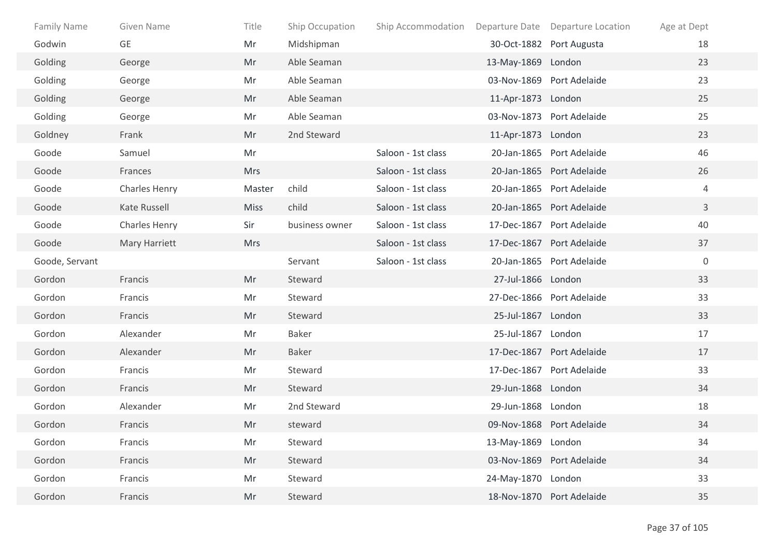| Family Name    | Given Name    | Title       | Ship Occupation | Ship Accommodation |                    | Departure Date Departure Location | Age at Dept  |
|----------------|---------------|-------------|-----------------|--------------------|--------------------|-----------------------------------|--------------|
| Godwin         | GE            | Mr          | Midshipman      |                    |                    | 30-Oct-1882 Port Augusta          | 18           |
| Golding        | George        | Mr          | Able Seaman     |                    | 13-May-1869 London |                                   | 23           |
| Golding        | George        | Mr          | Able Seaman     |                    |                    | 03-Nov-1869 Port Adelaide         | 23           |
| Golding        | George        | Mr          | Able Seaman     |                    | 11-Apr-1873 London |                                   | 25           |
| Golding        | George        | Mr          | Able Seaman     |                    |                    | 03-Nov-1873 Port Adelaide         | 25           |
| Goldney        | Frank         | Mr          | 2nd Steward     |                    | 11-Apr-1873 London |                                   | 23           |
| Goode          | Samuel        | Mr          |                 | Saloon - 1st class |                    | 20-Jan-1865 Port Adelaide         | 46           |
| Goode          | Frances       | <b>Mrs</b>  |                 | Saloon - 1st class |                    | 20-Jan-1865 Port Adelaide         | 26           |
| Goode          | Charles Henry | Master      | child           | Saloon - 1st class |                    | 20-Jan-1865 Port Adelaide         | 4            |
| Goode          | Kate Russell  | <b>Miss</b> | child           | Saloon - 1st class |                    | 20-Jan-1865 Port Adelaide         | $\mathbf{3}$ |
| Goode          | Charles Henry | Sir         | business owner  | Saloon - 1st class |                    | 17-Dec-1867 Port Adelaide         | 40           |
| Goode          | Mary Harriett | <b>Mrs</b>  |                 | Saloon - 1st class |                    | 17-Dec-1867 Port Adelaide         | 37           |
| Goode, Servant |               |             | Servant         | Saloon - 1st class |                    | 20-Jan-1865 Port Adelaide         | $\mathbf 0$  |
| Gordon         | Francis       | Mr          | Steward         |                    | 27-Jul-1866 London |                                   | 33           |
| Gordon         | Francis       | Mr          | Steward         |                    |                    | 27-Dec-1866 Port Adelaide         | 33           |
| Gordon         | Francis       | Mr          | Steward         |                    | 25-Jul-1867 London |                                   | 33           |
| Gordon         | Alexander     | Mr          | Baker           |                    | 25-Jul-1867 London |                                   | 17           |
| Gordon         | Alexander     | Mr          | Baker           |                    |                    | 17-Dec-1867 Port Adelaide         | 17           |
| Gordon         | Francis       | Mr          | Steward         |                    |                    | 17-Dec-1867 Port Adelaide         | 33           |
| Gordon         | Francis       | Mr          | Steward         |                    | 29-Jun-1868 London |                                   | 34           |
| Gordon         | Alexander     | Mr          | 2nd Steward     |                    | 29-Jun-1868 London |                                   | 18           |
| Gordon         | Francis       | Mr          | steward         |                    |                    | 09-Nov-1868 Port Adelaide         | 34           |
| Gordon         | Francis       | Mr          | Steward         |                    | 13-May-1869 London |                                   | 34           |
| Gordon         | Francis       | Mr          | Steward         |                    |                    | 03-Nov-1869 Port Adelaide         | 34           |
| Gordon         | Francis       | Mr          | Steward         |                    | 24-May-1870 London |                                   | 33           |
| Gordon         | Francis       | Mr          | Steward         |                    |                    | 18-Nov-1870 Port Adelaide         | 35           |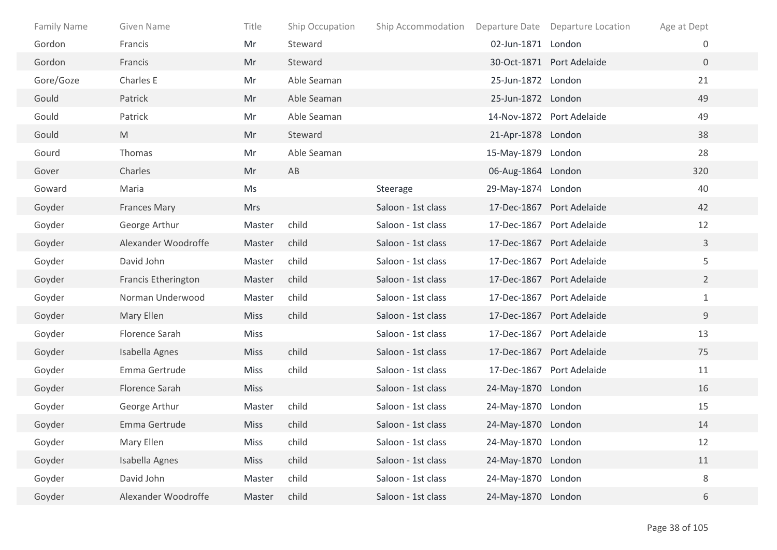| <b>Family Name</b> | Given Name          | Title       | Ship Occupation | Ship Accommodation |                    | Departure Date Departure Location | Age at Dept    |  |
|--------------------|---------------------|-------------|-----------------|--------------------|--------------------|-----------------------------------|----------------|--|
| Gordon             | Francis             | Mr          | Steward         |                    | 02-Jun-1871 London |                                   | 0              |  |
| Gordon             | Francis             | Mr          | Steward         |                    |                    | 30-Oct-1871 Port Adelaide         | $\overline{0}$ |  |
| Gore/Goze          | Charles E           | Mr          | Able Seaman     |                    | 25-Jun-1872 London |                                   | 21             |  |
| Gould              | Patrick             | Mr          | Able Seaman     |                    | 25-Jun-1872 London |                                   | 49             |  |
| Gould              | Patrick             | Mr          | Able Seaman     |                    |                    | 14-Nov-1872 Port Adelaide         | 49             |  |
| Gould              | M                   | Mr          | Steward         |                    | 21-Apr-1878 London |                                   | 38             |  |
| Gourd              | Thomas              | Mr          | Able Seaman     |                    | 15-May-1879 London |                                   | 28             |  |
| Gover              | Charles             | Mr          | AB              |                    | 06-Aug-1864 London |                                   | 320            |  |
| Goward             | Maria               | Ms          |                 | Steerage           | 29-May-1874 London |                                   | 40             |  |
| Goyder             | <b>Frances Mary</b> | <b>Mrs</b>  |                 | Saloon - 1st class |                    | 17-Dec-1867 Port Adelaide         | 42             |  |
| Goyder             | George Arthur       | Master      | child           | Saloon - 1st class |                    | 17-Dec-1867 Port Adelaide         | 12             |  |
| Goyder             | Alexander Woodroffe | Master      | child           | Saloon - 1st class |                    | 17-Dec-1867 Port Adelaide         | $\mathbf{3}$   |  |
| Goyder             | David John          | Master      | child           | Saloon - 1st class |                    | 17-Dec-1867 Port Adelaide         | 5              |  |
| Goyder             | Francis Etherington | Master      | child           | Saloon - 1st class |                    | 17-Dec-1867 Port Adelaide         | $\overline{2}$ |  |
| Goyder             | Norman Underwood    | Master      | child           | Saloon - 1st class |                    | 17-Dec-1867 Port Adelaide         | $\mathbf{1}$   |  |
| Goyder             | Mary Ellen          | <b>Miss</b> | child           | Saloon - 1st class |                    | 17-Dec-1867 Port Adelaide         | 9              |  |
| Goyder             | Florence Sarah      | <b>Miss</b> |                 | Saloon - 1st class |                    | 17-Dec-1867 Port Adelaide         | 13             |  |
| Goyder             | Isabella Agnes      | <b>Miss</b> | child           | Saloon - 1st class |                    | 17-Dec-1867 Port Adelaide         | 75             |  |
| Goyder             | Emma Gertrude       | <b>Miss</b> | child           | Saloon - 1st class |                    | 17-Dec-1867 Port Adelaide         | 11             |  |
| Goyder             | Florence Sarah      | <b>Miss</b> |                 | Saloon - 1st class | 24-May-1870 London |                                   | 16             |  |
| Goyder             | George Arthur       | Master      | child           | Saloon - 1st class | 24-May-1870 London |                                   | 15             |  |
| Goyder             | Emma Gertrude       | <b>Miss</b> | child           | Saloon - 1st class | 24-May-1870 London |                                   | 14             |  |
| Goyder             | Mary Ellen          | Miss        | child           | Saloon - 1st class | 24-May-1870 London |                                   | 12             |  |
| Goyder             | Isabella Agnes      | <b>Miss</b> | child           | Saloon - 1st class | 24-May-1870 London |                                   | $11\,$         |  |
| Goyder             | David John          | Master      | child           | Saloon - 1st class | 24-May-1870 London |                                   | 8              |  |
| Goyder             | Alexander Woodroffe | Master      | child           | Saloon - 1st class | 24-May-1870 London |                                   | 6              |  |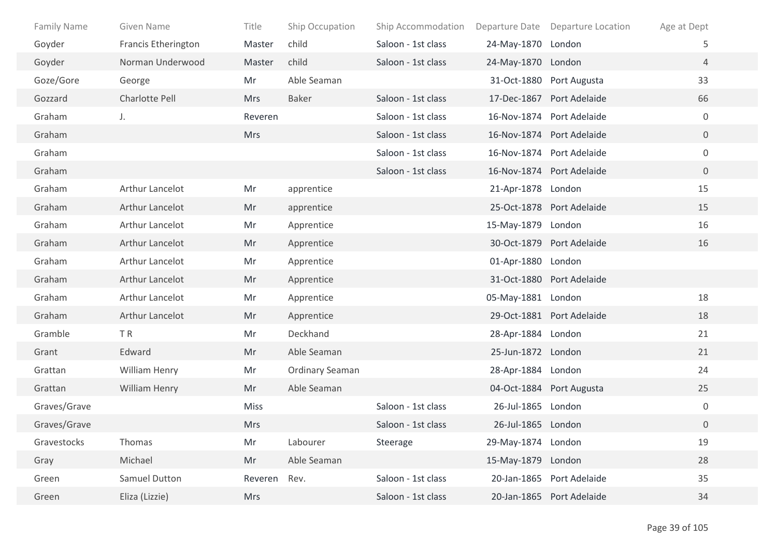| <b>Family Name</b> | Given Name          | Title       | Ship Occupation | Ship Accommodation |                    | Departure Date Departure Location | Age at Dept      |  |
|--------------------|---------------------|-------------|-----------------|--------------------|--------------------|-----------------------------------|------------------|--|
| Goyder             | Francis Etherington | Master      | child           | Saloon - 1st class | 24-May-1870 London |                                   | 5                |  |
| Goyder             | Norman Underwood    | Master      | child           | Saloon - 1st class | 24-May-1870 London |                                   | 4                |  |
| Goze/Gore          | George              | Mr          | Able Seaman     |                    |                    | 31-Oct-1880 Port Augusta          | 33               |  |
| Gozzard            | Charlotte Pell      | <b>Mrs</b>  | <b>Baker</b>    | Saloon - 1st class |                    | 17-Dec-1867 Port Adelaide         | 66               |  |
| Graham             | J.                  | Reveren     |                 | Saloon - 1st class |                    | 16-Nov-1874 Port Adelaide         | $\boldsymbol{0}$ |  |
| Graham             |                     | <b>Mrs</b>  |                 | Saloon - 1st class |                    | 16-Nov-1874 Port Adelaide         | $\overline{0}$   |  |
| Graham             |                     |             |                 | Saloon - 1st class |                    | 16-Nov-1874 Port Adelaide         | $\mathbf 0$      |  |
| Graham             |                     |             |                 | Saloon - 1st class |                    | 16-Nov-1874 Port Adelaide         | $\overline{0}$   |  |
| Graham             | Arthur Lancelot     | Mr          | apprentice      |                    | 21-Apr-1878 London |                                   | 15               |  |
| Graham             | Arthur Lancelot     | Mr          | apprentice      |                    |                    | 25-Oct-1878 Port Adelaide         | 15               |  |
| Graham             | Arthur Lancelot     | Mr          | Apprentice      |                    | 15-May-1879 London |                                   | 16               |  |
| Graham             | Arthur Lancelot     | Mr          | Apprentice      |                    |                    | 30-Oct-1879 Port Adelaide         | 16               |  |
| Graham             | Arthur Lancelot     | Mr          | Apprentice      |                    | 01-Apr-1880 London |                                   |                  |  |
| Graham             | Arthur Lancelot     | Mr          | Apprentice      |                    |                    | 31-Oct-1880 Port Adelaide         |                  |  |
| Graham             | Arthur Lancelot     | Mr          | Apprentice      |                    | 05-May-1881 London |                                   | 18               |  |
| Graham             | Arthur Lancelot     | Mr          | Apprentice      |                    |                    | 29-Oct-1881 Port Adelaide         | 18               |  |
| Gramble            | TR                  | Mr          | Deckhand        |                    | 28-Apr-1884 London |                                   | 21               |  |
| Grant              | Edward              | Mr          | Able Seaman     |                    | 25-Jun-1872 London |                                   | 21               |  |
| Grattan            | William Henry       | Mr          | Ordinary Seaman |                    | 28-Apr-1884 London |                                   | 24               |  |
| Grattan            | William Henry       | Mr          | Able Seaman     |                    |                    | 04-Oct-1884 Port Augusta          | 25               |  |
| Graves/Grave       |                     | <b>Miss</b> |                 | Saloon - 1st class | 26-Jul-1865 London |                                   | $\boldsymbol{0}$ |  |
| Graves/Grave       |                     | <b>Mrs</b>  |                 | Saloon - 1st class | 26-Jul-1865 London |                                   | $\mathbf 0$      |  |
| Gravestocks        | Thomas              | Mr          | Labourer        | Steerage           | 29-May-1874 London |                                   | 19               |  |
| Gray               | Michael             | Mr          | Able Seaman     |                    | 15-May-1879 London |                                   | 28               |  |
| Green              | Samuel Dutton       | Reveren     | Rev.            | Saloon - 1st class |                    | 20-Jan-1865 Port Adelaide         | 35               |  |
| Green              | Eliza (Lizzie)      | <b>Mrs</b>  |                 | Saloon - 1st class |                    | 20-Jan-1865 Port Adelaide         | 34               |  |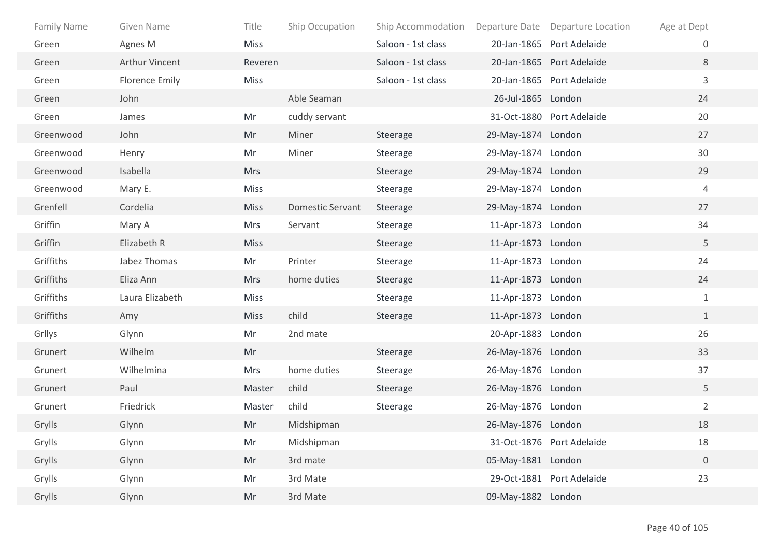| <b>Family Name</b> | Given Name            | Title       | Ship Occupation         | Ship Accommodation | Departure Date     | <b>Departure Location</b> | Age at Dept    |
|--------------------|-----------------------|-------------|-------------------------|--------------------|--------------------|---------------------------|----------------|
| Green              | Agnes M               | <b>Miss</b> |                         | Saloon - 1st class |                    | 20-Jan-1865 Port Adelaide | $\overline{0}$ |
| Green              | <b>Arthur Vincent</b> | Reveren     |                         | Saloon - 1st class |                    | 20-Jan-1865 Port Adelaide | 8              |
| Green              | Florence Emily        | <b>Miss</b> |                         | Saloon - 1st class |                    | 20-Jan-1865 Port Adelaide | 3              |
| Green              | John                  |             | Able Seaman             |                    | 26-Jul-1865 London |                           | 24             |
| Green              | James                 | Mr          | cuddy servant           |                    |                    | 31-Oct-1880 Port Adelaide | 20             |
| Greenwood          | John                  | Mr          | Miner                   | Steerage           | 29-May-1874 London |                           | 27             |
| Greenwood          | Henry                 | Mr          | Miner                   | Steerage           | 29-May-1874 London |                           | 30             |
| Greenwood          | Isabella              | <b>Mrs</b>  |                         | Steerage           | 29-May-1874 London |                           | 29             |
| Greenwood          | Mary E.               | Miss        |                         | Steerage           | 29-May-1874 London |                           | $\overline{4}$ |
| Grenfell           | Cordelia              | <b>Miss</b> | <b>Domestic Servant</b> | Steerage           | 29-May-1874 London |                           | 27             |
| Griffin            | Mary A                | Mrs         | Servant                 | Steerage           | 11-Apr-1873 London |                           | 34             |
| Griffin            | Elizabeth R           | <b>Miss</b> |                         | Steerage           | 11-Apr-1873 London |                           | 5              |
| Griffiths          | Jabez Thomas          | Mr          | Printer                 | Steerage           | 11-Apr-1873 London |                           | 24             |
| Griffiths          | Eliza Ann             | <b>Mrs</b>  | home duties             | Steerage           | 11-Apr-1873 London |                           | 24             |
| Griffiths          | Laura Elizabeth       | <b>Miss</b> |                         | Steerage           | 11-Apr-1873 London |                           | $\mathbf{1}$   |
| Griffiths          | Amy                   | <b>Miss</b> | child                   | Steerage           | 11-Apr-1873 London |                           | $\mathbf{1}$   |
| Grllys             | Glynn                 | Mr          | 2nd mate                |                    | 20-Apr-1883 London |                           | 26             |
| Grunert            | Wilhelm               | Mr          |                         | Steerage           | 26-May-1876 London |                           | 33             |
| Grunert            | Wilhelmina            | Mrs         | home duties             | Steerage           | 26-May-1876 London |                           | 37             |
| Grunert            | Paul                  | Master      | child                   | Steerage           | 26-May-1876 London |                           | 5              |
| Grunert            | Friedrick             | Master      | child                   | Steerage           | 26-May-1876 London |                           | $\overline{2}$ |
| Grylls             | Glynn                 | Mr          | Midshipman              |                    | 26-May-1876 London |                           | 18             |
| Grylls             | Glynn                 | Mr          | Midshipman              |                    |                    | 31-Oct-1876 Port Adelaide | 18             |
| Grylls             | Glynn                 | Mr          | 3rd mate                |                    | 05-May-1881 London |                           | $\mathbf 0$    |
| Grylls             | Glynn                 | Mr          | 3rd Mate                |                    |                    | 29-Oct-1881 Port Adelaide | 23             |
| Grylls             | Glynn                 | Mr          | 3rd Mate                |                    | 09-May-1882 London |                           |                |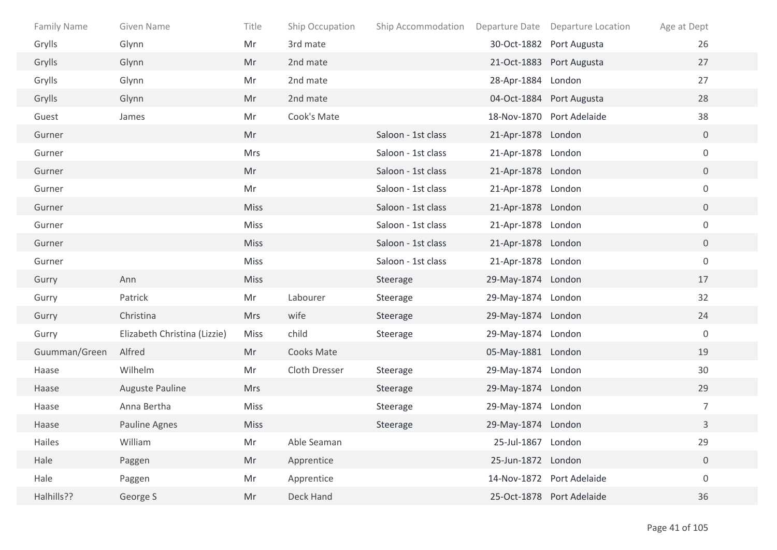| <b>Family Name</b> | Given Name                   | Title       | Ship Occupation | Ship Accommodation |                    | Departure Date Departure Location | Age at Dept      |
|--------------------|------------------------------|-------------|-----------------|--------------------|--------------------|-----------------------------------|------------------|
| Grylls             | Glynn                        | Mr          | 3rd mate        |                    |                    | 30-Oct-1882 Port Augusta          | 26               |
| Grylls             | Glynn                        | Mr          | 2nd mate        |                    |                    | 21-Oct-1883 Port Augusta          | 27               |
| Grylls             | Glynn                        | Mr          | 2nd mate        |                    | 28-Apr-1884 London |                                   | 27               |
| Grylls             | Glynn                        | Mr          | 2nd mate        |                    |                    | 04-Oct-1884 Port Augusta          | 28               |
| Guest              | James                        | Mr          | Cook's Mate     |                    |                    | 18-Nov-1870 Port Adelaide         | 38               |
| Gurner             |                              | Mr          |                 | Saloon - 1st class | 21-Apr-1878 London |                                   | $\overline{0}$   |
| Gurner             |                              | <b>Mrs</b>  |                 | Saloon - 1st class | 21-Apr-1878 London |                                   | $\mathbf 0$      |
| Gurner             |                              | Mr          |                 | Saloon - 1st class | 21-Apr-1878 London |                                   | $\overline{0}$   |
| Gurner             |                              | Mr          |                 | Saloon - 1st class | 21-Apr-1878 London |                                   | $\boldsymbol{0}$ |
| Gurner             |                              | <b>Miss</b> |                 | Saloon - 1st class | 21-Apr-1878 London |                                   | $\overline{0}$   |
| Gurner             |                              | Miss        |                 | Saloon - 1st class | 21-Apr-1878 London |                                   | $\boldsymbol{0}$ |
| Gurner             |                              | Miss        |                 | Saloon - 1st class | 21-Apr-1878 London |                                   | $\overline{0}$   |
| Gurner             |                              | Miss        |                 | Saloon - 1st class | 21-Apr-1878 London |                                   | $\boldsymbol{0}$ |
| Gurry              | Ann                          | <b>Miss</b> |                 | Steerage           | 29-May-1874 London |                                   | 17               |
| Gurry              | Patrick                      | Mr          | Labourer        | Steerage           | 29-May-1874 London |                                   | 32               |
| Gurry              | Christina                    | <b>Mrs</b>  | wife            | Steerage           | 29-May-1874 London |                                   | 24               |
| Gurry              | Elizabeth Christina (Lizzie) | <b>Miss</b> | child           | Steerage           | 29-May-1874 London |                                   | $\boldsymbol{0}$ |
| Guumman/Green      | Alfred                       | Mr          | Cooks Mate      |                    | 05-May-1881 London |                                   | 19               |
| Haase              | Wilhelm                      | Mr          | Cloth Dresser   | Steerage           | 29-May-1874 London |                                   | 30               |
| Haase              | Auguste Pauline              | <b>Mrs</b>  |                 | Steerage           | 29-May-1874 London |                                   | 29               |
| Haase              | Anna Bertha                  | <b>Miss</b> |                 | Steerage           | 29-May-1874 London |                                   | $\overline{7}$   |
| Haase              | Pauline Agnes                | <b>Miss</b> |                 | Steerage           | 29-May-1874 London |                                   | 3                |
| Hailes             | William                      | Mr          | Able Seaman     |                    | 25-Jul-1867 London |                                   | 29               |
| Hale               | Paggen                       | Mr          | Apprentice      |                    | 25-Jun-1872 London |                                   | $\boldsymbol{0}$ |
| Hale               | Paggen                       | Mr          | Apprentice      |                    |                    | 14-Nov-1872 Port Adelaide         | $\boldsymbol{0}$ |
| Halhills??         | George S                     | Mr          | Deck Hand       |                    |                    | 25-Oct-1878 Port Adelaide         | 36               |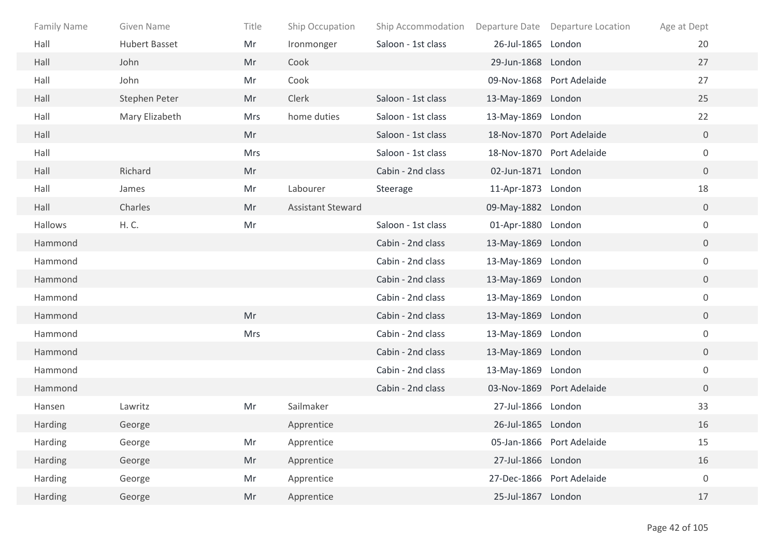| Family Name | Given Name           | Title      | Ship Occupation          | Ship Accommodation |                    | Departure Date Departure Location | Age at Dept      |
|-------------|----------------------|------------|--------------------------|--------------------|--------------------|-----------------------------------|------------------|
| Hall        | <b>Hubert Basset</b> | Mr         | Ironmonger               | Saloon - 1st class | 26-Jul-1865 London |                                   | 20               |
| Hall        | John                 | Mr         | Cook                     |                    | 29-Jun-1868 London |                                   | 27               |
| Hall        | John                 | Mr         | Cook                     |                    |                    | 09-Nov-1868 Port Adelaide         | 27               |
| Hall        | Stephen Peter        | Mr         | Clerk                    | Saloon - 1st class | 13-May-1869 London |                                   | 25               |
| Hall        | Mary Elizabeth       | <b>Mrs</b> | home duties              | Saloon - 1st class | 13-May-1869 London |                                   | 22               |
| Hall        |                      | Mr         |                          | Saloon - 1st class |                    | 18-Nov-1870 Port Adelaide         | $\mathbf 0$      |
| Hall        |                      | Mrs        |                          | Saloon - 1st class |                    | 18-Nov-1870 Port Adelaide         | $\mathbf 0$      |
| Hall        | Richard              | Mr         |                          | Cabin - 2nd class  | 02-Jun-1871 London |                                   | $\overline{0}$   |
| Hall        | James                | Mr         | Labourer                 | Steerage           | 11-Apr-1873 London |                                   | 18               |
| Hall        | Charles              | Mr         | <b>Assistant Steward</b> |                    | 09-May-1882 London |                                   | $\overline{0}$   |
| Hallows     | H. C.                | Mr         |                          | Saloon - 1st class | 01-Apr-1880 London |                                   | $\mathbf 0$      |
| Hammond     |                      |            |                          | Cabin - 2nd class  | 13-May-1869 London |                                   | $\overline{0}$   |
| Hammond     |                      |            |                          | Cabin - 2nd class  | 13-May-1869 London |                                   | $\boldsymbol{0}$ |
| Hammond     |                      |            |                          | Cabin - 2nd class  | 13-May-1869 London |                                   | $\overline{0}$   |
| Hammond     |                      |            |                          | Cabin - 2nd class  | 13-May-1869 London |                                   | $\mathbf 0$      |
| Hammond     |                      | Mr         |                          | Cabin - 2nd class  | 13-May-1869 London |                                   | $\overline{0}$   |
| Hammond     |                      | <b>Mrs</b> |                          | Cabin - 2nd class  | 13-May-1869 London |                                   | $\mathbf 0$      |
| Hammond     |                      |            |                          | Cabin - 2nd class  | 13-May-1869 London |                                   | $\overline{0}$   |
| Hammond     |                      |            |                          | Cabin - 2nd class  | 13-May-1869 London |                                   | $\mathbf 0$      |
| Hammond     |                      |            |                          | Cabin - 2nd class  |                    | 03-Nov-1869 Port Adelaide         | $\overline{0}$   |
| Hansen      | Lawritz              | Mr         | Sailmaker                |                    | 27-Jul-1866 London |                                   | 33               |
| Harding     | George               |            | Apprentice               |                    | 26-Jul-1865 London |                                   | 16               |
| Harding     | George               | Mr         | Apprentice               |                    |                    | 05-Jan-1866 Port Adelaide         | 15               |
| Harding     | George               | Mr         | Apprentice               |                    | 27-Jul-1866 London |                                   | 16               |
| Harding     | George               | Mr         | Apprentice               |                    |                    | 27-Dec-1866 Port Adelaide         | $\boldsymbol{0}$ |
| Harding     | George               | Mr         | Apprentice               |                    | 25-Jul-1867 London |                                   | 17               |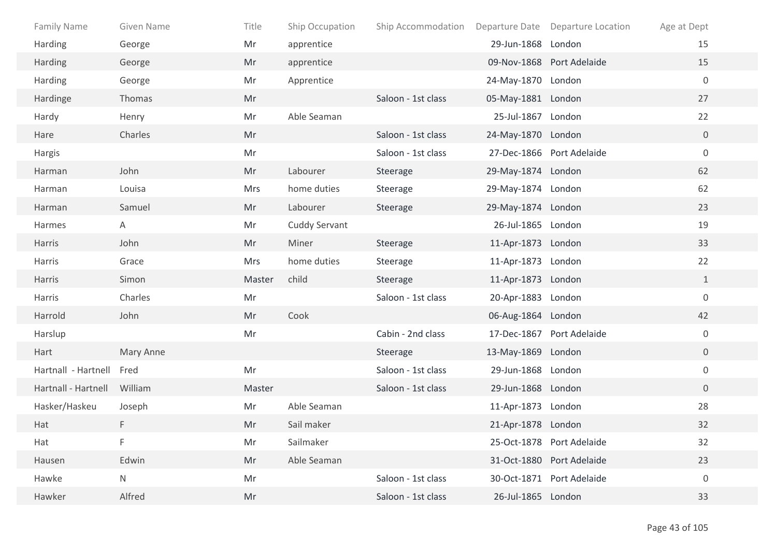| Family Name         | Given Name | Title  | Ship Occupation      | Ship Accommodation |                    | Departure Date Departure Location | Age at Dept      |
|---------------------|------------|--------|----------------------|--------------------|--------------------|-----------------------------------|------------------|
| Harding             | George     | Mr     | apprentice           |                    | 29-Jun-1868 London |                                   | 15               |
| Harding             | George     | Mr     | apprentice           |                    |                    | 09-Nov-1868 Port Adelaide         | 15               |
| <b>Harding</b>      | George     | Mr     | Apprentice           |                    | 24-May-1870 London |                                   | $\mathbf 0$      |
| Hardinge            | Thomas     | Mr     |                      | Saloon - 1st class | 05-May-1881 London |                                   | 27               |
| Hardy               | Henry      | Mr     | Able Seaman          |                    | 25-Jul-1867 London |                                   | 22               |
| Hare                | Charles    | Mr     |                      | Saloon - 1st class | 24-May-1870 London |                                   | $\overline{0}$   |
| Hargis              |            | Mr     |                      | Saloon - 1st class |                    | 27-Dec-1866 Port Adelaide         | $\boldsymbol{0}$ |
| Harman              | John       | Mr     | Labourer             | Steerage           | 29-May-1874 London |                                   | 62               |
| Harman              | Louisa     | Mrs    | home duties          | Steerage           | 29-May-1874 London |                                   | 62               |
| Harman              | Samuel     | Mr     | Labourer             | Steerage           | 29-May-1874 London |                                   | 23               |
| Harmes              | Α          | Mr     | <b>Cuddy Servant</b> |                    | 26-Jul-1865 London |                                   | 19               |
| Harris              | John       | Mr     | Miner                | Steerage           | 11-Apr-1873 London |                                   | 33               |
| Harris              | Grace      | Mrs    | home duties          | Steerage           | 11-Apr-1873 London |                                   | 22               |
| Harris              | Simon      | Master | child                | Steerage           | 11-Apr-1873 London |                                   | $\mathbf{1}$     |
| Harris              | Charles    | Mr     |                      | Saloon - 1st class | 20-Apr-1883 London |                                   | $\boldsymbol{0}$ |
| Harrold             | John       | Mr     | Cook                 |                    | 06-Aug-1864 London |                                   | 42               |
| Harslup             |            | Mr     |                      | Cabin - 2nd class  |                    | 17-Dec-1867 Port Adelaide         | $\mathbf 0$      |
| Hart                | Mary Anne  |        |                      | Steerage           | 13-May-1869 London |                                   | $\overline{0}$   |
| Hartnall - Hartnell | Fred       | Mr     |                      | Saloon - 1st class | 29-Jun-1868 London |                                   | $\boldsymbol{0}$ |
| Hartnall - Hartnell | William    | Master |                      | Saloon - 1st class | 29-Jun-1868 London |                                   | $\overline{0}$   |
| Hasker/Haskeu       | Joseph     | Mr     | Able Seaman          |                    | 11-Apr-1873 London |                                   | 28               |
| Hat                 | F          | Mr     | Sail maker           |                    | 21-Apr-1878 London |                                   | 32               |
| Hat                 | F          | Mr     | Sailmaker            |                    |                    | 25-Oct-1878 Port Adelaide         | 32               |
| Hausen              | Edwin      | Mr     | Able Seaman          |                    |                    | 31-Oct-1880 Port Adelaide         | 23               |
| Hawke               | N          | Mr     |                      | Saloon - 1st class |                    | 30-Oct-1871 Port Adelaide         | $\boldsymbol{0}$ |
| Hawker              | Alfred     | Mr     |                      | Saloon - 1st class | 26-Jul-1865 London |                                   | 33               |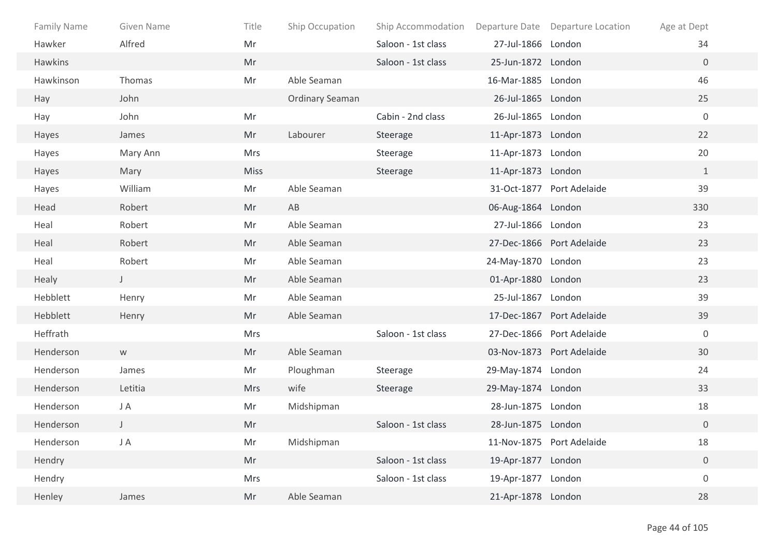| <b>Family Name</b> | Given Name   | Title       | Ship Occupation        | Ship Accommodation |                    | Departure Date Departure Location | Age at Dept      |
|--------------------|--------------|-------------|------------------------|--------------------|--------------------|-----------------------------------|------------------|
| Hawker             | Alfred       | Mr          |                        | Saloon - 1st class | 27-Jul-1866 London |                                   | 34               |
| Hawkins            |              | Mr          |                        | Saloon - 1st class | 25-Jun-1872 London |                                   | $\overline{0}$   |
| Hawkinson          | Thomas       | Mr          | Able Seaman            |                    | 16-Mar-1885 London |                                   | 46               |
| Hay                | John         |             | <b>Ordinary Seaman</b> |                    | 26-Jul-1865 London |                                   | 25               |
| Hay                | John         | Mr          |                        | Cabin - 2nd class  | 26-Jul-1865 London |                                   | $\boldsymbol{0}$ |
| Hayes              | James        | Mr          | Labourer               | Steerage           | 11-Apr-1873 London |                                   | 22               |
| Hayes              | Mary Ann     | <b>Mrs</b>  |                        | Steerage           | 11-Apr-1873 London |                                   | 20               |
| Hayes              | Mary         | <b>Miss</b> |                        | Steerage           | 11-Apr-1873 London |                                   | $\mathbf{1}$     |
| Hayes              | William      | Mr          | Able Seaman            |                    |                    | 31-Oct-1877 Port Adelaide         | 39               |
| Head               | Robert       | Mr          | AB                     |                    | 06-Aug-1864 London |                                   | 330              |
| Heal               | Robert       | Mr          | Able Seaman            |                    | 27-Jul-1866 London |                                   | 23               |
| Heal               | Robert       | Mr          | Able Seaman            |                    |                    | 27-Dec-1866 Port Adelaide         | 23               |
| Heal               | Robert       | Mr          | Able Seaman            |                    | 24-May-1870 London |                                   | 23               |
| Healy              | $\mathsf{J}$ | Mr          | Able Seaman            |                    | 01-Apr-1880 London |                                   | 23               |
| Hebblett           | Henry        | Mr          | Able Seaman            |                    | 25-Jul-1867 London |                                   | 39               |
| Hebblett           | Henry        | Mr          | Able Seaman            |                    |                    | 17-Dec-1867 Port Adelaide         | 39               |
| Heffrath           |              | Mrs         |                        | Saloon - 1st class |                    | 27-Dec-1866 Port Adelaide         | $\mathbf 0$      |
| Henderson          | W            | Mr          | Able Seaman            |                    |                    | 03-Nov-1873 Port Adelaide         | 30               |
| Henderson          | James        | Mr          | Ploughman              | Steerage           | 29-May-1874 London |                                   | 24               |
| Henderson          | Letitia      | <b>Mrs</b>  | wife                   | Steerage           | 29-May-1874 London |                                   | 33               |
| Henderson          | J A          | Mr          | Midshipman             |                    | 28-Jun-1875 London |                                   | 18               |
| Henderson          | $\mathsf{J}$ | Mr          |                        | Saloon - 1st class | 28-Jun-1875 London |                                   | $\overline{0}$   |
| Henderson          | J A          | Mr          | Midshipman             |                    |                    | 11-Nov-1875 Port Adelaide         | 18               |
| Hendry             |              | Mr          |                        | Saloon - 1st class | 19-Apr-1877 London |                                   | $\overline{0}$   |
| Hendry             |              | Mrs         |                        | Saloon - 1st class | 19-Apr-1877 London |                                   | $\boldsymbol{0}$ |
| Henley             | James        | Mr          | Able Seaman            |                    | 21-Apr-1878 London |                                   | 28               |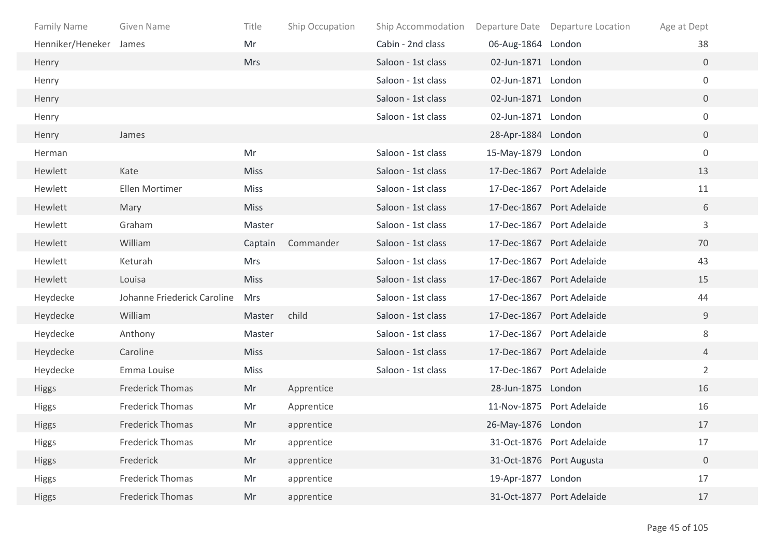| Family Name            | Given Name                  | Title       | Ship Occupation | Ship Accommodation |                    | Departure Date Departure Location | Age at Dept    |
|------------------------|-----------------------------|-------------|-----------------|--------------------|--------------------|-----------------------------------|----------------|
| Henniker/Heneker James |                             | Mr          |                 | Cabin - 2nd class  | 06-Aug-1864 London |                                   | 38             |
| Henry                  |                             | <b>Mrs</b>  |                 | Saloon - 1st class | 02-Jun-1871 London |                                   | $\overline{0}$ |
| Henry                  |                             |             |                 | Saloon - 1st class | 02-Jun-1871 London |                                   | $\mathbf 0$    |
| Henry                  |                             |             |                 | Saloon - 1st class | 02-Jun-1871 London |                                   | $\overline{0}$ |
| Henry                  |                             |             |                 | Saloon - 1st class | 02-Jun-1871 London |                                   | $\mathbf 0$    |
| Henry                  | James                       |             |                 |                    | 28-Apr-1884 London |                                   | $\overline{0}$ |
| Herman                 |                             | Mr          |                 | Saloon - 1st class | 15-May-1879 London |                                   | $\mathbf 0$    |
| Hewlett                | Kate                        | <b>Miss</b> |                 | Saloon - 1st class |                    | 17-Dec-1867 Port Adelaide         | 13             |
| Hewlett                | Ellen Mortimer              | Miss        |                 | Saloon - 1st class |                    | 17-Dec-1867 Port Adelaide         | 11             |
| Hewlett                | Mary                        | <b>Miss</b> |                 | Saloon - 1st class |                    | 17-Dec-1867 Port Adelaide         | 6              |
| Hewlett                | Graham                      | Master      |                 | Saloon - 1st class |                    | 17-Dec-1867 Port Adelaide         | 3              |
| Hewlett                | William                     | Captain     | Commander       | Saloon - 1st class |                    | 17-Dec-1867 Port Adelaide         | 70             |
| Hewlett                | Keturah                     | Mrs         |                 | Saloon - 1st class | 17-Dec-1867        | Port Adelaide                     | 43             |
| Hewlett                | Louisa                      | <b>Miss</b> |                 | Saloon - 1st class |                    | 17-Dec-1867 Port Adelaide         | 15             |
| Heydecke               | Johanne Friederick Caroline | <b>Mrs</b>  |                 | Saloon - 1st class |                    | 17-Dec-1867 Port Adelaide         | 44             |
| Heydecke               | William                     | Master      | child           | Saloon - 1st class |                    | 17-Dec-1867 Port Adelaide         | 9              |
| Heydecke               | Anthony                     | Master      |                 | Saloon - 1st class |                    | 17-Dec-1867 Port Adelaide         | 8              |
| Heydecke               | Caroline                    | <b>Miss</b> |                 | Saloon - 1st class |                    | 17-Dec-1867 Port Adelaide         | 4              |
| Heydecke               | Emma Louise                 | <b>Miss</b> |                 | Saloon - 1st class |                    | 17-Dec-1867 Port Adelaide         | $\overline{2}$ |
| <b>Higgs</b>           | <b>Frederick Thomas</b>     | Mr          | Apprentice      |                    | 28-Jun-1875 London |                                   | 16             |
| <b>Higgs</b>           | <b>Frederick Thomas</b>     | Mr          | Apprentice      |                    |                    | 11-Nov-1875 Port Adelaide         | 16             |
| <b>Higgs</b>           | <b>Frederick Thomas</b>     | Mr          | apprentice      |                    | 26-May-1876 London |                                   | 17             |
| <b>Higgs</b>           | <b>Frederick Thomas</b>     | Mr          | apprentice      |                    |                    | 31-Oct-1876 Port Adelaide         | 17             |
| <b>Higgs</b>           | Frederick                   | Mr          | apprentice      |                    |                    | 31-Oct-1876 Port Augusta          | $\mathbf 0$    |
| <b>Higgs</b>           | <b>Frederick Thomas</b>     | Mr          | apprentice      |                    | 19-Apr-1877 London |                                   | 17             |
| <b>Higgs</b>           | <b>Frederick Thomas</b>     | Mr          | apprentice      |                    |                    | 31-Oct-1877 Port Adelaide         | 17             |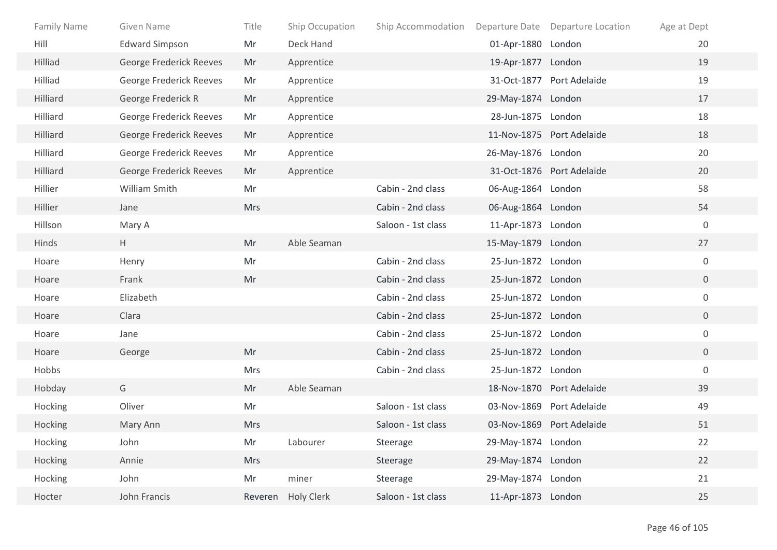| <b>Family Name</b> | Given Name              | Title      | Ship Occupation   | Ship Accommodation |                    | Departure Date Departure Location | Age at Dept    |
|--------------------|-------------------------|------------|-------------------|--------------------|--------------------|-----------------------------------|----------------|
| Hill               | <b>Edward Simpson</b>   | Mr         | Deck Hand         |                    | 01-Apr-1880 London |                                   | 20             |
| Hilliad            | George Frederick Reeves | Mr         | Apprentice        |                    | 19-Apr-1877 London |                                   | 19             |
| Hilliad            | George Frederick Reeves | Mr         | Apprentice        |                    |                    | 31-Oct-1877 Port Adelaide         | 19             |
| Hilliard           | George Frederick R      | Mr         | Apprentice        |                    | 29-May-1874 London |                                   | 17             |
| Hilliard           | George Frederick Reeves | Mr         | Apprentice        |                    | 28-Jun-1875 London |                                   | 18             |
| Hilliard           | George Frederick Reeves | Mr         | Apprentice        |                    |                    | 11-Nov-1875 Port Adelaide         | 18             |
| Hilliard           | George Frederick Reeves | Mr         | Apprentice        |                    | 26-May-1876 London |                                   | 20             |
| Hilliard           | George Frederick Reeves | Mr         | Apprentice        |                    |                    | 31-Oct-1876 Port Adelaide         | 20             |
| Hillier            | William Smith           | Mr         |                   | Cabin - 2nd class  | 06-Aug-1864 London |                                   | 58             |
| Hillier            | Jane                    | <b>Mrs</b> |                   | Cabin - 2nd class  | 06-Aug-1864 London |                                   | 54             |
| Hillson            | Mary A                  |            |                   | Saloon - 1st class | 11-Apr-1873 London |                                   | $\mathbf 0$    |
| Hinds              | H                       | Mr         | Able Seaman       |                    | 15-May-1879 London |                                   | 27             |
| Hoare              | Henry                   | Mr         |                   | Cabin - 2nd class  | 25-Jun-1872 London |                                   | $\mathbf 0$    |
| Hoare              | Frank                   | Mr         |                   | Cabin - 2nd class  | 25-Jun-1872 London |                                   | $\mathbf 0$    |
| Hoare              | Elizabeth               |            |                   | Cabin - 2nd class  | 25-Jun-1872 London |                                   | $\mathbf 0$    |
| Hoare              | Clara                   |            |                   | Cabin - 2nd class  | 25-Jun-1872 London |                                   | $\overline{0}$ |
| Hoare              | Jane                    |            |                   | Cabin - 2nd class  | 25-Jun-1872 London |                                   | $\mathsf{O}$   |
| Hoare              | George                  | Mr         |                   | Cabin - 2nd class  | 25-Jun-1872 London |                                   | $\overline{0}$ |
| Hobbs              |                         | Mrs        |                   | Cabin - 2nd class  | 25-Jun-1872 London |                                   | $\mathbf 0$    |
| Hobday             | G                       | Mr         | Able Seaman       |                    |                    | 18-Nov-1870 Port Adelaide         | 39             |
| Hocking            | Oliver                  | Mr         |                   | Saloon - 1st class |                    | 03-Nov-1869 Port Adelaide         | 49             |
| Hocking            | Mary Ann                | <b>Mrs</b> |                   | Saloon - 1st class |                    | 03-Nov-1869 Port Adelaide         | 51             |
| Hocking            | John                    | Mr         | Labourer          | Steerage           | 29-May-1874 London |                                   | 22             |
| Hocking            | Annie                   | <b>Mrs</b> |                   | Steerage           | 29-May-1874 London |                                   | 22             |
| Hocking            | John                    | Mr         | miner             | Steerage           | 29-May-1874 London |                                   | 21             |
| Hocter             | John Francis            | Reveren    | <b>Holy Clerk</b> | Saloon - 1st class | 11-Apr-1873 London |                                   | 25             |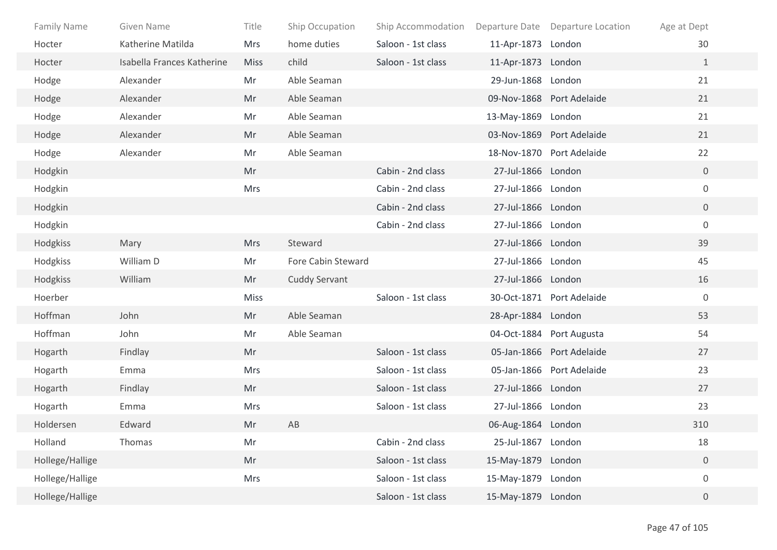| <b>Family Name</b> | Given Name                 | Title       | Ship Occupation      | Ship Accommodation |                    | Departure Date Departure Location | Age at Dept      |  |
|--------------------|----------------------------|-------------|----------------------|--------------------|--------------------|-----------------------------------|------------------|--|
| Hocter             | Katherine Matilda          | <b>Mrs</b>  | home duties          | Saloon - 1st class | 11-Apr-1873 London |                                   | 30               |  |
| Hocter             | Isabella Frances Katherine | <b>Miss</b> | child                | Saloon - 1st class | 11-Apr-1873 London |                                   | $\mathbf{1}$     |  |
| Hodge              | Alexander                  | Mr          | Able Seaman          |                    | 29-Jun-1868 London |                                   | 21               |  |
| Hodge              | Alexander                  | Mr          | Able Seaman          |                    |                    | 09-Nov-1868 Port Adelaide         | 21               |  |
| Hodge              | Alexander                  | Mr          | Able Seaman          |                    | 13-May-1869 London |                                   | 21               |  |
| Hodge              | Alexander                  | Mr          | Able Seaman          |                    |                    | 03-Nov-1869 Port Adelaide         | 21               |  |
| Hodge              | Alexander                  | Mr          | Able Seaman          |                    |                    | 18-Nov-1870 Port Adelaide         | 22               |  |
| Hodgkin            |                            | Mr          |                      | Cabin - 2nd class  | 27-Jul-1866 London |                                   | $\overline{0}$   |  |
| Hodgkin            |                            | <b>Mrs</b>  |                      | Cabin - 2nd class  | 27-Jul-1866 London |                                   | $\boldsymbol{0}$ |  |
| Hodgkin            |                            |             |                      | Cabin - 2nd class  | 27-Jul-1866 London |                                   | $\overline{0}$   |  |
| Hodgkin            |                            |             |                      | Cabin - 2nd class  | 27-Jul-1866 London |                                   | $\mathbf 0$      |  |
| Hodgkiss           | Mary                       | <b>Mrs</b>  | Steward              |                    | 27-Jul-1866 London |                                   | 39               |  |
| Hodgkiss           | William D                  | Mr          | Fore Cabin Steward   |                    | 27-Jul-1866 London |                                   | 45               |  |
| Hodgkiss           | William                    | Mr          | <b>Cuddy Servant</b> |                    | 27-Jul-1866 London |                                   | 16               |  |
| Hoerber            |                            | <b>Miss</b> |                      | Saloon - 1st class |                    | 30-Oct-1871 Port Adelaide         | $\mathbf 0$      |  |
| Hoffman            | John                       | Mr          | Able Seaman          |                    | 28-Apr-1884 London |                                   | 53               |  |
| Hoffman            | John                       | Mr          | Able Seaman          |                    |                    | 04-Oct-1884 Port Augusta          | 54               |  |
| Hogarth            | Findlay                    | Mr          |                      | Saloon - 1st class |                    | 05-Jan-1866 Port Adelaide         | 27               |  |
| Hogarth            | Emma                       | Mrs         |                      | Saloon - 1st class |                    | 05-Jan-1866 Port Adelaide         | 23               |  |
| Hogarth            | Findlay                    | Mr          |                      | Saloon - 1st class | 27-Jul-1866 London |                                   | 27               |  |
| Hogarth            | Emma                       | <b>Mrs</b>  |                      | Saloon - 1st class | 27-Jul-1866 London |                                   | 23               |  |
| Holdersen          | Edward                     | Mr          | AB                   |                    | 06-Aug-1864 London |                                   | 310              |  |
| Holland            | Thomas                     | Mr          |                      | Cabin - 2nd class  | 25-Jul-1867 London |                                   | 18               |  |
| Hollege/Hallige    |                            | Mr          |                      | Saloon - 1st class | 15-May-1879 London |                                   | $\boldsymbol{0}$ |  |
| Hollege/Hallige    |                            | Mrs         |                      | Saloon - 1st class | 15-May-1879 London |                                   | $\boldsymbol{0}$ |  |
| Hollege/Hallige    |                            |             |                      | Saloon - 1st class | 15-May-1879 London |                                   | $\overline{0}$   |  |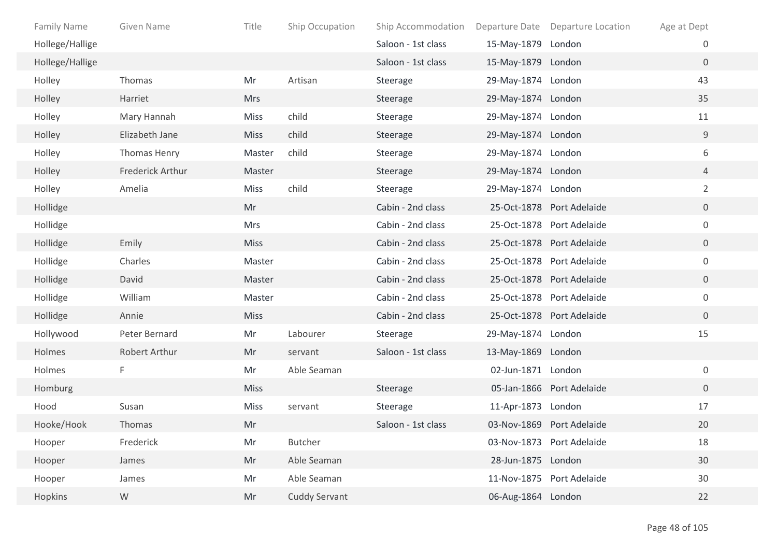| <b>Family Name</b> | Given Name       | Title       | Ship Occupation      | Ship Accommodation | Departure Date     | <b>Departure Location</b> | Age at Dept    |  |
|--------------------|------------------|-------------|----------------------|--------------------|--------------------|---------------------------|----------------|--|
| Hollege/Hallige    |                  |             |                      | Saloon - 1st class | 15-May-1879 London |                           | 0              |  |
| Hollege/Hallige    |                  |             |                      | Saloon - 1st class | 15-May-1879 London |                           | $\overline{0}$ |  |
| Holley             | Thomas           | Mr          | Artisan              | Steerage           | 29-May-1874 London |                           | 43             |  |
| Holley             | Harriet          | <b>Mrs</b>  |                      | Steerage           | 29-May-1874 London |                           | 35             |  |
| Holley             | Mary Hannah      | <b>Miss</b> | child                | Steerage           | 29-May-1874 London |                           | 11             |  |
| Holley             | Elizabeth Jane   | <b>Miss</b> | child                | Steerage           | 29-May-1874 London |                           | 9              |  |
| Holley             | Thomas Henry     | Master      | child                | Steerage           | 29-May-1874 London |                           | 6              |  |
| Holley             | Frederick Arthur | Master      |                      | Steerage           | 29-May-1874 London |                           | $\overline{4}$ |  |
| Holley             | Amelia           | <b>Miss</b> | child                | Steerage           | 29-May-1874 London |                           | $\overline{2}$ |  |
| Hollidge           |                  | Mr          |                      | Cabin - 2nd class  |                    | 25-Oct-1878 Port Adelaide | $\overline{0}$ |  |
| Hollidge           |                  | Mrs         |                      | Cabin - 2nd class  |                    | 25-Oct-1878 Port Adelaide | $\mathbf 0$    |  |
| Hollidge           | Emily            | <b>Miss</b> |                      | Cabin - 2nd class  |                    | 25-Oct-1878 Port Adelaide | $\overline{0}$ |  |
| Hollidge           | Charles          | Master      |                      | Cabin - 2nd class  |                    | 25-Oct-1878 Port Adelaide | 0              |  |
| Hollidge           | David            | Master      |                      | Cabin - 2nd class  |                    | 25-Oct-1878 Port Adelaide | 0              |  |
| Hollidge           | William          | Master      |                      | Cabin - 2nd class  |                    | 25-Oct-1878 Port Adelaide | $\mathbf 0$    |  |
| Hollidge           | Annie            | <b>Miss</b> |                      | Cabin - 2nd class  |                    | 25-Oct-1878 Port Adelaide | $\overline{0}$ |  |
| Hollywood          | Peter Bernard    | Mr          | Labourer             | Steerage           | 29-May-1874 London |                           | 15             |  |
| Holmes             | Robert Arthur    | Mr          | servant              | Saloon - 1st class | 13-May-1869 London |                           |                |  |
| Holmes             | F                | Mr          | Able Seaman          |                    | 02-Jun-1871 London |                           | $\mathbf 0$    |  |
| Homburg            |                  | <b>Miss</b> |                      | Steerage           |                    | 05-Jan-1866 Port Adelaide | $\overline{0}$ |  |
| Hood               | Susan            | <b>Miss</b> | servant              | Steerage           | 11-Apr-1873 London |                           | 17             |  |
| Hooke/Hook         | Thomas           | Mr          |                      | Saloon - 1st class |                    | 03-Nov-1869 Port Adelaide | 20             |  |
| Hooper             | Frederick        | Mr          | Butcher              |                    |                    | 03-Nov-1873 Port Adelaide | 18             |  |
| Hooper             | James            | Mr          | Able Seaman          |                    | 28-Jun-1875 London |                           | 30             |  |
| Hooper             | James            | Mr          | Able Seaman          |                    |                    | 11-Nov-1875 Port Adelaide | 30             |  |
| Hopkins            | ${\mathsf W}$    | Mr          | <b>Cuddy Servant</b> |                    | 06-Aug-1864 London |                           | 22             |  |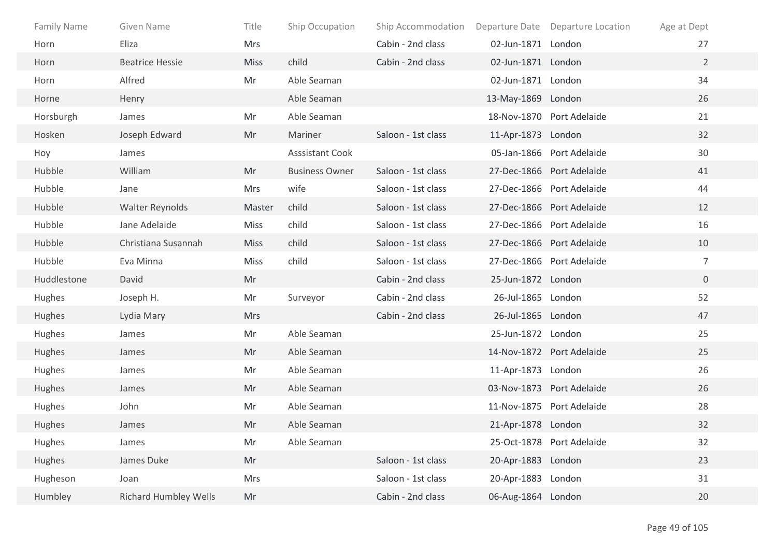| <b>Family Name</b> | Given Name                   | Title       | Ship Occupation        | Ship Accommodation |                    | Departure Date Departure Location | Age at Dept    |
|--------------------|------------------------------|-------------|------------------------|--------------------|--------------------|-----------------------------------|----------------|
| Horn               | Eliza                        | <b>Mrs</b>  |                        | Cabin - 2nd class  | 02-Jun-1871 London |                                   | 27             |
| Horn               | <b>Beatrice Hessie</b>       | <b>Miss</b> | child                  | Cabin - 2nd class  | 02-Jun-1871 London |                                   | $2^{\circ}$    |
| Horn               | Alfred                       | Mr          | Able Seaman            |                    | 02-Jun-1871 London |                                   | 34             |
| Horne              | Henry                        |             | Able Seaman            |                    | 13-May-1869 London |                                   | 26             |
| Horsburgh          | James                        | Mr          | Able Seaman            |                    |                    | 18-Nov-1870 Port Adelaide         | 21             |
| Hosken             | Joseph Edward                | Mr          | Mariner                | Saloon - 1st class | 11-Apr-1873 London |                                   | 32             |
| Hoy                | James                        |             | <b>Asssistant Cook</b> |                    |                    | 05-Jan-1866 Port Adelaide         | 30             |
| Hubble             | William                      | Mr          | <b>Business Owner</b>  | Saloon - 1st class |                    | 27-Dec-1866 Port Adelaide         | 41             |
| Hubble             | Jane                         | Mrs         | wife                   | Saloon - 1st class |                    | 27-Dec-1866 Port Adelaide         | 44             |
| Hubble             | Walter Reynolds              | Master      | child                  | Saloon - 1st class |                    | 27-Dec-1866 Port Adelaide         | 12             |
| Hubble             | Jane Adelaide                | <b>Miss</b> | child                  | Saloon - 1st class |                    | 27-Dec-1866 Port Adelaide         | 16             |
| Hubble             | Christiana Susannah          | <b>Miss</b> | child                  | Saloon - 1st class |                    | 27-Dec-1866 Port Adelaide         | 10             |
| Hubble             | Eva Minna                    | Miss        | child                  | Saloon - 1st class |                    | 27-Dec-1866 Port Adelaide         | $\overline{7}$ |
| Huddlestone        | David                        | Mr          |                        | Cabin - 2nd class  | 25-Jun-1872 London |                                   | $\overline{0}$ |
| Hughes             | Joseph H.                    | Mr          | Surveyor               | Cabin - 2nd class  | 26-Jul-1865 London |                                   | 52             |
| Hughes             | Lydia Mary                   | <b>Mrs</b>  |                        | Cabin - 2nd class  | 26-Jul-1865 London |                                   | 47             |
| Hughes             | James                        | Mr          | Able Seaman            |                    | 25-Jun-1872 London |                                   | 25             |
| Hughes             | James                        | Mr          | Able Seaman            |                    |                    | 14-Nov-1872 Port Adelaide         | 25             |
| Hughes             | James                        | Mr          | Able Seaman            |                    | 11-Apr-1873 London |                                   | 26             |
| Hughes             | James                        | Mr          | Able Seaman            |                    |                    | 03-Nov-1873 Port Adelaide         | 26             |
| Hughes             | John                         | Mr          | Able Seaman            |                    |                    | 11-Nov-1875 Port Adelaide         | 28             |
| Hughes             | James                        | Mr          | Able Seaman            |                    | 21-Apr-1878 London |                                   | 32             |
| Hughes             | James                        | Mr          | Able Seaman            |                    |                    | 25-Oct-1878 Port Adelaide         | 32             |
| Hughes             | James Duke                   | Mr          |                        | Saloon - 1st class | 20-Apr-1883 London |                                   | 23             |
| Hugheson           | Joan                         | Mrs         |                        | Saloon - 1st class | 20-Apr-1883 London |                                   | 31             |
| Humbley            | <b>Richard Humbley Wells</b> | Mr          |                        | Cabin - 2nd class  | 06-Aug-1864 London |                                   | 20             |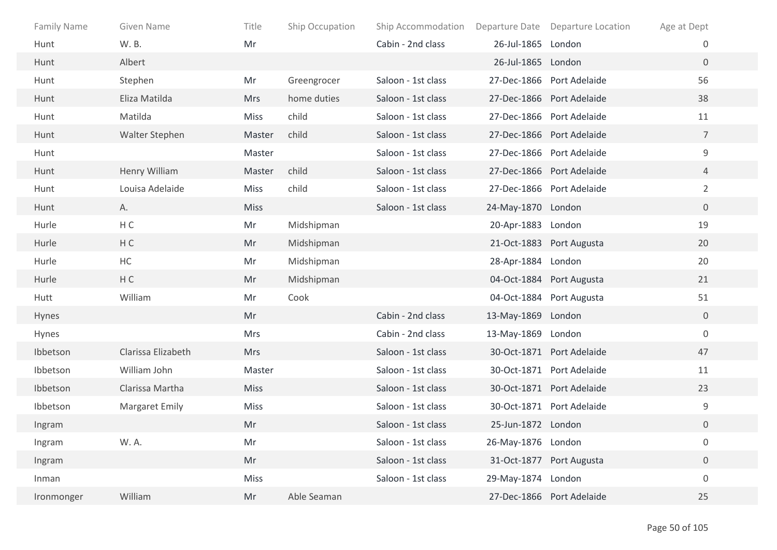| <b>Family Name</b> | Given Name         | Title       | Ship Occupation | Ship Accommodation |                    | Departure Date Departure Location | Age at Dept      |  |
|--------------------|--------------------|-------------|-----------------|--------------------|--------------------|-----------------------------------|------------------|--|
| Hunt               | W. B.              | Mr          |                 | Cabin - 2nd class  | 26-Jul-1865 London |                                   | 0                |  |
| Hunt               | Albert             |             |                 |                    | 26-Jul-1865 London |                                   | $\overline{0}$   |  |
| Hunt               | Stephen            | Mr          | Greengrocer     | Saloon - 1st class |                    | 27-Dec-1866 Port Adelaide         | 56               |  |
| Hunt               | Eliza Matilda      | <b>Mrs</b>  | home duties     | Saloon - 1st class |                    | 27-Dec-1866 Port Adelaide         | 38               |  |
| Hunt               | Matilda            | <b>Miss</b> | child           | Saloon - 1st class |                    | 27-Dec-1866 Port Adelaide         | 11               |  |
| Hunt               | Walter Stephen     | Master      | child           | Saloon - 1st class |                    | 27-Dec-1866 Port Adelaide         | $\overline{7}$   |  |
| Hunt               |                    | Master      |                 | Saloon - 1st class |                    | 27-Dec-1866 Port Adelaide         | 9                |  |
| Hunt               | Henry William      | Master      | child           | Saloon - 1st class |                    | 27-Dec-1866 Port Adelaide         | $\overline{4}$   |  |
| Hunt               | Louisa Adelaide    | Miss        | child           | Saloon - 1st class |                    | 27-Dec-1866 Port Adelaide         | $\overline{2}$   |  |
| Hunt               | А.                 | <b>Miss</b> |                 | Saloon - 1st class | 24-May-1870 London |                                   | $\mathbf 0$      |  |
| Hurle              | H C                | Mr          | Midshipman      |                    | 20-Apr-1883 London |                                   | 19               |  |
| Hurle              | HC                 | Mr          | Midshipman      |                    |                    | 21-Oct-1883 Port Augusta          | 20               |  |
| Hurle              | $\sf HC$           | Mr          | Midshipman      |                    | 28-Apr-1884 London |                                   | 20               |  |
| Hurle              | HC                 | Mr          | Midshipman      |                    |                    | 04-Oct-1884 Port Augusta          | 21               |  |
| Hutt               | William            | Mr          | Cook            |                    |                    | 04-Oct-1884 Port Augusta          | 51               |  |
| Hynes              |                    | Mr          |                 | Cabin - 2nd class  | 13-May-1869 London |                                   | $\overline{0}$   |  |
| Hynes              |                    | Mrs         |                 | Cabin - 2nd class  | 13-May-1869 London |                                   | $\mathbf 0$      |  |
| Ibbetson           | Clarissa Elizabeth | <b>Mrs</b>  |                 | Saloon - 1st class |                    | 30-Oct-1871 Port Adelaide         | 47               |  |
| Ibbetson           | William John       | Master      |                 | Saloon - 1st class |                    | 30-Oct-1871 Port Adelaide         | 11               |  |
| Ibbetson           | Clarissa Martha    | <b>Miss</b> |                 | Saloon - 1st class |                    | 30-Oct-1871 Port Adelaide         | 23               |  |
| Ibbetson           | Margaret Emily     | <b>Miss</b> |                 | Saloon - 1st class |                    | 30-Oct-1871 Port Adelaide         | 9                |  |
| Ingram             |                    | Mr          |                 | Saloon - 1st class | 25-Jun-1872 London |                                   | $\boldsymbol{0}$ |  |
| Ingram             | W. A.              | Mr          |                 | Saloon - 1st class | 26-May-1876 London |                                   | $\boldsymbol{0}$ |  |
| Ingram             |                    | Mr          |                 | Saloon - 1st class |                    | 31-Oct-1877 Port Augusta          | $\boldsymbol{0}$ |  |
| Inman              |                    | Miss        |                 | Saloon - 1st class | 29-May-1874 London |                                   | $\boldsymbol{0}$ |  |
| Ironmonger         | William            | Mr          | Able Seaman     |                    |                    | 27-Dec-1866 Port Adelaide         | 25               |  |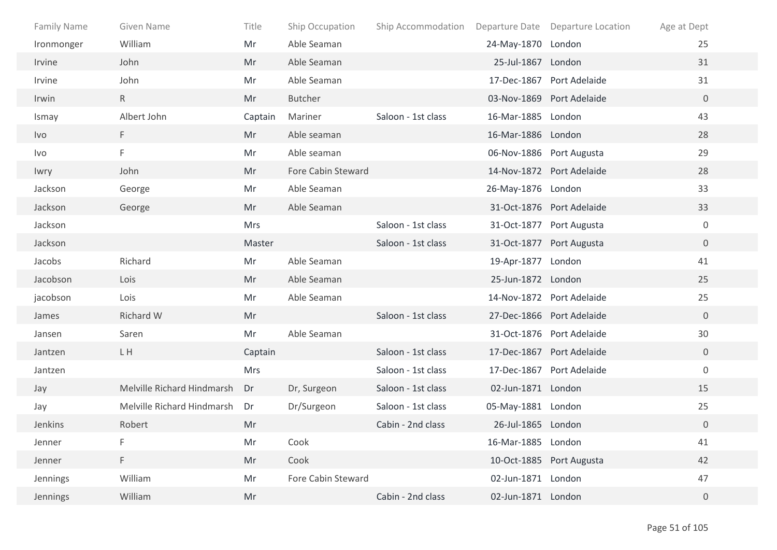| <b>Family Name</b> | Given Name                 | Title      | Ship Occupation    | Ship Accommodation |                    | Departure Date Departure Location | Age at Dept    |
|--------------------|----------------------------|------------|--------------------|--------------------|--------------------|-----------------------------------|----------------|
| Ironmonger         | William                    | Mr         | Able Seaman        |                    | 24-May-1870 London |                                   | 25             |
| Irvine             | John                       | Mr         | Able Seaman        |                    | 25-Jul-1867 London |                                   | 31             |
| Irvine             | John                       | Mr         | Able Seaman        |                    |                    | 17-Dec-1867 Port Adelaide         | 31             |
| Irwin              | $\mathsf{R}$               | Mr         | <b>Butcher</b>     |                    |                    | 03-Nov-1869 Port Adelaide         | $\overline{0}$ |
| Ismay              | Albert John                | Captain    | Mariner            | Saloon - 1st class | 16-Mar-1885 London |                                   | 43             |
| Ivo                | F.                         | Mr         | Able seaman        |                    | 16-Mar-1886 London |                                   | 28             |
| Ivo                | F                          | Mr         | Able seaman        |                    |                    | 06-Nov-1886 Port Augusta          | 29             |
| Iwry               | John                       | Mr         | Fore Cabin Steward |                    |                    | 14-Nov-1872 Port Adelaide         | 28             |
| Jackson            | George                     | Mr         | Able Seaman        |                    | 26-May-1876 London |                                   | 33             |
| Jackson            | George                     | Mr         | Able Seaman        |                    |                    | 31-Oct-1876 Port Adelaide         | 33             |
| Jackson            |                            | <b>Mrs</b> |                    | Saloon - 1st class |                    | 31-Oct-1877 Port Augusta          | $\mathbf 0$    |
| Jackson            |                            | Master     |                    | Saloon - 1st class |                    | 31-Oct-1877 Port Augusta          | $\overline{0}$ |
| Jacobs             | Richard                    | Mr         | Able Seaman        |                    | 19-Apr-1877 London |                                   | 41             |
| Jacobson           | Lois                       | Mr         | Able Seaman        |                    | 25-Jun-1872 London |                                   | 25             |
| jacobson           | Lois                       | Mr         | Able Seaman        |                    |                    | 14-Nov-1872 Port Adelaide         | 25             |
| James              | Richard W                  | Mr         |                    | Saloon - 1st class |                    | 27-Dec-1866 Port Adelaide         | $\overline{0}$ |
| Jansen             | Saren                      | Mr         | Able Seaman        |                    |                    | 31-Oct-1876 Port Adelaide         | 30             |
| Jantzen            | L H                        | Captain    |                    | Saloon - 1st class |                    | 17-Dec-1867 Port Adelaide         | $\mathbf 0$    |
| Jantzen            |                            | Mrs        |                    | Saloon - 1st class |                    | 17-Dec-1867 Port Adelaide         | $\mathbf 0$    |
| Jay                | Melville Richard Hindmarsh | Dr         | Dr, Surgeon        | Saloon - 1st class | 02-Jun-1871 London |                                   | 15             |
| Jay                | Melville Richard Hindmarsh | Dr         | Dr/Surgeon         | Saloon - 1st class | 05-May-1881 London |                                   | 25             |
| Jenkins            | Robert                     | Mr         |                    | Cabin - 2nd class  | 26-Jul-1865 London |                                   | $\overline{0}$ |
| Jenner             | F                          | Mr         | Cook               |                    | 16-Mar-1885 London |                                   | 41             |
| Jenner             | F.                         | Mr         | Cook               |                    |                    | 10-Oct-1885 Port Augusta          | 42             |
| Jennings           | William                    | Mr         | Fore Cabin Steward |                    | 02-Jun-1871 London |                                   | 47             |
| Jennings           | William                    | Mr         |                    | Cabin - 2nd class  | 02-Jun-1871 London |                                   | $\mathbf 0$    |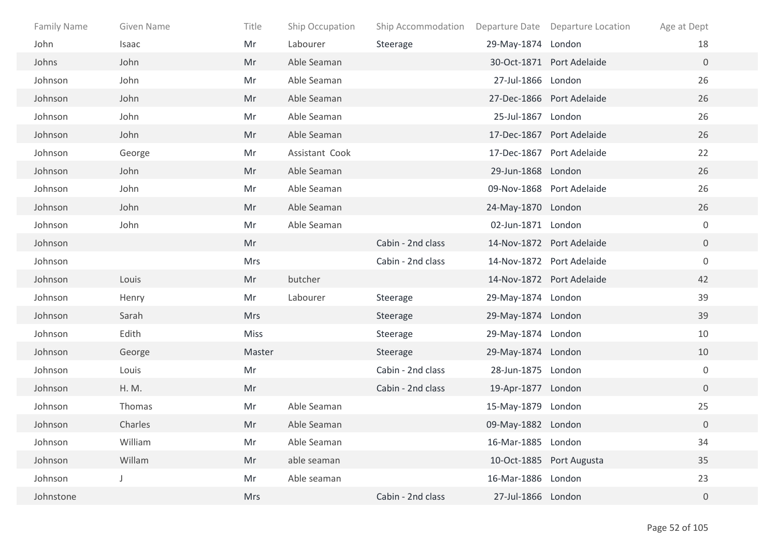| Family Name | Given Name | Title      | Ship Occupation | Ship Accommodation |                    | Departure Date Departure Location | Age at Dept      |
|-------------|------------|------------|-----------------|--------------------|--------------------|-----------------------------------|------------------|
| John        | Isaac      | Mr         | Labourer        | Steerage           | 29-May-1874 London |                                   | 18               |
| Johns       | John       | Mr         | Able Seaman     |                    |                    | 30-Oct-1871 Port Adelaide         | $\overline{0}$   |
| Johnson     | John       | Mr         | Able Seaman     |                    | 27-Jul-1866 London |                                   | 26               |
| Johnson     | John       | Mr         | Able Seaman     |                    |                    | 27-Dec-1866 Port Adelaide         | 26               |
| Johnson     | John       | Mr         | Able Seaman     |                    | 25-Jul-1867 London |                                   | 26               |
| Johnson     | John       | Mr         | Able Seaman     |                    |                    | 17-Dec-1867 Port Adelaide         | 26               |
| Johnson     | George     | Mr         | Assistant Cook  |                    |                    | 17-Dec-1867 Port Adelaide         | 22               |
| Johnson     | John       | Mr         | Able Seaman     |                    | 29-Jun-1868 London |                                   | 26               |
| Johnson     | John       | Mr         | Able Seaman     |                    |                    | 09-Nov-1868 Port Adelaide         | 26               |
| Johnson     | John       | Mr         | Able Seaman     |                    | 24-May-1870 London |                                   | 26               |
| Johnson     | John       | Mr         | Able Seaman     |                    | 02-Jun-1871 London |                                   | $\mathbf 0$      |
| Johnson     |            | Mr         |                 | Cabin - 2nd class  |                    | 14-Nov-1872 Port Adelaide         | $\overline{0}$   |
| Johnson     |            | Mrs        |                 | Cabin - 2nd class  |                    | 14-Nov-1872 Port Adelaide         | $\mathbf 0$      |
| Johnson     | Louis      | Mr         | butcher         |                    |                    | 14-Nov-1872 Port Adelaide         | 42               |
| Johnson     | Henry      | Mr         | Labourer        | Steerage           | 29-May-1874 London |                                   | 39               |
| Johnson     | Sarah      | <b>Mrs</b> |                 | Steerage           | 29-May-1874 London |                                   | 39               |
| Johnson     | Edith      | Miss       |                 | Steerage           | 29-May-1874 London |                                   | 10               |
| Johnson     | George     | Master     |                 | Steerage           | 29-May-1874 London |                                   | 10               |
| Johnson     | Louis      | Mr         |                 | Cabin - 2nd class  | 28-Jun-1875 London |                                   | $\boldsymbol{0}$ |
| Johnson     | H. M.      | Mr         |                 | Cabin - 2nd class  | 19-Apr-1877 London |                                   | $\overline{0}$   |
| Johnson     | Thomas     | Mr         | Able Seaman     |                    | 15-May-1879 London |                                   | 25               |
| Johnson     | Charles    | Mr         | Able Seaman     |                    | 09-May-1882 London |                                   | $\overline{0}$   |
| Johnson     | William    | Mr         | Able Seaman     |                    | 16-Mar-1885 London |                                   | 34               |
| Johnson     | Willam     | Mr         | able seaman     |                    |                    | 10-Oct-1885 Port Augusta          | 35               |
| Johnson     |            | Mr         | Able seaman     |                    | 16-Mar-1886 London |                                   | 23               |
| Johnstone   |            | Mrs        |                 | Cabin - 2nd class  | 27-Jul-1866 London |                                   | $\boldsymbol{0}$ |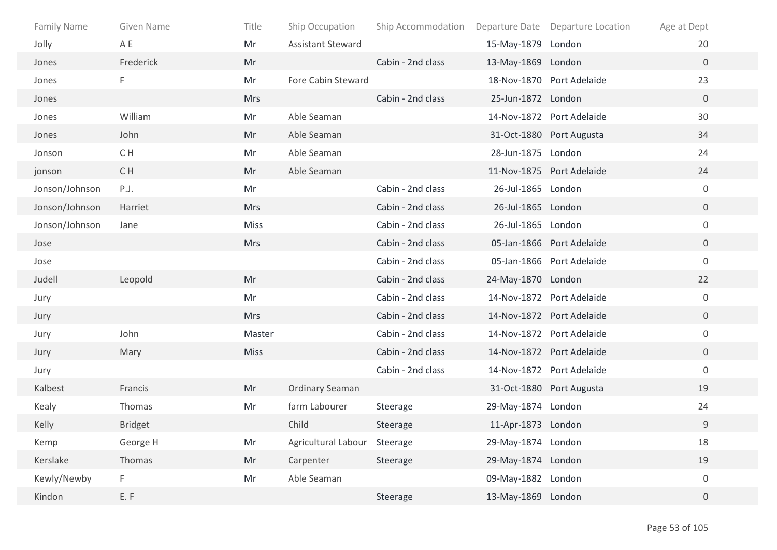| Family Name    | Given Name     | Title       | Ship Occupation              | Ship Accommodation |                    | Departure Date Departure Location | Age at Dept      |  |
|----------------|----------------|-------------|------------------------------|--------------------|--------------------|-----------------------------------|------------------|--|
| Jolly          | A E            | Mr          | <b>Assistant Steward</b>     |                    | 15-May-1879 London |                                   | 20               |  |
| Jones          | Frederick      | Mr          |                              | Cabin - 2nd class  | 13-May-1869 London |                                   | $\mathbf{0}$     |  |
| Jones          | F.             | Mr          | Fore Cabin Steward           |                    |                    | 18-Nov-1870 Port Adelaide         | 23               |  |
| Jones          |                | <b>Mrs</b>  |                              | Cabin - 2nd class  | 25-Jun-1872 London |                                   | $\overline{0}$   |  |
| Jones          | William        | Mr          | Able Seaman                  |                    |                    | 14-Nov-1872 Port Adelaide         | 30               |  |
| Jones          | John           | Mr          | Able Seaman                  |                    |                    | 31-Oct-1880 Port Augusta          | 34               |  |
| Jonson         | C H            | Mr          | Able Seaman                  |                    | 28-Jun-1875 London |                                   | 24               |  |
| jonson         | C H            | Mr          | Able Seaman                  |                    |                    | 11-Nov-1875 Port Adelaide         | 24               |  |
| Jonson/Johnson | P.J.           | Mr          |                              | Cabin - 2nd class  | 26-Jul-1865 London |                                   | $\mathbf 0$      |  |
| Jonson/Johnson | Harriet        | <b>Mrs</b>  |                              | Cabin - 2nd class  | 26-Jul-1865 London |                                   | $\overline{0}$   |  |
| Jonson/Johnson | Jane           | <b>Miss</b> |                              | Cabin - 2nd class  | 26-Jul-1865 London |                                   | $\mathbf 0$      |  |
| Jose           |                | <b>Mrs</b>  |                              | Cabin - 2nd class  |                    | 05-Jan-1866 Port Adelaide         | $\overline{0}$   |  |
| Jose           |                |             |                              | Cabin - 2nd class  |                    | 05-Jan-1866 Port Adelaide         | $\boldsymbol{0}$ |  |
| Judell         | Leopold        | Mr          |                              | Cabin - 2nd class  | 24-May-1870 London |                                   | 22               |  |
| Jury           |                | Mr          |                              | Cabin - 2nd class  |                    | 14-Nov-1872 Port Adelaide         | $\boldsymbol{0}$ |  |
| Jury           |                | <b>Mrs</b>  |                              | Cabin - 2nd class  |                    | 14-Nov-1872 Port Adelaide         | $\overline{0}$   |  |
| Jury           | John           | Master      |                              | Cabin - 2nd class  |                    | 14-Nov-1872 Port Adelaide         | $\mathbf 0$      |  |
| Jury           | Mary           | <b>Miss</b> |                              | Cabin - 2nd class  |                    | 14-Nov-1872 Port Adelaide         | $\mathbf 0$      |  |
| Jury           |                |             |                              | Cabin - 2nd class  |                    | 14-Nov-1872 Port Adelaide         | $\mathbf 0$      |  |
| Kalbest        | Francis        | Mr          | Ordinary Seaman              |                    |                    | 31-Oct-1880 Port Augusta          | 19               |  |
| Kealy          | Thomas         | Mr          | farm Labourer                | Steerage           | 29-May-1874 London |                                   | 24               |  |
| Kelly          | <b>Bridget</b> |             | Child                        | Steerage           | 11-Apr-1873 London |                                   | 9                |  |
| Kemp           | George H       | Mr          | Agricultural Labour Steerage |                    | 29-May-1874 London |                                   | 18               |  |
| Kerslake       | Thomas         | Mr          | Carpenter                    | Steerage           | 29-May-1874 London |                                   | 19               |  |
| Kewly/Newby    | F.             | Mr          | Able Seaman                  |                    | 09-May-1882 London |                                   | $\boldsymbol{0}$ |  |
| Kindon         | E.F            |             |                              | Steerage           | 13-May-1869 London |                                   | $\overline{0}$   |  |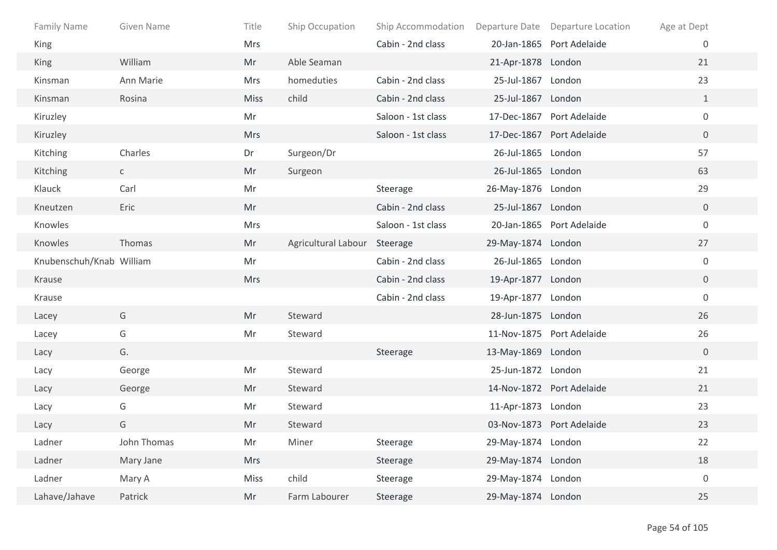| <b>Family Name</b>       | <b>Given Name</b> | Title       | Ship Occupation              | Ship Accommodation |                    | Departure Date Departure Location | Age at Dept      |
|--------------------------|-------------------|-------------|------------------------------|--------------------|--------------------|-----------------------------------|------------------|
| King                     |                   | <b>Mrs</b>  |                              | Cabin - 2nd class  |                    | 20-Jan-1865 Port Adelaide         | 0                |
| King                     | William           | Mr          | Able Seaman                  |                    | 21-Apr-1878 London |                                   | 21               |
| Kinsman                  | Ann Marie         | Mrs         | homeduties                   | Cabin - 2nd class  | 25-Jul-1867 London |                                   | 23               |
| Kinsman                  | Rosina            | <b>Miss</b> | child                        | Cabin - 2nd class  | 25-Jul-1867 London |                                   | $\mathbf{1}$     |
| Kiruzley                 |                   | Mr          |                              | Saloon - 1st class |                    | 17-Dec-1867 Port Adelaide         | $\mathbf 0$      |
| Kiruzley                 |                   | <b>Mrs</b>  |                              | Saloon - 1st class |                    | 17-Dec-1867 Port Adelaide         | $\overline{0}$   |
| Kitching                 | Charles           | Dr          | Surgeon/Dr                   |                    | 26-Jul-1865 London |                                   | 57               |
| Kitching                 | $\mathsf{C}$      | Mr          | Surgeon                      |                    | 26-Jul-1865 London |                                   | 63               |
| Klauck                   | Carl              | Mr          |                              | Steerage           | 26-May-1876 London |                                   | 29               |
| Kneutzen                 | Eric              | Mr          |                              | Cabin - 2nd class  | 25-Jul-1867 London |                                   | $\mathbf 0$      |
| Knowles                  |                   | Mrs         |                              | Saloon - 1st class |                    | 20-Jan-1865 Port Adelaide         | $\boldsymbol{0}$ |
| Knowles                  | Thomas            | Mr          | Agricultural Labour Steerage |                    | 29-May-1874 London |                                   | 27               |
| Knubenschuh/Knab William |                   | Mr          |                              | Cabin - 2nd class  | 26-Jul-1865 London |                                   | $\boldsymbol{0}$ |
| Krause                   |                   | <b>Mrs</b>  |                              | Cabin - 2nd class  | 19-Apr-1877 London |                                   | $\overline{0}$   |
| Krause                   |                   |             |                              | Cabin - 2nd class  | 19-Apr-1877 London |                                   | $\mathbf 0$      |
| Lacey                    | G                 | Mr          | Steward                      |                    | 28-Jun-1875 London |                                   | 26               |
| Lacey                    | G                 | Mr          | Steward                      |                    |                    | 11-Nov-1875 Port Adelaide         | 26               |
| Lacy                     | G.                |             |                              | Steerage           | 13-May-1869 London |                                   | $\overline{0}$   |
| Lacy                     | George            | Mr          | Steward                      |                    | 25-Jun-1872 London |                                   | 21               |
| Lacy                     | George            | Mr          | Steward                      |                    |                    | 14-Nov-1872 Port Adelaide         | 21               |
| Lacy                     | G                 | Mr          | Steward                      |                    | 11-Apr-1873 London |                                   | 23               |
| Lacy                     | G                 | Mr          | Steward                      |                    |                    | 03-Nov-1873 Port Adelaide         | 23               |
| Ladner                   | John Thomas       | Mr          | Miner                        | Steerage           | 29-May-1874 London |                                   | 22               |
| Ladner                   | Mary Jane         | <b>Mrs</b>  |                              | Steerage           | 29-May-1874 London |                                   | 18               |
| Ladner                   | Mary A            | <b>Miss</b> | child                        | Steerage           | 29-May-1874 London |                                   | $\boldsymbol{0}$ |
| Lahave/Jahave            | Patrick           | Mr          | Farm Labourer                | Steerage           | 29-May-1874 London |                                   | 25               |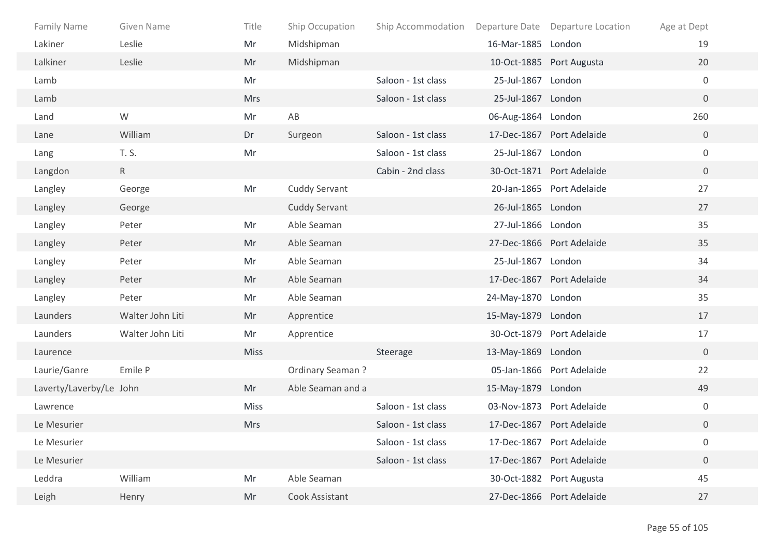| Family Name             | Given Name       | Title       | Ship Occupation      | Ship Accommodation Departure Date Departure Location |                    |                           | Age at Dept      |  |
|-------------------------|------------------|-------------|----------------------|------------------------------------------------------|--------------------|---------------------------|------------------|--|
| Lakiner                 | Leslie           | Mr          | Midshipman           |                                                      | 16-Mar-1885 London |                           | 19               |  |
| Lalkiner                | Leslie           | Mr          | Midshipman           |                                                      |                    | 10-Oct-1885 Port Augusta  | 20               |  |
| Lamb                    |                  | Mr          |                      | Saloon - 1st class                                   | 25-Jul-1867 London |                           | $\mathbf 0$      |  |
| Lamb                    |                  | <b>Mrs</b>  |                      | Saloon - 1st class                                   | 25-Jul-1867 London |                           | $\overline{0}$   |  |
| Land                    | W                | Mr          | AB                   |                                                      | 06-Aug-1864 London |                           | 260              |  |
| Lane                    | William          | Dr          | Surgeon              | Saloon - 1st class                                   |                    | 17-Dec-1867 Port Adelaide | $\overline{0}$   |  |
| Lang                    | T. S.            | Mr          |                      | Saloon - 1st class                                   | 25-Jul-1867 London |                           | $\mathbf 0$      |  |
| Langdon                 | R                |             |                      | Cabin - 2nd class                                    |                    | 30-Oct-1871 Port Adelaide | $\overline{0}$   |  |
| Langley                 | George           | Mr          | <b>Cuddy Servant</b> |                                                      |                    | 20-Jan-1865 Port Adelaide | 27               |  |
| Langley                 | George           |             | <b>Cuddy Servant</b> |                                                      | 26-Jul-1865 London |                           | 27               |  |
| Langley                 | Peter            | Mr          | Able Seaman          |                                                      | 27-Jul-1866 London |                           | 35               |  |
| Langley                 | Peter            | Mr          | Able Seaman          |                                                      |                    | 27-Dec-1866 Port Adelaide | 35               |  |
| Langley                 | Peter            | Mr          | Able Seaman          |                                                      | 25-Jul-1867 London |                           | 34               |  |
| Langley                 | Peter            | Mr          | Able Seaman          |                                                      |                    | 17-Dec-1867 Port Adelaide | 34               |  |
| Langley                 | Peter            | Mr          | Able Seaman          |                                                      | 24-May-1870 London |                           | 35               |  |
| Launders                | Walter John Liti | Mr          | Apprentice           |                                                      | 15-May-1879 London |                           | 17               |  |
| Launders                | Walter John Liti | Mr          | Apprentice           |                                                      |                    | 30-Oct-1879 Port Adelaide | 17               |  |
| Laurence                |                  | <b>Miss</b> |                      | Steerage                                             | 13-May-1869 London |                           | $\overline{0}$   |  |
| Laurie/Ganre            | Emile P          |             | Ordinary Seaman?     |                                                      |                    | 05-Jan-1866 Port Adelaide | 22               |  |
| Laverty/Laverby/Le John |                  | Mr          | Able Seaman and a    |                                                      | 15-May-1879 London |                           | 49               |  |
| Lawrence                |                  | <b>Miss</b> |                      | Saloon - 1st class                                   |                    | 03-Nov-1873 Port Adelaide | $\mathbf 0$      |  |
| Le Mesurier             |                  | <b>Mrs</b>  |                      | Saloon - 1st class                                   |                    | 17-Dec-1867 Port Adelaide | 0                |  |
| Le Mesurier             |                  |             |                      | Saloon - 1st class                                   |                    | 17-Dec-1867 Port Adelaide | $\boldsymbol{0}$ |  |
| Le Mesurier             |                  |             |                      | Saloon - 1st class                                   |                    | 17-Dec-1867 Port Adelaide | $\boldsymbol{0}$ |  |
| Leddra                  | William          | Mr          | Able Seaman          |                                                      |                    | 30-Oct-1882 Port Augusta  | 45               |  |
| Leigh                   | Henry            | Mr          | Cook Assistant       |                                                      |                    | 27-Dec-1866 Port Adelaide | 27               |  |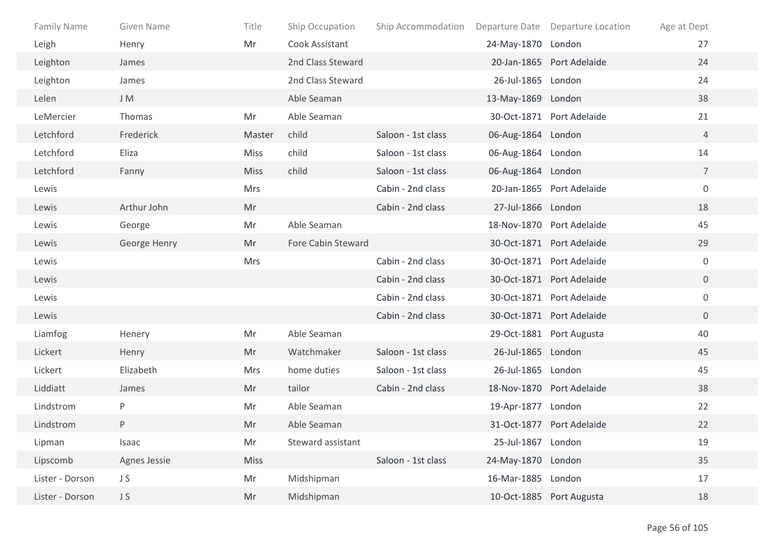| <b>Family Name</b> | Given Name   | Title       | Ship Occupation    | Ship Accommodation |                    | Departure Date Departure Location | Age at Dept      |
|--------------------|--------------|-------------|--------------------|--------------------|--------------------|-----------------------------------|------------------|
| Leigh              | Henry        | Mr          | Cook Assistant     |                    | 24-May-1870 London |                                   | 27               |
| Leighton           | James        |             | 2nd Class Steward  |                    |                    | 20-Jan-1865 Port Adelaide         | 24               |
| Leighton           | James        |             | 2nd Class Steward  |                    | 26-Jul-1865 London |                                   | 24               |
| Lelen              | J M          |             | Able Seaman        |                    | 13-May-1869 London |                                   | 38               |
| LeMercier          | Thomas       | Mr          | Able Seaman        |                    |                    | 30-Oct-1871 Port Adelaide         | 21               |
| Letchford          | Frederick    | Master      | child              | Saloon - 1st class | 06-Aug-1864 London |                                   | $\overline{4}$   |
| Letchford          | Eliza        | <b>Miss</b> | child              | Saloon - 1st class | 06-Aug-1864 London |                                   | 14               |
| Letchford          | Fanny        | <b>Miss</b> | child              | Saloon - 1st class | 06-Aug-1864 London |                                   | $\overline{7}$   |
| Lewis              |              | Mrs         |                    | Cabin - 2nd class  |                    | 20-Jan-1865 Port Adelaide         | $\boldsymbol{0}$ |
| Lewis              | Arthur John  | Mr          |                    | Cabin - 2nd class  | 27-Jul-1866 London |                                   | 18               |
| Lewis              | George       | Mr          | Able Seaman        |                    |                    | 18-Nov-1870 Port Adelaide         | 45               |
| Lewis              | George Henry | Mr          | Fore Cabin Steward |                    |                    | 30-Oct-1871 Port Adelaide         | 29               |
| Lewis              |              | <b>Mrs</b>  |                    | Cabin - 2nd class  |                    | 30-Oct-1871 Port Adelaide         | $\mathbf 0$      |
| Lewis              |              |             |                    | Cabin - 2nd class  |                    | 30-Oct-1871 Port Adelaide         | $\overline{0}$   |
| Lewis              |              |             |                    | Cabin - 2nd class  |                    | 30-Oct-1871 Port Adelaide         | $\mathbf 0$      |
| Lewis              |              |             |                    | Cabin - 2nd class  |                    | 30-Oct-1871 Port Adelaide         | $\overline{0}$   |
| Liamfog            | Henery       | Mr          | Able Seaman        |                    |                    | 29-Oct-1881 Port Augusta          | 40               |
| Lickert            | Henry        | Mr          | Watchmaker         | Saloon - 1st class | 26-Jul-1865 London |                                   | 45               |
| Lickert            | Elizabeth    | Mrs         | home duties        | Saloon - 1st class | 26-Jul-1865 London |                                   | 45               |
| Liddiatt           | James        | Mr          | tailor             | Cabin - 2nd class  |                    | 18-Nov-1870 Port Adelaide         | 38               |
| Lindstrom          | P            | Mr          | Able Seaman        |                    | 19-Apr-1877 London |                                   | 22               |
| Lindstrom          | P            | Mr          | Able Seaman        |                    |                    | 31-Oct-1877 Port Adelaide         | 22               |
| Lipman             | Isaac        | Mr          | Steward assistant  |                    | 25-Jul-1867 London |                                   | 19               |
| Lipscomb           | Agnes Jessie | Miss        |                    | Saloon - 1st class | 24-May-1870 London |                                   | 35               |
| Lister - Dorson    | JS           | Mr          | Midshipman         |                    | 16-Mar-1885 London |                                   | 17               |
| Lister - Dorson    | JS           | Mr          | Midshipman         |                    |                    | 10-Oct-1885 Port Augusta          | 18               |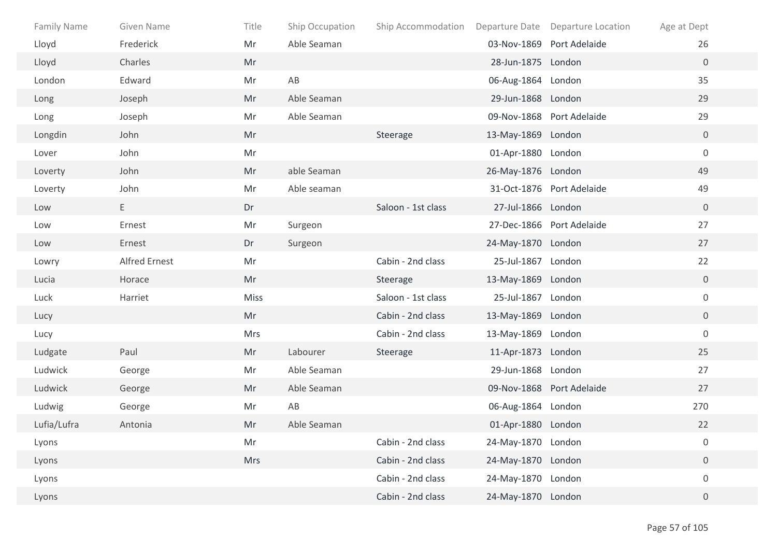| <b>Family Name</b> | Given Name           | Title       | Ship Occupation | Ship Accommodation Departure Date Departure Location |                    |                           | Age at Dept      |
|--------------------|----------------------|-------------|-----------------|------------------------------------------------------|--------------------|---------------------------|------------------|
| Lloyd              | Frederick            | Mr          | Able Seaman     |                                                      |                    | 03-Nov-1869 Port Adelaide | 26               |
| Lloyd              | Charles              | Mr          |                 |                                                      | 28-Jun-1875 London |                           | $\overline{0}$   |
| London             | Edward               | Mr          | AB              |                                                      | 06-Aug-1864 London |                           | 35               |
| Long               | Joseph               | Mr          | Able Seaman     |                                                      | 29-Jun-1868 London |                           | 29               |
| Long               | Joseph               | Mr          | Able Seaman     |                                                      |                    | 09-Nov-1868 Port Adelaide | 29               |
| Longdin            | John                 | Mr          |                 | Steerage                                             | 13-May-1869 London |                           | $\overline{0}$   |
| Lover              | John                 | Mr          |                 |                                                      | 01-Apr-1880 London |                           | $\boldsymbol{0}$ |
| Loverty            | John                 | Mr          | able Seaman     |                                                      | 26-May-1876 London |                           | 49               |
| Loverty            | John                 | Mr          | Able seaman     |                                                      |                    | 31-Oct-1876 Port Adelaide | 49               |
| Low                | E.                   | Dr          |                 | Saloon - 1st class                                   | 27-Jul-1866 London |                           | $\mathbf 0$      |
| Low                | Ernest               | Mr          | Surgeon         |                                                      |                    | 27-Dec-1866 Port Adelaide | 27               |
| Low                | Ernest               | Dr          | Surgeon         |                                                      | 24-May-1870 London |                           | 27               |
| Lowry              | <b>Alfred Ernest</b> | Mr          |                 | Cabin - 2nd class                                    | 25-Jul-1867 London |                           | 22               |
| Lucia              | Horace               | Mr          |                 | Steerage                                             | 13-May-1869 London |                           | $\overline{0}$   |
| Luck               | Harriet              | <b>Miss</b> |                 | Saloon - 1st class                                   | 25-Jul-1867 London |                           | $\mathbf 0$      |
| Lucy               |                      | Mr          |                 | Cabin - 2nd class                                    | 13-May-1869 London |                           | $\overline{0}$   |
| Lucy               |                      | Mrs         |                 | Cabin - 2nd class                                    | 13-May-1869 London |                           | $\mathbf 0$      |
| Ludgate            | Paul                 | Mr          | Labourer        | Steerage                                             | 11-Apr-1873 London |                           | 25               |
| Ludwick            | George               | Mr          | Able Seaman     |                                                      | 29-Jun-1868 London |                           | 27               |
| Ludwick            | George               | Mr          | Able Seaman     |                                                      |                    | 09-Nov-1868 Port Adelaide | 27               |
| Ludwig             | George               | Mr          | AB              |                                                      | 06-Aug-1864 London |                           | 270              |
| Lufia/Lufra        | Antonia              | Mr          | Able Seaman     |                                                      | 01-Apr-1880 London |                           | 22               |
| Lyons              |                      | Mr          |                 | Cabin - 2nd class                                    | 24-May-1870 London |                           | $\boldsymbol{0}$ |
| Lyons              |                      | Mrs         |                 | Cabin - 2nd class                                    | 24-May-1870 London |                           | $\boldsymbol{0}$ |
| Lyons              |                      |             |                 | Cabin - 2nd class                                    | 24-May-1870 London |                           | $\boldsymbol{0}$ |
| Lyons              |                      |             |                 | Cabin - 2nd class                                    | 24-May-1870 London |                           | $\overline{0}$   |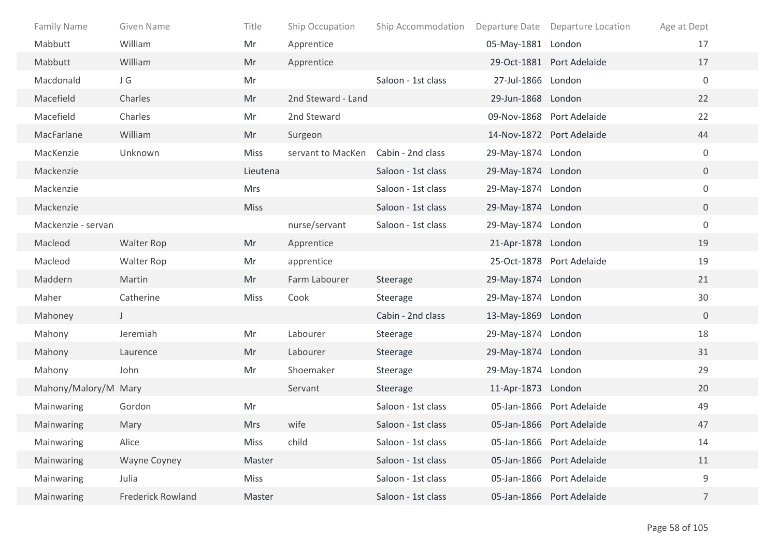| <b>Family Name</b>   | Given Name               | Title       | Ship Occupation    | Ship Accommodation |                    | Departure Date Departure Location | Age at Dept      |
|----------------------|--------------------------|-------------|--------------------|--------------------|--------------------|-----------------------------------|------------------|
| Mabbutt              | William                  | Mr          | Apprentice         |                    | 05-May-1881 London |                                   | 17               |
| Mabbutt              | William                  | Mr          | Apprentice         |                    |                    | 29-Oct-1881 Port Adelaide         | 17               |
| Macdonald            | JG                       | Mr          |                    | Saloon - 1st class | 27-Jul-1866 London |                                   | $\mathbf 0$      |
| Macefield            | Charles                  | Mr          | 2nd Steward - Land |                    | 29-Jun-1868 London |                                   | 22               |
| Macefield            | Charles                  | Mr          | 2nd Steward        |                    |                    | 09-Nov-1868 Port Adelaide         | 22               |
| MacFarlane           | William                  | Mr          | Surgeon            |                    |                    | 14-Nov-1872 Port Adelaide         | 44               |
| MacKenzie            | Unknown                  | <b>Miss</b> | servant to MacKen  | Cabin - 2nd class  | 29-May-1874 London |                                   | $\mathbf 0$      |
| Mackenzie            |                          | Lieutena    |                    | Saloon - 1st class | 29-May-1874 London |                                   | $\overline{0}$   |
| Mackenzie            |                          | <b>Mrs</b>  |                    | Saloon - 1st class | 29-May-1874 London |                                   | 0                |
| Mackenzie            |                          | <b>Miss</b> |                    | Saloon - 1st class | 29-May-1874 London |                                   | $\overline{0}$   |
| Mackenzie - servan   |                          |             | nurse/servant      | Saloon - 1st class | 29-May-1874 London |                                   | $\boldsymbol{0}$ |
| Macleod              | <b>Walter Rop</b>        | Mr          | Apprentice         |                    | 21-Apr-1878 London |                                   | 19               |
| Macleod              | Walter Rop               | Mr          | apprentice         |                    |                    | 25-Oct-1878 Port Adelaide         | 19               |
| Maddern              | Martin                   | Mr          | Farm Labourer      | Steerage           | 29-May-1874 London |                                   | 21               |
| Maher                | Catherine                | <b>Miss</b> | Cook               | Steerage           | 29-May-1874 London |                                   | 30               |
| Mahoney              | $\mathsf{J}$             |             |                    | Cabin - 2nd class  | 13-May-1869 London |                                   | $\overline{0}$   |
| Mahony               | Jeremiah                 | Mr          | Labourer           | Steerage           | 29-May-1874 London |                                   | 18               |
| Mahony               | Laurence                 | Mr          | Labourer           | Steerage           | 29-May-1874 London |                                   | 31               |
| Mahony               | John                     | Mr          | Shoemaker          | Steerage           | 29-May-1874 London |                                   | 29               |
| Mahony/Malory/M Mary |                          |             | Servant            | Steerage           | 11-Apr-1873 London |                                   | 20               |
| Mainwaring           | Gordon                   | Mr          |                    | Saloon - 1st class |                    | 05-Jan-1866 Port Adelaide         | 49               |
| Mainwaring           | Mary                     | <b>Mrs</b>  | wife               | Saloon - 1st class |                    | 05-Jan-1866 Port Adelaide         | 47               |
| Mainwaring           | Alice                    | Miss        | child              | Saloon - 1st class |                    | 05-Jan-1866 Port Adelaide         | 14               |
| Mainwaring           | <b>Wayne Coyney</b>      | Master      |                    | Saloon - 1st class |                    | 05-Jan-1866 Port Adelaide         | 11               |
| Mainwaring           | Julia                    | Miss        |                    | Saloon - 1st class |                    | 05-Jan-1866 Port Adelaide         | 9                |
| Mainwaring           | <b>Frederick Rowland</b> | Master      |                    | Saloon - 1st class |                    | 05-Jan-1866 Port Adelaide         | $\overline{7}$   |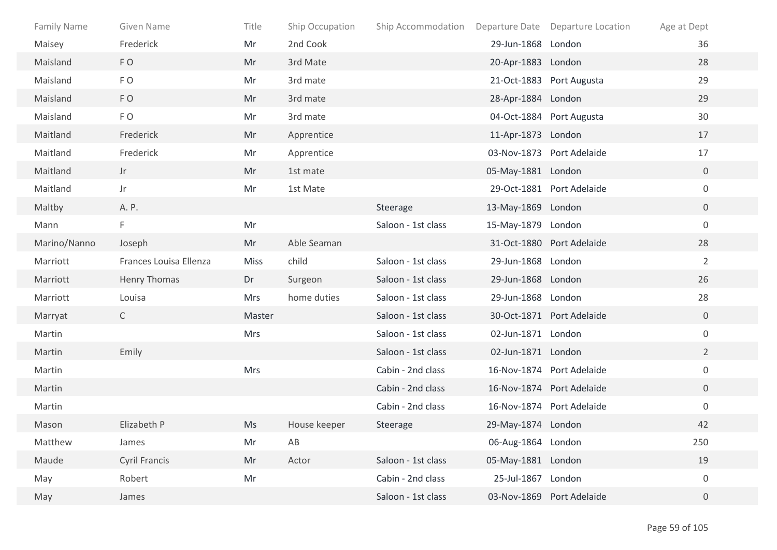| <b>Family Name</b> | Given Name             | Title       | Ship Occupation        | Ship Accommodation |                    | Departure Date Departure Location | Age at Dept      |
|--------------------|------------------------|-------------|------------------------|--------------------|--------------------|-----------------------------------|------------------|
| Maisey             | Frederick              | Mr          | 2nd Cook               |                    | 29-Jun-1868 London |                                   | 36               |
| Maisland           | FO                     | Mr          | 3rd Mate               |                    | 20-Apr-1883 London |                                   | 28               |
| Maisland           | FO                     | Mr          | 3rd mate               |                    |                    | 21-Oct-1883 Port Augusta          | 29               |
| Maisland           | FO                     | Mr          | 3rd mate               |                    | 28-Apr-1884 London |                                   | 29               |
| Maisland           | FO                     | Mr          | 3rd mate               |                    |                    | 04-Oct-1884 Port Augusta          | 30               |
| Maitland           | Frederick              | Mr          | Apprentice             |                    | 11-Apr-1873 London |                                   | 17               |
| Maitland           | Frederick              | Mr          | Apprentice             |                    |                    | 03-Nov-1873 Port Adelaide         | 17               |
| Maitland           | Jr                     | Mr          | 1st mate               |                    | 05-May-1881 London |                                   | $\overline{0}$   |
| Maitland           | Jr                     | Mr          | 1st Mate               |                    |                    | 29-Oct-1881 Port Adelaide         | $\mathbf 0$      |
| Maltby             | A. P.                  |             |                        | Steerage           | 13-May-1869 London |                                   | $\overline{0}$   |
| Mann               | F.                     | Mr          |                        | Saloon - 1st class | 15-May-1879 London |                                   | $\mathbf 0$      |
| Marino/Nanno       | Joseph                 | Mr          | Able Seaman            |                    |                    | 31-Oct-1880 Port Adelaide         | 28               |
| Marriott           | Frances Louisa Ellenza | <b>Miss</b> | child                  | Saloon - 1st class | 29-Jun-1868 London |                                   | $\overline{2}$   |
| Marriott           | <b>Henry Thomas</b>    | Dr          | Surgeon                | Saloon - 1st class | 29-Jun-1868 London |                                   | 26               |
| Marriott           | Louisa                 | <b>Mrs</b>  | home duties            | Saloon - 1st class | 29-Jun-1868 London |                                   | 28               |
| Marryat            | $\mathsf{C}$           | Master      |                        | Saloon - 1st class |                    | 30-Oct-1871 Port Adelaide         | $\overline{0}$   |
| Martin             |                        | Mrs         |                        | Saloon - 1st class | 02-Jun-1871 London |                                   | $\mathbf 0$      |
| Martin             | Emily                  |             |                        | Saloon - 1st class | 02-Jun-1871 London |                                   | $2^{\circ}$      |
| Martin             |                        | Mrs         |                        | Cabin - 2nd class  |                    | 16-Nov-1874 Port Adelaide         | $\mathbf 0$      |
| Martin             |                        |             |                        | Cabin - 2nd class  |                    | 16-Nov-1874 Port Adelaide         | $\overline{0}$   |
| Martin             |                        |             |                        | Cabin - 2nd class  |                    | 16-Nov-1874 Port Adelaide         | $\boldsymbol{0}$ |
| Mason              | Elizabeth P            | Ms          | House keeper           | Steerage           | 29-May-1874 London |                                   | 42               |
| Matthew            | James                  | Mr          | $\mathsf{A}\mathsf{B}$ |                    | 06-Aug-1864 London |                                   | 250              |
| Maude              | Cyril Francis          | Mr          | Actor                  | Saloon - 1st class | 05-May-1881 London |                                   | 19               |
| May                | Robert                 | Mr          |                        | Cabin - 2nd class  | 25-Jul-1867 London |                                   | $\boldsymbol{0}$ |
| May                | James                  |             |                        | Saloon - 1st class |                    | 03-Nov-1869 Port Adelaide         | $\overline{0}$   |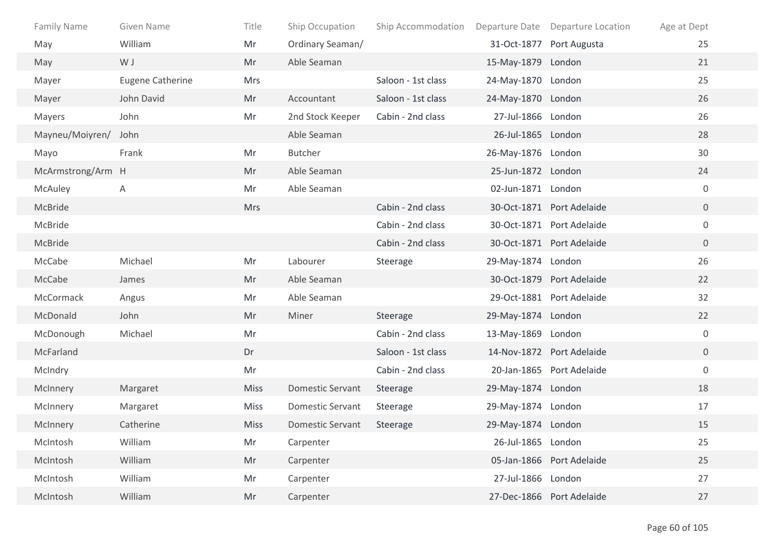| Family Name       | Given Name              | Title       | Ship Occupation         | Ship Accommodation |                    | Departure Date Departure Location | Age at Dept      |
|-------------------|-------------------------|-------------|-------------------------|--------------------|--------------------|-----------------------------------|------------------|
| May               | William                 | Mr          | Ordinary Seaman/        |                    |                    | 31-Oct-1877 Port Augusta          | 25               |
| May               | W J                     | Mr          | Able Seaman             |                    | 15-May-1879 London |                                   | 21               |
| Mayer             | <b>Eugene Catherine</b> | <b>Mrs</b>  |                         | Saloon - 1st class | 24-May-1870 London |                                   | 25               |
| Mayer             | John David              | Mr          | Accountant              | Saloon - 1st class | 24-May-1870 London |                                   | 26               |
| Mayers            | John                    | Mr          | 2nd Stock Keeper        | Cabin - 2nd class  | 27-Jul-1866 London |                                   | 26               |
| Mayneu/Moiyren/   | John                    |             | Able Seaman             |                    | 26-Jul-1865 London |                                   | 28               |
| Mayo              | Frank                   | Mr          | <b>Butcher</b>          |                    | 26-May-1876 London |                                   | 30               |
| McArmstrong/Arm H |                         | Mr          | Able Seaman             |                    | 25-Jun-1872 London |                                   | 24               |
| McAuley           | Α                       | Mr          | Able Seaman             |                    | 02-Jun-1871 London |                                   | $\mathbf 0$      |
| McBride           |                         | <b>Mrs</b>  |                         | Cabin - 2nd class  |                    | 30-Oct-1871 Port Adelaide         | $\overline{0}$   |
| McBride           |                         |             |                         | Cabin - 2nd class  |                    | 30-Oct-1871 Port Adelaide         | $\mathbf 0$      |
| McBride           |                         |             |                         | Cabin - 2nd class  |                    | 30-Oct-1871 Port Adelaide         | $\overline{0}$   |
| McCabe            | Michael                 | Mr          | Labourer                | Steerage           | 29-May-1874 London |                                   | 26               |
| McCabe            | James                   | Mr          | Able Seaman             |                    |                    | 30-Oct-1879 Port Adelaide         | 22               |
| McCormack         | Angus                   | Mr          | Able Seaman             |                    |                    | 29-Oct-1881 Port Adelaide         | 32               |
| McDonald          | John                    | Mr          | Miner                   | Steerage           | 29-May-1874 London |                                   | 22               |
| McDonough         | Michael                 | Mr          |                         | Cabin - 2nd class  | 13-May-1869 London |                                   | $\boldsymbol{0}$ |
| McFarland         |                         | Dr          |                         | Saloon - 1st class |                    | 14-Nov-1872 Port Adelaide         | $\overline{0}$   |
| McIndry           |                         | Mr          |                         | Cabin - 2nd class  |                    | 20-Jan-1865 Port Adelaide         | $\mathbf 0$      |
| McInnery          | Margaret                | <b>Miss</b> | <b>Domestic Servant</b> | Steerage           | 29-May-1874 London |                                   | 18               |
| McInnery          | Margaret                | <b>Miss</b> | <b>Domestic Servant</b> | Steerage           | 29-May-1874 London |                                   | 17               |
| McInnery          | Catherine               | <b>Miss</b> | <b>Domestic Servant</b> | Steerage           | 29-May-1874 London |                                   | 15               |
| McIntosh          | William                 | Mr          | Carpenter               |                    | 26-Jul-1865 London |                                   | 25               |
| McIntosh          | William                 | Mr          | Carpenter               |                    |                    | 05-Jan-1866 Port Adelaide         | 25               |
| McIntosh          | William                 | Mr          | Carpenter               |                    | 27-Jul-1866 London |                                   | 27               |
| McIntosh          | William                 | Mr          | Carpenter               |                    |                    | 27-Dec-1866 Port Adelaide         | 27               |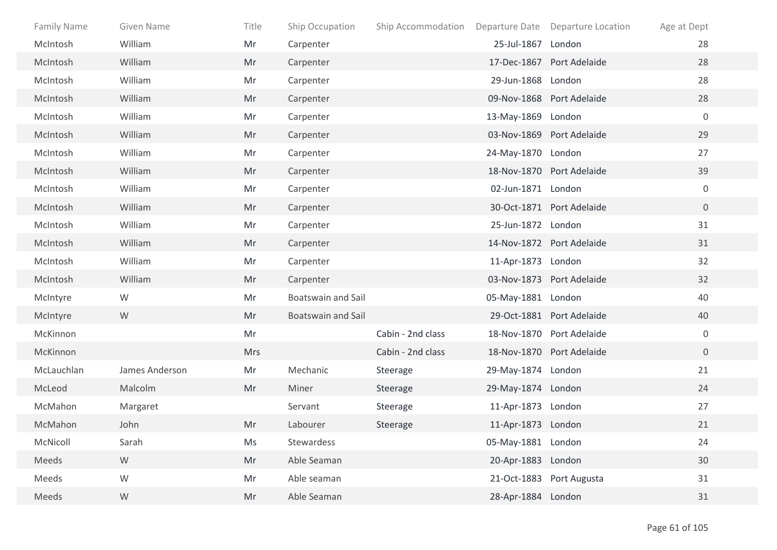| Family Name | Given Name     | Title      | Ship Occupation           | Ship Accommodation Departure Date Departure Location |                    |                           | Age at Dept      |
|-------------|----------------|------------|---------------------------|------------------------------------------------------|--------------------|---------------------------|------------------|
| McIntosh    | William        | Mr         | Carpenter                 |                                                      | 25-Jul-1867 London |                           | 28               |
| McIntosh    | William        | Mr         | Carpenter                 |                                                      |                    | 17-Dec-1867 Port Adelaide | 28               |
| McIntosh    | William        | Mr         | Carpenter                 |                                                      | 29-Jun-1868 London |                           | 28               |
| McIntosh    | William        | Mr         | Carpenter                 |                                                      |                    | 09-Nov-1868 Port Adelaide | 28               |
| McIntosh    | William        | Mr         | Carpenter                 |                                                      | 13-May-1869 London |                           | $\mathbf 0$      |
| McIntosh    | William        | Mr         | Carpenter                 |                                                      |                    | 03-Nov-1869 Port Adelaide | 29               |
| McIntosh    | William        | Mr         | Carpenter                 |                                                      | 24-May-1870 London |                           | 27               |
| McIntosh    | William        | Mr         | Carpenter                 |                                                      |                    | 18-Nov-1870 Port Adelaide | 39               |
| McIntosh    | William        | Mr         | Carpenter                 |                                                      | 02-Jun-1871 London |                           | $\mathbf 0$      |
| McIntosh    | William        | Mr         | Carpenter                 |                                                      |                    | 30-Oct-1871 Port Adelaide | $\overline{0}$   |
| McIntosh    | William        | Mr         | Carpenter                 |                                                      | 25-Jun-1872 London |                           | 31               |
| McIntosh    | William        | Mr         | Carpenter                 |                                                      |                    | 14-Nov-1872 Port Adelaide | 31               |
| McIntosh    | William        | Mr         | Carpenter                 |                                                      | 11-Apr-1873 London |                           | 32               |
| McIntosh    | William        | Mr         | Carpenter                 |                                                      |                    | 03-Nov-1873 Port Adelaide | 32               |
| McIntyre    | W              | Mr         | <b>Boatswain and Sail</b> |                                                      | 05-May-1881 London |                           | 40               |
| McIntyre    | W              | Mr         | <b>Boatswain and Sail</b> |                                                      |                    | 29-Oct-1881 Port Adelaide | 40               |
| McKinnon    |                | Mr         |                           | Cabin - 2nd class                                    |                    | 18-Nov-1870 Port Adelaide | $\boldsymbol{0}$ |
| McKinnon    |                | <b>Mrs</b> |                           | Cabin - 2nd class                                    |                    | 18-Nov-1870 Port Adelaide | $\overline{0}$   |
| McLauchlan  | James Anderson | Mr         | Mechanic                  | Steerage                                             | 29-May-1874 London |                           | 21               |
| McLeod      | Malcolm        | Mr         | Miner                     | Steerage                                             | 29-May-1874 London |                           | 24               |
| McMahon     | Margaret       |            | Servant                   | Steerage                                             | 11-Apr-1873 London |                           | 27               |
| McMahon     | John           | Mr         | Labourer                  | Steerage                                             | 11-Apr-1873 London |                           | 21               |
| McNicoll    | Sarah          | Ms         | Stewardess                |                                                      | 05-May-1881 London |                           | 24               |
| Meeds       | ${\mathsf W}$  | Mr         | Able Seaman               |                                                      | 20-Apr-1883 London |                           | $30\,$           |
| Meeds       | ${\mathsf W}$  | Mr         | Able seaman               |                                                      |                    | 21-Oct-1883 Port Augusta  | 31               |
| Meeds       | ${\sf W}$      | Mr         | Able Seaman               |                                                      | 28-Apr-1884 London |                           | 31               |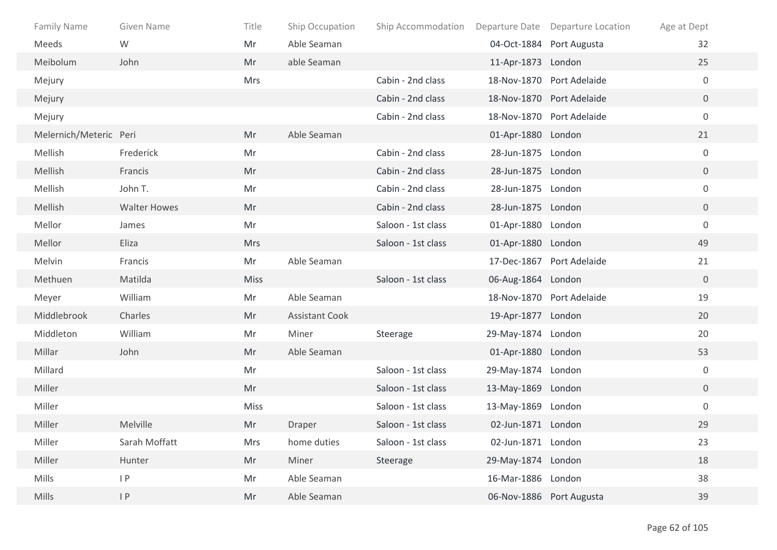| Family Name            | <b>Given Name</b>   | Title       | Ship Occupation       | Ship Accommodation Departure Date Departure Location |                    |                           | Age at Dept      |
|------------------------|---------------------|-------------|-----------------------|------------------------------------------------------|--------------------|---------------------------|------------------|
| Meeds                  | W                   | Mr          | Able Seaman           |                                                      |                    | 04-Oct-1884 Port Augusta  | 32               |
| Meibolum               | John                | Mr          | able Seaman           |                                                      | 11-Apr-1873 London |                           | 25               |
| Mejury                 |                     | <b>Mrs</b>  |                       | Cabin - 2nd class                                    |                    | 18-Nov-1870 Port Adelaide | $\overline{0}$   |
| Mejury                 |                     |             |                       | Cabin - 2nd class                                    |                    | 18-Nov-1870 Port Adelaide | $\overline{0}$   |
| Mejury                 |                     |             |                       | Cabin - 2nd class                                    |                    | 18-Nov-1870 Port Adelaide | $\overline{0}$   |
| Melernich/Meteric Peri |                     | Mr          | Able Seaman           |                                                      | 01-Apr-1880 London |                           | 21               |
| Mellish                | Frederick           | Mr          |                       | Cabin - 2nd class                                    | 28-Jun-1875 London |                           | $\mathbf 0$      |
| Mellish                | Francis             | Mr          |                       | Cabin - 2nd class                                    | 28-Jun-1875 London |                           | $\overline{0}$   |
| Mellish                | John T.             | Mr          |                       | Cabin - 2nd class                                    | 28-Jun-1875 London |                           | $\overline{0}$   |
| Mellish                | <b>Walter Howes</b> | Mr          |                       | Cabin - 2nd class                                    | 28-Jun-1875 London |                           | $\overline{0}$   |
| Mellor                 | James               | Mr          |                       | Saloon - 1st class                                   | 01-Apr-1880 London |                           | $\overline{0}$   |
| Mellor                 | Eliza               | <b>Mrs</b>  |                       | Saloon - 1st class                                   | 01-Apr-1880 London |                           | 49               |
| Melvin                 | Francis             | Mr          | Able Seaman           |                                                      |                    | 17-Dec-1867 Port Adelaide | 21               |
| Methuen                | Matilda             | <b>Miss</b> |                       | Saloon - 1st class                                   | 06-Aug-1864 London |                           | $\overline{0}$   |
| Meyer                  | William             | Mr          | Able Seaman           |                                                      |                    | 18-Nov-1870 Port Adelaide | 19               |
| Middlebrook            | Charles             | Mr          | <b>Assistant Cook</b> |                                                      | 19-Apr-1877 London |                           | 20               |
| Middleton              | William             | Mr          | Miner                 | Steerage                                             | 29-May-1874 London |                           | 20               |
| Millar                 | John                | Mr          | Able Seaman           |                                                      | 01-Apr-1880 London |                           | 53               |
| Millard                |                     | Mr          |                       | Saloon - 1st class                                   | 29-May-1874 London |                           | 0                |
| Miller                 |                     | Mr          |                       | Saloon - 1st class                                   | 13-May-1869 London |                           | $\overline{0}$   |
| Miller                 |                     | <b>Miss</b> |                       | Saloon - 1st class                                   | 13-May-1869 London |                           | $\boldsymbol{0}$ |
| Miller                 | Melville            | Mr          | Draper                | Saloon - 1st class                                   | 02-Jun-1871 London |                           | 29               |
| Miller                 | Sarah Moffatt       | Mrs         | home duties           | Saloon - 1st class                                   | 02-Jun-1871 London |                           | 23               |
| Miller                 | Hunter              | Mr          | Miner                 | Steerage                                             | 29-May-1874 London |                           | 18               |
| Mills                  | P                   | Mr          | Able Seaman           |                                                      | 16-Mar-1886 London |                           | 38               |
| Mills                  | P                   | Mr          | Able Seaman           |                                                      |                    | 06-Nov-1886 Port Augusta  | 39               |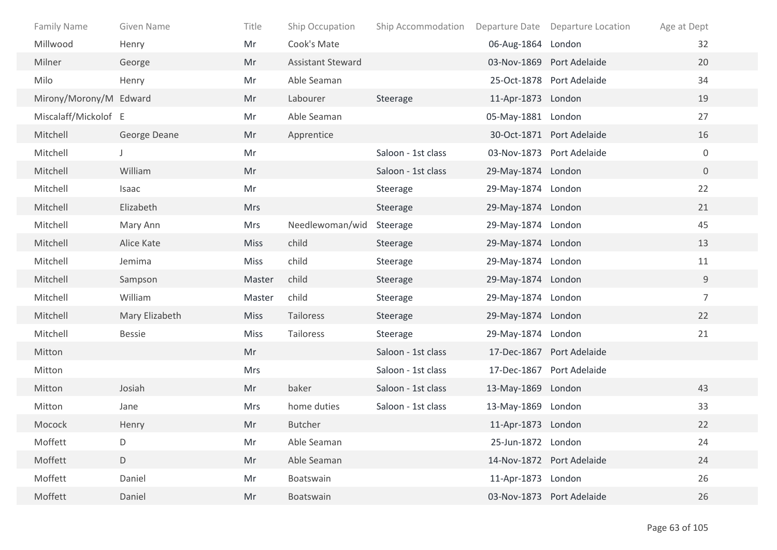| Family Name            | <b>Given Name</b> | Title       | Ship Occupation          | Ship Accommodation |                    | Departure Date Departure Location | Age at Dept    |
|------------------------|-------------------|-------------|--------------------------|--------------------|--------------------|-----------------------------------|----------------|
| Millwood               | Henry             | Mr          | Cook's Mate              |                    | 06-Aug-1864 London |                                   | 32             |
| Milner                 | George            | Mr          | <b>Assistant Steward</b> |                    |                    | 03-Nov-1869 Port Adelaide         | 20             |
| Milo                   | Henry             | Mr          | Able Seaman              |                    |                    | 25-Oct-1878 Port Adelaide         | 34             |
| Mirony/Morony/M Edward |                   | Mr          | Labourer                 | Steerage           | 11-Apr-1873 London |                                   | 19             |
| Miscalaff/Mickolof E   |                   | Mr          | Able Seaman              |                    | 05-May-1881 London |                                   | 27             |
| Mitchell               | George Deane      | Mr          | Apprentice               |                    |                    | 30-Oct-1871 Port Adelaide         | 16             |
| Mitchell               |                   | Mr          |                          | Saloon - 1st class |                    | 03-Nov-1873 Port Adelaide         | $\mathbf 0$    |
| Mitchell               | William           | Mr          |                          | Saloon - 1st class | 29-May-1874 London |                                   | $\overline{0}$ |
| Mitchell               | Isaac             | Mr          |                          | Steerage           | 29-May-1874 London |                                   | 22             |
| Mitchell               | Elizabeth         | <b>Mrs</b>  |                          | Steerage           | 29-May-1874 London |                                   | 21             |
| Mitchell               | Mary Ann          | <b>Mrs</b>  | Needlewoman/wid          | Steerage           | 29-May-1874 London |                                   | 45             |
| Mitchell               | Alice Kate        | <b>Miss</b> | child                    | Steerage           | 29-May-1874 London |                                   | 13             |
| Mitchell               | Jemima            | Miss        | child                    | Steerage           | 29-May-1874 London |                                   | 11             |
| Mitchell               | Sampson           | Master      | child                    | Steerage           | 29-May-1874 London |                                   | 9              |
| Mitchell               | William           | Master      | child                    | Steerage           | 29-May-1874 London |                                   | $\overline{7}$ |
| Mitchell               | Mary Elizabeth    | <b>Miss</b> | Tailoress                | Steerage           | 29-May-1874 London |                                   | 22             |
| Mitchell               | <b>Bessie</b>     | Miss        | Tailoress                | Steerage           | 29-May-1874 London |                                   | 21             |
| Mitton                 |                   | Mr          |                          | Saloon - 1st class |                    | 17-Dec-1867 Port Adelaide         |                |
| Mitton                 |                   | <b>Mrs</b>  |                          | Saloon - 1st class |                    | 17-Dec-1867 Port Adelaide         |                |
| Mitton                 | Josiah            | Mr          | baker                    | Saloon - 1st class | 13-May-1869 London |                                   | 43             |
| Mitton                 | Jane              | <b>Mrs</b>  | home duties              | Saloon - 1st class | 13-May-1869 London |                                   | 33             |
| Mocock                 | Henry             | Mr          | <b>Butcher</b>           |                    | 11-Apr-1873 London |                                   | 22             |
| Moffett                | D                 | Mr          | Able Seaman              |                    | 25-Jun-1872 London |                                   | 24             |
| Moffett                | $\mathsf D$       | Mr          | Able Seaman              |                    |                    | 14-Nov-1872 Port Adelaide         | 24             |
| Moffett                | Daniel            | Mr          | Boatswain                |                    | 11-Apr-1873 London |                                   | 26             |
| Moffett                | Daniel            | Mr          | Boatswain                |                    |                    | 03-Nov-1873 Port Adelaide         | 26             |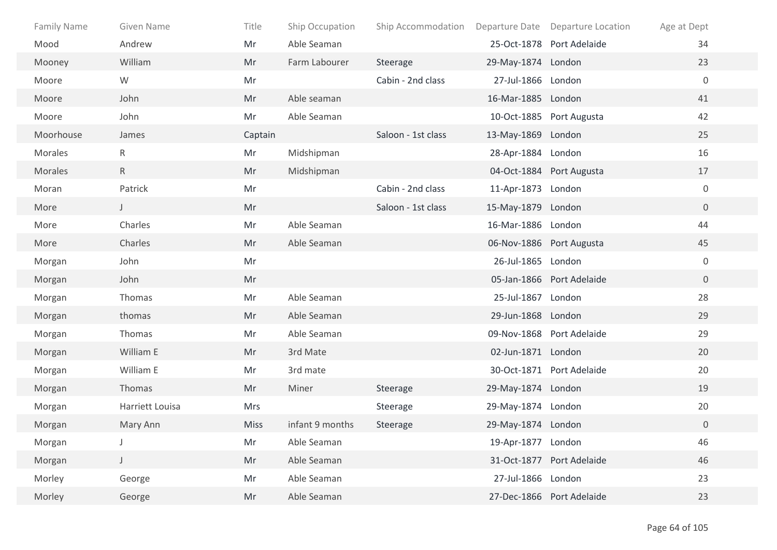| Family Name | Given Name      | Title       | Ship Occupation | Ship Accommodation |                    | Departure Date Departure Location | Age at Dept      |
|-------------|-----------------|-------------|-----------------|--------------------|--------------------|-----------------------------------|------------------|
| Mood        | Andrew          | Mr          | Able Seaman     |                    |                    | 25-Oct-1878 Port Adelaide         | 34               |
| Mooney      | William         | Mr          | Farm Labourer   | Steerage           | 29-May-1874 London |                                   | 23               |
| Moore       | W               | Mr          |                 | Cabin - 2nd class  | 27-Jul-1866 London |                                   | $\mathbf 0$      |
| Moore       | John            | Mr          | Able seaman     |                    | 16-Mar-1885 London |                                   | 41               |
| Moore       | John            | Mr          | Able Seaman     |                    |                    | 10-Oct-1885 Port Augusta          | 42               |
| Moorhouse   | James           | Captain     |                 | Saloon - 1st class | 13-May-1869 London |                                   | 25               |
| Morales     | R               | Mr          | Midshipman      |                    | 28-Apr-1884 London |                                   | 16               |
| Morales     | $\mathsf{R}$    | Mr          | Midshipman      |                    |                    | 04-Oct-1884 Port Augusta          | 17               |
| Moran       | Patrick         | Mr          |                 | Cabin - 2nd class  | 11-Apr-1873 London |                                   | $\boldsymbol{0}$ |
| More        | $\mathsf J$     | Mr          |                 | Saloon - 1st class | 15-May-1879 London |                                   | $\overline{0}$   |
| More        | Charles         | Mr          | Able Seaman     |                    | 16-Mar-1886 London |                                   | 44               |
| More        | Charles         | Mr          | Able Seaman     |                    |                    | 06-Nov-1886 Port Augusta          | 45               |
| Morgan      | John            | Mr          |                 |                    | 26-Jul-1865 London |                                   | $\mathbf 0$      |
| Morgan      | John            | Mr          |                 |                    |                    | 05-Jan-1866 Port Adelaide         | $\overline{0}$   |
| Morgan      | Thomas          | Mr          | Able Seaman     |                    | 25-Jul-1867 London |                                   | 28               |
| Morgan      | thomas          | Mr          | Able Seaman     |                    | 29-Jun-1868 London |                                   | 29               |
| Morgan      | Thomas          | Mr          | Able Seaman     |                    |                    | 09-Nov-1868 Port Adelaide         | 29               |
| Morgan      | William E       | Mr          | 3rd Mate        |                    | 02-Jun-1871 London |                                   | 20               |
| Morgan      | William E       | Mr          | 3rd mate        |                    |                    | 30-Oct-1871 Port Adelaide         | 20               |
| Morgan      | Thomas          | Mr          | Miner           | Steerage           | 29-May-1874 London |                                   | 19               |
| Morgan      | Harriett Louisa | Mrs         |                 | Steerage           | 29-May-1874 London |                                   | 20               |
| Morgan      | Mary Ann        | <b>Miss</b> | infant 9 months | Steerage           | 29-May-1874 London |                                   | $\overline{0}$   |
| Morgan      |                 | Mr          | Able Seaman     |                    | 19-Apr-1877 London |                                   | 46               |
| Morgan      | $\mathsf{J}^-$  | Mr          | Able Seaman     |                    |                    | 31-Oct-1877 Port Adelaide         | 46               |
| Morley      | George          | Mr          | Able Seaman     |                    | 27-Jul-1866 London |                                   | 23               |
| Morley      | George          | Mr          | Able Seaman     |                    |                    | 27-Dec-1866 Port Adelaide         | 23               |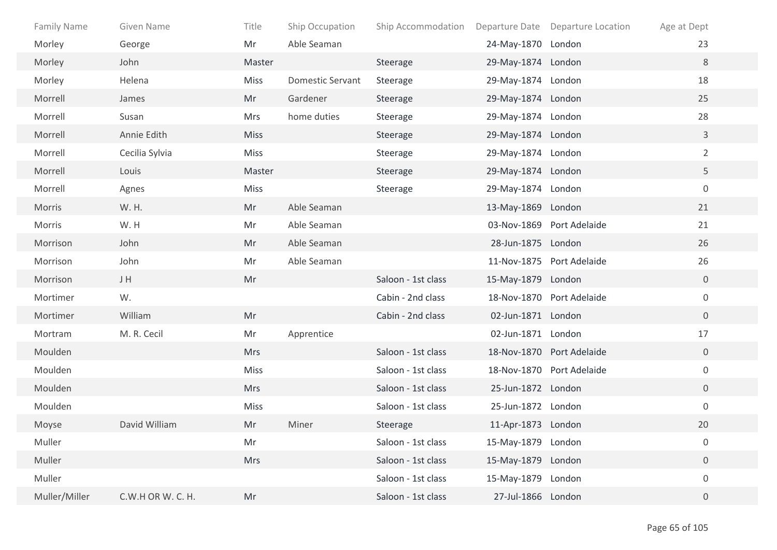| <b>Family Name</b> | Given Name        | Title       | Ship Occupation         | Ship Accommodation |                    | Departure Date Departure Location | Age at Dept      |  |
|--------------------|-------------------|-------------|-------------------------|--------------------|--------------------|-----------------------------------|------------------|--|
| Morley             | George            | Mr          | Able Seaman             |                    | 24-May-1870 London |                                   | 23               |  |
| Morley             | John              | Master      |                         | Steerage           | 29-May-1874 London |                                   | 8                |  |
| Morley             | Helena            | Miss        | <b>Domestic Servant</b> | Steerage           | 29-May-1874 London |                                   | 18               |  |
| Morrell            | James             | Mr          | Gardener                | Steerage           | 29-May-1874 London |                                   | 25               |  |
| Morrell            | Susan             | <b>Mrs</b>  | home duties             | Steerage           | 29-May-1874 London |                                   | 28               |  |
| Morrell            | Annie Edith       | <b>Miss</b> |                         | Steerage           | 29-May-1874 London |                                   | $\mathbf{3}$     |  |
| Morrell            | Cecilia Sylvia    | <b>Miss</b> |                         | Steerage           | 29-May-1874 London |                                   | $\overline{2}$   |  |
| Morrell            | Louis             | Master      |                         | Steerage           | 29-May-1874 London |                                   | 5                |  |
| Morrell            | Agnes             | Miss        |                         | Steerage           | 29-May-1874 London |                                   | $\boldsymbol{0}$ |  |
| Morris             | W. H.             | Mr          | Able Seaman             |                    | 13-May-1869 London |                                   | 21               |  |
| Morris             | W.H               | Mr          | Able Seaman             |                    |                    | 03-Nov-1869 Port Adelaide         | 21               |  |
| Morrison           | John              | Mr          | Able Seaman             |                    | 28-Jun-1875 London |                                   | 26               |  |
| Morrison           | John              | Mr          | Able Seaman             |                    |                    | 11-Nov-1875 Port Adelaide         | 26               |  |
| Morrison           | J H               | Mr          |                         | Saloon - 1st class | 15-May-1879 London |                                   | $\overline{0}$   |  |
| Mortimer           | W.                |             |                         | Cabin - 2nd class  |                    | 18-Nov-1870 Port Adelaide         | $\mathbf 0$      |  |
| Mortimer           | William           | Mr          |                         | Cabin - 2nd class  | 02-Jun-1871 London |                                   | $\overline{0}$   |  |
| Mortram            | M. R. Cecil       | Mr          | Apprentice              |                    | 02-Jun-1871 London |                                   | 17               |  |
| Moulden            |                   | <b>Mrs</b>  |                         | Saloon - 1st class |                    | 18-Nov-1870 Port Adelaide         | $\overline{0}$   |  |
| Moulden            |                   | <b>Miss</b> |                         | Saloon - 1st class |                    | 18-Nov-1870 Port Adelaide         | $\boldsymbol{0}$ |  |
| Moulden            |                   | <b>Mrs</b>  |                         | Saloon - 1st class | 25-Jun-1872 London |                                   | $\overline{0}$   |  |
| Moulden            |                   | Miss        |                         | Saloon - 1st class | 25-Jun-1872 London |                                   | $\boldsymbol{0}$ |  |
| Moyse              | David William     | Mr          | Miner                   | Steerage           | 11-Apr-1873 London |                                   | 20               |  |
| Muller             |                   | Mr          |                         | Saloon - 1st class | 15-May-1879 London |                                   | 0                |  |
| Muller             |                   | Mrs         |                         | Saloon - 1st class | 15-May-1879 London |                                   | $\overline{0}$   |  |
| Muller             |                   |             |                         | Saloon - 1st class | 15-May-1879 London |                                   | $\boldsymbol{0}$ |  |
| Muller/Miller      | C.W.H OR W. C. H. | Mr          |                         | Saloon - 1st class | 27-Jul-1866 London |                                   | $\mathbf 0$      |  |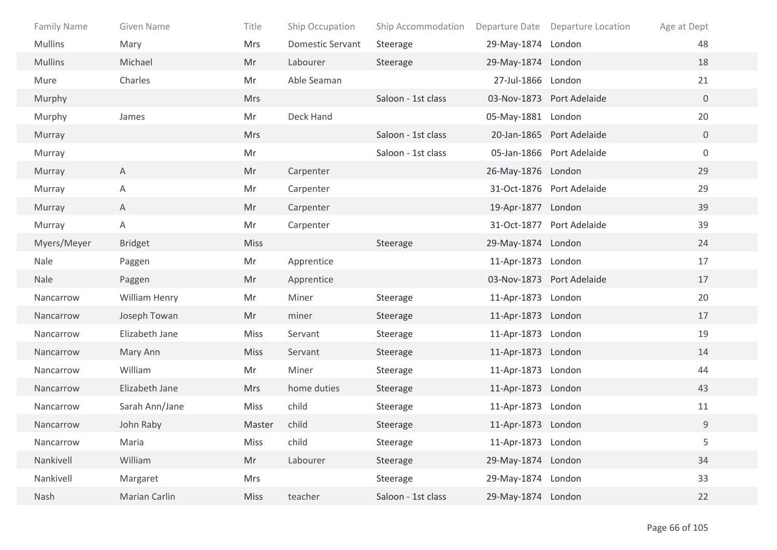| <b>Family Name</b> | Given Name           | Title       | Ship Occupation         | Ship Accommodation |                    | Departure Date Departure Location | Age at Dept      |
|--------------------|----------------------|-------------|-------------------------|--------------------|--------------------|-----------------------------------|------------------|
| <b>Mullins</b>     | Mary                 | Mrs         | <b>Domestic Servant</b> | Steerage           | 29-May-1874 London |                                   | 48               |
| <b>Mullins</b>     | Michael              | Mr          | Labourer                | Steerage           | 29-May-1874 London |                                   | 18               |
| Mure               | Charles              | Mr          | Able Seaman             |                    | 27-Jul-1866 London |                                   | 21               |
| Murphy             |                      | <b>Mrs</b>  |                         | Saloon - 1st class |                    | 03-Nov-1873 Port Adelaide         | $\overline{0}$   |
| Murphy             | James                | Mr          | Deck Hand               |                    | 05-May-1881 London |                                   | 20               |
| Murray             |                      | <b>Mrs</b>  |                         | Saloon - 1st class |                    | 20-Jan-1865 Port Adelaide         | $\overline{0}$   |
| Murray             |                      | Mr          |                         | Saloon - 1st class |                    | 05-Jan-1866 Port Adelaide         | $\boldsymbol{0}$ |
| Murray             | $\mathsf{A}$         | Mr          | Carpenter               |                    | 26-May-1876 London |                                   | 29               |
| Murray             | A                    | Mr          | Carpenter               |                    |                    | 31-Oct-1876 Port Adelaide         | 29               |
| Murray             | A                    | Mr          | Carpenter               |                    | 19-Apr-1877 London |                                   | 39               |
| Murray             | Α                    | Mr          | Carpenter               |                    |                    | 31-Oct-1877 Port Adelaide         | 39               |
| Myers/Meyer        | <b>Bridget</b>       | <b>Miss</b> |                         | Steerage           | 29-May-1874 London |                                   | 24               |
| Nale               | Paggen               | Mr          | Apprentice              |                    | 11-Apr-1873 London |                                   | 17               |
| Nale               | Paggen               | Mr          | Apprentice              |                    |                    | 03-Nov-1873 Port Adelaide         | 17               |
| Nancarrow          | <b>William Henry</b> | Mr          | Miner                   | Steerage           | 11-Apr-1873 London |                                   | 20               |
| Nancarrow          | Joseph Towan         | Mr          | miner                   | Steerage           | 11-Apr-1873 London |                                   | 17               |
| Nancarrow          | Elizabeth Jane       | <b>Miss</b> | Servant                 | Steerage           | 11-Apr-1873 London |                                   | 19               |
| Nancarrow          | Mary Ann             | <b>Miss</b> | Servant                 | Steerage           | 11-Apr-1873 London |                                   | 14               |
| Nancarrow          | William              | Mr          | Miner                   | Steerage           | 11-Apr-1873 London |                                   | 44               |
| Nancarrow          | Elizabeth Jane       | <b>Mrs</b>  | home duties             | Steerage           | 11-Apr-1873 London |                                   | 43               |
| Nancarrow          | Sarah Ann/Jane       | Miss        | child                   | Steerage           | 11-Apr-1873 London |                                   | 11               |
| Nancarrow          | John Raby            | Master      | child                   | Steerage           | 11-Apr-1873 London |                                   | $\mathsf 9$      |
| Nancarrow          | Maria                | Miss        | child                   | Steerage           | 11-Apr-1873 London |                                   | 5                |
| Nankivell          | William              | Mr          | Labourer                | Steerage           | 29-May-1874 London |                                   | 34               |
| Nankivell          | Margaret             | Mrs         |                         | Steerage           | 29-May-1874 London |                                   | 33               |
| Nash               | Marian Carlin        | <b>Miss</b> | teacher                 | Saloon - 1st class | 29-May-1874 London |                                   | 22               |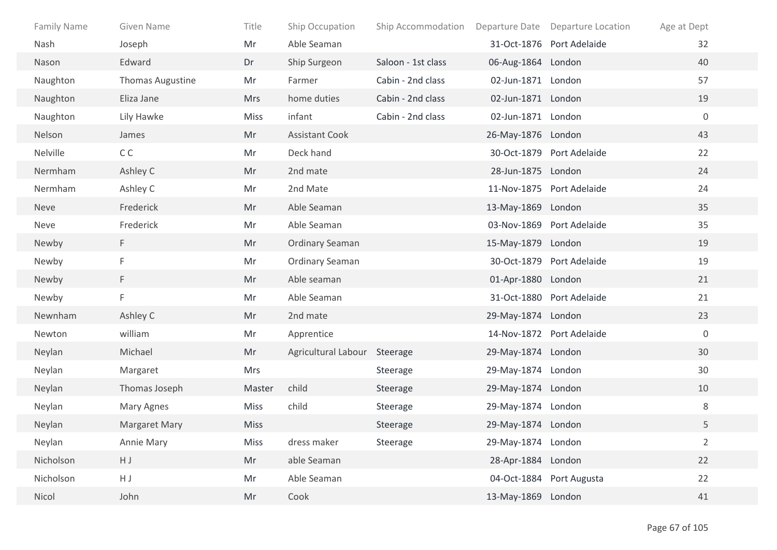| Family Name | Given Name       | Title       | Ship Occupation              | Ship Accommodation |                    | Departure Date Departure Location | Age at Dept      |
|-------------|------------------|-------------|------------------------------|--------------------|--------------------|-----------------------------------|------------------|
| Nash        | Joseph           | Mr          | Able Seaman                  |                    |                    | 31-Oct-1876 Port Adelaide         | 32               |
| Nason       | Edward           | Dr          | Ship Surgeon                 | Saloon - 1st class | 06-Aug-1864 London |                                   | 40               |
| Naughton    | Thomas Augustine | Mr          | Farmer                       | Cabin - 2nd class  | 02-Jun-1871 London |                                   | 57               |
| Naughton    | Eliza Jane       | <b>Mrs</b>  | home duties                  | Cabin - 2nd class  | 02-Jun-1871 London |                                   | 19               |
| Naughton    | Lily Hawke       | <b>Miss</b> | infant                       | Cabin - 2nd class  | 02-Jun-1871 London |                                   | $\mathbf 0$      |
| Nelson      | James            | Mr          | <b>Assistant Cook</b>        |                    | 26-May-1876 London |                                   | 43               |
| Nelville    | C <sub>C</sub>   | Mr          | Deck hand                    |                    |                    | 30-Oct-1879 Port Adelaide         | 22               |
| Nermham     | Ashley C         | Mr          | 2nd mate                     |                    | 28-Jun-1875 London |                                   | 24               |
| Nermham     | Ashley C         | Mr          | 2nd Mate                     |                    |                    | 11-Nov-1875 Port Adelaide         | 24               |
| <b>Neve</b> | Frederick        | Mr          | Able Seaman                  |                    | 13-May-1869 London |                                   | 35               |
| Neve        | Frederick        | Mr          | Able Seaman                  |                    |                    | 03-Nov-1869 Port Adelaide         | 35               |
| Newby       | F.               | Mr          | <b>Ordinary Seaman</b>       |                    | 15-May-1879 London |                                   | 19               |
| Newby       | F                | Mr          | <b>Ordinary Seaman</b>       |                    |                    | 30-Oct-1879 Port Adelaide         | 19               |
| Newby       | F.               | Mr          | Able seaman                  |                    | 01-Apr-1880 London |                                   | 21               |
| Newby       | F                | Mr          | Able Seaman                  |                    |                    | 31-Oct-1880 Port Adelaide         | 21               |
| Newnham     | Ashley C         | Mr          | 2nd mate                     |                    | 29-May-1874 London |                                   | 23               |
| Newton      | william          | Mr          | Apprentice                   |                    |                    | 14-Nov-1872 Port Adelaide         | $\boldsymbol{0}$ |
| Neylan      | Michael          | Mr          | Agricultural Labour Steerage |                    | 29-May-1874 London |                                   | 30               |
| Neylan      | Margaret         | <b>Mrs</b>  |                              | Steerage           | 29-May-1874 London |                                   | 30               |
| Neylan      | Thomas Joseph    | Master      | child                        | Steerage           | 29-May-1874 London |                                   | 10               |
| Neylan      | Mary Agnes       | <b>Miss</b> | child                        | Steerage           | 29-May-1874 London |                                   | $\,8\,$          |
| Neylan      | Margaret Mary    | <b>Miss</b> |                              | Steerage           | 29-May-1874 London |                                   | 5                |
| Neylan      | Annie Mary       | Miss        | dress maker                  | Steerage           | 29-May-1874 London |                                   | $\overline{2}$   |
| Nicholson   | $\sf H$ J        | Mr          | able Seaman                  |                    | 28-Apr-1884 London |                                   | 22               |
| Nicholson   | HJ               | Mr          | Able Seaman                  |                    |                    | 04-Oct-1884 Port Augusta          | 22               |
| Nicol       | John             | Mr          | Cook                         |                    | 13-May-1869 London |                                   | 41               |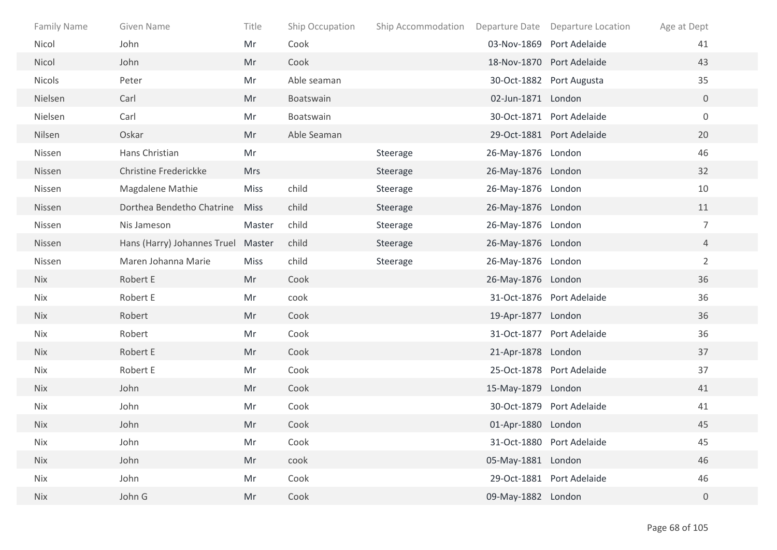| <b>Family Name</b> | Given Name                         | Title       | Ship Occupation | Ship Accommodation |                    | Departure Date Departure Location | Age at Dept      |
|--------------------|------------------------------------|-------------|-----------------|--------------------|--------------------|-----------------------------------|------------------|
| Nicol              | John                               | Mr          | Cook            |                    |                    | 03-Nov-1869 Port Adelaide         | 41               |
| Nicol              | John                               | Mr          | Cook            |                    |                    | 18-Nov-1870 Port Adelaide         | 43               |
| <b>Nicols</b>      | Peter                              | Mr          | Able seaman     |                    |                    | 30-Oct-1882 Port Augusta          | 35               |
| Nielsen            | Carl                               | Mr          | Boatswain       |                    | 02-Jun-1871 London |                                   | $\overline{0}$   |
| Nielsen            | Carl                               | Mr          | Boatswain       |                    |                    | 30-Oct-1871 Port Adelaide         | $\boldsymbol{0}$ |
| Nilsen             | Oskar                              | Mr          | Able Seaman     |                    |                    | 29-Oct-1881 Port Adelaide         | 20               |
| Nissen             | Hans Christian                     | Mr          |                 | Steerage           | 26-May-1876 London |                                   | 46               |
| Nissen             | Christine Frederickke              | <b>Mrs</b>  |                 | Steerage           | 26-May-1876 London |                                   | 32               |
| Nissen             | Magdalene Mathie                   | Miss        | child           | Steerage           | 26-May-1876 London |                                   | 10               |
| Nissen             | Dorthea Bendetho Chatrine          | <b>Miss</b> | child           | Steerage           | 26-May-1876 London |                                   | 11               |
| Nissen             | Nis Jameson                        | Master      | child           | Steerage           | 26-May-1876 London |                                   | $\overline{7}$   |
| Nissen             | Hans (Harry) Johannes Truel Master |             | child           | Steerage           | 26-May-1876 London |                                   | $\overline{4}$   |
| Nissen             | Maren Johanna Marie                | <b>Miss</b> | child           | Steerage           | 26-May-1876 London |                                   | $\overline{2}$   |
| <b>Nix</b>         | Robert E                           | Mr          | Cook            |                    | 26-May-1876 London |                                   | 36               |
| Nix                | Robert E                           | Mr          | cook            |                    |                    | 31-Oct-1876 Port Adelaide         | 36               |
| <b>Nix</b>         | Robert                             | Mr          | Cook            |                    | 19-Apr-1877 London |                                   | 36               |
| Nix                | Robert                             | Mr          | Cook            |                    |                    | 31-Oct-1877 Port Adelaide         | 36               |
| <b>Nix</b>         | Robert E                           | Mr          | Cook            |                    | 21-Apr-1878 London |                                   | 37               |
| Nix                | Robert E                           | Mr          | Cook            |                    |                    | 25-Oct-1878 Port Adelaide         | 37               |
| <b>Nix</b>         | John                               | Mr          | Cook            |                    | 15-May-1879 London |                                   | 41               |
| Nix                | John                               | Mr          | Cook            |                    |                    | 30-Oct-1879 Port Adelaide         | 41               |
| <b>Nix</b>         | John                               | Mr          | Cook            |                    | 01-Apr-1880 London |                                   | 45               |
| Nix                | John                               | Mr          | Cook            |                    |                    | 31-Oct-1880 Port Adelaide         | 45               |
| <b>Nix</b>         | John                               | Mr          | cook            |                    | 05-May-1881 London |                                   | 46               |
| Nix                | John                               | Mr          | Cook            |                    |                    | 29-Oct-1881 Port Adelaide         | 46               |
| Nix                | John G                             | Mr          | Cook            |                    | 09-May-1882 London |                                   | $\overline{0}$   |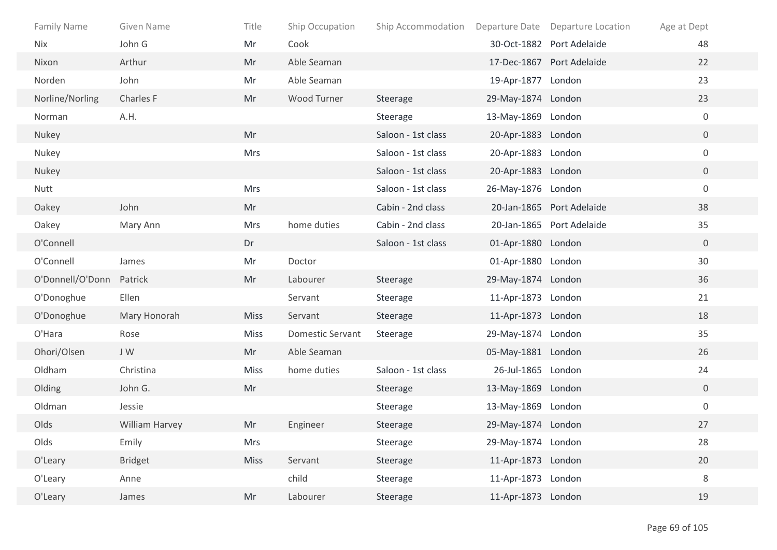| <b>Family Name</b> | Given Name     | Title       | Ship Occupation         | Ship Accommodation |                    | Departure Date Departure Location | Age at Dept      |
|--------------------|----------------|-------------|-------------------------|--------------------|--------------------|-----------------------------------|------------------|
| <b>Nix</b>         | John G         | Mr          | Cook                    |                    |                    | 30-Oct-1882 Port Adelaide         | 48               |
| Nixon              | Arthur         | Mr          | Able Seaman             |                    |                    | 17-Dec-1867 Port Adelaide         | 22               |
| Norden             | John           | Mr          | Able Seaman             |                    | 19-Apr-1877 London |                                   | 23               |
| Norline/Norling    | Charles F      | Mr          | Wood Turner             | Steerage           | 29-May-1874 London |                                   | 23               |
| Norman             | A.H.           |             |                         | Steerage           | 13-May-1869 London |                                   | $\boldsymbol{0}$ |
| Nukey              |                | Mr          |                         | Saloon - 1st class | 20-Apr-1883 London |                                   | $\overline{0}$   |
| Nukey              |                | <b>Mrs</b>  |                         | Saloon - 1st class | 20-Apr-1883 London |                                   | $\mathbf 0$      |
| Nukey              |                |             |                         | Saloon - 1st class | 20-Apr-1883 London |                                   | $\overline{0}$   |
| Nutt               |                | <b>Mrs</b>  |                         | Saloon - 1st class | 26-May-1876 London |                                   | $\mathbf 0$      |
| Oakey              | John           | Mr          |                         | Cabin - 2nd class  |                    | 20-Jan-1865 Port Adelaide         | 38               |
| Oakey              | Mary Ann       | Mrs         | home duties             | Cabin - 2nd class  |                    | 20-Jan-1865 Port Adelaide         | 35               |
| O'Connell          |                | Dr          |                         | Saloon - 1st class | 01-Apr-1880 London |                                   | $\overline{0}$   |
| O'Connell          | James          | Mr          | Doctor                  |                    | 01-Apr-1880 London |                                   | 30               |
| O'Donnell/O'Donn   | Patrick        | Mr          | Labourer                | Steerage           | 29-May-1874 London |                                   | 36               |
| O'Donoghue         | Ellen          |             | Servant                 | Steerage           | 11-Apr-1873 London |                                   | 21               |
| O'Donoghue         | Mary Honorah   | <b>Miss</b> | Servant                 | Steerage           | 11-Apr-1873 London |                                   | 18               |
| O'Hara             | Rose           | <b>Miss</b> | <b>Domestic Servant</b> | Steerage           | 29-May-1874 London |                                   | 35               |
| Ohori/Olsen        | J W            | Mr          | Able Seaman             |                    | 05-May-1881 London |                                   | 26               |
| Oldham             | Christina      | <b>Miss</b> | home duties             | Saloon - 1st class | 26-Jul-1865 London |                                   | 24               |
| Olding             | John G.        | Mr          |                         | Steerage           | 13-May-1869 London |                                   | $\overline{0}$   |
| Oldman             | Jessie         |             |                         | Steerage           | 13-May-1869 London |                                   | $\boldsymbol{0}$ |
| Olds               | William Harvey | Mr          | Engineer                | Steerage           | 29-May-1874 London |                                   | 27               |
| Olds               | Emily          | Mrs         |                         | Steerage           | 29-May-1874 London |                                   | 28               |
| O'Leary            | <b>Bridget</b> | <b>Miss</b> | Servant                 | Steerage           | 11-Apr-1873 London |                                   | 20               |
| O'Leary            | Anne           |             | child                   | Steerage           | 11-Apr-1873 London |                                   | $\,8\,$          |
| O'Leary            | James          | Mr          | Labourer                | Steerage           | 11-Apr-1873 London |                                   | 19               |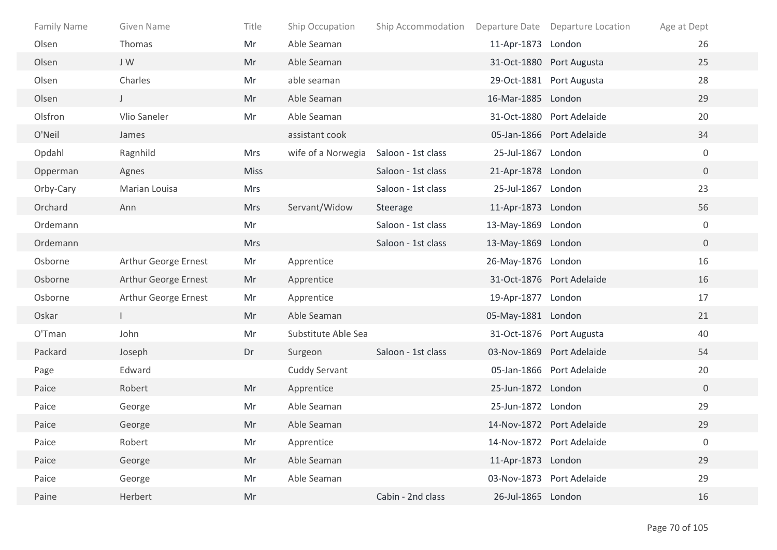| <b>Family Name</b> | Given Name           | Title       | Ship Occupation     | Ship Accommodation |                    | Departure Date Departure Location | Age at Dept      |
|--------------------|----------------------|-------------|---------------------|--------------------|--------------------|-----------------------------------|------------------|
| Olsen              | Thomas               | Mr          | Able Seaman         |                    | 11-Apr-1873 London |                                   | 26               |
| Olsen              | JW                   | Mr          | Able Seaman         |                    |                    | 31-Oct-1880 Port Augusta          | 25               |
| Olsen              | Charles              | Mr          | able seaman         |                    |                    | 29-Oct-1881 Port Augusta          | 28               |
| Olsen              | $\mathsf{J}$         | Mr          | Able Seaman         |                    | 16-Mar-1885 London |                                   | 29               |
| Olsfron            | Vlio Saneler         | Mr          | Able Seaman         |                    |                    | 31-Oct-1880 Port Adelaide         | 20               |
| O'Neil             | James                |             | assistant cook      |                    |                    | 05-Jan-1866 Port Adelaide         | 34               |
| Opdahl             | Ragnhild             | <b>Mrs</b>  | wife of a Norwegia  | Saloon - 1st class | 25-Jul-1867 London |                                   | $\overline{0}$   |
| Opperman           | Agnes                | <b>Miss</b> |                     | Saloon - 1st class | 21-Apr-1878 London |                                   | $\overline{0}$   |
| Orby-Cary          | Marian Louisa        | <b>Mrs</b>  |                     | Saloon - 1st class | 25-Jul-1867 London |                                   | 23               |
| Orchard            | Ann                  | <b>Mrs</b>  | Servant/Widow       | Steerage           | 11-Apr-1873 London |                                   | 56               |
| Ordemann           |                      | Mr          |                     | Saloon - 1st class | 13-May-1869 London |                                   | $\mathbf 0$      |
| Ordemann           |                      | Mrs         |                     | Saloon - 1st class | 13-May-1869 London |                                   | $\overline{0}$   |
| Osborne            | Arthur George Ernest | Mr          | Apprentice          |                    | 26-May-1876 London |                                   | 16               |
| Osborne            | Arthur George Ernest | Mr          | Apprentice          |                    |                    | 31-Oct-1876 Port Adelaide         | 16               |
| Osborne            | Arthur George Ernest | Mr          | Apprentice          |                    | 19-Apr-1877 London |                                   | 17               |
| Oskar              |                      | Mr          | Able Seaman         |                    | 05-May-1881 London |                                   | 21               |
| O'Tman             | John                 | Mr          | Substitute Able Sea |                    |                    | 31-Oct-1876 Port Augusta          | 40               |
| Packard            | Joseph               | Dr          | Surgeon             | Saloon - 1st class |                    | 03-Nov-1869 Port Adelaide         | 54               |
| Page               | Edward               |             | Cuddy Servant       |                    |                    | 05-Jan-1866 Port Adelaide         | 20               |
| Paice              | Robert               | Mr          | Apprentice          |                    | 25-Jun-1872 London |                                   | $\overline{0}$   |
| Paice              | George               | Mr          | Able Seaman         |                    | 25-Jun-1872 London |                                   | 29               |
| Paice              | George               | Mr          | Able Seaman         |                    |                    | 14-Nov-1872 Port Adelaide         | 29               |
| Paice              | Robert               | Mr          | Apprentice          |                    |                    | 14-Nov-1872 Port Adelaide         | $\boldsymbol{0}$ |
| Paice              | George               | Mr          | Able Seaman         |                    | 11-Apr-1873 London |                                   | 29               |
| Paice              | George               | Mr          | Able Seaman         |                    |                    | 03-Nov-1873 Port Adelaide         | 29               |
| Paine              | Herbert              | Mr          |                     | Cabin - 2nd class  | 26-Jul-1865 London |                                   | 16               |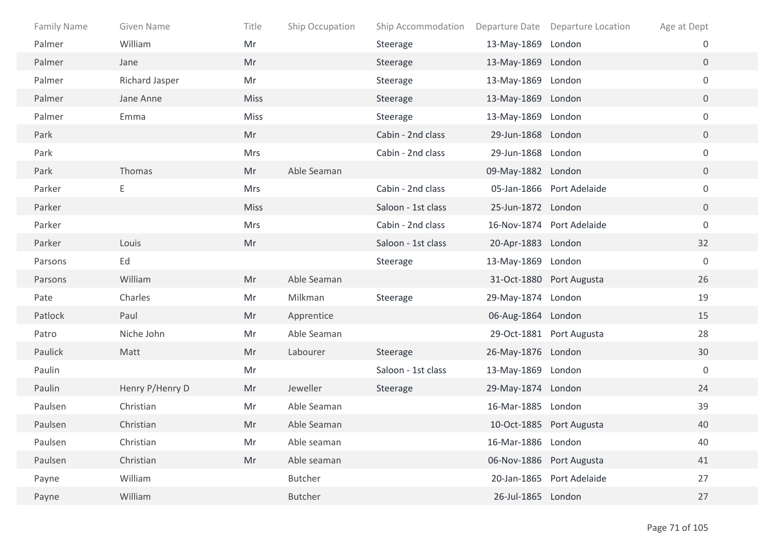| <b>Family Name</b> | Given Name      | Title       | Ship Occupation | Ship Accommodation |                    | Departure Date Departure Location | Age at Dept      |
|--------------------|-----------------|-------------|-----------------|--------------------|--------------------|-----------------------------------|------------------|
| Palmer             | William         | Mr          |                 | Steerage           | 13-May-1869 London |                                   | 0                |
| Palmer             | Jane            | Mr          |                 | Steerage           | 13-May-1869 London |                                   | $\overline{0}$   |
| Palmer             | Richard Jasper  | Mr          |                 | Steerage           | 13-May-1869 London |                                   | $\mathbf 0$      |
| Palmer             | Jane Anne       | <b>Miss</b> |                 | Steerage           | 13-May-1869 London |                                   | $\overline{0}$   |
| Palmer             | Emma            | Miss        |                 | Steerage           | 13-May-1869 London |                                   | $\boldsymbol{0}$ |
| Park               |                 | Mr          |                 | Cabin - 2nd class  | 29-Jun-1868 London |                                   | $\overline{0}$   |
| Park               |                 | Mrs         |                 | Cabin - 2nd class  | 29-Jun-1868 London |                                   | $\boldsymbol{0}$ |
| Park               | Thomas          | Mr          | Able Seaman     |                    | 09-May-1882 London |                                   | $\overline{0}$   |
| Parker             | Ε               | Mrs         |                 | Cabin - 2nd class  |                    | 05-Jan-1866 Port Adelaide         | $\boldsymbol{0}$ |
| Parker             |                 | <b>Miss</b> |                 | Saloon - 1st class | 25-Jun-1872 London |                                   | $\overline{0}$   |
| Parker             |                 | Mrs         |                 | Cabin - 2nd class  |                    | 16-Nov-1874 Port Adelaide         | $\boldsymbol{0}$ |
| Parker             | Louis           | Mr          |                 | Saloon - 1st class | 20-Apr-1883 London |                                   | 32               |
| Parsons            | Ed              |             |                 | Steerage           | 13-May-1869 London |                                   | $\boldsymbol{0}$ |
| Parsons            | William         | Mr          | Able Seaman     |                    |                    | 31-Oct-1880 Port Augusta          | 26               |
| Pate               | Charles         | Mr          | Milkman         | Steerage           | 29-May-1874 London |                                   | 19               |
| Patlock            | Paul            | Mr          | Apprentice      |                    | 06-Aug-1864 London |                                   | 15               |
| Patro              | Niche John      | Mr          | Able Seaman     |                    |                    | 29-Oct-1881 Port Augusta          | 28               |
| Paulick            | Matt            | Mr          | Labourer        | Steerage           | 26-May-1876 London |                                   | 30               |
| Paulin             |                 | Mr          |                 | Saloon - 1st class | 13-May-1869 London |                                   | $\boldsymbol{0}$ |
| Paulin             | Henry P/Henry D | Mr          | Jeweller        | Steerage           | 29-May-1874 London |                                   | 24               |
| Paulsen            | Christian       | Mr          | Able Seaman     |                    | 16-Mar-1885 London |                                   | 39               |
| Paulsen            | Christian       | Mr          | Able Seaman     |                    |                    | 10-Oct-1885 Port Augusta          | 40               |
| Paulsen            | Christian       | Mr          | Able seaman     |                    | 16-Mar-1886 London |                                   | 40               |
| Paulsen            | Christian       | Mr          | Able seaman     |                    |                    | 06-Nov-1886 Port Augusta          | 41               |
| Payne              | William         |             | Butcher         |                    |                    | 20-Jan-1865 Port Adelaide         | 27               |
| Payne              | William         |             | <b>Butcher</b>  |                    | 26-Jul-1865 London |                                   | 27               |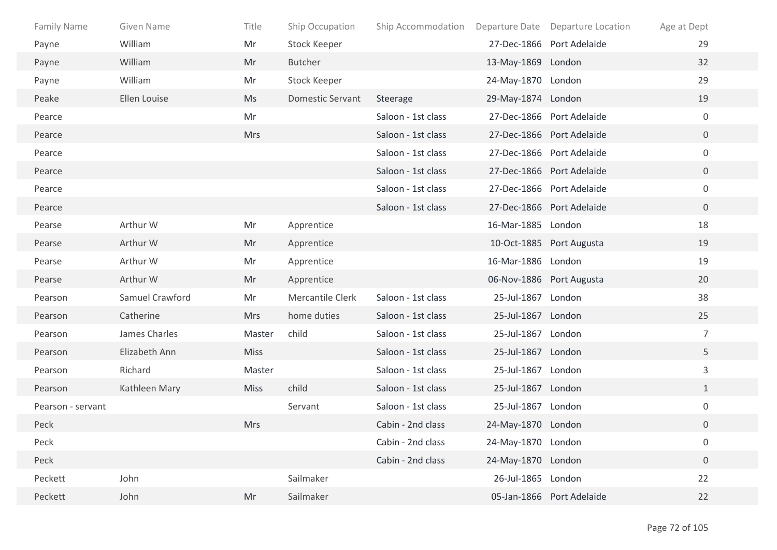| Family Name       | Given Name      | Title       | Ship Occupation         | Ship Accommodation |                    | Departure Date Departure Location | Age at Dept      |
|-------------------|-----------------|-------------|-------------------------|--------------------|--------------------|-----------------------------------|------------------|
| Payne             | William         | Mr          | <b>Stock Keeper</b>     |                    |                    | 27-Dec-1866 Port Adelaide         | 29               |
| Payne             | William         | Mr          | Butcher                 |                    | 13-May-1869 London |                                   | 32               |
| Payne             | William         | Mr          | Stock Keeper            |                    | 24-May-1870 London |                                   | 29               |
| Peake             | Ellen Louise    | Ms          | <b>Domestic Servant</b> | Steerage           | 29-May-1874 London |                                   | 19               |
| Pearce            |                 | Mr          |                         | Saloon - 1st class |                    | 27-Dec-1866 Port Adelaide         | $\overline{0}$   |
| Pearce            |                 | <b>Mrs</b>  |                         | Saloon - 1st class |                    | 27-Dec-1866 Port Adelaide         | $\overline{0}$   |
| Pearce            |                 |             |                         | Saloon - 1st class |                    | 27-Dec-1866 Port Adelaide         | $\mathbf 0$      |
| Pearce            |                 |             |                         | Saloon - 1st class |                    | 27-Dec-1866 Port Adelaide         | $\overline{0}$   |
| Pearce            |                 |             |                         | Saloon - 1st class |                    | 27-Dec-1866 Port Adelaide         | $\overline{0}$   |
| Pearce            |                 |             |                         | Saloon - 1st class |                    | 27-Dec-1866 Port Adelaide         | $\overline{0}$   |
| Pearse            | Arthur W        | Mr          | Apprentice              |                    | 16-Mar-1885 London |                                   | 18               |
| Pearse            | Arthur W        | Mr          | Apprentice              |                    |                    | 10-Oct-1885 Port Augusta          | 19               |
| Pearse            | Arthur W        | Mr          | Apprentice              |                    | 16-Mar-1886 London |                                   | 19               |
| Pearse            | Arthur W        | Mr          | Apprentice              |                    |                    | 06-Nov-1886 Port Augusta          | 20               |
| Pearson           | Samuel Crawford | Mr          | Mercantile Clerk        | Saloon - 1st class | 25-Jul-1867 London |                                   | 38               |
| Pearson           | Catherine       | <b>Mrs</b>  | home duties             | Saloon - 1st class | 25-Jul-1867 London |                                   | 25               |
| Pearson           | James Charles   | Master      | child                   | Saloon - 1st class | 25-Jul-1867 London |                                   | $\overline{7}$   |
| Pearson           | Elizabeth Ann   | <b>Miss</b> |                         | Saloon - 1st class | 25-Jul-1867 London |                                   | 5                |
| Pearson           | Richard         | Master      |                         | Saloon - 1st class | 25-Jul-1867 London |                                   | 3                |
| Pearson           | Kathleen Mary   | <b>Miss</b> | child                   | Saloon - 1st class | 25-Jul-1867 London |                                   | $\mathbf{1}$     |
| Pearson - servant |                 |             | Servant                 | Saloon - 1st class | 25-Jul-1867 London |                                   | $\boldsymbol{0}$ |
| Peck              |                 | <b>Mrs</b>  |                         | Cabin - 2nd class  | 24-May-1870 London |                                   | $\overline{0}$   |
| Peck              |                 |             |                         | Cabin - 2nd class  | 24-May-1870 London |                                   | $\boldsymbol{0}$ |
| Peck              |                 |             |                         | Cabin - 2nd class  | 24-May-1870 London |                                   | $\boldsymbol{0}$ |
| Peckett           | John            |             | Sailmaker               |                    | 26-Jul-1865 London |                                   | 22               |
| Peckett           | John            | Mr          | Sailmaker               |                    |                    | 05-Jan-1866 Port Adelaide         | 22               |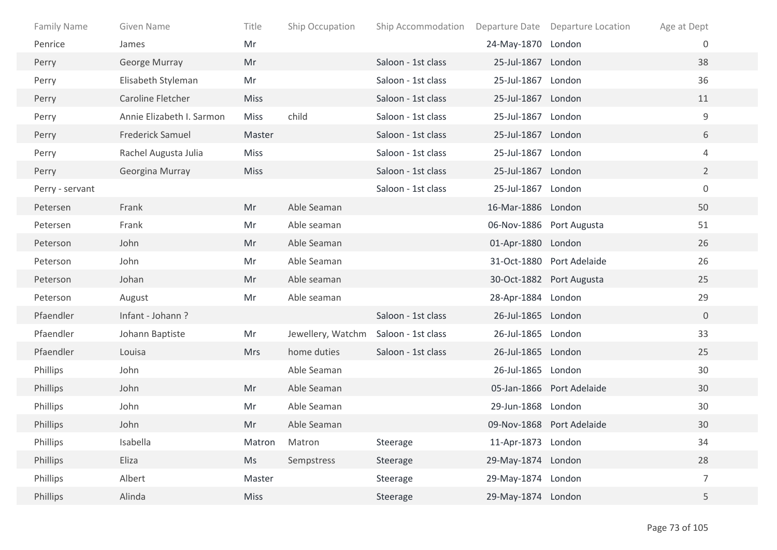| <b>Family Name</b> | Given Name                | Title       | Ship Occupation   | Ship Accommodation |                    | Departure Date Departure Location | Age at Dept    |  |
|--------------------|---------------------------|-------------|-------------------|--------------------|--------------------|-----------------------------------|----------------|--|
| Penrice            | James                     | Mr          |                   |                    | 24-May-1870 London |                                   | $\mathbf{0}$   |  |
| Perry              | George Murray             | Mr          |                   | Saloon - 1st class | 25-Jul-1867 London |                                   | 38             |  |
| Perry              | Elisabeth Styleman        | Mr          |                   | Saloon - 1st class | 25-Jul-1867 London |                                   | 36             |  |
| Perry              | Caroline Fletcher         | <b>Miss</b> |                   | Saloon - 1st class | 25-Jul-1867 London |                                   | 11             |  |
| Perry              | Annie Elizabeth I. Sarmon | <b>Miss</b> | child             | Saloon - 1st class | 25-Jul-1867 London |                                   | $\mathsf g$    |  |
| Perry              | <b>Frederick Samuel</b>   | Master      |                   | Saloon - 1st class | 25-Jul-1867 London |                                   | 6              |  |
| Perry              | Rachel Augusta Julia      | <b>Miss</b> |                   | Saloon - 1st class | 25-Jul-1867 London |                                   | 4              |  |
| Perry              | Georgina Murray           | <b>Miss</b> |                   | Saloon - 1st class | 25-Jul-1867 London |                                   | $2^{\circ}$    |  |
| Perry - servant    |                           |             |                   | Saloon - 1st class | 25-Jul-1867 London |                                   | $\mathbf 0$    |  |
| Petersen           | Frank                     | Mr          | Able Seaman       |                    | 16-Mar-1886 London |                                   | 50             |  |
| Petersen           | Frank                     | Mr          | Able seaman       |                    |                    | 06-Nov-1886 Port Augusta          | 51             |  |
| Peterson           | John                      | Mr          | Able Seaman       |                    | 01-Apr-1880 London |                                   | 26             |  |
| Peterson           | John                      | Mr          | Able Seaman       |                    |                    | 31-Oct-1880 Port Adelaide         | 26             |  |
| Peterson           | Johan                     | Mr          | Able seaman       |                    |                    | 30-Oct-1882 Port Augusta          | 25             |  |
| Peterson           | August                    | Mr          | Able seaman       |                    | 28-Apr-1884 London |                                   | 29             |  |
| Pfaendler          | Infant - Johann?          |             |                   | Saloon - 1st class | 26-Jul-1865 London |                                   | $\mathbf 0$    |  |
| Pfaendler          | Johann Baptiste           | Mr          | Jewellery, Watchm | Saloon - 1st class | 26-Jul-1865 London |                                   | 33             |  |
| Pfaendler          | Louisa                    | <b>Mrs</b>  | home duties       | Saloon - 1st class | 26-Jul-1865 London |                                   | 25             |  |
| Phillips           | John                      |             | Able Seaman       |                    | 26-Jul-1865 London |                                   | 30             |  |
| Phillips           | John                      | Mr          | Able Seaman       |                    |                    | 05-Jan-1866 Port Adelaide         | 30             |  |
| Phillips           | John                      | Mr          | Able Seaman       |                    | 29-Jun-1868 London |                                   | 30             |  |
| Phillips           | John                      | Mr          | Able Seaman       |                    |                    | 09-Nov-1868 Port Adelaide         | 30             |  |
| Phillips           | Isabella                  | Matron      | Matron            | Steerage           | 11-Apr-1873 London |                                   | 34             |  |
| Phillips           | Eliza                     | Ms          | Sempstress        | Steerage           | 29-May-1874 London |                                   | 28             |  |
| Phillips           | Albert                    | Master      |                   | Steerage           | 29-May-1874 London |                                   | $\overline{7}$ |  |
| Phillips           | Alinda                    | Miss        |                   | Steerage           | 29-May-1874 London |                                   | 5              |  |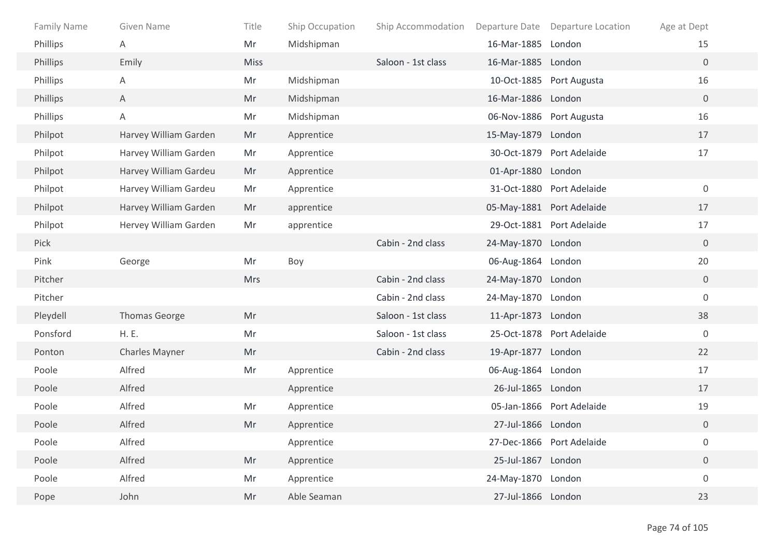| Family Name | Given Name            | Title       | Ship Occupation | Ship Accommodation |                    | Departure Date Departure Location | Age at Dept      |
|-------------|-----------------------|-------------|-----------------|--------------------|--------------------|-----------------------------------|------------------|
| Phillips    | Α                     | Mr          | Midshipman      |                    | 16-Mar-1885 London |                                   | 15               |
| Phillips    | Emily                 | <b>Miss</b> |                 | Saloon - 1st class | 16-Mar-1885 London |                                   | $\overline{0}$   |
| Phillips    | Α                     | Mr          | Midshipman      |                    |                    | 10-Oct-1885 Port Augusta          | 16               |
| Phillips    | $\mathsf{A}$          | Mr          | Midshipman      |                    | 16-Mar-1886 London |                                   | $\overline{0}$   |
| Phillips    | A                     | Mr          | Midshipman      |                    |                    | 06-Nov-1886 Port Augusta          | 16               |
| Philpot     | Harvey William Garden | Mr          | Apprentice      |                    | 15-May-1879 London |                                   | 17               |
| Philpot     | Harvey William Garden | Mr          | Apprentice      |                    |                    | 30-Oct-1879 Port Adelaide         | 17               |
| Philpot     | Harvey William Gardeu | Mr          | Apprentice      |                    | 01-Apr-1880 London |                                   |                  |
| Philpot     | Harvey William Gardeu | Mr          | Apprentice      |                    |                    | 31-Oct-1880 Port Adelaide         | $\mathbf 0$      |
| Philpot     | Harvey William Garden | Mr          | apprentice      |                    |                    | 05-May-1881 Port Adelaide         | 17               |
| Philpot     | Hervey William Garden | Mr          | apprentice      |                    |                    | 29-Oct-1881 Port Adelaide         | 17               |
| Pick        |                       |             |                 | Cabin - 2nd class  | 24-May-1870 London |                                   | $\overline{0}$   |
| Pink        | George                | Mr          | Boy             |                    | 06-Aug-1864 London |                                   | 20               |
| Pitcher     |                       | <b>Mrs</b>  |                 | Cabin - 2nd class  | 24-May-1870 London |                                   | $\mathbf 0$      |
| Pitcher     |                       |             |                 | Cabin - 2nd class  | 24-May-1870 London |                                   | $\mathbf 0$      |
| Pleydell    | Thomas George         | Mr          |                 | Saloon - 1st class | 11-Apr-1873 London |                                   | 38               |
| Ponsford    | H. E.                 | Mr          |                 | Saloon - 1st class |                    | 25-Oct-1878 Port Adelaide         | $\overline{0}$   |
| Ponton      | Charles Mayner        | Mr          |                 | Cabin - 2nd class  | 19-Apr-1877 London |                                   | 22               |
| Poole       | Alfred                | Mr          | Apprentice      |                    | 06-Aug-1864 London |                                   | 17               |
| Poole       | Alfred                |             | Apprentice      |                    | 26-Jul-1865 London |                                   | 17               |
| Poole       | Alfred                | Mr          | Apprentice      |                    |                    | 05-Jan-1866 Port Adelaide         | 19               |
| Poole       | Alfred                | Mr          | Apprentice      |                    | 27-Jul-1866 London |                                   | $\overline{0}$   |
| Poole       | Alfred                |             | Apprentice      |                    |                    | 27-Dec-1866 Port Adelaide         | $\boldsymbol{0}$ |
| Poole       | Alfred                | Mr          | Apprentice      |                    | 25-Jul-1867 London |                                   | $\overline{0}$   |
| Poole       | Alfred                | Mr          | Apprentice      |                    | 24-May-1870 London |                                   | $\boldsymbol{0}$ |
| Pope        | John                  | Mr          | Able Seaman     |                    | 27-Jul-1866 London |                                   | 23               |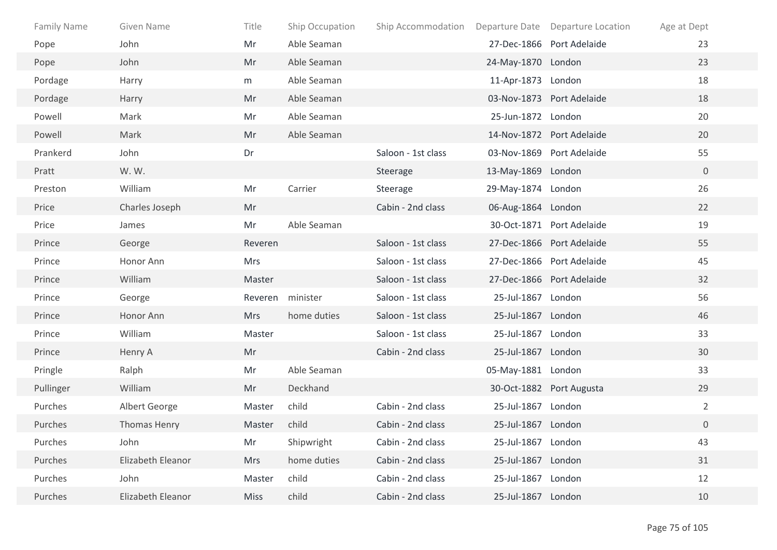| Family Name | Given Name        | Title       | Ship Occupation | Ship Accommodation |                    | Departure Date Departure Location | Age at Dept    |
|-------------|-------------------|-------------|-----------------|--------------------|--------------------|-----------------------------------|----------------|
| Pope        | John              | Mr          | Able Seaman     |                    |                    | 27-Dec-1866 Port Adelaide         | 23             |
| Pope        | John              | Mr          | Able Seaman     |                    | 24-May-1870 London |                                   | 23             |
| Pordage     | Harry             | m           | Able Seaman     |                    | 11-Apr-1873 London |                                   | 18             |
| Pordage     | Harry             | Mr          | Able Seaman     |                    |                    | 03-Nov-1873 Port Adelaide         | 18             |
| Powell      | Mark              | Mr          | Able Seaman     |                    | 25-Jun-1872 London |                                   | 20             |
| Powell      | Mark              | Mr          | Able Seaman     |                    |                    | 14-Nov-1872 Port Adelaide         | 20             |
| Prankerd    | John              | Dr          |                 | Saloon - 1st class |                    | 03-Nov-1869 Port Adelaide         | 55             |
| Pratt       | W.W.              |             |                 | Steerage           | 13-May-1869 London |                                   | $\overline{0}$ |
| Preston     | William           | Mr          | Carrier         | Steerage           | 29-May-1874 London |                                   | 26             |
| Price       | Charles Joseph    | Mr          |                 | Cabin - 2nd class  | 06-Aug-1864 London |                                   | 22             |
| Price       | James             | Mr          | Able Seaman     |                    |                    | 30-Oct-1871 Port Adelaide         | 19             |
| Prince      | George            | Reveren     |                 | Saloon - 1st class |                    | 27-Dec-1866 Port Adelaide         | 55             |
| Prince      | Honor Ann         | Mrs         |                 | Saloon - 1st class |                    | 27-Dec-1866 Port Adelaide         | 45             |
| Prince      | William           | Master      |                 | Saloon - 1st class |                    | 27-Dec-1866 Port Adelaide         | 32             |
| Prince      | George            | Reveren     | minister        | Saloon - 1st class | 25-Jul-1867 London |                                   | 56             |
| Prince      | Honor Ann         | <b>Mrs</b>  | home duties     | Saloon - 1st class | 25-Jul-1867 London |                                   | 46             |
| Prince      | William           | Master      |                 | Saloon - 1st class | 25-Jul-1867 London |                                   | 33             |
| Prince      | Henry A           | Mr          |                 | Cabin - 2nd class  | 25-Jul-1867 London |                                   | 30             |
| Pringle     | Ralph             | Mr          | Able Seaman     |                    | 05-May-1881 London |                                   | 33             |
| Pullinger   | William           | Mr          | Deckhand        |                    |                    | 30-Oct-1882 Port Augusta          | 29             |
| Purches     | Albert George     | Master      | child           | Cabin - 2nd class  | 25-Jul-1867 London |                                   | $\overline{2}$ |
| Purches     | Thomas Henry      | Master      | child           | Cabin - 2nd class  | 25-Jul-1867 London |                                   | $\overline{0}$ |
| Purches     | John              | Mr          | Shipwright      | Cabin - 2nd class  | 25-Jul-1867 London |                                   | 43             |
| Purches     | Elizabeth Eleanor | <b>Mrs</b>  | home duties     | Cabin - 2nd class  | 25-Jul-1867 London |                                   | 31             |
| Purches     | John              | Master      | child           | Cabin - 2nd class  | 25-Jul-1867 London |                                   | 12             |
| Purches     | Elizabeth Eleanor | <b>Miss</b> | child           | Cabin - 2nd class  | 25-Jul-1867 London |                                   | 10             |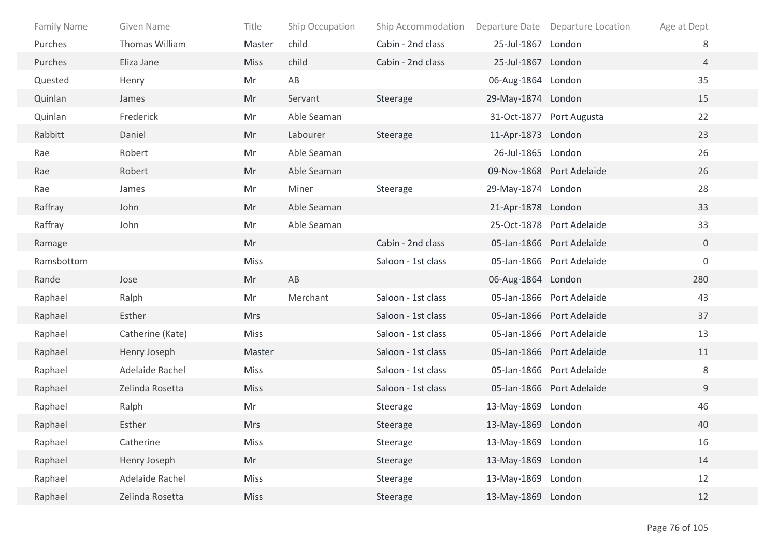| <b>Family Name</b> | Given Name       | Title       | Ship Occupation | Ship Accommodation |                    | Departure Date Departure Location | Age at Dept    |
|--------------------|------------------|-------------|-----------------|--------------------|--------------------|-----------------------------------|----------------|
| Purches            | Thomas William   | Master      | child           | Cabin - 2nd class  | 25-Jul-1867        | London                            | 8              |
| Purches            | Eliza Jane       | <b>Miss</b> | child           | Cabin - 2nd class  | 25-Jul-1867 London |                                   | $\overline{4}$ |
| Quested            | Henry            | Mr          | AB              |                    | 06-Aug-1864 London |                                   | 35             |
| Quinlan            | James            | Mr          | Servant         | Steerage           | 29-May-1874 London |                                   | 15             |
| Quinlan            | Frederick        | Mr          | Able Seaman     |                    |                    | 31-Oct-1877 Port Augusta          | 22             |
| Rabbitt            | Daniel           | Mr          | Labourer        | Steerage           | 11-Apr-1873 London |                                   | 23             |
| Rae                | Robert           | Mr          | Able Seaman     |                    | 26-Jul-1865 London |                                   | 26             |
| Rae                | Robert           | Mr          | Able Seaman     |                    |                    | 09-Nov-1868 Port Adelaide         | 26             |
| Rae                | James            | Mr          | Miner           | Steerage           | 29-May-1874 London |                                   | 28             |
| Raffray            | John             | Mr          | Able Seaman     |                    | 21-Apr-1878 London |                                   | 33             |
| Raffray            | John             | Mr          | Able Seaman     |                    |                    | 25-Oct-1878 Port Adelaide         | 33             |
| Ramage             |                  | Mr          |                 | Cabin - 2nd class  |                    | 05-Jan-1866 Port Adelaide         | $\overline{0}$ |
| Ramsbottom         |                  | Miss        |                 | Saloon - 1st class |                    | 05-Jan-1866 Port Adelaide         | $\mathbf 0$    |
| Rande              | Jose             | Mr          | AB              |                    | 06-Aug-1864 London |                                   | 280            |
| Raphael            | Ralph            | Mr          | Merchant        | Saloon - 1st class |                    | 05-Jan-1866 Port Adelaide         | 43             |
| Raphael            | Esther           | <b>Mrs</b>  |                 | Saloon - 1st class |                    | 05-Jan-1866 Port Adelaide         | 37             |
| Raphael            | Catherine (Kate) | <b>Miss</b> |                 | Saloon - 1st class |                    | 05-Jan-1866 Port Adelaide         | 13             |
| Raphael            | Henry Joseph     | Master      |                 | Saloon - 1st class |                    | 05-Jan-1866 Port Adelaide         | 11             |
| Raphael            | Adelaide Rachel  | <b>Miss</b> |                 | Saloon - 1st class |                    | 05-Jan-1866 Port Adelaide         | 8              |
| Raphael            | Zelinda Rosetta  | <b>Miss</b> |                 | Saloon - 1st class |                    | 05-Jan-1866 Port Adelaide         | 9              |
| Raphael            | Ralph            | Mr          |                 | Steerage           | 13-May-1869 London |                                   | 46             |
| Raphael            | Esther           | <b>Mrs</b>  |                 | Steerage           | 13-May-1869 London |                                   | 40             |
| Raphael            | Catherine        | Miss        |                 | Steerage           | 13-May-1869 London |                                   | 16             |
| Raphael            | Henry Joseph     | Mr          |                 | Steerage           | 13-May-1869 London |                                   | 14             |
| Raphael            | Adelaide Rachel  | Miss        |                 | Steerage           | 13-May-1869 London |                                   | 12             |
| Raphael            | Zelinda Rosetta  | Miss        |                 | Steerage           | 13-May-1869 London |                                   | 12             |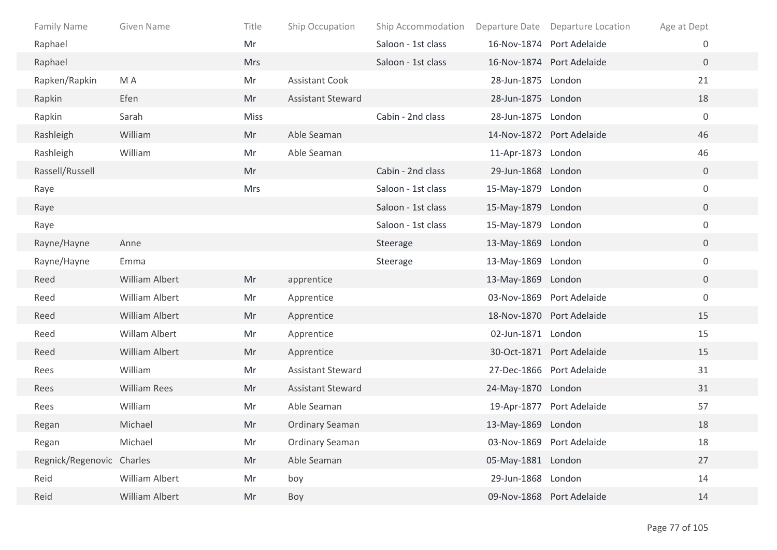| <b>Family Name</b>        | <b>Given Name</b>   | Title      | Ship Occupation          | Ship Accommodation | Departure Date     | Departure Location        | Age at Dept      |
|---------------------------|---------------------|------------|--------------------------|--------------------|--------------------|---------------------------|------------------|
| Raphael                   |                     | Mr         |                          | Saloon - 1st class | 16-Nov-1874        | Port Adelaide             | 0                |
| Raphael                   |                     | <b>Mrs</b> |                          | Saloon - 1st class |                    | 16-Nov-1874 Port Adelaide | $\overline{0}$   |
| Rapken/Rapkin             | M A                 | Mr         | <b>Assistant Cook</b>    |                    | 28-Jun-1875 London |                           | 21               |
| Rapkin                    | Efen                | Mr         | <b>Assistant Steward</b> |                    | 28-Jun-1875 London |                           | 18               |
| Rapkin                    | Sarah               | Miss       |                          | Cabin - 2nd class  | 28-Jun-1875 London |                           | $\overline{0}$   |
| Rashleigh                 | William             | Mr         | Able Seaman              |                    |                    | 14-Nov-1872 Port Adelaide | 46               |
| Rashleigh                 | William             | Mr         | Able Seaman              |                    | 11-Apr-1873 London |                           | 46               |
| Rassell/Russell           |                     | Mr         |                          | Cabin - 2nd class  | 29-Jun-1868 London |                           | $\overline{0}$   |
| Raye                      |                     | Mrs        |                          | Saloon - 1st class | 15-May-1879 London |                           | $\overline{0}$   |
| Raye                      |                     |            |                          | Saloon - 1st class | 15-May-1879 London |                           | $\overline{0}$   |
| Raye                      |                     |            |                          | Saloon - 1st class | 15-May-1879 London |                           | $\overline{0}$   |
| Rayne/Hayne               | Anne                |            |                          | Steerage           | 13-May-1869 London |                           | $\overline{0}$   |
| Rayne/Hayne               | Emma                |            |                          | Steerage           | 13-May-1869 London |                           | $\overline{0}$   |
| Reed                      | William Albert      | Mr         | apprentice               |                    | 13-May-1869 London |                           | $\overline{0}$   |
| Reed                      | William Albert      | Mr         | Apprentice               |                    |                    | 03-Nov-1869 Port Adelaide | $\boldsymbol{0}$ |
| Reed                      | William Albert      | Mr         | Apprentice               |                    |                    | 18-Nov-1870 Port Adelaide | 15               |
| Reed                      | Willam Albert       | Mr         | Apprentice               |                    | 02-Jun-1871 London |                           | 15               |
| Reed                      | William Albert      | Mr         | Apprentice               |                    |                    | 30-Oct-1871 Port Adelaide | 15               |
| Rees                      | William             | Mr         | <b>Assistant Steward</b> |                    |                    | 27-Dec-1866 Port Adelaide | 31               |
| Rees                      | <b>William Rees</b> | Mr         | <b>Assistant Steward</b> |                    | 24-May-1870 London |                           | 31               |
| Rees                      | William             | Mr         | Able Seaman              |                    | 19-Apr-1877        | Port Adelaide             | 57               |
| Regan                     | Michael             | Mr         | <b>Ordinary Seaman</b>   |                    | 13-May-1869 London |                           | 18               |
| Regan                     | Michael             | Mr         | <b>Ordinary Seaman</b>   |                    |                    | 03-Nov-1869 Port Adelaide | 18               |
| Regnick/Regenovic Charles |                     | Mr         | Able Seaman              |                    | 05-May-1881 London |                           | 27               |
| Reid                      | William Albert      | Mr         | boy                      |                    | 29-Jun-1868 London |                           | 14               |
| Reid                      | William Albert      | Mr         | Boy                      |                    |                    | 09-Nov-1868 Port Adelaide | 14               |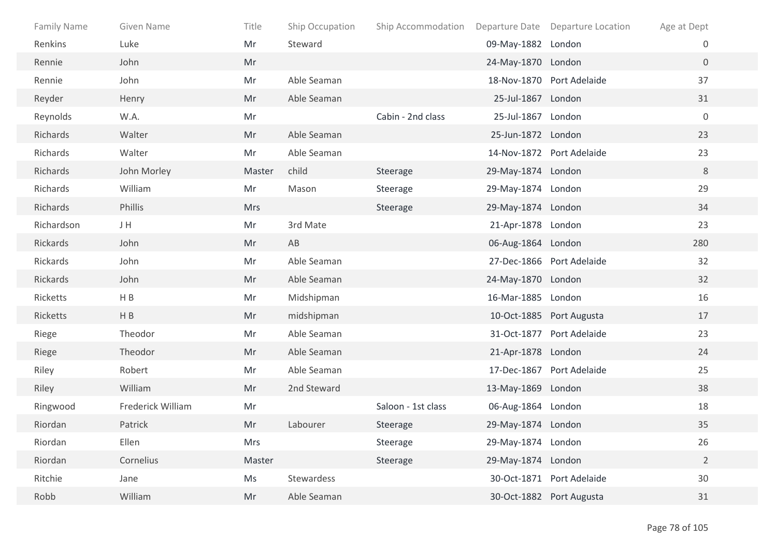| Family Name | Given Name        | Title      | Ship Occupation | Ship Accommodation |                    | Departure Date Departure Location | Age at Dept      |
|-------------|-------------------|------------|-----------------|--------------------|--------------------|-----------------------------------|------------------|
| Renkins     | Luke              | Mr         | Steward         |                    | 09-May-1882 London |                                   | $\boldsymbol{0}$ |
| Rennie      | John              | Mr         |                 |                    | 24-May-1870 London |                                   | $\overline{0}$   |
| Rennie      | John              | Mr         | Able Seaman     |                    |                    | 18-Nov-1870 Port Adelaide         | 37               |
| Reyder      | Henry             | Mr         | Able Seaman     |                    | 25-Jul-1867 London |                                   | 31               |
| Reynolds    | W.A.              | Mr         |                 | Cabin - 2nd class  | 25-Jul-1867 London |                                   | $\mathbf 0$      |
| Richards    | Walter            | Mr         | Able Seaman     |                    | 25-Jun-1872 London |                                   | 23               |
| Richards    | Walter            | Mr         | Able Seaman     |                    |                    | 14-Nov-1872 Port Adelaide         | 23               |
| Richards    | John Morley       | Master     | child           | Steerage           | 29-May-1874 London |                                   | 8                |
| Richards    | William           | Mr         | Mason           | Steerage           | 29-May-1874 London |                                   | 29               |
| Richards    | Phillis           | <b>Mrs</b> |                 | Steerage           | 29-May-1874 London |                                   | 34               |
| Richardson  | JH                | Mr         | 3rd Mate        |                    | 21-Apr-1878 London |                                   | 23               |
| Rickards    | John              | Mr         | AB              |                    | 06-Aug-1864 London |                                   | 280              |
| Rickards    | John              | Mr         | Able Seaman     |                    |                    | 27-Dec-1866 Port Adelaide         | 32               |
| Rickards    | John              | Mr         | Able Seaman     |                    | 24-May-1870 London |                                   | 32               |
| Ricketts    | HB                | Mr         | Midshipman      |                    | 16-Mar-1885 London |                                   | 16               |
| Ricketts    | H B               | Mr         | midshipman      |                    |                    | 10-Oct-1885 Port Augusta          | 17               |
| Riege       | Theodor           | Mr         | Able Seaman     |                    |                    | 31-Oct-1877 Port Adelaide         | 23               |
| Riege       | Theodor           | Mr         | Able Seaman     |                    | 21-Apr-1878 London |                                   | 24               |
| Riley       | Robert            | Mr         | Able Seaman     |                    |                    | 17-Dec-1867 Port Adelaide         | 25               |
| Riley       | William           | Mr         | 2nd Steward     |                    | 13-May-1869 London |                                   | 38               |
| Ringwood    | Frederick William | Mr         |                 | Saloon - 1st class | 06-Aug-1864 London |                                   | 18               |
| Riordan     | Patrick           | Mr         | Labourer        | Steerage           | 29-May-1874 London |                                   | 35               |
| Riordan     | Ellen             | Mrs        |                 | Steerage           | 29-May-1874 London |                                   | 26               |
| Riordan     | Cornelius         | Master     |                 | Steerage           | 29-May-1874 London |                                   | $\overline{2}$   |
| Ritchie     | Jane              | Ms         | Stewardess      |                    |                    | 30-Oct-1871 Port Adelaide         | 30               |
| Robb        | William           | Mr         | Able Seaman     |                    |                    | 30-Oct-1882 Port Augusta          | 31               |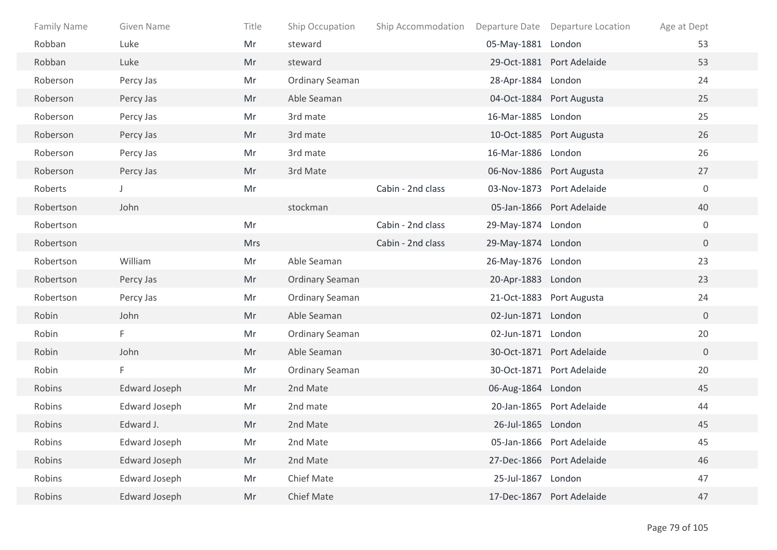| <b>Family Name</b> | Given Name           | Title      | Ship Occupation        | Ship Accommodation |                    | Departure Date Departure Location | Age at Dept    |
|--------------------|----------------------|------------|------------------------|--------------------|--------------------|-----------------------------------|----------------|
| Robban             | Luke                 | Mr         | steward                |                    | 05-May-1881 London |                                   | 53             |
| Robban             | Luke                 | Mr         | steward                |                    |                    | 29-Oct-1881 Port Adelaide         | 53             |
| Roberson           | Percy Jas            | Mr         | <b>Ordinary Seaman</b> |                    | 28-Apr-1884 London |                                   | 24             |
| Roberson           | Percy Jas            | Mr         | Able Seaman            |                    |                    | 04-Oct-1884 Port Augusta          | 25             |
| Roberson           | Percy Jas            | Mr         | 3rd mate               |                    | 16-Mar-1885 London |                                   | 25             |
| Roberson           | Percy Jas            | Mr         | 3rd mate               |                    |                    | 10-Oct-1885 Port Augusta          | 26             |
| Roberson           | Percy Jas            | Mr         | 3rd mate               |                    | 16-Mar-1886 London |                                   | 26             |
| Roberson           | Percy Jas            | Mr         | 3rd Mate               |                    |                    | 06-Nov-1886 Port Augusta          | 27             |
| Roberts            | J                    | Mr         |                        | Cabin - 2nd class  |                    | 03-Nov-1873 Port Adelaide         | $\mathbf 0$    |
| Robertson          | John                 |            | stockman               |                    |                    | 05-Jan-1866 Port Adelaide         | 40             |
| Robertson          |                      | Mr         |                        | Cabin - 2nd class  | 29-May-1874 London |                                   | $\mathbf 0$    |
| Robertson          |                      | <b>Mrs</b> |                        | Cabin - 2nd class  | 29-May-1874 London |                                   | $\overline{0}$ |
| Robertson          | William              | Mr         | Able Seaman            |                    | 26-May-1876 London |                                   | 23             |
| Robertson          | Percy Jas            | Mr         | <b>Ordinary Seaman</b> |                    | 20-Apr-1883 London |                                   | 23             |
| Robertson          | Percy Jas            | Mr         | Ordinary Seaman        |                    |                    | 21-Oct-1883 Port Augusta          | 24             |
| Robin              | John                 | Mr         | Able Seaman            |                    | 02-Jun-1871 London |                                   | $\overline{0}$ |
| Robin              | F                    | Mr         | <b>Ordinary Seaman</b> |                    | 02-Jun-1871 London |                                   | 20             |
| Robin              | John                 | Mr         | Able Seaman            |                    |                    | 30-Oct-1871 Port Adelaide         | $\overline{0}$ |
| Robin              | F                    | Mr         | <b>Ordinary Seaman</b> |                    |                    | 30-Oct-1871 Port Adelaide         | 20             |
| Robins             | <b>Edward Joseph</b> | Mr         | 2nd Mate               |                    | 06-Aug-1864 London |                                   | 45             |
| Robins             | <b>Edward Joseph</b> | Mr         | 2nd mate               |                    |                    | 20-Jan-1865 Port Adelaide         | 44             |
| Robins             | Edward J.            | Mr         | 2nd Mate               |                    | 26-Jul-1865 London |                                   | 45             |
| Robins             | <b>Edward Joseph</b> | Mr         | 2nd Mate               |                    |                    | 05-Jan-1866 Port Adelaide         | 45             |
| Robins             | <b>Edward Joseph</b> | Mr         | 2nd Mate               |                    |                    | 27-Dec-1866 Port Adelaide         | 46             |
| Robins             | <b>Edward Joseph</b> | Mr         | <b>Chief Mate</b>      |                    | 25-Jul-1867 London |                                   | 47             |
| Robins             | <b>Edward Joseph</b> | Mr         | <b>Chief Mate</b>      |                    |                    | 17-Dec-1867 Port Adelaide         | 47             |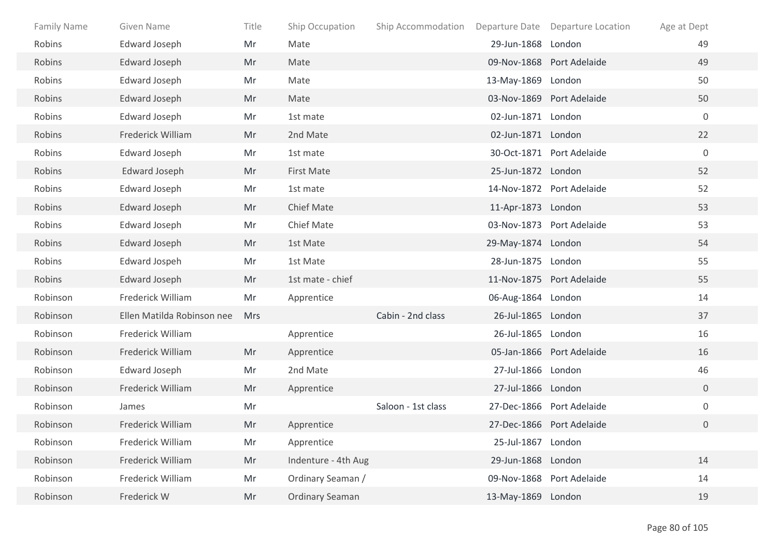| <b>Family Name</b> | Given Name                 | Title      | Ship Occupation        | Ship Accommodation |                    | Departure Date Departure Location | Age at Dept    |  |
|--------------------|----------------------------|------------|------------------------|--------------------|--------------------|-----------------------------------|----------------|--|
| Robins             | <b>Edward Joseph</b>       | Mr         | Mate                   |                    | 29-Jun-1868 London |                                   | 49             |  |
| Robins             | <b>Edward Joseph</b>       | Mr         | Mate                   |                    |                    | 09-Nov-1868 Port Adelaide         | 49             |  |
| Robins             | Edward Joseph              | Mr         | Mate                   |                    | 13-May-1869 London |                                   | 50             |  |
| Robins             | Edward Joseph              | Mr         | Mate                   |                    |                    | 03-Nov-1869 Port Adelaide         | 50             |  |
| Robins             | Edward Joseph              | Mr         | 1st mate               |                    | 02-Jun-1871 London |                                   | $\mathbf 0$    |  |
| Robins             | Frederick William          | Mr         | 2nd Mate               |                    | 02-Jun-1871 London |                                   | 22             |  |
| Robins             | <b>Edward Joseph</b>       | Mr         | 1st mate               |                    |                    | 30-Oct-1871 Port Adelaide         | $\mathbf 0$    |  |
| Robins             | <b>Edward Joseph</b>       | Mr         | First Mate             |                    | 25-Jun-1872 London |                                   | 52             |  |
| Robins             | <b>Edward Joseph</b>       | Mr         | 1st mate               |                    |                    | 14-Nov-1872 Port Adelaide         | 52             |  |
| Robins             | <b>Edward Joseph</b>       | Mr         | <b>Chief Mate</b>      |                    | 11-Apr-1873 London |                                   | 53             |  |
| Robins             | <b>Edward Joseph</b>       | Mr         | <b>Chief Mate</b>      |                    |                    | 03-Nov-1873 Port Adelaide         | 53             |  |
| Robins             | <b>Edward Joseph</b>       | Mr         | 1st Mate               |                    | 29-May-1874 London |                                   | 54             |  |
| Robins             | Edward Jospeh              | Mr         | 1st Mate               |                    | 28-Jun-1875 London |                                   | 55             |  |
| Robins             | <b>Edward Joseph</b>       | Mr         | 1st mate - chief       |                    |                    | 11-Nov-1875 Port Adelaide         | 55             |  |
| Robinson           | Frederick William          | Mr         | Apprentice             |                    | 06-Aug-1864 London |                                   | 14             |  |
| Robinson           | Ellen Matilda Robinson nee | <b>Mrs</b> |                        | Cabin - 2nd class  | 26-Jul-1865 London |                                   | 37             |  |
| Robinson           | Frederick William          |            | Apprentice             |                    | 26-Jul-1865 London |                                   | 16             |  |
| Robinson           | Frederick William          | Mr         | Apprentice             |                    |                    | 05-Jan-1866 Port Adelaide         | 16             |  |
| Robinson           | <b>Edward Joseph</b>       | Mr         | 2nd Mate               |                    | 27-Jul-1866 London |                                   | 46             |  |
| Robinson           | Frederick William          | Mr         | Apprentice             |                    | 27-Jul-1866 London |                                   | $\overline{0}$ |  |
| Robinson           | James                      | Mr         |                        | Saloon - 1st class |                    | 27-Dec-1866 Port Adelaide         | $\mathbf 0$    |  |
| Robinson           | Frederick William          | Mr         | Apprentice             |                    |                    | 27-Dec-1866 Port Adelaide         | 0              |  |
| Robinson           | Frederick William          | Mr         | Apprentice             |                    | 25-Jul-1867 London |                                   |                |  |
| Robinson           | Frederick William          | Mr         | Indenture - 4th Aug    |                    | 29-Jun-1868 London |                                   | 14             |  |
| Robinson           | Frederick William          | Mr         | Ordinary Seaman /      |                    |                    | 09-Nov-1868 Port Adelaide         | 14             |  |
| Robinson           | Frederick W                | Mr         | <b>Ordinary Seaman</b> |                    | 13-May-1869 London |                                   | 19             |  |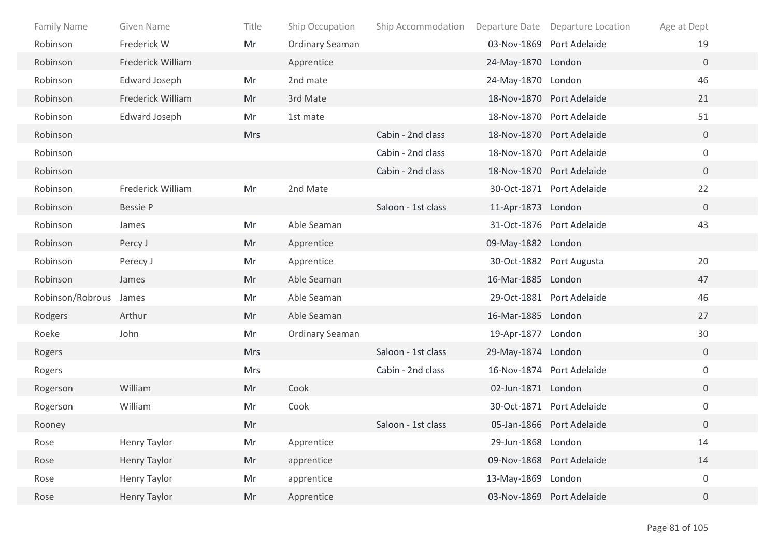| <b>Family Name</b> | Given Name           | Title      | Ship Occupation        | Ship Accommodation |                    | Departure Date Departure Location | Age at Dept      |  |
|--------------------|----------------------|------------|------------------------|--------------------|--------------------|-----------------------------------|------------------|--|
| Robinson           | Frederick W          | Mr         | Ordinary Seaman        |                    |                    | 03-Nov-1869 Port Adelaide         | 19               |  |
| Robinson           | Frederick William    |            | Apprentice             |                    | 24-May-1870 London |                                   | $\mathbf{0}$     |  |
| Robinson           | <b>Edward Joseph</b> | Mr         | 2nd mate               |                    | 24-May-1870 London |                                   | 46               |  |
| Robinson           | Frederick William    | Mr         | 3rd Mate               |                    |                    | 18-Nov-1870 Port Adelaide         | 21               |  |
| Robinson           | <b>Edward Joseph</b> | Mr         | 1st mate               |                    |                    | 18-Nov-1870 Port Adelaide         | 51               |  |
| Robinson           |                      | <b>Mrs</b> |                        | Cabin - 2nd class  |                    | 18-Nov-1870 Port Adelaide         | $\mathbf 0$      |  |
| Robinson           |                      |            |                        | Cabin - 2nd class  |                    | 18-Nov-1870 Port Adelaide         | $\mathbf 0$      |  |
| Robinson           |                      |            |                        | Cabin - 2nd class  |                    | 18-Nov-1870 Port Adelaide         | $\overline{0}$   |  |
| Robinson           | Frederick William    | Mr         | 2nd Mate               |                    |                    | 30-Oct-1871 Port Adelaide         | 22               |  |
| Robinson           | <b>Bessie P</b>      |            |                        | Saloon - 1st class | 11-Apr-1873 London |                                   | $\mathbf 0$      |  |
| Robinson           | James                | Mr         | Able Seaman            |                    |                    | 31-Oct-1876 Port Adelaide         | 43               |  |
| Robinson           | Percy J              | Mr         | Apprentice             |                    | 09-May-1882 London |                                   |                  |  |
| Robinson           | Perecy J             | Mr         | Apprentice             |                    |                    | 30-Oct-1882 Port Augusta          | 20               |  |
| Robinson           | James                | Mr         | Able Seaman            |                    | 16-Mar-1885 London |                                   | 47               |  |
| Robinson/Robrous   | James                | Mr         | Able Seaman            |                    |                    | 29-Oct-1881 Port Adelaide         | 46               |  |
| Rodgers            | Arthur               | Mr         | Able Seaman            |                    | 16-Mar-1885 London |                                   | 27               |  |
| Roeke              | John                 | Mr         | <b>Ordinary Seaman</b> |                    | 19-Apr-1877 London |                                   | 30               |  |
| Rogers             |                      | <b>Mrs</b> |                        | Saloon - 1st class | 29-May-1874 London |                                   | $\mathbf 0$      |  |
| Rogers             |                      | Mrs        |                        | Cabin - 2nd class  |                    | 16-Nov-1874 Port Adelaide         | $\mathbf 0$      |  |
| Rogerson           | William              | Mr         | Cook                   |                    | 02-Jun-1871 London |                                   | $\overline{0}$   |  |
| Rogerson           | William              | Mr         | Cook                   |                    |                    | 30-Oct-1871 Port Adelaide         | $\boldsymbol{0}$ |  |
| Rooney             |                      | Mr         |                        | Saloon - 1st class |                    | 05-Jan-1866 Port Adelaide         | $\overline{0}$   |  |
| Rose               | Henry Taylor         | Mr         | Apprentice             |                    | 29-Jun-1868 London |                                   | 14               |  |
| Rose               | Henry Taylor         | Mr         | apprentice             |                    |                    | 09-Nov-1868 Port Adelaide         | 14               |  |
| Rose               | Henry Taylor         | Mr         | apprentice             |                    | 13-May-1869 London |                                   | $\boldsymbol{0}$ |  |
| Rose               | Henry Taylor         | Mr         | Apprentice             |                    |                    | 03-Nov-1869 Port Adelaide         | $\overline{0}$   |  |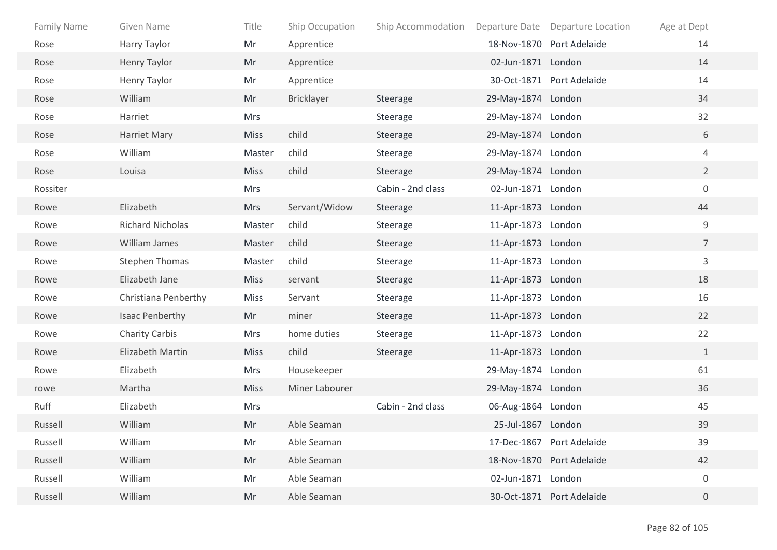| <b>Family Name</b> | Given Name              | Title       | Ship Occupation | Ship Accommodation | Departure Date     | <b>Departure Location</b> | Age at Dept      |
|--------------------|-------------------------|-------------|-----------------|--------------------|--------------------|---------------------------|------------------|
| Rose               | Harry Taylor            | Mr          | Apprentice      |                    |                    | 18-Nov-1870 Port Adelaide | 14               |
| Rose               | <b>Henry Taylor</b>     | Mr          | Apprentice      |                    | 02-Jun-1871 London |                           | 14               |
| Rose               | Henry Taylor            | Mr          | Apprentice      |                    |                    | 30-Oct-1871 Port Adelaide | 14               |
| Rose               | William                 | Mr          | Bricklayer      | Steerage           | 29-May-1874 London |                           | 34               |
| Rose               | Harriet                 | Mrs         |                 | Steerage           | 29-May-1874 London |                           | 32               |
| Rose               | Harriet Mary            | <b>Miss</b> | child           | Steerage           | 29-May-1874 London |                           | 6                |
| Rose               | William                 | Master      | child           | Steerage           | 29-May-1874 London |                           | 4                |
| Rose               | Louisa                  | <b>Miss</b> | child           | Steerage           | 29-May-1874 London |                           | $2^{\circ}$      |
| Rossiter           |                         | Mrs         |                 | Cabin - 2nd class  | 02-Jun-1871 London |                           | $\boldsymbol{0}$ |
| Rowe               | Elizabeth               | <b>Mrs</b>  | Servant/Widow   | Steerage           | 11-Apr-1873 London |                           | 44               |
| Rowe               | <b>Richard Nicholas</b> | Master      | child           | Steerage           | 11-Apr-1873 London |                           | 9                |
| Rowe               | William James           | Master      | child           | Steerage           | 11-Apr-1873 London |                           | $7\overline{ }$  |
| Rowe               | <b>Stephen Thomas</b>   | Master      | child           | Steerage           | 11-Apr-1873 London |                           | $\mathsf{3}$     |
| Rowe               | Elizabeth Jane          | <b>Miss</b> | servant         | Steerage           | 11-Apr-1873 London |                           | 18               |
| Rowe               | Christiana Penberthy    | <b>Miss</b> | Servant         | Steerage           | 11-Apr-1873 London |                           | 16               |
| Rowe               | <b>Isaac Penberthy</b>  | Mr          | miner           | Steerage           | 11-Apr-1873 London |                           | 22               |
| Rowe               | <b>Charity Carbis</b>   | <b>Mrs</b>  | home duties     | Steerage           | 11-Apr-1873 London |                           | 22               |
| Rowe               | Elizabeth Martin        | <b>Miss</b> | child           | Steerage           | 11-Apr-1873 London |                           | $\mathbf{1}$     |
| Rowe               | Elizabeth               | Mrs         | Housekeeper     |                    | 29-May-1874 London |                           | 61               |
| rowe               | Martha                  | <b>Miss</b> | Miner Labourer  |                    | 29-May-1874 London |                           | 36               |
| Ruff               | Elizabeth               | <b>Mrs</b>  |                 | Cabin - 2nd class  | 06-Aug-1864 London |                           | 45               |
| Russell            | William                 | Mr          | Able Seaman     |                    | 25-Jul-1867 London |                           | 39               |
| Russell            | William                 | Mr          | Able Seaman     |                    |                    | 17-Dec-1867 Port Adelaide | 39               |
| Russell            | William                 | Mr          | Able Seaman     |                    |                    | 18-Nov-1870 Port Adelaide | 42               |
| Russell            | William                 | Mr          | Able Seaman     |                    | 02-Jun-1871 London |                           | $\boldsymbol{0}$ |
| Russell            | William                 | Mr          | Able Seaman     |                    |                    | 30-Oct-1871 Port Adelaide | $\overline{0}$   |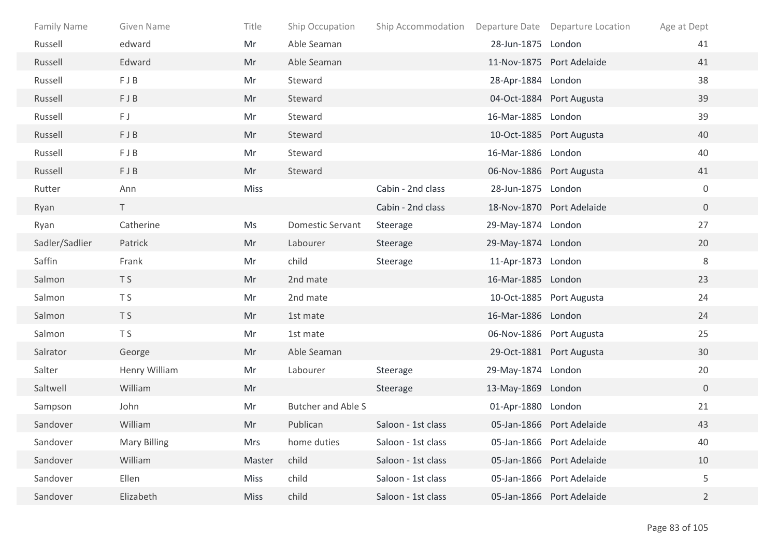| <b>Family Name</b> | Given Name          | Title       | Ship Occupation           | Ship Accommodation Departure Date Departure Location |                    |                           | Age at Dept      |
|--------------------|---------------------|-------------|---------------------------|------------------------------------------------------|--------------------|---------------------------|------------------|
| Russell            | edward              | Mr          | Able Seaman               |                                                      | 28-Jun-1875 London |                           | 41               |
| Russell            | Edward              | Mr          | Able Seaman               |                                                      |                    | 11-Nov-1875 Port Adelaide | 41               |
| Russell            | FJB                 | Mr          | Steward                   |                                                      | 28-Apr-1884 London |                           | 38               |
| Russell            | FJB                 | Mr          | Steward                   |                                                      |                    | 04-Oct-1884 Port Augusta  | 39               |
| Russell            | FJ                  | Mr          | Steward                   |                                                      | 16-Mar-1885 London |                           | 39               |
| Russell            | FJB                 | Mr          | Steward                   |                                                      |                    | 10-Oct-1885 Port Augusta  | 40               |
| Russell            | FJB                 | Mr          | Steward                   |                                                      | 16-Mar-1886 London |                           | 40               |
| Russell            | FJB                 | Mr          | Steward                   |                                                      |                    | 06-Nov-1886 Port Augusta  | 41               |
| Rutter             | Ann                 | Miss        |                           | Cabin - 2nd class                                    | 28-Jun-1875 London |                           | $\boldsymbol{0}$ |
| Ryan               | $\top$              |             |                           | Cabin - 2nd class                                    |                    | 18-Nov-1870 Port Adelaide | $\overline{0}$   |
| Ryan               | Catherine           | Ms          | <b>Domestic Servant</b>   | Steerage                                             | 29-May-1874 London |                           | 27               |
| Sadler/Sadlier     | Patrick             | Mr          | Labourer                  | Steerage                                             | 29-May-1874 London |                           | 20               |
| Saffin             | Frank               | Mr          | child                     | Steerage                                             | 11-Apr-1873 London |                           | 8                |
| Salmon             | T <sub>S</sub>      | Mr          | 2nd mate                  |                                                      | 16-Mar-1885 London |                           | 23               |
| Salmon             | T S                 | Mr          | 2nd mate                  |                                                      |                    | 10-Oct-1885 Port Augusta  | 24               |
| Salmon             | T <sub>S</sub>      | Mr          | 1st mate                  |                                                      | 16-Mar-1886 London |                           | 24               |
| Salmon             | T S                 | Mr          | 1st mate                  |                                                      |                    | 06-Nov-1886 Port Augusta  | 25               |
| Salrator           | George              | Mr          | Able Seaman               |                                                      |                    | 29-Oct-1881 Port Augusta  | 30               |
| Salter             | Henry William       | Mr          | Labourer                  | Steerage                                             | 29-May-1874 London |                           | 20               |
| Saltwell           | William             | Mr          |                           | Steerage                                             | 13-May-1869 London |                           | $\overline{0}$   |
| Sampson            | John                | Mr          | <b>Butcher and Able S</b> |                                                      | 01-Apr-1880 London |                           | 21               |
| Sandover           | William             | Mr          | Publican                  | Saloon - 1st class                                   |                    | 05-Jan-1866 Port Adelaide | 43               |
| Sandover           | <b>Mary Billing</b> | Mrs         | home duties               | Saloon - 1st class                                   |                    | 05-Jan-1866 Port Adelaide | 40               |
| Sandover           | William             | Master      | child                     | Saloon - 1st class                                   |                    | 05-Jan-1866 Port Adelaide | 10               |
| Sandover           | Ellen               | <b>Miss</b> | child                     | Saloon - 1st class                                   |                    | 05-Jan-1866 Port Adelaide | 5                |
| Sandover           | Elizabeth           | <b>Miss</b> | child                     | Saloon - 1st class                                   |                    | 05-Jan-1866 Port Adelaide | $\overline{2}$   |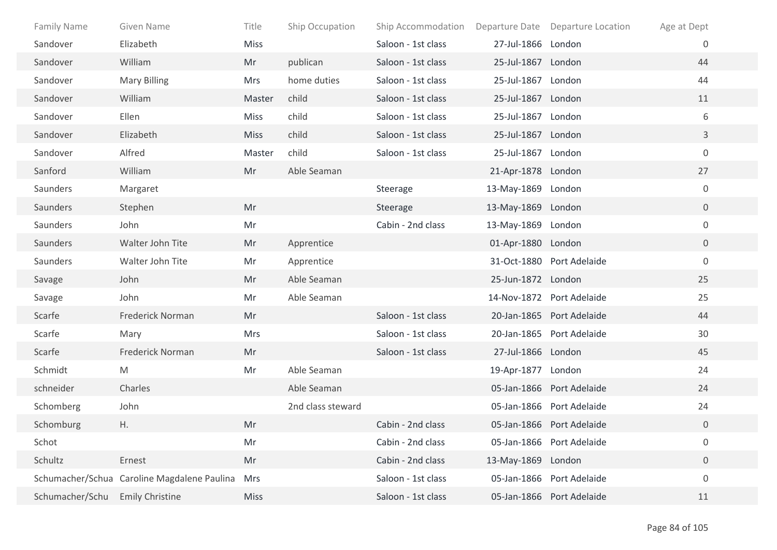| <b>Family Name</b> | Given Name                                  | Title       | Ship Occupation   | Ship Accommodation |                    | Departure Date Departure Location | Age at Dept    |  |
|--------------------|---------------------------------------------|-------------|-------------------|--------------------|--------------------|-----------------------------------|----------------|--|
| Sandover           | Elizabeth                                   | <b>Miss</b> |                   | Saloon - 1st class | 27-Jul-1866 London |                                   | $\overline{0}$ |  |
| Sandover           | William                                     | Mr          | publican          | Saloon - 1st class | 25-Jul-1867 London |                                   | 44             |  |
| Sandover           | <b>Mary Billing</b>                         | <b>Mrs</b>  | home duties       | Saloon - 1st class | 25-Jul-1867 London |                                   | 44             |  |
| Sandover           | William                                     | Master      | child             | Saloon - 1st class | 25-Jul-1867 London |                                   | 11             |  |
| Sandover           | Ellen                                       | Miss        | child             | Saloon - 1st class | 25-Jul-1867 London |                                   | 6              |  |
| Sandover           | Elizabeth                                   | <b>Miss</b> | child             | Saloon - 1st class | 25-Jul-1867 London |                                   | $\mathbf{3}$   |  |
| Sandover           | Alfred                                      | Master      | child             | Saloon - 1st class | 25-Jul-1867 London |                                   | $\mathbf 0$    |  |
| Sanford            | William                                     | Mr          | Able Seaman       |                    | 21-Apr-1878 London |                                   | 27             |  |
| Saunders           | Margaret                                    |             |                   | Steerage           | 13-May-1869 London |                                   | $\overline{0}$ |  |
| Saunders           | Stephen                                     | Mr          |                   | Steerage           | 13-May-1869 London |                                   | $\overline{0}$ |  |
| Saunders           | John                                        | Mr          |                   | Cabin - 2nd class  | 13-May-1869 London |                                   | $\mathbf 0$    |  |
| Saunders           | Walter John Tite                            | Mr          | Apprentice        |                    | 01-Apr-1880 London |                                   | $\overline{0}$ |  |
| Saunders           | Walter John Tite                            | Mr          | Apprentice        |                    |                    | 31-Oct-1880 Port Adelaide         | $\mathbf 0$    |  |
| Savage             | John                                        | Mr          | Able Seaman       |                    | 25-Jun-1872 London |                                   | 25             |  |
| Savage             | John                                        | Mr          | Able Seaman       |                    |                    | 14-Nov-1872 Port Adelaide         | 25             |  |
| Scarfe             | Frederick Norman                            | Mr          |                   | Saloon - 1st class |                    | 20-Jan-1865 Port Adelaide         | 44             |  |
| Scarfe             | Mary                                        | <b>Mrs</b>  |                   | Saloon - 1st class |                    | 20-Jan-1865 Port Adelaide         | 30             |  |
| Scarfe             | Frederick Norman                            | Mr          |                   | Saloon - 1st class | 27-Jul-1866 London |                                   | 45             |  |
| Schmidt            | M                                           | Mr          | Able Seaman       |                    | 19-Apr-1877 London |                                   | 24             |  |
| schneider          | Charles                                     |             | Able Seaman       |                    |                    | 05-Jan-1866 Port Adelaide         | 24             |  |
| Schomberg          | John                                        |             | 2nd class steward |                    |                    | 05-Jan-1866 Port Adelaide         | 24             |  |
| Schomburg          | Η.                                          | Mr          |                   | Cabin - 2nd class  |                    | 05-Jan-1866 Port Adelaide         | $\overline{0}$ |  |
| Schot              |                                             | Mr          |                   | Cabin - 2nd class  |                    | 05-Jan-1866 Port Adelaide         | 0              |  |
| Schultz            | Ernest                                      | Mr          |                   | Cabin - 2nd class  | 13-May-1869 London |                                   | $\overline{0}$ |  |
|                    | Schumacher/Schua Caroline Magdalene Paulina | <b>Mrs</b>  |                   | Saloon - 1st class |                    | 05-Jan-1866 Port Adelaide         | $\mathbf 0$    |  |
| Schumacher/Schu    | <b>Emily Christine</b>                      | <b>Miss</b> |                   | Saloon - 1st class |                    | 05-Jan-1866 Port Adelaide         | 11             |  |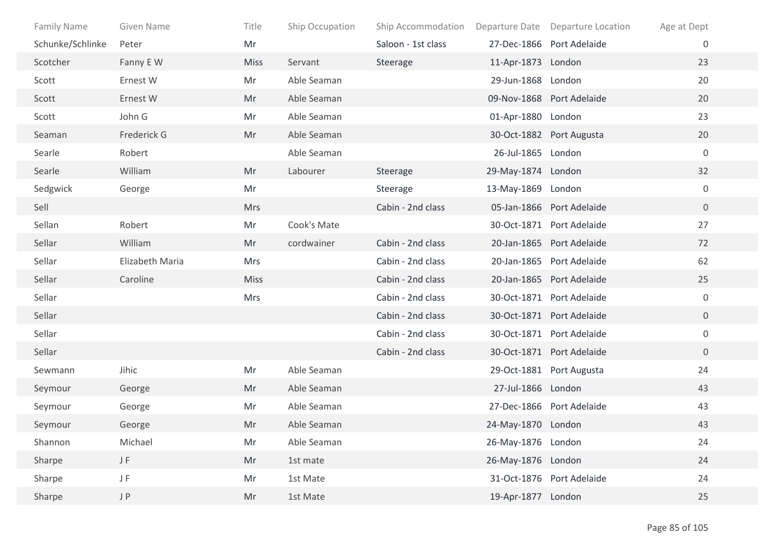| Family Name      | Given Name      | Title       | Ship Occupation | Ship Accommodation |                    | Departure Date Departure Location | Age at Dept    |
|------------------|-----------------|-------------|-----------------|--------------------|--------------------|-----------------------------------|----------------|
| Schunke/Schlinke | Peter           | Mr          |                 | Saloon - 1st class |                    | 27-Dec-1866 Port Adelaide         | $\overline{0}$ |
| Scotcher         | Fanny E W       | <b>Miss</b> | Servant         | Steerage           | 11-Apr-1873 London |                                   | 23             |
| Scott            | Ernest W        | Mr          | Able Seaman     |                    | 29-Jun-1868 London |                                   | 20             |
| Scott            | Ernest W        | Mr          | Able Seaman     |                    |                    | 09-Nov-1868 Port Adelaide         | 20             |
| Scott            | John G          | Mr          | Able Seaman     |                    | 01-Apr-1880 London |                                   | 23             |
| Seaman           | Frederick G     | Mr          | Able Seaman     |                    |                    | 30-Oct-1882 Port Augusta          | 20             |
| Searle           | Robert          |             | Able Seaman     |                    | 26-Jul-1865 London |                                   | $\mathbf 0$    |
| Searle           | William         | Mr          | Labourer        | Steerage           | 29-May-1874 London |                                   | 32             |
| Sedgwick         | George          | Mr          |                 | Steerage           | 13-May-1869 London |                                   | $\overline{0}$ |
| Sell             |                 | <b>Mrs</b>  |                 | Cabin - 2nd class  |                    | 05-Jan-1866 Port Adelaide         | $\overline{0}$ |
| Sellan           | Robert          | Mr          | Cook's Mate     |                    |                    | 30-Oct-1871 Port Adelaide         | 27             |
| Sellar           | William         | Mr          | cordwainer      | Cabin - 2nd class  |                    | 20-Jan-1865 Port Adelaide         | 72             |
| Sellar           | Elizabeth Maria | Mrs         |                 | Cabin - 2nd class  |                    | 20-Jan-1865 Port Adelaide         | 62             |
| Sellar           | Caroline        | <b>Miss</b> |                 | Cabin - 2nd class  |                    | 20-Jan-1865 Port Adelaide         | 25             |
| Sellar           |                 | Mrs         |                 | Cabin - 2nd class  |                    | 30-Oct-1871 Port Adelaide         | $\mathbf 0$    |
| Sellar           |                 |             |                 | Cabin - 2nd class  |                    | 30-Oct-1871 Port Adelaide         | $\overline{0}$ |
| Sellar           |                 |             |                 | Cabin - 2nd class  |                    | 30-Oct-1871 Port Adelaide         | $\mathbf 0$    |
| Sellar           |                 |             |                 | Cabin - 2nd class  |                    | 30-Oct-1871 Port Adelaide         | $\overline{0}$ |
| Sewmann          | Jihic           | Mr          | Able Seaman     |                    |                    | 29-Oct-1881 Port Augusta          | 24             |
| Seymour          | George          | Mr          | Able Seaman     |                    | 27-Jul-1866 London |                                   | 43             |
| Seymour          | George          | Mr          | Able Seaman     |                    |                    | 27-Dec-1866 Port Adelaide         | 43             |
| Seymour          | George          | Mr          | Able Seaman     |                    | 24-May-1870 London |                                   | 43             |
| Shannon          | Michael         | Mr          | Able Seaman     |                    | 26-May-1876 London |                                   | 24             |
| Sharpe           | $\sf J$ $\sf F$ | Mr          | 1st mate        |                    | 26-May-1876 London |                                   | 24             |
| Sharpe           | JF              | Mr          | 1st Mate        |                    |                    | 31-Oct-1876 Port Adelaide         | 24             |
| Sharpe           | J P             | Mr          | 1st Mate        |                    | 19-Apr-1877 London |                                   | 25             |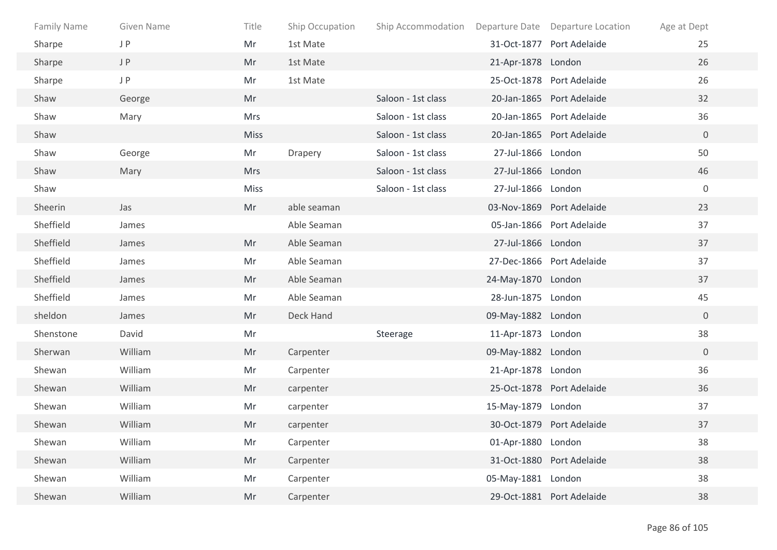| <b>Family Name</b> | Given Name | Title       | Ship Occupation | Ship Accommodation Departure Date Departure Location |                    |                           | Age at Dept    |
|--------------------|------------|-------------|-----------------|------------------------------------------------------|--------------------|---------------------------|----------------|
| Sharpe             | J P        | Mr          | 1st Mate        |                                                      |                    | 31-Oct-1877 Port Adelaide | 25             |
| Sharpe             | J P        | Mr          | 1st Mate        |                                                      | 21-Apr-1878 London |                           | 26             |
| Sharpe             | J P        | Mr          | 1st Mate        |                                                      |                    | 25-Oct-1878 Port Adelaide | 26             |
| Shaw               | George     | Mr          |                 | Saloon - 1st class                                   |                    | 20-Jan-1865 Port Adelaide | 32             |
| Shaw               | Mary       | Mrs         |                 | Saloon - 1st class                                   |                    | 20-Jan-1865 Port Adelaide | 36             |
| Shaw               |            | <b>Miss</b> |                 | Saloon - 1st class                                   |                    | 20-Jan-1865 Port Adelaide | $\overline{0}$ |
| Shaw               | George     | Mr          | Drapery         | Saloon - 1st class                                   | 27-Jul-1866 London |                           | 50             |
| Shaw               | Mary       | <b>Mrs</b>  |                 | Saloon - 1st class                                   | 27-Jul-1866 London |                           | 46             |
| Shaw               |            | Miss        |                 | Saloon - 1st class                                   | 27-Jul-1866 London |                           | $\mathbf 0$    |
| Sheerin            | Jas        | Mr          | able seaman     |                                                      |                    | 03-Nov-1869 Port Adelaide | 23             |
| Sheffield          | James      |             | Able Seaman     |                                                      |                    | 05-Jan-1866 Port Adelaide | 37             |
| Sheffield          | James      | Mr          | Able Seaman     |                                                      | 27-Jul-1866 London |                           | 37             |
| Sheffield          | James      | Mr          | Able Seaman     |                                                      |                    | 27-Dec-1866 Port Adelaide | 37             |
| Sheffield          | James      | Mr          | Able Seaman     |                                                      | 24-May-1870 London |                           | 37             |
| Sheffield          | James      | Mr          | Able Seaman     |                                                      | 28-Jun-1875 London |                           | 45             |
| sheldon            | James      | Mr          | Deck Hand       |                                                      | 09-May-1882 London |                           | $\overline{0}$ |
| Shenstone          | David      | Mr          |                 | Steerage                                             | 11-Apr-1873 London |                           | 38             |
| Sherwan            | William    | Mr          | Carpenter       |                                                      | 09-May-1882 London |                           | $\overline{0}$ |
| Shewan             | William    | Mr          | Carpenter       |                                                      | 21-Apr-1878 London |                           | 36             |
| Shewan             | William    | Mr          | carpenter       |                                                      |                    | 25-Oct-1878 Port Adelaide | 36             |
| Shewan             | William    | Mr          | carpenter       |                                                      | 15-May-1879 London |                           | 37             |
| Shewan             | William    | Mr          | carpenter       |                                                      |                    | 30-Oct-1879 Port Adelaide | 37             |
| Shewan             | William    | Mr          | Carpenter       |                                                      | 01-Apr-1880 London |                           | 38             |
| Shewan             | William    | Mr          | Carpenter       |                                                      |                    | 31-Oct-1880 Port Adelaide | 38             |
| Shewan             | William    | Mr          | Carpenter       |                                                      | 05-May-1881 London |                           | 38             |
| Shewan             | William    | Mr          | Carpenter       |                                                      |                    | 29-Oct-1881 Port Adelaide | 38             |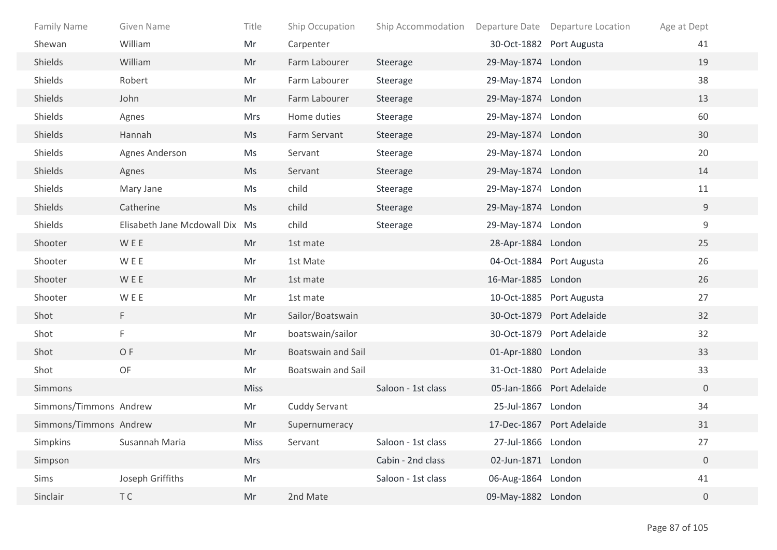| <b>Family Name</b>     | Given Name                     | Title       | Ship Occupation           | Ship Accommodation |                    | Departure Date Departure Location | Age at Dept      |
|------------------------|--------------------------------|-------------|---------------------------|--------------------|--------------------|-----------------------------------|------------------|
| Shewan                 | William                        | Mr          | Carpenter                 |                    |                    | 30-Oct-1882 Port Augusta          | 41               |
| Shields                | William                        | Mr          | Farm Labourer             | Steerage           | 29-May-1874 London |                                   | 19               |
| Shields                | Robert                         | Mr          | Farm Labourer             | Steerage           | 29-May-1874 London |                                   | 38               |
| Shields                | John                           | Mr          | Farm Labourer             | Steerage           | 29-May-1874 London |                                   | 13               |
| Shields                | Agnes                          | <b>Mrs</b>  | Home duties               | Steerage           | 29-May-1874 London |                                   | 60               |
| Shields                | Hannah                         | Ms          | Farm Servant              | Steerage           | 29-May-1874 London |                                   | 30               |
| Shields                | Agnes Anderson                 | Ms          | Servant                   | Steerage           | 29-May-1874 London |                                   | 20               |
| Shields                | Agnes                          | <b>Ms</b>   | Servant                   | Steerage           | 29-May-1874 London |                                   | 14               |
| Shields                | Mary Jane                      | Ms          | child                     | Steerage           | 29-May-1874 London |                                   | 11               |
| Shields                | Catherine                      | Ms          | child                     | Steerage           | 29-May-1874 London |                                   | $9\,$            |
| Shields                | Elisabeth Jane Mcdowall Dix Ms |             | child                     | Steerage           | 29-May-1874 London |                                   | 9                |
| Shooter                | WEE                            | Mr          | 1st mate                  |                    | 28-Apr-1884 London |                                   | 25               |
| Shooter                | <b>WEE</b>                     | Mr          | 1st Mate                  |                    |                    | 04-Oct-1884 Port Augusta          | 26               |
| Shooter                | <b>WEE</b>                     | Mr          | 1st mate                  |                    | 16-Mar-1885 London |                                   | 26               |
| Shooter                | <b>WEE</b>                     | Mr          | 1st mate                  |                    |                    | 10-Oct-1885 Port Augusta          | 27               |
| Shot                   | F.                             | Mr          | Sailor/Boatswain          |                    |                    | 30-Oct-1879 Port Adelaide         | 32               |
| Shot                   | F.                             | Mr          | boatswain/sailor          |                    |                    | 30-Oct-1879 Port Adelaide         | 32               |
| Shot                   | OF                             | Mr          | <b>Boatswain and Sail</b> |                    | 01-Apr-1880 London |                                   | 33               |
| Shot                   | OF                             | Mr          | <b>Boatswain and Sail</b> |                    |                    | 31-Oct-1880 Port Adelaide         | 33               |
| Simmons                |                                | <b>Miss</b> |                           | Saloon - 1st class |                    | 05-Jan-1866 Port Adelaide         | $\overline{0}$   |
| Simmons/Timmons Andrew |                                | Mr          | Cuddy Servant             |                    | 25-Jul-1867        | London                            | 34               |
| Simmons/Timmons Andrew |                                | Mr          | Supernumeracy             |                    |                    | 17-Dec-1867 Port Adelaide         | 31               |
| Simpkins               | Susannah Maria                 | Miss        | Servant                   | Saloon - 1st class | 27-Jul-1866 London |                                   | 27               |
| Simpson                |                                | <b>Mrs</b>  |                           | Cabin - 2nd class  | 02-Jun-1871 London |                                   | $\boldsymbol{0}$ |
| Sims                   | Joseph Griffiths               | Mr          |                           | Saloon - 1st class | 06-Aug-1864 London |                                   | 41               |
| Sinclair               | T C                            | Mr          | 2nd Mate                  |                    | 09-May-1882 London |                                   | $\overline{0}$   |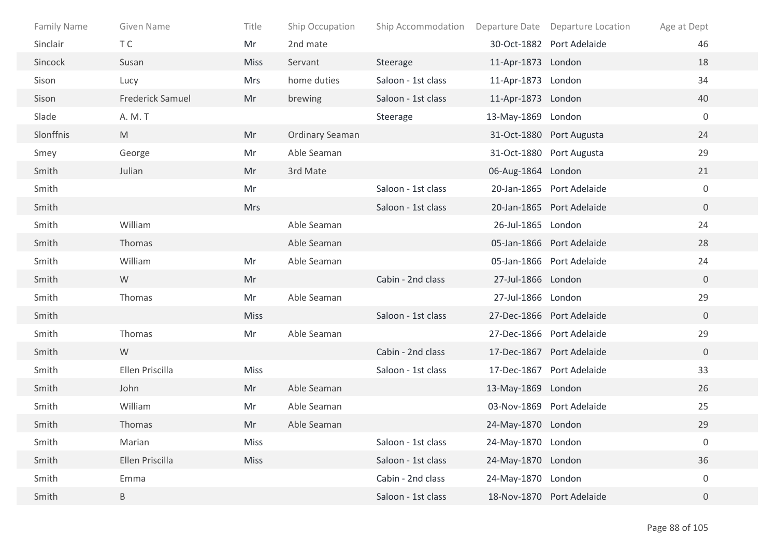| Family Name | Given Name              | Title       | Ship Occupation        | Ship Accommodation Departure Date Departure Location |                    |                           | Age at Dept      |
|-------------|-------------------------|-------------|------------------------|------------------------------------------------------|--------------------|---------------------------|------------------|
| Sinclair    | T C                     | Mr          | 2nd mate               |                                                      |                    | 30-Oct-1882 Port Adelaide | 46               |
| Sincock     | Susan                   | <b>Miss</b> | Servant                | Steerage                                             | 11-Apr-1873 London |                           | 18               |
| Sison       | Lucy                    | <b>Mrs</b>  | home duties            | Saloon - 1st class                                   | 11-Apr-1873 London |                           | 34               |
| Sison       | <b>Frederick Samuel</b> | Mr          | brewing                | Saloon - 1st class                                   | 11-Apr-1873 London |                           | 40               |
| Slade       | A. M. T                 |             |                        | Steerage                                             | 13-May-1869 London |                           | $\overline{0}$   |
| Slonffnis   | M                       | Mr          | <b>Ordinary Seaman</b> |                                                      |                    | 31-Oct-1880 Port Augusta  | 24               |
| Smey        | George                  | Mr          | Able Seaman            |                                                      |                    | 31-Oct-1880 Port Augusta  | 29               |
| Smith       | Julian                  | Mr          | 3rd Mate               |                                                      | 06-Aug-1864 London |                           | 21               |
| Smith       |                         | Mr          |                        | Saloon - 1st class                                   |                    | 20-Jan-1865 Port Adelaide | $\mathbf 0$      |
| Smith       |                         | <b>Mrs</b>  |                        | Saloon - 1st class                                   |                    | 20-Jan-1865 Port Adelaide | $\overline{0}$   |
| Smith       | William                 |             | Able Seaman            |                                                      | 26-Jul-1865 London |                           | 24               |
| Smith       | Thomas                  |             | Able Seaman            |                                                      |                    | 05-Jan-1866 Port Adelaide | 28               |
| Smith       | William                 | Mr          | Able Seaman            |                                                      |                    | 05-Jan-1866 Port Adelaide | 24               |
| Smith       | W                       | Mr          |                        | Cabin - 2nd class                                    | 27-Jul-1866 London |                           | $\overline{0}$   |
| Smith       | Thomas                  | Mr          | Able Seaman            |                                                      | 27-Jul-1866 London |                           | 29               |
| Smith       |                         | <b>Miss</b> |                        | Saloon - 1st class                                   |                    | 27-Dec-1866 Port Adelaide | $\overline{0}$   |
| Smith       | Thomas                  | Mr          | Able Seaman            |                                                      |                    | 27-Dec-1866 Port Adelaide | 29               |
| Smith       | W                       |             |                        | Cabin - 2nd class                                    |                    | 17-Dec-1867 Port Adelaide | $\overline{0}$   |
| Smith       | Ellen Priscilla         | Miss        |                        | Saloon - 1st class                                   |                    | 17-Dec-1867 Port Adelaide | 33               |
| Smith       | John                    | Mr          | Able Seaman            |                                                      | 13-May-1869 London |                           | 26               |
| Smith       | William                 | Mr          | Able Seaman            |                                                      |                    | 03-Nov-1869 Port Adelaide | 25               |
| Smith       | Thomas                  | Mr          | Able Seaman            |                                                      | 24-May-1870 London |                           | 29               |
| Smith       | Marian                  | Miss        |                        | Saloon - 1st class                                   | 24-May-1870 London |                           | $\boldsymbol{0}$ |
| Smith       | Ellen Priscilla         | Miss        |                        | Saloon - 1st class                                   | 24-May-1870 London |                           | 36               |
| Smith       | Emma                    |             |                        | Cabin - 2nd class                                    | 24-May-1870 London |                           | $\boldsymbol{0}$ |
| Smith       | B                       |             |                        | Saloon - 1st class                                   |                    | 18-Nov-1870 Port Adelaide | $\overline{0}$   |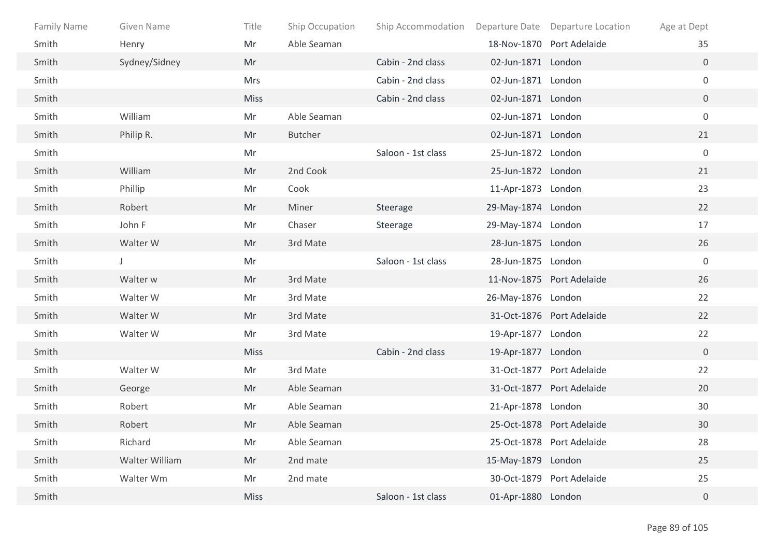| <b>Family Name</b> | Given Name     | Title       | Ship Occupation | Ship Accommodation  Departure Date  Departure Location |                    |                           | Age at Dept    |
|--------------------|----------------|-------------|-----------------|--------------------------------------------------------|--------------------|---------------------------|----------------|
| Smith              | Henry          | Mr          | Able Seaman     |                                                        |                    | 18-Nov-1870 Port Adelaide | 35             |
| Smith              | Sydney/Sidney  | Mr          |                 | Cabin - 2nd class                                      | 02-Jun-1871 London |                           | $\overline{0}$ |
| Smith              |                | Mrs         |                 | Cabin - 2nd class                                      | 02-Jun-1871 London |                           | $\overline{0}$ |
| Smith              |                | <b>Miss</b> |                 | Cabin - 2nd class                                      | 02-Jun-1871 London |                           | $\overline{0}$ |
| Smith              | William        | Mr          | Able Seaman     |                                                        | 02-Jun-1871 London |                           | $\mathbf 0$    |
| Smith              | Philip R.      | Mr          | Butcher         |                                                        | 02-Jun-1871 London |                           | 21             |
| Smith              |                | Mr          |                 | Saloon - 1st class                                     | 25-Jun-1872 London |                           | $\mathbf 0$    |
| Smith              | William        | Mr          | 2nd Cook        |                                                        | 25-Jun-1872 London |                           | 21             |
| Smith              | Phillip        | Mr          | Cook            |                                                        | 11-Apr-1873 London |                           | 23             |
| Smith              | Robert         | Mr          | Miner           | Steerage                                               | 29-May-1874 London |                           | 22             |
| Smith              | John F         | Mr          | Chaser          | Steerage                                               | 29-May-1874 London |                           | 17             |
| Smith              | Walter W       | Mr          | 3rd Mate        |                                                        | 28-Jun-1875 London |                           | 26             |
| Smith              | J              | Mr          |                 | Saloon - 1st class                                     | 28-Jun-1875 London |                           | $\mathbf 0$    |
| Smith              | Walter w       | Mr          | 3rd Mate        |                                                        |                    | 11-Nov-1875 Port Adelaide | 26             |
| Smith              | Walter W       | Mr          | 3rd Mate        |                                                        | 26-May-1876 London |                           | 22             |
| Smith              | Walter W       | Mr          | 3rd Mate        |                                                        |                    | 31-Oct-1876 Port Adelaide | 22             |
| Smith              | Walter W       | Mr          | 3rd Mate        |                                                        | 19-Apr-1877 London |                           | 22             |
| Smith              |                | <b>Miss</b> |                 | Cabin - 2nd class                                      | 19-Apr-1877 London |                           | $\overline{0}$ |
| Smith              | Walter W       | Mr          | 3rd Mate        |                                                        |                    | 31-Oct-1877 Port Adelaide | 22             |
| Smith              | George         | Mr          | Able Seaman     |                                                        |                    | 31-Oct-1877 Port Adelaide | 20             |
| Smith              | Robert         | Mr          | Able Seaman     |                                                        | 21-Apr-1878 London |                           | 30             |
| Smith              | Robert         | Mr          | Able Seaman     |                                                        |                    | 25-Oct-1878 Port Adelaide | 30             |
| Smith              | Richard        | Mr          | Able Seaman     |                                                        |                    | 25-Oct-1878 Port Adelaide | 28             |
| Smith              | Walter William | Mr          | 2nd mate        |                                                        | 15-May-1879 London |                           | 25             |
| Smith              | Walter Wm      | Mr          | 2nd mate        |                                                        |                    | 30-Oct-1879 Port Adelaide | 25             |
| Smith              |                | <b>Miss</b> |                 | Saloon - 1st class                                     | 01-Apr-1880 London |                           | $\overline{0}$ |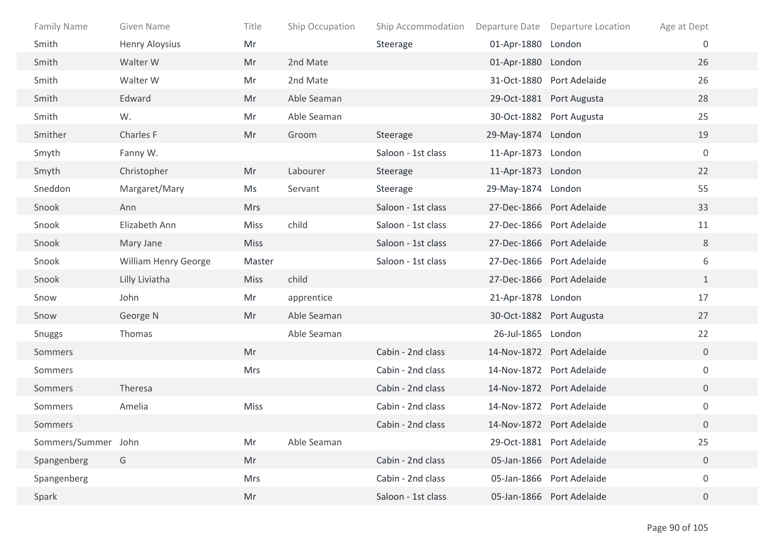| <b>Family Name</b>  | Given Name            | Title       | Ship Occupation | Ship Accommodation |                    | Departure Date Departure Location | Age at Dept      |
|---------------------|-----------------------|-------------|-----------------|--------------------|--------------------|-----------------------------------|------------------|
| Smith               | <b>Henry Aloysius</b> | Mr          |                 | Steerage           | 01-Apr-1880 London |                                   | $\overline{0}$   |
| Smith               | Walter W              | Mr          | 2nd Mate        |                    | 01-Apr-1880 London |                                   | 26               |
| Smith               | Walter W              | Mr          | 2nd Mate        |                    |                    | 31-Oct-1880 Port Adelaide         | 26               |
| Smith               | Edward                | Mr          | Able Seaman     |                    |                    | 29-Oct-1881 Port Augusta          | 28               |
| Smith               | W.                    | Mr          | Able Seaman     |                    |                    | 30-Oct-1882 Port Augusta          | 25               |
| Smither             | Charles F             | Mr          | Groom           | Steerage           | 29-May-1874 London |                                   | 19               |
| Smyth               | Fanny W.              |             |                 | Saloon - 1st class | 11-Apr-1873 London |                                   | $\mathbf 0$      |
| Smyth               | Christopher           | Mr          | Labourer        | Steerage           | 11-Apr-1873 London |                                   | 22               |
| Sneddon             | Margaret/Mary         | Ms          | Servant         | Steerage           | 29-May-1874 London |                                   | 55               |
| Snook               | Ann                   | <b>Mrs</b>  |                 | Saloon - 1st class |                    | 27-Dec-1866 Port Adelaide         | 33               |
| Snook               | Elizabeth Ann         | Miss        | child           | Saloon - 1st class |                    | 27-Dec-1866 Port Adelaide         | 11               |
| Snook               | Mary Jane             | <b>Miss</b> |                 | Saloon - 1st class |                    | 27-Dec-1866 Port Adelaide         | 8                |
| Snook               | William Henry George  | Master      |                 | Saloon - 1st class |                    | 27-Dec-1866 Port Adelaide         | 6                |
| Snook               | Lilly Liviatha        | <b>Miss</b> | child           |                    |                    | 27-Dec-1866 Port Adelaide         | $\mathbf{1}$     |
| Snow                | John                  | Mr          | apprentice      |                    | 21-Apr-1878 London |                                   | 17               |
| Snow                | George N              | Mr          | Able Seaman     |                    |                    | 30-Oct-1882 Port Augusta          | 27               |
| Snuggs              | Thomas                |             | Able Seaman     |                    | 26-Jul-1865 London |                                   | 22               |
| Sommers             |                       | Mr          |                 | Cabin - 2nd class  |                    | 14-Nov-1872 Port Adelaide         | $\overline{0}$   |
| Sommers             |                       | Mrs         |                 | Cabin - 2nd class  |                    | 14-Nov-1872 Port Adelaide         | $\mathbf 0$      |
| Sommers             | <b>Theresa</b>        |             |                 | Cabin - 2nd class  |                    | 14-Nov-1872 Port Adelaide         | $\overline{0}$   |
| Sommers             | Amelia                | Miss        |                 | Cabin - 2nd class  |                    | 14-Nov-1872 Port Adelaide         | $\overline{0}$   |
| Sommers             |                       |             |                 | Cabin - 2nd class  |                    | 14-Nov-1872 Port Adelaide         | $\overline{0}$   |
| Sommers/Summer John |                       | Mr          | Able Seaman     |                    |                    | 29-Oct-1881 Port Adelaide         | 25               |
| Spangenberg         | G                     | Mr          |                 | Cabin - 2nd class  |                    | 05-Jan-1866 Port Adelaide         | $\boldsymbol{0}$ |
| Spangenberg         |                       | <b>Mrs</b>  |                 | Cabin - 2nd class  |                    | 05-Jan-1866 Port Adelaide         | $\mathbf 0$      |
| Spark               |                       | Mr          |                 | Saloon - 1st class |                    | 05-Jan-1866 Port Adelaide         | $\overline{0}$   |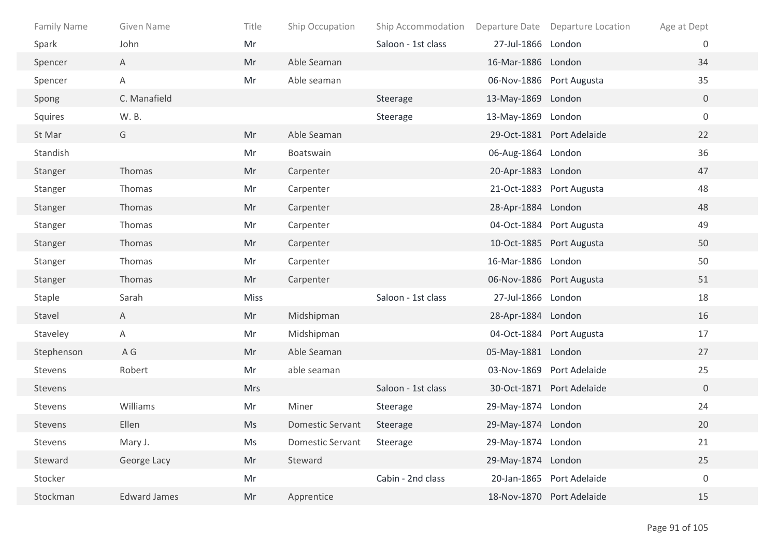| Family Name | Given Name          | Title       | Ship Occupation         | Ship Accommodation Departure Date Departure Location |                    |                           | Age at Dept      |
|-------------|---------------------|-------------|-------------------------|------------------------------------------------------|--------------------|---------------------------|------------------|
| Spark       | John                | Mr          |                         | Saloon - 1st class                                   | 27-Jul-1866 London |                           | 0                |
| Spencer     | $\mathsf{A}$        | Mr          | Able Seaman             |                                                      | 16-Mar-1886 London |                           | 34               |
| Spencer     | A                   | Mr          | Able seaman             |                                                      |                    | 06-Nov-1886 Port Augusta  | 35               |
| Spong       | C. Manafield        |             |                         | Steerage                                             | 13-May-1869 London |                           | $\overline{0}$   |
| Squires     | W. B.               |             |                         | Steerage                                             | 13-May-1869 London |                           | $\boldsymbol{0}$ |
| St Mar      | G                   | Mr          | Able Seaman             |                                                      |                    | 29-Oct-1881 Port Adelaide | 22               |
| Standish    |                     | Mr          | Boatswain               |                                                      | 06-Aug-1864 London |                           | 36               |
| Stanger     | Thomas              | Mr          | Carpenter               |                                                      | 20-Apr-1883 London |                           | 47               |
| Stanger     | Thomas              | Mr          | Carpenter               |                                                      |                    | 21-Oct-1883 Port Augusta  | 48               |
| Stanger     | Thomas              | Mr          | Carpenter               |                                                      | 28-Apr-1884 London |                           | 48               |
| Stanger     | Thomas              | Mr          | Carpenter               |                                                      |                    | 04-Oct-1884 Port Augusta  | 49               |
| Stanger     | Thomas              | Mr          | Carpenter               |                                                      |                    | 10-Oct-1885 Port Augusta  | 50               |
| Stanger     | Thomas              | Mr          | Carpenter               |                                                      | 16-Mar-1886 London |                           | 50               |
| Stanger     | Thomas              | Mr          | Carpenter               |                                                      |                    | 06-Nov-1886 Port Augusta  | 51               |
| Staple      | Sarah               | <b>Miss</b> |                         | Saloon - 1st class                                   | 27-Jul-1866 London |                           | 18               |
| Stavel      | A                   | Mr          | Midshipman              |                                                      | 28-Apr-1884 London |                           | 16               |
| Staveley    | A                   | Mr          | Midshipman              |                                                      |                    | 04-Oct-1884 Port Augusta  | 17               |
| Stephenson  | A G                 | Mr          | Able Seaman             |                                                      | 05-May-1881 London |                           | 27               |
| Stevens     | Robert              | Mr          | able seaman             |                                                      |                    | 03-Nov-1869 Port Adelaide | 25               |
| Stevens     |                     | <b>Mrs</b>  |                         | Saloon - 1st class                                   |                    | 30-Oct-1871 Port Adelaide | $\overline{0}$   |
| Stevens     | Williams            | Mr          | Miner                   | Steerage                                             | 29-May-1874 London |                           | 24               |
| Stevens     | Ellen               | Ms          | <b>Domestic Servant</b> | Steerage                                             | 29-May-1874 London |                           | 20               |
| Stevens     | Mary J.             | Ms          | Domestic Servant        | Steerage                                             | 29-May-1874 London |                           | 21               |
| Steward     | George Lacy         | Mr          | Steward                 |                                                      | 29-May-1874 London |                           | 25               |
| Stocker     |                     | Mr          |                         | Cabin - 2nd class                                    |                    | 20-Jan-1865 Port Adelaide | $\boldsymbol{0}$ |
| Stockman    | <b>Edward James</b> | Mr          | Apprentice              |                                                      |                    | 18-Nov-1870 Port Adelaide | 15               |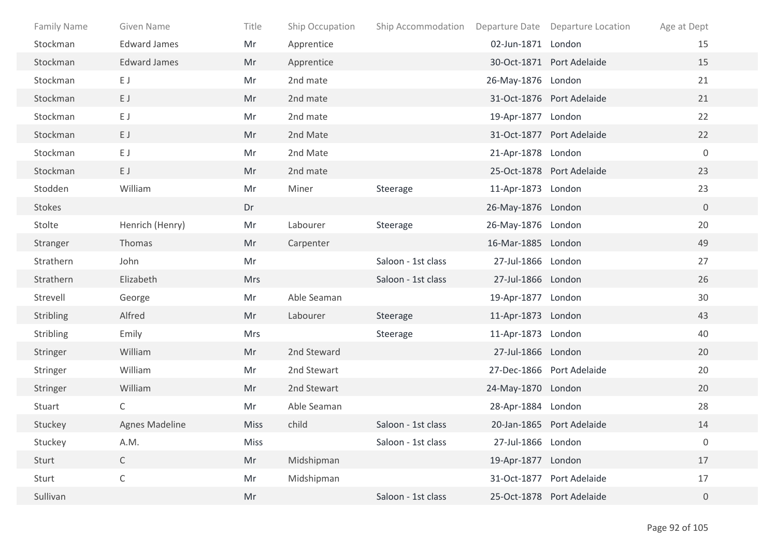| <b>Family Name</b> | Given Name            | Title       | Ship Occupation | Ship Accommodation |                    | Departure Date Departure Location | Age at Dept      |
|--------------------|-----------------------|-------------|-----------------|--------------------|--------------------|-----------------------------------|------------------|
| Stockman           | <b>Edward James</b>   | Mr          | Apprentice      |                    | 02-Jun-1871 London |                                   | 15               |
| Stockman           | <b>Edward James</b>   | Mr          | Apprentice      |                    |                    | 30-Oct-1871 Port Adelaide         | 15               |
| Stockman           | EJ                    | Mr          | 2nd mate        |                    | 26-May-1876 London |                                   | 21               |
| Stockman           | EJ                    | Mr          | 2nd mate        |                    |                    | 31-Oct-1876 Port Adelaide         | 21               |
| Stockman           | EJ                    | Mr          | 2nd mate        |                    | 19-Apr-1877 London |                                   | 22               |
| Stockman           | EJ                    | Mr          | 2nd Mate        |                    |                    | 31-Oct-1877 Port Adelaide         | 22               |
| Stockman           | EJ                    | Mr          | 2nd Mate        |                    | 21-Apr-1878 London |                                   | $\boldsymbol{0}$ |
| Stockman           | EJ                    | Mr          | 2nd mate        |                    |                    | 25-Oct-1878 Port Adelaide         | 23               |
| Stodden            | William               | Mr          | Miner           | Steerage           | 11-Apr-1873 London |                                   | 23               |
| Stokes             |                       | Dr          |                 |                    | 26-May-1876 London |                                   | $\overline{0}$   |
| Stolte             | Henrich (Henry)       | Mr          | Labourer        | Steerage           | 26-May-1876 London |                                   | 20               |
| Stranger           | Thomas                | Mr          | Carpenter       |                    | 16-Mar-1885 London |                                   | 49               |
| Strathern          | John                  | Mr          |                 | Saloon - 1st class | 27-Jul-1866 London |                                   | 27               |
| Strathern          | Elizabeth             | Mrs         |                 | Saloon - 1st class | 27-Jul-1866 London |                                   | 26               |
| Strevell           | George                | Mr          | Able Seaman     |                    | 19-Apr-1877 London |                                   | 30               |
| Stribling          | Alfred                | Mr          | Labourer        | Steerage           | 11-Apr-1873 London |                                   | 43               |
| Stribling          | Emily                 | Mrs         |                 | Steerage           | 11-Apr-1873 London |                                   | 40               |
| Stringer           | William               | Mr          | 2nd Steward     |                    | 27-Jul-1866 London |                                   | 20               |
| Stringer           | William               | Mr          | 2nd Stewart     |                    |                    | 27-Dec-1866 Port Adelaide         | 20               |
| Stringer           | William               | Mr          | 2nd Stewart     |                    | 24-May-1870 London |                                   | 20               |
| Stuart             | C                     | Mr          | Able Seaman     |                    | 28-Apr-1884 London |                                   | 28               |
| Stuckey            | <b>Agnes Madeline</b> | <b>Miss</b> | child           | Saloon - 1st class |                    | 20-Jan-1865 Port Adelaide         | 14               |
| Stuckey            | A.M.                  | Miss        |                 | Saloon - 1st class | 27-Jul-1866 London |                                   | $\boldsymbol{0}$ |
| Sturt              | $\mathsf{C}$          | Mr          | Midshipman      |                    | 19-Apr-1877 London |                                   | 17               |
| Sturt              | $\mathsf C$           | Mr          | Midshipman      |                    |                    | 31-Oct-1877 Port Adelaide         | 17               |
| Sullivan           |                       | Mr          |                 | Saloon - 1st class |                    | 25-Oct-1878 Port Adelaide         | $\boldsymbol{0}$ |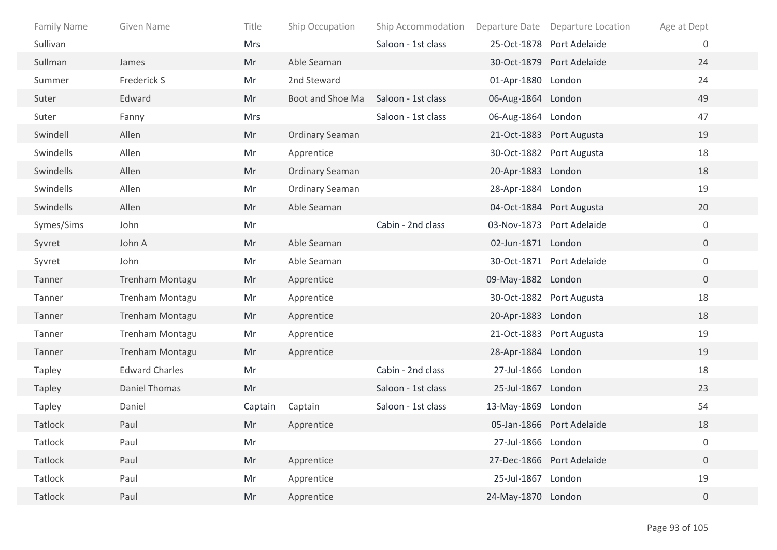| <b>Family Name</b> | <b>Given Name</b>     | Title      | Ship Occupation        | Ship Accommodation |                    | Departure Date Departure Location | Age at Dept      |
|--------------------|-----------------------|------------|------------------------|--------------------|--------------------|-----------------------------------|------------------|
| Sullivan           |                       | <b>Mrs</b> |                        | Saloon - 1st class |                    | 25-Oct-1878 Port Adelaide         | 0                |
| Sullman            | James                 | Mr         | Able Seaman            |                    |                    | 30-Oct-1879 Port Adelaide         | 24               |
| Summer             | Frederick S           | Mr         | 2nd Steward            |                    | 01-Apr-1880 London |                                   | 24               |
| Suter              | Edward                | Mr         | Boot and Shoe Ma       | Saloon - 1st class | 06-Aug-1864 London |                                   | 49               |
| Suter              | Fanny                 | Mrs        |                        | Saloon - 1st class | 06-Aug-1864 London |                                   | 47               |
| Swindell           | Allen                 | Mr         | <b>Ordinary Seaman</b> |                    |                    | 21-Oct-1883 Port Augusta          | 19               |
| Swindells          | Allen                 | Mr         | Apprentice             |                    |                    | 30-Oct-1882 Port Augusta          | 18               |
| Swindells          | Allen                 | Mr         | <b>Ordinary Seaman</b> |                    | 20-Apr-1883 London |                                   | 18               |
| Swindells          | Allen                 | Mr         | Ordinary Seaman        |                    | 28-Apr-1884 London |                                   | 19               |
| Swindells          | Allen                 | Mr         | Able Seaman            |                    |                    | 04-Oct-1884 Port Augusta          | 20               |
| Symes/Sims         | John                  | Mr         |                        | Cabin - 2nd class  |                    | 03-Nov-1873 Port Adelaide         | $\mathbf 0$      |
| Syvret             | John A                | Mr         | Able Seaman            |                    | 02-Jun-1871 London |                                   | $\overline{0}$   |
| Syvret             | John                  | Mr         | Able Seaman            |                    |                    | 30-Oct-1871 Port Adelaide         | $\boldsymbol{0}$ |
| Tanner             | Trenham Montagu       | Mr         | Apprentice             |                    | 09-May-1882 London |                                   | $\overline{0}$   |
| Tanner             | Trenham Montagu       | Mr         | Apprentice             |                    |                    | 30-Oct-1882 Port Augusta          | 18               |
| Tanner             | Trenham Montagu       | Mr         | Apprentice             |                    | 20-Apr-1883 London |                                   | 18               |
| Tanner             | Trenham Montagu       | Mr         | Apprentice             |                    |                    | 21-Oct-1883 Port Augusta          | 19               |
| Tanner             | Trenham Montagu       | Mr         | Apprentice             |                    | 28-Apr-1884 London |                                   | 19               |
| <b>Tapley</b>      | <b>Edward Charles</b> | Mr         |                        | Cabin - 2nd class  | 27-Jul-1866 London |                                   | 18               |
| <b>Tapley</b>      | <b>Daniel Thomas</b>  | Mr         |                        | Saloon - 1st class | 25-Jul-1867 London |                                   | 23               |
| <b>Tapley</b>      | Daniel                | Captain    | Captain                | Saloon - 1st class | 13-May-1869 London |                                   | 54               |
| Tatlock            | Paul                  | Mr         | Apprentice             |                    |                    | 05-Jan-1866 Port Adelaide         | 18               |
| Tatlock            | Paul                  | Mr         |                        |                    | 27-Jul-1866 London |                                   | $\boldsymbol{0}$ |
| Tatlock            | Paul                  | Mr         | Apprentice             |                    |                    | 27-Dec-1866 Port Adelaide         | $\boldsymbol{0}$ |
| Tatlock            | Paul                  | Mr         | Apprentice             |                    | 25-Jul-1867 London |                                   | 19               |
| Tatlock            | Paul                  | Mr         | Apprentice             |                    | 24-May-1870 London |                                   | $\mathbf 0$      |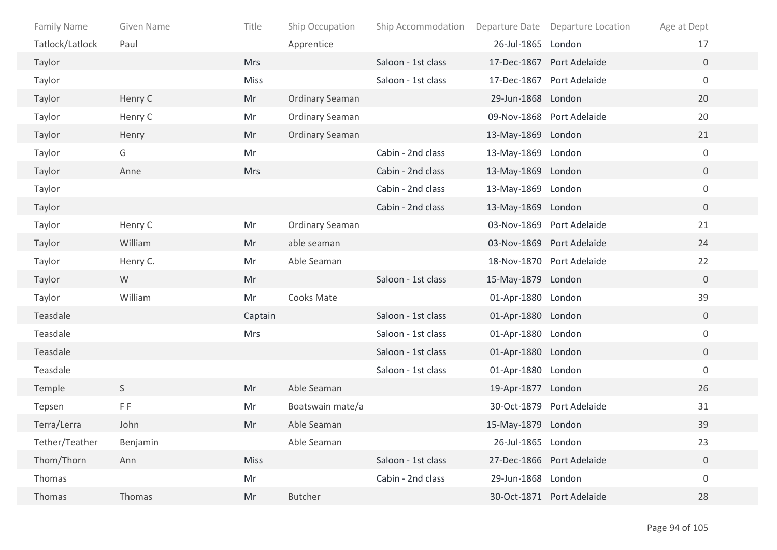| Family Name     | Given Name | Title       | Ship Occupation        | Ship Accommodation |                    | Departure Date Departure Location | Age at Dept      |  |
|-----------------|------------|-------------|------------------------|--------------------|--------------------|-----------------------------------|------------------|--|
| Tatlock/Latlock | Paul       |             | Apprentice             |                    | 26-Jul-1865 London |                                   | 17               |  |
| Taylor          |            | <b>Mrs</b>  |                        | Saloon - 1st class |                    | 17-Dec-1867 Port Adelaide         | $\overline{0}$   |  |
| Taylor          |            | Miss        |                        | Saloon - 1st class |                    | 17-Dec-1867 Port Adelaide         | $\boldsymbol{0}$ |  |
| Taylor          | Henry C    | Mr          | <b>Ordinary Seaman</b> |                    | 29-Jun-1868 London |                                   | 20               |  |
| Taylor          | Henry C    | Mr          | <b>Ordinary Seaman</b> |                    |                    | 09-Nov-1868 Port Adelaide         | 20               |  |
| Taylor          | Henry      | Mr          | <b>Ordinary Seaman</b> |                    | 13-May-1869 London |                                   | 21               |  |
| Taylor          | G          | Mr          |                        | Cabin - 2nd class  | 13-May-1869 London |                                   | 0                |  |
| Taylor          | Anne       | <b>Mrs</b>  |                        | Cabin - 2nd class  | 13-May-1869 London |                                   | $\overline{0}$   |  |
| Taylor          |            |             |                        | Cabin - 2nd class  | 13-May-1869 London |                                   | 0                |  |
| Taylor          |            |             |                        | Cabin - 2nd class  | 13-May-1869 London |                                   | $\overline{0}$   |  |
| Taylor          | Henry C    | Mr          | <b>Ordinary Seaman</b> |                    |                    | 03-Nov-1869 Port Adelaide         | 21               |  |
| Taylor          | William    | Mr          | able seaman            |                    |                    | 03-Nov-1869 Port Adelaide         | 24               |  |
| Taylor          | Henry C.   | Mr          | Able Seaman            |                    |                    | 18-Nov-1870 Port Adelaide         | 22               |  |
| Taylor          | W          | Mr          |                        | Saloon - 1st class | 15-May-1879 London |                                   | $\mathbf 0$      |  |
| Taylor          | William    | Mr          | Cooks Mate             |                    | 01-Apr-1880 London |                                   | 39               |  |
| Teasdale        |            | Captain     |                        | Saloon - 1st class | 01-Apr-1880 London |                                   | 0                |  |
| Teasdale        |            | <b>Mrs</b>  |                        | Saloon - 1st class | 01-Apr-1880 London |                                   | 0                |  |
| Teasdale        |            |             |                        | Saloon - 1st class | 01-Apr-1880 London |                                   | 0                |  |
| Teasdale        |            |             |                        | Saloon - 1st class | 01-Apr-1880 London |                                   | 0                |  |
| Temple          | S          | Mr          | Able Seaman            |                    | 19-Apr-1877 London |                                   | 26               |  |
| Tepsen          | FF.        | Mr          | Boatswain mate/a       |                    |                    | 30-Oct-1879 Port Adelaide         | 31               |  |
| Terra/Lerra     | John       | Mr          | Able Seaman            |                    | 15-May-1879 London |                                   | 39               |  |
| Tether/Teather  | Benjamin   |             | Able Seaman            |                    | 26-Jul-1865 London |                                   | 23               |  |
| Thom/Thorn      | Ann        | <b>Miss</b> |                        | Saloon - 1st class |                    | 27-Dec-1866 Port Adelaide         | $\boldsymbol{0}$ |  |
| Thomas          |            | Mr          |                        | Cabin - 2nd class  | 29-Jun-1868 London |                                   | 0                |  |
| Thomas          | Thomas     | Mr          | <b>Butcher</b>         |                    |                    | 30-Oct-1871 Port Adelaide         | 28               |  |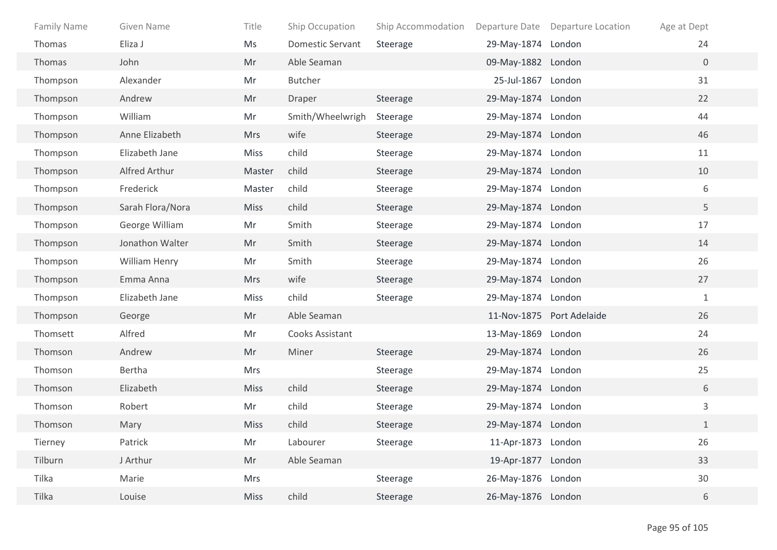| <b>Family Name</b> | Given Name       | Title       | Ship Occupation         | Ship Accommodation |                    | Departure Date Departure Location | Age at Dept  |
|--------------------|------------------|-------------|-------------------------|--------------------|--------------------|-----------------------------------|--------------|
| Thomas             | Eliza J          | Ms          | <b>Domestic Servant</b> | Steerage           | 29-May-1874 London |                                   | 24           |
| Thomas             | John             | Mr          | Able Seaman             |                    | 09-May-1882 London |                                   | $\mathbf{0}$ |
| Thompson           | Alexander        | Mr          | <b>Butcher</b>          |                    | 25-Jul-1867 London |                                   | 31           |
| Thompson           | Andrew           | Mr          | Draper                  | Steerage           | 29-May-1874 London |                                   | 22           |
| Thompson           | William          | Mr          | Smith/Wheelwrigh        | Steerage           | 29-May-1874 London |                                   | 44           |
| Thompson           | Anne Elizabeth   | <b>Mrs</b>  | wife                    | Steerage           | 29-May-1874 London |                                   | 46           |
| Thompson           | Elizabeth Jane   | <b>Miss</b> | child                   | Steerage           | 29-May-1874 London |                                   | 11           |
| Thompson           | Alfred Arthur    | Master      | child                   | Steerage           | 29-May-1874 London |                                   | 10           |
| Thompson           | Frederick        | Master      | child                   | Steerage           | 29-May-1874 London |                                   | 6            |
| Thompson           | Sarah Flora/Nora | <b>Miss</b> | child                   | Steerage           | 29-May-1874 London |                                   | 5            |
| Thompson           | George William   | Mr          | Smith                   | Steerage           | 29-May-1874 London |                                   | 17           |
| Thompson           | Jonathon Walter  | Mr          | Smith                   | Steerage           | 29-May-1874 London |                                   | 14           |
| Thompson           | William Henry    | Mr          | Smith                   | Steerage           | 29-May-1874 London |                                   | 26           |
| Thompson           | Emma Anna        | <b>Mrs</b>  | wife                    | Steerage           | 29-May-1874 London |                                   | 27           |
| Thompson           | Elizabeth Jane   | Miss        | child                   | Steerage           | 29-May-1874 London |                                   | $\mathbf{1}$ |
| Thompson           | George           | Mr          | Able Seaman             |                    |                    | 11-Nov-1875 Port Adelaide         | 26           |
| Thomsett           | Alfred           | Mr          | Cooks Assistant         |                    | 13-May-1869 London |                                   | 24           |
| Thomson            | Andrew           | Mr          | Miner                   | Steerage           | 29-May-1874 London |                                   | 26           |
| Thomson            | Bertha           | Mrs         |                         | Steerage           | 29-May-1874 London |                                   | 25           |
| Thomson            | Elizabeth        | <b>Miss</b> | child                   | Steerage           | 29-May-1874 London |                                   | 6            |
| Thomson            | Robert           | Mr          | child                   | Steerage           | 29-May-1874 London |                                   | $\mathsf{3}$ |
| Thomson            | Mary             | <b>Miss</b> | child                   | Steerage           | 29-May-1874 London |                                   | $\mathbf{1}$ |
| Tierney            | Patrick          | Mr          | Labourer                | Steerage           | 11-Apr-1873 London |                                   | 26           |
| Tilburn            | J Arthur         | Mr          | Able Seaman             |                    | 19-Apr-1877 London |                                   | 33           |
| Tilka              | Marie            | Mrs         |                         | Steerage           | 26-May-1876 London |                                   | 30           |
| Tilka              | Louise           | <b>Miss</b> | child                   | Steerage           | 26-May-1876 London |                                   | 6            |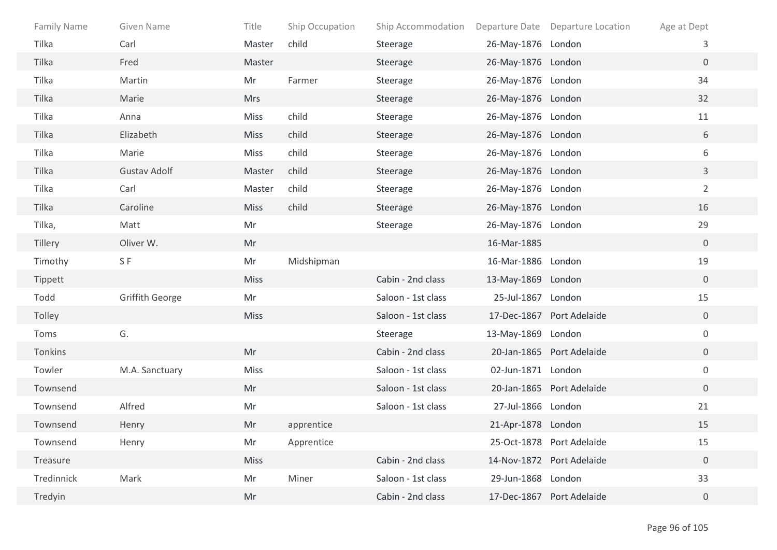| Family Name | Given Name             | Title       | Ship Occupation | Ship Accommodation |                    | Departure Date Departure Location | Age at Dept      |
|-------------|------------------------|-------------|-----------------|--------------------|--------------------|-----------------------------------|------------------|
| Tilka       | Carl                   | Master      | child           | Steerage           | 26-May-1876 London |                                   | 3                |
| Tilka       | Fred                   | Master      |                 | Steerage           | 26-May-1876 London |                                   | $\overline{0}$   |
| Tilka       | Martin                 | Mr          | Farmer          | Steerage           | 26-May-1876 London |                                   | 34               |
| Tilka       | Marie                  | <b>Mrs</b>  |                 | Steerage           | 26-May-1876 London |                                   | 32               |
| Tilka       | Anna                   | Miss        | child           | Steerage           | 26-May-1876 London |                                   | 11               |
| Tilka       | Elizabeth              | <b>Miss</b> | child           | Steerage           | 26-May-1876 London |                                   | 6                |
| Tilka       | Marie                  | <b>Miss</b> | child           | Steerage           | 26-May-1876 London |                                   | 6                |
| Tilka       | <b>Gustav Adolf</b>    | Master      | child           | Steerage           | 26-May-1876 London |                                   | $\mathbf{3}$     |
| Tilka       | Carl                   | Master      | child           | Steerage           | 26-May-1876 London |                                   | $\overline{2}$   |
| Tilka       | Caroline               | <b>Miss</b> | child           | Steerage           | 26-May-1876 London |                                   | 16               |
| Tilka,      | Matt                   | Mr          |                 | Steerage           | 26-May-1876 London |                                   | 29               |
| Tillery     | Oliver W.              | Mr          |                 |                    | 16-Mar-1885        |                                   | $\overline{0}$   |
| Timothy     | SF                     | Mr          | Midshipman      |                    | 16-Mar-1886 London |                                   | 19               |
| Tippett     |                        | <b>Miss</b> |                 | Cabin - 2nd class  | 13-May-1869 London |                                   | $\overline{0}$   |
| Todd        | <b>Griffith George</b> | Mr          |                 | Saloon - 1st class | 25-Jul-1867 London |                                   | 15               |
| Tolley      |                        | <b>Miss</b> |                 | Saloon - 1st class |                    | 17-Dec-1867 Port Adelaide         | $\overline{0}$   |
| Toms        | G.                     |             |                 | Steerage           | 13-May-1869 London |                                   | $\mathbf 0$      |
| Tonkins     |                        | Mr          |                 | Cabin - 2nd class  |                    | 20-Jan-1865 Port Adelaide         | $\overline{0}$   |
| Towler      | M.A. Sanctuary         | Miss        |                 | Saloon - 1st class | 02-Jun-1871 London |                                   | $\mathbf 0$      |
| Townsend    |                        | Mr          |                 | Saloon - 1st class |                    | 20-Jan-1865 Port Adelaide         | $\overline{0}$   |
| Townsend    | Alfred                 | Mr          |                 | Saloon - 1st class | 27-Jul-1866 London |                                   | 21               |
| Townsend    | Henry                  | Mr          | apprentice      |                    | 21-Apr-1878 London |                                   | 15               |
| Townsend    | Henry                  | Mr          | Apprentice      |                    |                    | 25-Oct-1878 Port Adelaide         | 15               |
| Treasure    |                        | <b>Miss</b> |                 | Cabin - 2nd class  |                    | 14-Nov-1872 Port Adelaide         | $\boldsymbol{0}$ |
| Tredinnick  | Mark                   | Mr          | Miner           | Saloon - 1st class | 29-Jun-1868 London |                                   | 33               |
| Tredyin     |                        | Mr          |                 | Cabin - 2nd class  |                    | 17-Dec-1867 Port Adelaide         | $\overline{0}$   |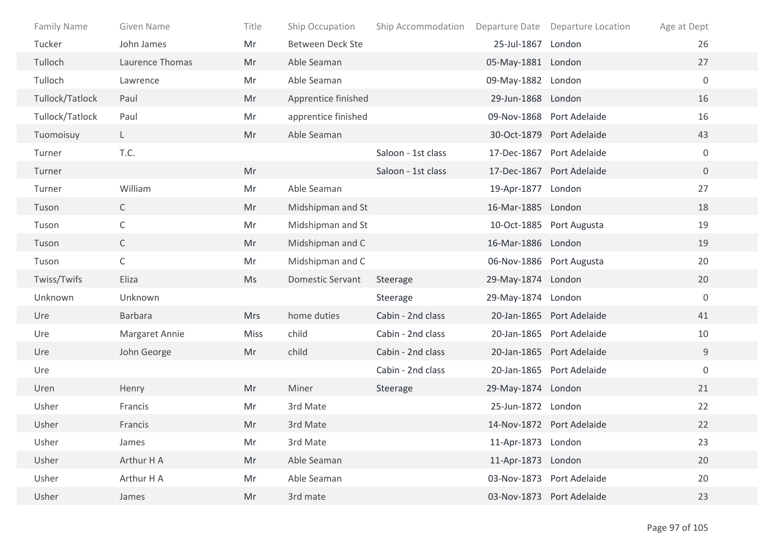| <b>Family Name</b> | Given Name      | Title       | Ship Occupation         | Ship Accommodation |                          | Departure Date Departure Location | Age at Dept      |
|--------------------|-----------------|-------------|-------------------------|--------------------|--------------------------|-----------------------------------|------------------|
| Tucker             | John James      | Mr          | <b>Between Deck Ste</b> |                    | 25-Jul-1867 London       |                                   | 26               |
| Tulloch            | Laurence Thomas | Mr          | Able Seaman             |                    | 05-May-1881 London       |                                   | 27               |
| Tulloch            | Lawrence        | Mr          | Able Seaman             |                    | 09-May-1882 London       |                                   | $\boldsymbol{0}$ |
| Tullock/Tatlock    | Paul            | Mr          | Apprentice finished     |                    | 29-Jun-1868 London       |                                   | 16               |
| Tullock/Tatlock    | Paul            | Mr          | apprentice finished     |                    |                          | 09-Nov-1868 Port Adelaide         | 16               |
| Tuomoisuy          | L.              | Mr          | Able Seaman             |                    |                          | 30-Oct-1879 Port Adelaide         | 43               |
| Turner             | T.C.            |             |                         | Saloon - 1st class |                          | 17-Dec-1867 Port Adelaide         | $\mathbf 0$      |
| Turner             |                 | Mr          |                         | Saloon - 1st class |                          | 17-Dec-1867 Port Adelaide         | $\overline{0}$   |
| Turner             | William         | Mr          | Able Seaman             |                    | 19-Apr-1877              | London                            | 27               |
| Tuson              | $\mathsf{C}$    | Mr          | Midshipman and St       |                    | 16-Mar-1885 London       |                                   | 18               |
| Tuson              | С               | Mr          | Midshipman and St       |                    |                          | 10-Oct-1885 Port Augusta          | 19               |
| Tuson              | $\mathsf{C}$    | Mr          | Midshipman and C        |                    | 16-Mar-1886 London       |                                   | 19               |
| Tuson              | C               | Mr          | Midshipman and C        |                    | 06-Nov-1886 Port Augusta |                                   | 20               |
| Twiss/Twifs        | Eliza           | Ms          | <b>Domestic Servant</b> | Steerage           | 29-May-1874 London       |                                   | 20               |
| Unknown            | Unknown         |             |                         | Steerage           | 29-May-1874 London       |                                   | $\mathbf 0$      |
| Ure                | Barbara         | <b>Mrs</b>  | home duties             | Cabin - 2nd class  |                          | 20-Jan-1865 Port Adelaide         | 41               |
| Ure                | Margaret Annie  | <b>Miss</b> | child                   | Cabin - 2nd class  |                          | 20-Jan-1865 Port Adelaide         | 10               |
| Ure                | John George     | Mr          | child                   | Cabin - 2nd class  |                          | 20-Jan-1865 Port Adelaide         | $9\,$            |
| Ure                |                 |             |                         | Cabin - 2nd class  |                          | 20-Jan-1865 Port Adelaide         | $\mathbf 0$      |
| Uren               | Henry           | Mr          | Miner                   | Steerage           | 29-May-1874 London       |                                   | 21               |
| Usher              | Francis         | Mr          | 3rd Mate                |                    | 25-Jun-1872 London       |                                   | 22               |
| Usher              | Francis         | Mr          | 3rd Mate                |                    |                          | 14-Nov-1872 Port Adelaide         | 22               |
| Usher              | James           | Mr          | 3rd Mate                |                    | 11-Apr-1873 London       |                                   | 23               |
| Usher              | Arthur H A      | Mr          | Able Seaman             |                    | 11-Apr-1873 London       |                                   | 20               |
| Usher              | Arthur H A      | Mr          | Able Seaman             |                    |                          | 03-Nov-1873 Port Adelaide         | 20               |
| Usher              | James           | Mr          | 3rd mate                |                    |                          | 03-Nov-1873 Port Adelaide         | 23               |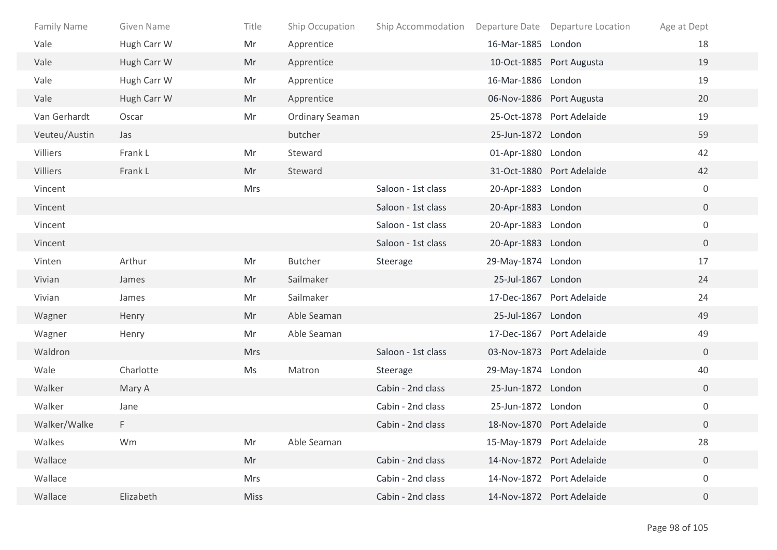| <b>Family Name</b> | Given Name  | Title       | Ship Occupation        | Ship Accommodation Departure Date Departure Location |                    |                           | Age at Dept      |
|--------------------|-------------|-------------|------------------------|------------------------------------------------------|--------------------|---------------------------|------------------|
| Vale               | Hugh Carr W | Mr          | Apprentice             |                                                      | 16-Mar-1885 London |                           | 18               |
| Vale               | Hugh Carr W | Mr          | Apprentice             |                                                      |                    | 10-Oct-1885 Port Augusta  | 19               |
| Vale               | Hugh Carr W | Mr          | Apprentice             |                                                      | 16-Mar-1886 London |                           | 19               |
| Vale               | Hugh Carr W | Mr          | Apprentice             |                                                      |                    | 06-Nov-1886 Port Augusta  | 20               |
| Van Gerhardt       | Oscar       | Mr          | <b>Ordinary Seaman</b> |                                                      |                    | 25-Oct-1878 Port Adelaide | 19               |
| Veuteu/Austin      | Jas         |             | butcher                |                                                      | 25-Jun-1872 London |                           | 59               |
| Villiers           | Frank L     | Mr          | Steward                |                                                      | 01-Apr-1880 London |                           | 42               |
| Villiers           | Frank L     | Mr          | Steward                |                                                      |                    | 31-Oct-1880 Port Adelaide | 42               |
| Vincent            |             | <b>Mrs</b>  |                        | Saloon - 1st class                                   | 20-Apr-1883 London |                           | $\mathbf 0$      |
| Vincent            |             |             |                        | Saloon - 1st class                                   | 20-Apr-1883 London |                           | $\overline{0}$   |
| Vincent            |             |             |                        | Saloon - 1st class                                   | 20-Apr-1883 London |                           | $\overline{0}$   |
| Vincent            |             |             |                        | Saloon - 1st class                                   | 20-Apr-1883 London |                           | $\overline{0}$   |
| Vinten             | Arthur      | Mr          | <b>Butcher</b>         | Steerage                                             | 29-May-1874 London |                           | 17               |
| Vivian             | James       | Mr          | Sailmaker              |                                                      | 25-Jul-1867 London |                           | 24               |
| Vivian             | James       | Mr          | Sailmaker              |                                                      |                    | 17-Dec-1867 Port Adelaide | 24               |
| Wagner             | Henry       | Mr          | Able Seaman            |                                                      | 25-Jul-1867 London |                           | 49               |
| Wagner             | Henry       | Mr          | Able Seaman            |                                                      |                    | 17-Dec-1867 Port Adelaide | 49               |
| Waldron            |             | <b>Mrs</b>  |                        | Saloon - 1st class                                   |                    | 03-Nov-1873 Port Adelaide | $\overline{0}$   |
| Wale               | Charlotte   | Ms          | Matron                 | Steerage                                             | 29-May-1874 London |                           | 40               |
| Walker             | Mary A      |             |                        | Cabin - 2nd class                                    | 25-Jun-1872 London |                           | $\overline{0}$   |
| Walker             | Jane        |             |                        | Cabin - 2nd class                                    | 25-Jun-1872 London |                           | $\boldsymbol{0}$ |
| Walker/Walke       | F           |             |                        | Cabin - 2nd class                                    |                    | 18-Nov-1870 Port Adelaide | $\overline{0}$   |
| Walkes             | Wm          | Mr          | Able Seaman            |                                                      |                    | 15-May-1879 Port Adelaide | 28               |
| Wallace            |             | Mr          |                        | Cabin - 2nd class                                    |                    | 14-Nov-1872 Port Adelaide | $\overline{0}$   |
| Wallace            |             | Mrs         |                        | Cabin - 2nd class                                    |                    | 14-Nov-1872 Port Adelaide | $\boldsymbol{0}$ |
| Wallace            | Elizabeth   | <b>Miss</b> |                        | Cabin - 2nd class                                    |                    | 14-Nov-1872 Port Adelaide | $\overline{0}$   |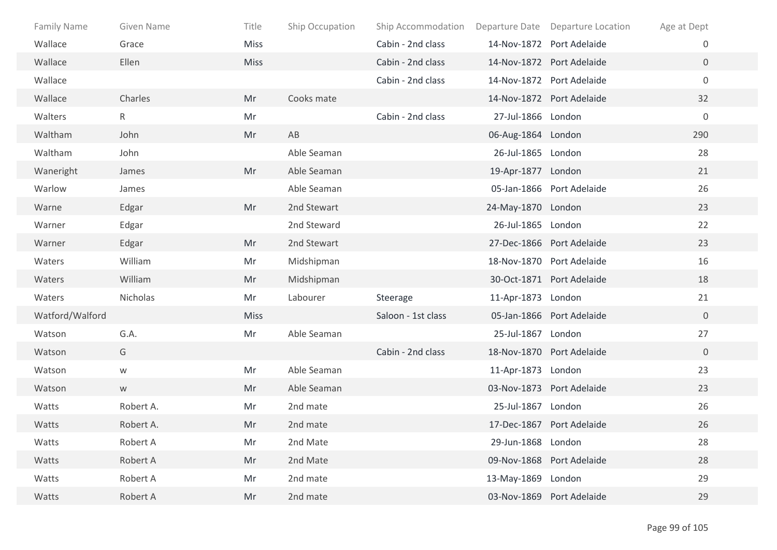| Family Name     | <b>Given Name</b> | Title       | Ship Occupation | Ship Accommodation |                    | Departure Date Departure Location | Age at Dept      |
|-----------------|-------------------|-------------|-----------------|--------------------|--------------------|-----------------------------------|------------------|
| Wallace         | Grace             | <b>Miss</b> |                 | Cabin - 2nd class  |                    | 14-Nov-1872 Port Adelaide         | $\mathbf 0$      |
| Wallace         | Ellen             | <b>Miss</b> |                 | Cabin - 2nd class  |                    | 14-Nov-1872 Port Adelaide         | $\overline{0}$   |
| Wallace         |                   |             |                 | Cabin - 2nd class  |                    | 14-Nov-1872 Port Adelaide         | $\mathbf 0$      |
| Wallace         | Charles           | Mr          | Cooks mate      |                    |                    | 14-Nov-1872 Port Adelaide         | 32               |
| Walters         | $\mathsf{R}$      | Mr          |                 | Cabin - 2nd class  | 27-Jul-1866 London |                                   | $\boldsymbol{0}$ |
| Waltham         | John              | Mr          | AB              |                    | 06-Aug-1864 London |                                   | 290              |
| Waltham         | John              |             | Able Seaman     |                    | 26-Jul-1865 London |                                   | 28               |
| Waneright       | James             | Mr          | Able Seaman     |                    | 19-Apr-1877 London |                                   | 21               |
| Warlow          | James             |             | Able Seaman     |                    |                    | 05-Jan-1866 Port Adelaide         | 26               |
| Warne           | Edgar             | Mr          | 2nd Stewart     |                    | 24-May-1870 London |                                   | 23               |
| Warner          | Edgar             |             | 2nd Steward     |                    | 26-Jul-1865 London |                                   | 22               |
| Warner          | Edgar             | Mr          | 2nd Stewart     |                    |                    | 27-Dec-1866 Port Adelaide         | 23               |
| Waters          | William           | Mr          | Midshipman      |                    |                    | 18-Nov-1870 Port Adelaide         | 16               |
| Waters          | William           | Mr          | Midshipman      |                    |                    | 30-Oct-1871 Port Adelaide         | 18               |
| Waters          | Nicholas          | Mr          | Labourer        | Steerage           | 11-Apr-1873 London |                                   | 21               |
| Watford/Walford |                   | <b>Miss</b> |                 | Saloon - 1st class |                    | 05-Jan-1866 Port Adelaide         | $\overline{0}$   |
| Watson          | G.A.              | Mr          | Able Seaman     |                    | 25-Jul-1867 London |                                   | 27               |
| Watson          | G                 |             |                 | Cabin - 2nd class  |                    | 18-Nov-1870 Port Adelaide         | $\overline{0}$   |
| Watson          | ${\mathsf W}$     | Mr          | Able Seaman     |                    | 11-Apr-1873 London |                                   | 23               |
| Watson          | ${\sf W}$         | Mr          | Able Seaman     |                    |                    | 03-Nov-1873 Port Adelaide         | 23               |
| Watts           | Robert A.         | Mr          | 2nd mate        |                    | 25-Jul-1867 London |                                   | 26               |
| Watts           | Robert A.         | Mr          | 2nd mate        |                    |                    | 17-Dec-1867 Port Adelaide         | 26               |
| Watts           | Robert A          | Mr          | 2nd Mate        |                    | 29-Jun-1868 London |                                   | 28               |
| Watts           | Robert A          | Mr          | 2nd Mate        |                    |                    | 09-Nov-1868 Port Adelaide         | 28               |
| Watts           | Robert A          | Mr          | 2nd mate        |                    | 13-May-1869 London |                                   | 29               |
| Watts           | Robert A          | Mr          | 2nd mate        |                    |                    | 03-Nov-1869 Port Adelaide         | 29               |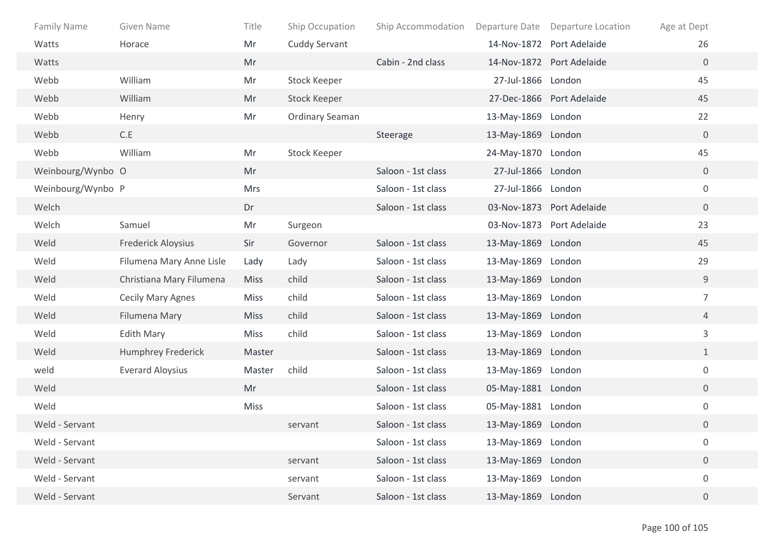| Family Name       | Given Name                | Title       | Ship Occupation        | Ship Accommodation | Departure Date     | Departure Location        | Age at Dept      |
|-------------------|---------------------------|-------------|------------------------|--------------------|--------------------|---------------------------|------------------|
| Watts             | Horace                    | Mr          | Cuddy Servant          |                    |                    | 14-Nov-1872 Port Adelaide | 26               |
| Watts             |                           | Mr          |                        | Cabin - 2nd class  |                    | 14-Nov-1872 Port Adelaide | $\overline{0}$   |
| Webb              | William                   | Mr          | <b>Stock Keeper</b>    |                    | 27-Jul-1866 London |                           | 45               |
| Webb              | William                   | Mr          | Stock Keeper           |                    |                    | 27-Dec-1866 Port Adelaide | 45               |
| Webb              | Henry                     | Mr          | <b>Ordinary Seaman</b> |                    | 13-May-1869 London |                           | 22               |
| Webb              | C.E                       |             |                        | Steerage           | 13-May-1869 London |                           | $\mathbf 0$      |
| Webb              | William                   | Mr          | Stock Keeper           |                    | 24-May-1870 London |                           | 45               |
| Weinbourg/Wynbo O |                           | Mr          |                        | Saloon - 1st class | 27-Jul-1866 London |                           | $\overline{0}$   |
| Weinbourg/Wynbo P |                           | <b>Mrs</b>  |                        | Saloon - 1st class | 27-Jul-1866 London |                           | $\boldsymbol{0}$ |
| Welch             |                           | Dr          |                        | Saloon - 1st class |                    | 03-Nov-1873 Port Adelaide | $\mathbf 0$      |
| Welch             | Samuel                    | Mr          | Surgeon                |                    |                    | 03-Nov-1873 Port Adelaide | 23               |
| Weld              | <b>Frederick Aloysius</b> | Sir         | Governor               | Saloon - 1st class | 13-May-1869 London |                           | 45               |
| Weld              | Filumena Mary Anne Lisle  | Lady        | Lady                   | Saloon - 1st class | 13-May-1869 London |                           | 29               |
| Weld              | Christiana Mary Filumena  | <b>Miss</b> | child                  | Saloon - 1st class | 13-May-1869 London |                           | $9\,$            |
| Weld              | <b>Cecily Mary Agnes</b>  | <b>Miss</b> | child                  | Saloon - 1st class | 13-May-1869 London |                           | $\overline{7}$   |
| Weld              | Filumena Mary             | <b>Miss</b> | child                  | Saloon - 1st class | 13-May-1869 London |                           | $\overline{4}$   |
| Weld              | <b>Edith Mary</b>         | Miss        | child                  | Saloon - 1st class | 13-May-1869 London |                           | $\mathbf{3}$     |
| Weld              | Humphrey Frederick        | Master      |                        | Saloon - 1st class | 13-May-1869 London |                           | $\mathbf{1}$     |
| weld              | <b>Everard Aloysius</b>   | Master      | child                  | Saloon - 1st class | 13-May-1869 London |                           | $\boldsymbol{0}$ |
| Weld              |                           | Mr          |                        | Saloon - 1st class | 05-May-1881 London |                           | $\overline{0}$   |
| Weld              |                           | <b>Miss</b> |                        | Saloon - 1st class | 05-May-1881 London |                           | $\boldsymbol{0}$ |
| Weld - Servant    |                           |             | servant                | Saloon - 1st class | 13-May-1869 London |                           | $\overline{0}$   |
| Weld - Servant    |                           |             |                        | Saloon - 1st class | 13-May-1869 London |                           | $\boldsymbol{0}$ |
| Weld - Servant    |                           |             | servant                | Saloon - 1st class | 13-May-1869 London |                           | $\overline{0}$   |
| Weld - Servant    |                           |             | servant                | Saloon - 1st class | 13-May-1869 London |                           | $\boldsymbol{0}$ |
| Weld - Servant    |                           |             | Servant                | Saloon - 1st class | 13-May-1869 London |                           | $\overline{0}$   |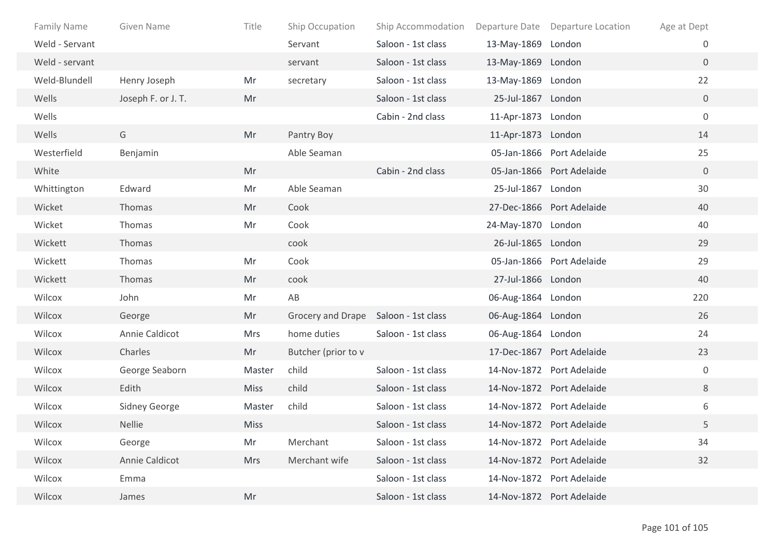| <b>Family Name</b> | <b>Given Name</b>  | Title       | Ship Occupation                      | Ship Accommodation |                    | Departure Date Departure Location | Age at Dept    |
|--------------------|--------------------|-------------|--------------------------------------|--------------------|--------------------|-----------------------------------|----------------|
| Weld - Servant     |                    |             | Servant                              | Saloon - 1st class | 13-May-1869 London |                                   | 0              |
| Weld - servant     |                    |             | servant                              | Saloon - 1st class | 13-May-1869 London |                                   | $\overline{0}$ |
| Weld-Blundell      | Henry Joseph       | Mr          | secretary                            | Saloon - 1st class | 13-May-1869 London |                                   | 22             |
| Wells              | Joseph F. or J. T. | Mr          |                                      | Saloon - 1st class | 25-Jul-1867 London |                                   | $\overline{0}$ |
| Wells              |                    |             |                                      | Cabin - 2nd class  | 11-Apr-1873 London |                                   | 0              |
| Wells              | G                  | Mr          | Pantry Boy                           |                    | 11-Apr-1873 London |                                   | 14             |
| Westerfield        | Benjamin           |             | Able Seaman                          |                    |                    | 05-Jan-1866 Port Adelaide         | 25             |
| White              |                    | Mr          |                                      | Cabin - 2nd class  |                    | 05-Jan-1866 Port Adelaide         | $\overline{0}$ |
| Whittington        | Edward             | Mr          | Able Seaman                          |                    | 25-Jul-1867 London |                                   | 30             |
| Wicket             | Thomas             | Mr          | Cook                                 |                    |                    | 27-Dec-1866 Port Adelaide         | 40             |
| Wicket             | Thomas             | Mr          | Cook                                 |                    | 24-May-1870 London |                                   | 40             |
| Wickett            | Thomas             |             | cook                                 |                    | 26-Jul-1865 London |                                   | 29             |
| Wickett            | Thomas             | Mr          | Cook                                 |                    |                    | 05-Jan-1866 Port Adelaide         | 29             |
| Wickett            | Thomas             | Mr          | cook                                 |                    | 27-Jul-1866 London |                                   | 40             |
| Wilcox             | John               | Mr          | AB                                   |                    | 06-Aug-1864 London |                                   | 220            |
| Wilcox             | George             | Mr          | Grocery and Drape Saloon - 1st class |                    | 06-Aug-1864 London |                                   | 26             |
| Wilcox             | Annie Caldicot     | <b>Mrs</b>  | home duties                          | Saloon - 1st class | 06-Aug-1864 London |                                   | 24             |
| Wilcox             | Charles            | Mr          | Butcher (prior to v                  |                    |                    | 17-Dec-1867 Port Adelaide         | 23             |
| Wilcox             | George Seaborn     | Master      | child                                | Saloon - 1st class |                    | 14-Nov-1872 Port Adelaide         | $\mathbf 0$    |
| Wilcox             | Edith              | <b>Miss</b> | child                                | Saloon - 1st class |                    | 14-Nov-1872 Port Adelaide         | 8              |
| Wilcox             | Sidney George      | Master      | child                                | Saloon - 1st class |                    | 14-Nov-1872 Port Adelaide         | 6              |
| Wilcox             | <b>Nellie</b>      | <b>Miss</b> |                                      | Saloon - 1st class |                    | 14-Nov-1872 Port Adelaide         | 5              |
| Wilcox             | George             | Mr          | Merchant                             | Saloon - 1st class |                    | 14-Nov-1872 Port Adelaide         | 34             |
| Wilcox             | Annie Caldicot     | <b>Mrs</b>  | Merchant wife                        | Saloon - 1st class |                    | 14-Nov-1872 Port Adelaide         | 32             |
| Wilcox             | Emma               |             |                                      | Saloon - 1st class |                    | 14-Nov-1872 Port Adelaide         |                |
| Wilcox             | James              | Mr          |                                      | Saloon - 1st class |                    | 14-Nov-1872 Port Adelaide         |                |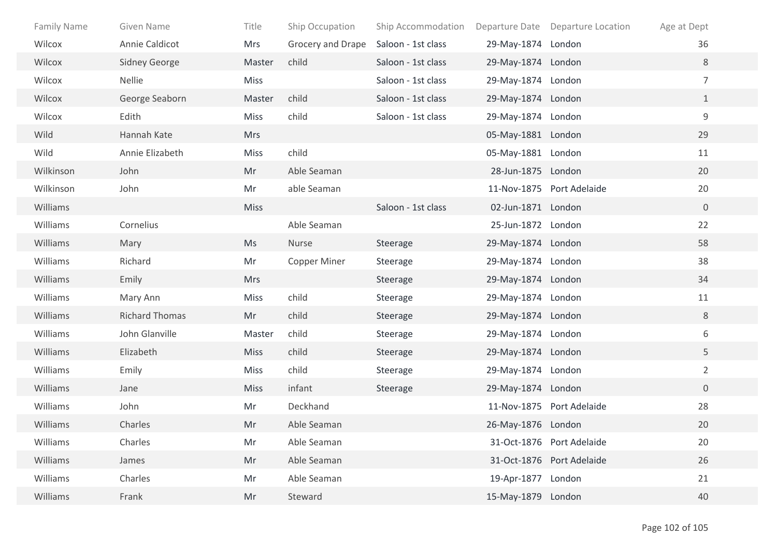| <b>Family Name</b> | Given Name            | Title       | Ship Occupation     | Ship Accommodation |                    | Departure Date Departure Location | Age at Dept    |
|--------------------|-----------------------|-------------|---------------------|--------------------|--------------------|-----------------------------------|----------------|
| Wilcox             | Annie Caldicot        | Mrs         | Grocery and Drape   | Saloon - 1st class | 29-May-1874 London |                                   | 36             |
| Wilcox             | <b>Sidney George</b>  | Master      | child               | Saloon - 1st class | 29-May-1874 London |                                   | 8              |
| Wilcox             | <b>Nellie</b>         | <b>Miss</b> |                     | Saloon - 1st class | 29-May-1874 London |                                   | $\overline{7}$ |
| Wilcox             | George Seaborn        | Master      | child               | Saloon - 1st class | 29-May-1874 London |                                   | $\mathbf{1}$   |
| Wilcox             | Edith                 | Miss        | child               | Saloon - 1st class | 29-May-1874 London |                                   | $\mathsf 9$    |
| Wild               | Hannah Kate           | <b>Mrs</b>  |                     |                    | 05-May-1881 London |                                   | 29             |
| Wild               | Annie Elizabeth       | <b>Miss</b> | child               |                    | 05-May-1881 London |                                   | 11             |
| Wilkinson          | John                  | Mr          | Able Seaman         |                    | 28-Jun-1875 London |                                   | 20             |
| Wilkinson          | John                  | Mr          | able Seaman         |                    |                    | 11-Nov-1875 Port Adelaide         | 20             |
| Williams           |                       | <b>Miss</b> |                     | Saloon - 1st class | 02-Jun-1871 London |                                   | $\mathbf 0$    |
| Williams           | Cornelius             |             | Able Seaman         |                    | 25-Jun-1872 London |                                   | 22             |
| Williams           | Mary                  | Ms          | Nurse               | Steerage           | 29-May-1874 London |                                   | 58             |
| Williams           | Richard               | Mr          | <b>Copper Miner</b> | Steerage           | 29-May-1874 London |                                   | 38             |
| Williams           | Emily                 | <b>Mrs</b>  |                     | Steerage           | 29-May-1874 London |                                   | 34             |
| Williams           | Mary Ann              | <b>Miss</b> | child               | Steerage           | 29-May-1874 London |                                   | 11             |
| Williams           | <b>Richard Thomas</b> | Mr          | child               | Steerage           | 29-May-1874 London |                                   | 8              |
| Williams           | John Glanville        | Master      | child               | Steerage           | 29-May-1874 London |                                   | 6              |
| Williams           | Elizabeth             | <b>Miss</b> | child               | Steerage           | 29-May-1874 London |                                   | 5              |
| Williams           | Emily                 | <b>Miss</b> | child               | Steerage           | 29-May-1874 London |                                   | $\overline{2}$ |
| Williams           | Jane                  | <b>Miss</b> | infant              | Steerage           | 29-May-1874 London |                                   | $\overline{0}$ |
| Williams           | John                  | Mr          | Deckhand            |                    |                    | 11-Nov-1875 Port Adelaide         | 28             |
| Williams           | Charles               | Mr          | Able Seaman         |                    | 26-May-1876 London |                                   | 20             |
| Williams           | Charles               | Mr          | Able Seaman         |                    |                    | 31-Oct-1876 Port Adelaide         | 20             |
| Williams           | James                 | Mr          | Able Seaman         |                    |                    | 31-Oct-1876 Port Adelaide         | 26             |
| Williams           | Charles               | Mr          | Able Seaman         |                    | 19-Apr-1877 London |                                   | 21             |
| Williams           | Frank                 | Mr          | Steward             |                    | 15-May-1879 London |                                   | 40             |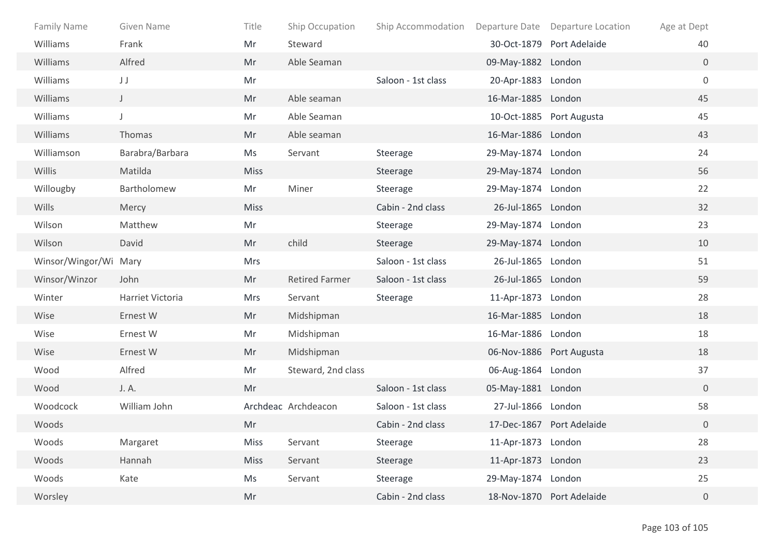| <b>Family Name</b>    | Given Name       | Title       | Ship Occupation       | Ship Accommodation |                          | Departure Date Departure Location | Age at Dept      |
|-----------------------|------------------|-------------|-----------------------|--------------------|--------------------------|-----------------------------------|------------------|
| <b>Williams</b>       | Frank            | Mr          | Steward               |                    |                          | 30-Oct-1879 Port Adelaide         | 40               |
| Williams              | Alfred           | Mr          | Able Seaman           |                    | 09-May-1882 London       |                                   | $\overline{0}$   |
| Williams              | JJ               | Mr          |                       | Saloon - 1st class | 20-Apr-1883 London       |                                   | $\boldsymbol{0}$ |
| Williams              | $\mathsf{J}^-$   | Mr          | Able seaman           |                    | 16-Mar-1885 London       |                                   | 45               |
| Williams              | J                | Mr          | Able Seaman           |                    |                          | 10-Oct-1885 Port Augusta          | 45               |
| Williams              | Thomas           | Mr          | Able seaman           |                    | 16-Mar-1886 London       |                                   | 43               |
| Williamson            | Barabra/Barbara  | Ms          | Servant               | Steerage           | 29-May-1874 London       |                                   | 24               |
| Willis                | Matilda          | <b>Miss</b> |                       | Steerage           | 29-May-1874 London       |                                   | 56               |
| Willougby             | Bartholomew      | Mr          | Miner                 | Steerage           | 29-May-1874 London       |                                   | 22               |
| Wills                 | Mercy            | <b>Miss</b> |                       | Cabin - 2nd class  | 26-Jul-1865 London       |                                   | 32               |
| Wilson                | Matthew          | Mr          |                       | Steerage           | 29-May-1874 London       |                                   | 23               |
| Wilson                | David            | Mr          | child                 | Steerage           | 29-May-1874 London       |                                   | 10               |
| Winsor/Wingor/Wi Mary |                  | <b>Mrs</b>  |                       | Saloon - 1st class | 26-Jul-1865 London       |                                   | 51               |
| Winsor/Winzor         | John             | Mr          | <b>Retired Farmer</b> | Saloon - 1st class | 26-Jul-1865 London       |                                   | 59               |
| Winter                | Harriet Victoria | <b>Mrs</b>  | Servant               | Steerage           | 11-Apr-1873 London       |                                   | 28               |
| Wise                  | Ernest W         | Mr          | Midshipman            |                    | 16-Mar-1885 London       |                                   | 18               |
| Wise                  | Ernest W         | Mr          | Midshipman            |                    | 16-Mar-1886 London       |                                   | 18               |
| Wise                  | Ernest W         | Mr          | Midshipman            |                    | 06-Nov-1886 Port Augusta |                                   | 18               |
| Wood                  | Alfred           | Mr          | Steward, 2nd class    |                    | 06-Aug-1864 London       |                                   | 37               |
| Wood                  | J. A.            | Mr          |                       | Saloon - 1st class | 05-May-1881 London       |                                   | $\overline{0}$   |
| Woodcock              | William John     |             | Archdeac Archdeacon   | Saloon - 1st class | 27-Jul-1866 London       |                                   | 58               |
| Woods                 |                  | Mr          |                       | Cabin - 2nd class  |                          | 17-Dec-1867 Port Adelaide         | $\overline{0}$   |
| Woods                 | Margaret         | Miss        | Servant               | Steerage           | 11-Apr-1873 London       |                                   | 28               |
| Woods                 | Hannah           | <b>Miss</b> | Servant               | Steerage           | 11-Apr-1873 London       |                                   | 23               |
| Woods                 | Kate             | Ms          | Servant               | Steerage           | 29-May-1874 London       |                                   | 25               |
| Worsley               |                  | Mr          |                       | Cabin - 2nd class  |                          | 18-Nov-1870 Port Adelaide         | $\overline{0}$   |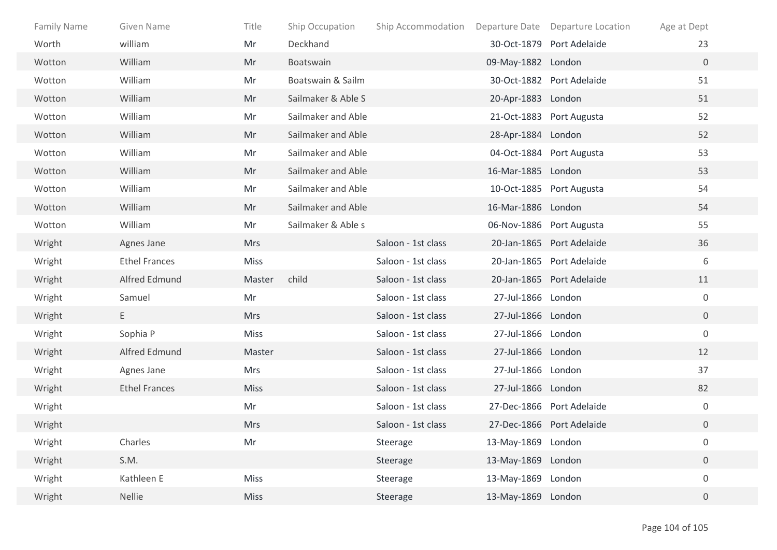| Family Name | Given Name           | Title       | Ship Occupation    | Ship Accommodation |                    | Departure Date Departure Location | Age at Dept      |
|-------------|----------------------|-------------|--------------------|--------------------|--------------------|-----------------------------------|------------------|
| Worth       | william              | Mr          | Deckhand           |                    |                    | 30-Oct-1879 Port Adelaide         | 23               |
| Wotton      | William              | Mr          | Boatswain          |                    | 09-May-1882 London |                                   | $\mathbf{0}$     |
| Wotton      | William              | Mr          | Boatswain & Sailm  |                    |                    | 30-Oct-1882 Port Adelaide         | 51               |
| Wotton      | William              | Mr          | Sailmaker & Able S |                    | 20-Apr-1883 London |                                   | 51               |
| Wotton      | William              | Mr          | Sailmaker and Able |                    |                    | 21-Oct-1883 Port Augusta          | 52               |
| Wotton      | William              | Mr          | Sailmaker and Able |                    | 28-Apr-1884 London |                                   | 52               |
| Wotton      | William              | Mr          | Sailmaker and Able |                    |                    | 04-Oct-1884 Port Augusta          | 53               |
| Wotton      | William              | Mr          | Sailmaker and Able |                    | 16-Mar-1885 London |                                   | 53               |
| Wotton      | William              | Mr          | Sailmaker and Able |                    |                    | 10-Oct-1885 Port Augusta          | 54               |
| Wotton      | William              | Mr          | Sailmaker and Able |                    | 16-Mar-1886 London |                                   | 54               |
| Wotton      | William              | Mr          | Sailmaker & Able s |                    |                    | 06-Nov-1886 Port Augusta          | 55               |
| Wright      | Agnes Jane           | <b>Mrs</b>  |                    | Saloon - 1st class |                    | 20-Jan-1865 Port Adelaide         | 36               |
| Wright      | <b>Ethel Frances</b> | Miss        |                    | Saloon - 1st class |                    | 20-Jan-1865 Port Adelaide         | 6                |
| Wright      | Alfred Edmund        | Master      | child              | Saloon - 1st class |                    | 20-Jan-1865 Port Adelaide         | 11               |
| Wright      | Samuel               | Mr          |                    | Saloon - 1st class | 27-Jul-1866 London |                                   | $\mathbf 0$      |
| Wright      | E.                   | <b>Mrs</b>  |                    | Saloon - 1st class | 27-Jul-1866 London |                                   | $\overline{0}$   |
| Wright      | Sophia P             | <b>Miss</b> |                    | Saloon - 1st class | 27-Jul-1866 London |                                   | $\boldsymbol{0}$ |
| Wright      | Alfred Edmund        | Master      |                    | Saloon - 1st class | 27-Jul-1866 London |                                   | 12               |
| Wright      | Agnes Jane           | Mrs         |                    | Saloon - 1st class | 27-Jul-1866 London |                                   | 37               |
| Wright      | <b>Ethel Frances</b> | <b>Miss</b> |                    | Saloon - 1st class | 27-Jul-1866 London |                                   | 82               |
| Wright      |                      | Mr          |                    | Saloon - 1st class |                    | 27-Dec-1866 Port Adelaide         | $\boldsymbol{0}$ |
| Wright      |                      | Mrs         |                    | Saloon - 1st class |                    | 27-Dec-1866 Port Adelaide         | $\overline{0}$   |
| Wright      | Charles              | Mr          |                    | Steerage           | 13-May-1869 London |                                   | $\boldsymbol{0}$ |
| Wright      | S.M.                 |             |                    | Steerage           | 13-May-1869 London |                                   | $\boldsymbol{0}$ |
| Wright      | Kathleen E           | Miss        |                    | Steerage           | 13-May-1869 London |                                   | $\boldsymbol{0}$ |
| Wright      | Nellie               | Miss        |                    | Steerage           | 13-May-1869 London |                                   | $\overline{0}$   |